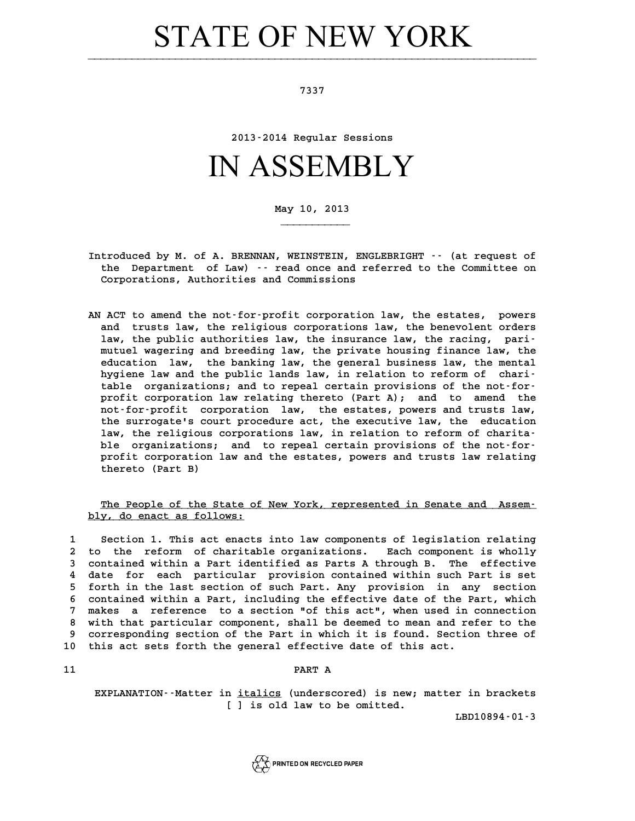# STATE OF NEW YORK

**7337**

**2013-2014 Regular Sessions**

## IN ASSEMBLY

**May 10, 2013**

**\_\_\_\_\_\_\_\_\_\_\_**

- **Introduced by M. of A. BRENNAN, WEINSTEIN, ENGLEBRIGHT -- (at request of** troduced by M. of A. BRENNAN, WEINSTEIN, ENGLEBRIGHT -- (at request of<br>the Department of Law) -- read once and referred to the Committee on troduced by M. of A. BRENNAN, WEINSTEIN, ENG<br>the Department of Law) -- read once and re<br>Corporations, Authorities and Commissions Corporations, Authorities and Commissions<br>AN ACT to amend the not-for-profit corporation law, the estates, powers
- ACT to amend the not-for-profit corporation law, the estates, powers<br>and trusts law, the religious corporations law, the benevolent orders<br>law, the public authorities law, the insurance law, the raging, pari-ACT to amend the not-for-profit corporation law, the estates, powers<br>and trusts law, the religious corporations law, the benevolent orders<br>law, the public authorities law, the insurance law, the racing, pari-<br>mutual wageri and trusts law, the religious corporations law, the benevolent orders<br>law, the public authorities law, the insurance law, the racing, pari-<br>mutuel wagering and breeding law, the private housing finance law, the<br>conservatio law, the public authorities law, the insurance law, the racing, pari-<br>mutuel wagering and breeding law, the private housing finance law, the<br>education law, the banking law, the general business law, the mental<br>hygiono law mutuel wagering and breeding law, the private housing finance law, the education law, the banking law, the general business law, the mental<br>hygiene law and the public lands law, in relation to reform of chari-<br>table expres education law, the banking law, the general business law, the mental hygiene law and the public lands law, in relation to reform of charitable organizations; and to repeal certain provisions of the not-for**profit corporation law relating thereto (Part A); and to amend the not-for-profit corporation law, the estates, powers and trusts law,** profit corporation law relating thereto (Part A); and to amend the<br>not-for-profit corporation law, the estates, powers and trusts law,<br>the surrogate's court procedure act, the executive law, the education<br>law, the religiou not-for-profit corporation law, the estates, powers and trusts law,<br>the surrogate's court procedure act, the executive law, the education<br>law, the religious corporations law, in relation to reform of charita-<br>hle organizat the surrogate's court procedure act, the executive law, the education<br>law, the religious corporations law, in relation to reform of charita-<br>ble organizations; and to repeal certain provisions of the not-for-<br>profit corpor law, the religious corporations law, in relation to reform of charita-<br>ble organizations; and to repeal certain provisions of the not-for-<br>profit corporation law and the estates, powers and trusts law relating<br>therete (Par ble organizations;<br>profit corporation<br>thereto (Part B)

### **The People of the State of New York, represented in Senate and Assem- \_\_\_\_\_\_\_\_\_\_\_\_\_\_\_\_\_\_\_\_\_\_\_\_\_\_\_\_\_\_\_\_\_\_\_\_\_\_\_\_\_\_\_\_\_\_\_\_\_\_\_\_\_\_\_\_\_\_\_\_\_\_\_\_\_\_\_\_\_\_** <u>The People of the State of the State</u><br>bly, do enact as follows:

**1 Section 1. This act enacts into law components of legislation relating 2**<br>2 to the reform of charitable organizations. Each component is wholly<br>2 contained within a Part identified as Parts A through B. The effective **3 contained With Section 1. This act enacts into law components of legislation relating<br>
2 to the reform of charitable organizations. Each component is wholly<br>
3 contained within a Part identified as Parts A through B. Th** 2 to the reform of charitable organizations. Each component is wholly<br>3 contained within a Part identified as Parts A through B. The effective<br>4 date for each particular provision contained within such Part is set<br>5 forth 3 contained within a Part identified as Parts A through B. The effective<br>4 date for each particular provision contained within such Part is set<br>5 forth in the last section of such Part. Any provision in any section<br>6 conta **6 date for each particular provision contained within such Part is set<br>
5 forth in the last section of such Part. Any provision in any section<br>
6 contained within a Part, including the effective date of the Part, which<br>
<sup>**</sup> 5 forth in the last section of such Part. Any provision in any section 8 contained within a Part, including the effective date of the Part, which<br>7 makes a reference to a section "of this act", when used in connection<br>8 with that particular component, shall be deemed to mean and refer to the<br> **7** makes a reference to a section "of this act", when used in connection 8 with that particular component, shall be deemed to mean and refer to the this act sets forth the general effective date of this act.<br>11

PART A<br>EXPLANATION--Matter in <u>italics</u> (underscored) is new; matter in brackets n <u>italics</u> (underscored) is new; :<br>[ ] is old law to be omitted.

**LBD10894-01-3**

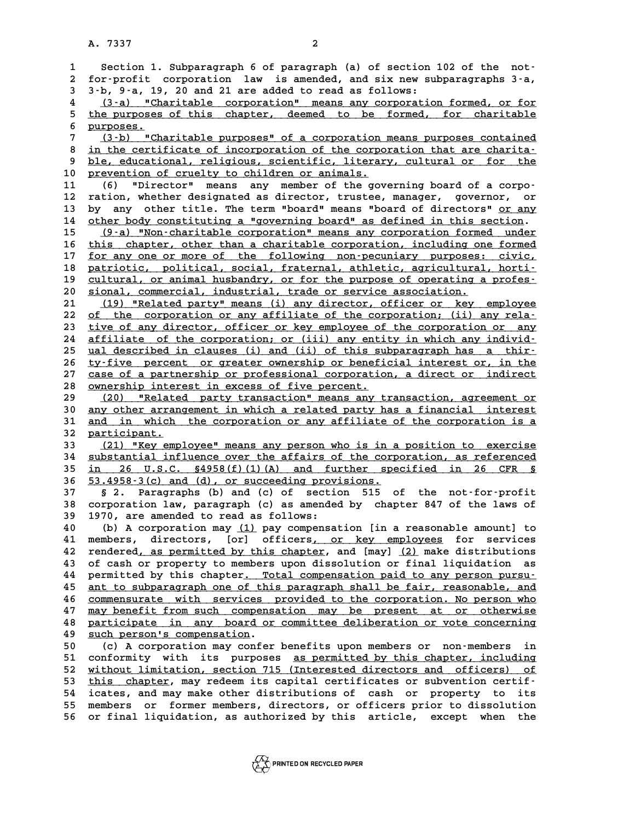A. 7337<br>1 Section 1. Subparagraph 6 of paragraph (a) of section 102 of the not-<br>2 for profit corporation law is amondod and six now subparagraphs <sup>3</sup>:3 **2** Section 1. Subparagraph 6 of paragraph (a) of section 102 of the not-<br>2 for-profit corporation law is amended, and six new subparagraphs 3-a,<br>3 3-b 9:3 19 20 and 21 are added to read as follows: **3 3-b, 9-a, 19, 20 and 21 are added to read as follows:**<br>**3 3-b, 9-a, 19, 20 and 21 are added to read as follows:**<br>**4** (3.3) UCharitable corporation" means any corporation for-profit corporation law is amended, and six new subparagraphs 3-a,<br>
3 3-b, 9-a, 19, 20 and 21 are added to read as follows:<br>
4 (3-a) "Charitable corporation" means any corporation formed, or for<br>
5 the purposes of this 3 3-b, 9-a, 19, 20 and 21 are added to read as follows:<br>
4 (3-a) "Charitable corporation" means any corporation formed, or for<br>
5 the purposes of this chapter, deemed to be formed, for charitable<br>
5 nurposes **4** <u>(3-a)</u> "Ch.<br>5 <u>the purposes.</u><br>6 purposes. the purposes of this chapter, deemed to be formed, for charitable<br>
<u>purposes.</u><br>
7 (3-b) "Charitable purposes" of a corporation means purposes contained<br>
in the sertificate of incorporation of the corporation that are chari **8 purposes.**<br> **8 <u>in the certificate of incorporation of the corporation that are charita-**<br> **8** in the certificate of incorporation of the corporation that are charita-<br>
also educational religious scientific literary sul</u> **9 ble, educational, religious, scientific, literary, cultural or for the \_\_\_\_\_\_\_\_\_\_\_\_\_\_\_\_\_\_\_\_\_\_\_\_\_\_\_\_\_\_\_\_\_\_\_\_\_\_\_\_\_\_\_\_\_\_\_\_\_\_\_\_\_\_\_\_\_\_\_\_\_\_\_\_\_\_\_\_\_\_\_\_** 8 <u>in the certificate of incorporation of the corporation that are charita-</u><br>
9 <u>ble, educational, religious, scientific, literary, cultural or for the</u><br>
10 <u>prevention of cruelty to children or animals.</u><br>
11 (6) "Director **11 (6) "Director" means any member of the governing board of a corpo-10 prevention of cruelty to children or animals.**<br> **11** (6) "Director" means any member of the governing board of a corpo-<br> **12** ration, whether designated as director, trustee, manager, governor, or<br> **13** by any other 11 (6) "Director" means any member of the governing board of a corpo-<br>12 ration, whether designated as director, trustee, manager, governor, or<br>13 by any other title. The term "board" means "board of directors" <u>or any</u><br>14 12 ration, whether designated as director, trustee, manager, governor, or<br>13 by any other title. The term "board" means "board of directors" <u>or any</u><br>14 <u>other body constituting a "governing board" as defined in this secti</u> by any other title. The term "board" means "board of directors" <u>or any</u><br>14 <u>other body constituting a "governing board" as defined in this section</u>.<br>15 (9-a) "Non-charitable corporation" means any corporation formed under other body constituting a "governing board" as defined in this section.<br>
15 (9 - a) "Non-charitable corporation" means any corporation formed under<br>
16 this chapter, other than a charitable corporation, including one forme 15 (9-a) "Non-charitable corporation" means any corporation formed under<br>
16 this chapter, other than a charitable corporation, including one formed<br>
17 <u>for any one or more of the following non-pecuniary purposes: civic,</u> this chapter, other than a charitable corporation, including one formed<br>
17 <u>for any one or more of the following non-pecuniary purposes: civic,</u><br>
18 patriotic, political, social, fraternal, athletic, agricultural, horti-<br> **17** <u>for any one or more of the following non-pecuniary purposes: civic,</u><br> **18** <u>patriotic, political, social, fraternal</u>, athletic, agricultural, horti-<br>
<u>cultural, or animal husbandry, or for the purpose of operating a </u> **20 sional, commercial, and industrial, industrial parameters**<br> **20 sional, commercial, industrial, trade or service association.**<br> **21 (19) Pelated partyl means (i) any director** officer or key <u>cultural, or animal husbandry, or for the purpose of operating a profes-<br>
20 sional, commercial, industrial, trade or service association.<br>
21 (19) "Related party" means (i) any director, officer or key employee<br>
22 of th</u> 20 <u>sional, commercial, industrial, trade or service association.</u><br>
21 (19) "Related party" means (i) any director, officer or key employee<br>
22 of the corporation or any affiliate of the corporation or any<br>
<sup>23</sup> tive of an 21 (19) "Related party" means (i) any director, officer or key employee<br>22 of the corporation or any affiliate of the corporation; (ii) any rela-<br>23 tive of any director, officer or key employee of the corporation or any<br>2 22 <u>of the corporation or any affiliate of the corporation; (ii) any rela-</u><br>23 <u>tive of any director, officer or key employee of the corporation or any</u><br>24 <u>affiliate of the corporation; or (ii) any entity in which any ind</u> 23 tive of any director, officer or key employee of the corporation or any affiliate of the corporation; or (iii) any entity in which any individ-<br>
25 <u>ual described in clauses (i) and (ii) of this subparagraph has a thir-</u> 24 affiliate of the corporation; or (iii) any entity in which any individ-<br>25 ual described in clauses (i) and (ii) of this subparagraph has a thir-<br>26 ty-five percent or greater ownership or beneficial interest or, in the 25 <u>ual described in clauses (i) and (ii) of this subparagraph has a thir-</u><br>26 <u>ty-five percent or greater ownership or beneficial interest or, in the</u><br>27 <u>case of a partnership or professional corporation, a direct or ind</u> 28 <u>ownership interest in excess of five percent.</u><br>29 (20) "Related party transaction" means any <sup>27</sup> case of a partnership or professional corporation, a direct or indirect<br>
<sup>28</sup> ownership interest in excess of five percent.<br>
<sup>29</sup> (20) "Related party transaction" means any transaction, agreement or<br>
<sup>20</sup> any other ar **38 ownership interest in excess of five percent.**<br> **30** (20) "Related party transaction" means any transaction, agreement or<br> **30** any other arrangement in which a related party has a financial interest<br> **31** and in which 130 (20) "Related party transaction" means any transaction, agreement or<br> **31** <u>and in which the corporation or any affiliate of the corporation is a</u><br> **partial** in the corporation or any affiliate of the corporation is a<br> **30** <u>any other arranection</u><br> **31** <u>and in which</u><br> **32** <u>participant.</u><br> **33** (21) **"Key emp** 31 <u>and in which the corporation or any affiliate of the corporation is a<br>32 participant.<br>(21) "Key employee" means any person who is in a position to exercise<br>34 substantial influence ever the affairs of the corporation a</u> **32 <u>participant.</u><br>
<b>33** (21) "Key employee" means any person who is in a position to exercise<br> **34 substantial influence over the affairs of the corporation, as referenced**<br> **35 in 26 U.S.C. §4958(f)(1)(A)** and further sp 33 (21) "Key employee" means any person who is in a position to exercise<br>34 <u>substantial influence over the affairs of the corporation, as referenced</u><br>35 <u>in 26 U.S.C. §4958(f)(1)(A) and further specified in 26 CFR §</u><br>52 4 34 <u>substantial influence over the affairs of the corp</u><br>35 <u>in 26 U.S.C. §4958(f)(1)(A) and further spe</u><br>36 53.4958-3(c) and (d), or succeeding provisions. **35** <u>in 26 U.S.C. §4958(f)(1)(A)</u> and further specified in 26 CFR §<br> **36** <u>53.4958.3(c) and (d)</u>, or succeeding provisions.<br> **37** § 2. Paragraphs (b) and (c) of section 515 of the not-for-profit<br> **38** correction law appro **53.4958.3(c) and (d), or succeeding provisions.**<br> **37** § 2. Paragraphs (b) and (c) of section 515 of the not-for-profit<br> **38** corporation law, paragraph (c) as amended by chapter 847 of the laws of<br> **39** 1970 are amended **59 1970, are american** (b) and (c) of sections corporation law, paragraph (c) as amended 1970, are amended to read as follows: **40 (a) A corporation law, paragraph (c) as amended by chapter 847 of the laws of<br>
<b>40** (b) A corporation may <u>(1)</u> pay compensation [in a reasonable amount] to<br> **41 members** directors [or] officers or bey employees for se 1970, are amended to read as follows:<br>
40 (b) A corporation may <u>(1)</u> pay compensation [in a reasonable amount] to<br>
41 members, directors, [or] officers<u>, or key employees</u> for services<br>
12 readered as permitted by this ch **40** (b) A corporation may <u>(1)</u> pay compensation [in a reasonable amount] to<br>41 members, directors, [or] officers<u>, or key employees</u> for services<br>42 rendered<u>, as permitted by this chapter</u>, and [may] <u>(2)</u> make distribu 41 members, directors, [or] officers<u>, or key employees</u> for services<br>42 rendered<u>, as permitted by this chapter</u>, and [may] <u>(2)</u> make distributions<br>43 of cash or property to members upon dissolution or final liquidation **42** rendered<u>, as permitted by this chapter</u>, and [may] <u>(2)</u> make distributions<br>43 of cash or property to members upon dissolution or final liquidation as<br>44 permitted by this chapter. Total compensation paid to any pers 43 of cash or property to members upon dissolution or final liquidation as<br>44 permitted by this chapter<u>. Total compensation paid to any person pursu-</u><br>45 <u>ant to subparagraph one of this paragraph shall be fair, reasonabl</u> **44** permitted by this chapter. Total compensation paid to any person pursu-<br>45 <u>ant to subparagraph one of this paragraph shall be fair, reasonable, and<br>46 <u>commensurate with services provided to the corporation. No perso</u></u> ant to subparagraph one of this paragraph shall be fair, reasonable, and<br>46 <u>commensurate with services provided to the corporation. No person who</u><br>47 <u>may benefit from such compensation may be present at or otherwise</u><br>28 46 commensurate with services provided to the corporation. No person who<br>47 <u>may benefit from such compensation</u> may be present at or otherwise<br>28 participate in any board or committee deliberation or vote concerning<br>29 su 47 may benefit from such compens<br>48 <u>participate in any board or</u><br>49 <u>such person's compensation</u>.<br>50 (g) a corporation may conform **50 10 (40)** The setter than the setter than the setter than the such person's compensation.<br> **50** (c) A corporation may confer benefits upon members or non-members in<br>
51 conformity with its purposes as permitted by this **50** <u>compensation</u>.<br>
50 (c) A corporation may confer benefits upon members or non-members in<br>
51 conformity with its purposes as permitted by this chapter, including<br>
52 without limitation sostion 715 (Interested director 50 (c) A corporation may confer benefits upon members or non-members in<br>51 conformity with its purposes <u>as permitted by this chapter, including</u><br>52 without limitation, section 715 (Interested directors and officers) of<br>th 51 conformity with its purposes <u>as permitted by this chapter, including</u><br>52 <u>without limitation, section 715 (Interested directors and officers) of<br>this chapter, may redeem its capital certificates or subvention certif-<br>i</u> 52 <u>without limitation, section 715 (Interested directors and officers) of<br>53 <u>this chapter</u>, may redeem its capital certificates or subvention certif-<br>54 icates, and may make other distributions of cash or property to its</u> **53** this chapter, may redeem its capital certificates or subvention certif-<br>54 icates, and may make other distributions of cash or property to its<br>55 members or former members, directors, or officers prior to dissolution<br> 54 icates, and may make other distributions of cash or property to its<br>55 members or former members, directors, or officers prior to dissolution<br>56 or final liquidation, as authorized by this article, except when the

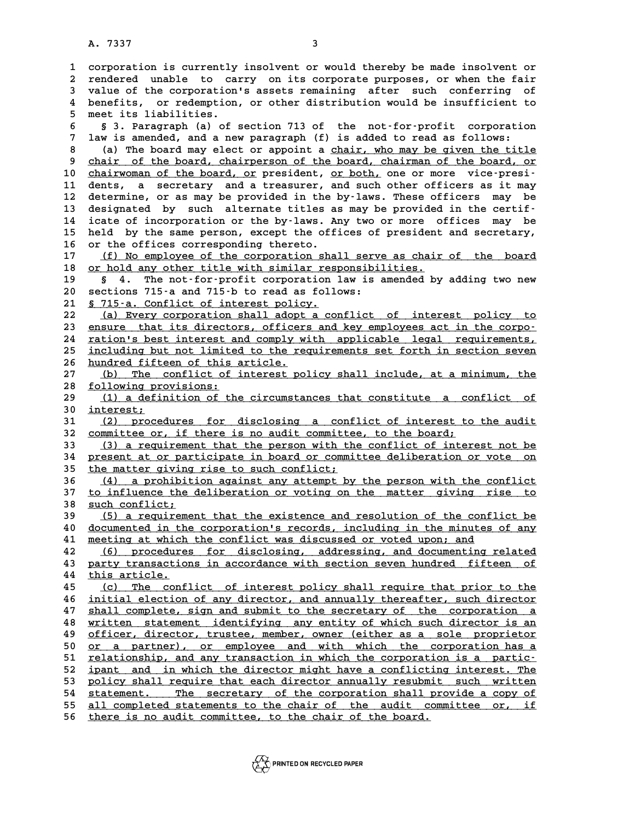**1 corporation is currently insolvent or would thereby be made insolvent or 2** corporation is currently insolvent or would thereby be made insolvent or rendered unable to carry on its corporate purposes, or when the fair<br>2 relue of the corporationis assets remaining after such conferring of 1 corporation is currently insolvent or would thereby be made insolvent or<br>2 rendered unable to carry on its corporate purposes, or when the fair<br>3 value of the corporation's assets remaining after such conferring of<br><sup>4</sup> b 2 rendered unable to carry on its corporate purposes, or when the fair<br>3 value of the corporation's assets remaining after such conferring of<br>4 benefits, or redemption, or other distribution would be insufficient to<br>5 most 3 value of the corporation<br>4 benefits, or redemption<br>5 meet its liabilities. **6 § 3. Paragraph (a) of section 713 of the not-for-profit corporation 7** meet its liabilities.<br> **6** § 3. Paragraph (a) of section 713 of the not-for-profit corporation<br> **7** law is amended, and a new paragraph (f) is added to read as follows:<br>
(a) The beard may cleat ar appeint a shair, who 8 3. Paragraph (a) of section 713 of the not-for-profit corporation<br>
7 law is amended, and a new paragraph (f) is added to read as follows:<br>
(a) The board may elect or appoint a <u>chair, who may be given the title</u><br>
(a) The **9 dim is amended, and a new paragraph (f) is added to read as follows:**<br> **9 chair of the board, chairperson of the board, chairman of the board, or**<br> **20 chairword** of the board, or president or both one or person wise pr 10 (a) The board may elect or appoint a <u>chair, who may be given the title</u><br>
10 <u>chair of the board, chairperson of the board, chairman of the board, or</u><br>
10 <u>chairwoman of the board, or</u> president, <u>or both,</u> one or more 9 chair of the board, chairperson of the board, chairman of the board, or<br>10 chairwoman of the board, or president, <u>or both,</u> one or more vice-presi-<br>11 dents, a secretary and a treasurer, and such other officers as it ma **10** chairwoman of the board, or president, or both, one or more vice-presi-<br>11 dents, a secretary and a treasurer, and such other officers as it may<br>12 determine, or as may be provided in the by-laws. These officers may b 11 dents, a secretary and a treasurer, and such other officers as it may<br>
12 determine, or as may be provided in the by-laws. These officers may be<br>
13 designated by such alternate titles as may be provided in the certif-<br> 12 determine, or as may be provided in the by-laws. These officers may be<br>13 designated by such alternate titles as may be provided in the certif-<br>14 icate of incorporation or the by-laws. Any two or more offices may be<br>15 13 designated by such alternate titles as may be provided in the certif-<br>14 icate of incorporation or the by-laws. Any two or more offices may be<br>15 held by the same person, except the offices of president and secretary, 14 icate of incorporation or the by-laws. A<br>15 held by the same person, except the off<br>16 or the offices corresponding thereto.<br>17 (f) No smalouse of the serperation sha held by the same person, except the offices of president and secretary,<br>
16 or the offices corresponding thereto.<br>
17 (f) No employee of the corporation shall serve as chair of the board<br>
18 and any other title with simila 16 or the offices corresponding thereto.<br>17 (f) No employee of the corporation shall serve as chair<br>18 <u>or hold any other title with similar responsibilities.</u><br>19 5 4 The pot-for-profit corporation law is amonded by or the offices corresponding thereto.<br>
19 **budge of the corporation shall serve as chair of the board**<br>
19 **§ 4.** The not-for-profit corporation law is amended by adding two new<br>
20 sections 715-a and 715-b to read as foll **20 sections 715-a and 715-b to read as follows:** 20 sections 715-a and 715-b to read as follows:<br>21 <u>§ 715-a. Conflict of interest policy.</u><br>22 (a) Every corporation shall adopt a confli 20 sections 715-a and 715-b to read as follows:<br>
<u>21 § 715-a. Conflict of interest policy.</u><br>
22 (a) Every corporation shall adopt a conflict of interest policy to<br>
23 ensure, that its directors officers and key employees a 21 <u>§ 715-a. Conflict of interest policy.</u><br>22 (a) Every corporation shall adopt a conflict of interest policy to<br>23 <u>ensure that its directors, officers and key employees act in the corpo-</u><br>24 rationis best interest and se 22 (a) Every corporation shall adopt a conflict of interest policy to<br>23 <u>ensure that its directors, officers and key employees act in the corpo-</u><br>24 <u>ration's best interest and comply with applicable legal requirements,</u><br> 23 <u>ensure that its directors, officers and key employees act in the corpo-</u><br>24 <u>ration's best interest and comply with applicable legal requirements,</u><br>25 including but not limited to the requirements set forth in section 24 <u>ration's best interest and comply w</u><br>25 <u>including but not limited to the re</u><br>26 <u>hundred fifteen of this article.</u><br>27 (b) The conflict of interest po including but not limited to the requirements set forth in section seven<br>26 <u>hundred fifteen of this article.</u><br>27 (b) The conflict of interest policy shall include, at a minimum, the<br>50 following provisions. <u>26 hundred fifteen of this article.<br>
27 (b) The conflict of interest policy shall include, at a minimum, the<br>
28 following provisions:<br>
29 (1) a definition of the circumstances that constitute a conflict of</u> 27 (b) The conflict of interest policy shall include, at a minimum, the<br>28 <u>following provisions:</u><br>29 (1) a definition of the circumstances that constitute a conflict of<br>interest: 28 <u>following provisions:</u><br>29 <u>(1) a definition of</u><br>30 <u>interest;</u><br>31 (2) procedures fo: (1) a definition of the circumstances that constitute a conflict of<br>30 <u>interest;</u><br>31 (2) procedures for disclosing a conflict of interest to the audit<br>32 commition or if there is no audit commition to the beard. 30 <u>interest;<br>31 (2) procedures for disclosing a conflict of interest to<br>32 <u>committee or, if there is no audit committee, to the board;</u><br>33 (3) a requirement that the person with the conflict of inter</u> 11 (2) procedures for disclosing a conflict of interest to the audit<br>
32 <u>committee or, if there is no audit committee, to the board;</u><br>
33 (3) a requirement that the person with the conflict of interest not be<br>
34 present 32 <u>committee or, if there is no audit committee, to the board;<br>
33 (3) a requirement that the person with the conflict of interest not be<br>
<u>present at or participate in board or committee deliberation or vote on</u><br>
<sup>25</sup> th</u> 33 (3) a requirement that the person with the present at or participate in board or commi<br>35 the matter giving rise to such conflict;<br>(4) a probibition against any attempt by 34 present at or participate in board or committee deliberation or vote on<br>35 <u>the matter giving rise to such conflict;</u><br>36 (4) a prohibition against any attempt by the person with the conflict<br>37 to influence the delibera 35 the matter giving rise to such conflict;<br>
36 (4) a prohibition against any attempt by the person with the conflict<br>
37 to influence the deliberation or voting on the matter giving rise to<br>
38 such conflict. 36 <u>(4) a prohibit</u><br>37 <u>to influence the</u><br>38 <u>such conflict;</u><br>(5) a requirement 37 <u>to influence the deliberation or voting on the matter giving rise to</u><br>38 <u>such conflict;</u><br>(5) a requirement that the existence and resolution of the conflict be<br>39 (5) a requirement that the existence and resolution of 38 <u>such conflict;</u><br>  $\frac{(5)$  a requirement that the existence and resolution of the conflict be<br>  $\frac{10}{10}$  documented in the corporation's records, including in the minutes of any<br>  $\frac{11}{10}$  meeting at which the confli **41** <u>meeting at which the conflict was discussed or voted upon; and</u><br>**42** (6) procedures for disclosing, addressing, and documentir **42** (6) procedures for disclosing, addressing, and documenting related<br>43 party transactions in accordance with section seven hundred fifteen of 41 <u>meeting at which the conflict was discussed or voted upon; and (6) procedures for disclosing, addressing, and documenting related party transactions in accordance with section seven hundred fifteen of this article.</u> 42 (6) procedure<br>43 <u>party transactio:</u><br>44 this article.<br>45 (3) The sonf **43 party transactions in accordance with section seven hundred fifteen of**<br> **44** this article.<br>
<u>(c) The conflict of interest policy shall require that prior to the</u><br> **45** initial election of any director, and annually th this article.<br> **46** <u>(c)</u> The conflict of interest policy shall require that prior to the<br> **46** <u>initial election of any director</u>, and annually thereafter, such director<br> **47** shall complete, sign and submit to the secret 45 (c) The conflict of interest policy shall require that prior to the initial election of any director, and annually thereafter, such director shall complete, sign and submit to the secretary of the corporation a printer **46** <u>initial election of any director</u>, and annually thereafter, such director<br>47 shall complete, sign and submit to the secretary of the corporation a<br><u>written statement identifying</u> any entity of which such director is 47 shall complete, sign and submit to the secretary of the corporation a<br>48 written statement identifying any entity of which such director is an<br><u>officer, director, trustee, member, owner (either as a sole proprietor</u><br> $\frac$ written statement identifying any entity of which such director is an officer, director, trustee, member, owner (either as a sole proprietor or a partner), or employee and with which the corporation has a relationship, and **51** <u>officer, director, trustee, member, owner (either as a sole proprietor</u><br>50 <u>or a partner), or employee and with which the corporation has a relationship, and any transaction in which the corporation is a partic-<br>52 i</u> or a partner), or employee and with which the corporation has a<br>51 <u>relationship, and any transaction in which the corporation is a partic-</u><br>52 <u>ipant and in which the director might have a conflicting interest. The</u><br>polic 51 <u>relationship, and any transaction in which the corporation is a partic-</u><br>52 <u>ipant and in which the director might have a conflicting interest. The<br>53 policy shall require that each director annually resubmit such writ</u> 52 <u>ipant and in which the director might have a conflicting interest. The policy shall require that each director annually resubmit such written 54 statement. The secretary of the corporation shall provide a copy of all c</u> 53 policy shall require that each director annually resubmit such written<br>54 <u>statement.</u> The secretary of the corporation shall provide a copy of<br>55 all completed statements to the chair of the audit committee or, if<br>56 t 53 policy shall require that each director annually resubmit such written<br>54 statement. The secretary of the corporation shall provide a copy of<br>55 all completed statements to the chair of the audit committee or, if<br>56 the

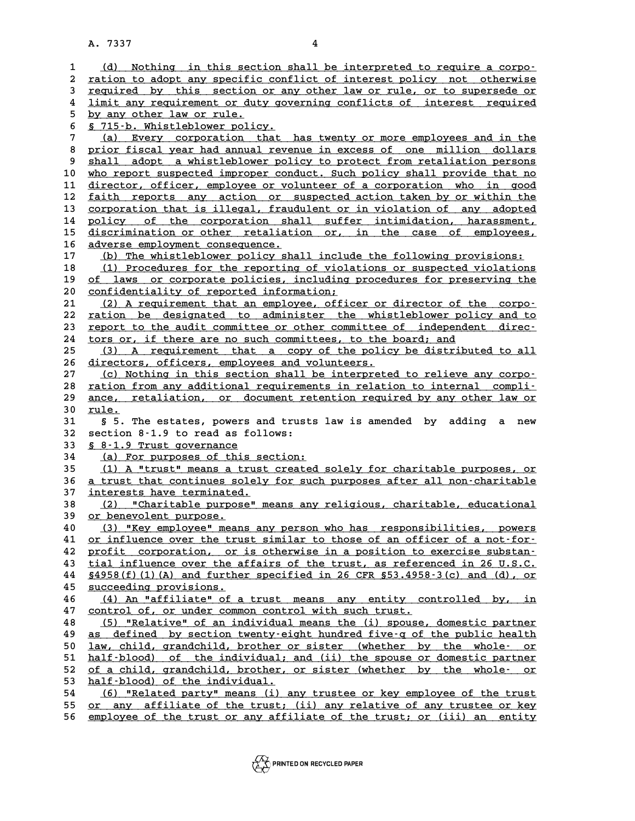|              | A. 7337<br>4                                                                                           |
|--------------|--------------------------------------------------------------------------------------------------------|
|              |                                                                                                        |
| $\mathbf{1}$ | Nothing in this section shall be interpreted to require a corpo-<br>(d)                                |
| 2            | ration to adopt any specific conflict of interest policy not otherwise                                 |
| 3            | required by this section or any other law or rule, or to supersede or                                  |
| 4            | limit any requirement or duty governing conflicts of interest required<br>by any other law or rule.    |
| 5<br>6       |                                                                                                        |
| 7            | § 715-b. Whistleblower policy.<br>(a) Every corporation that has twenty or more employees and in the   |
| 8            | prior fiscal year had annual revenue in excess of one million dollars                                  |
| 9            | shall adopt a whistleblower policy to protect from retaliation persons                                 |
| 10           | who report suspected improper conduct. Such policy shall provide that no                               |
| 11           | director, officer, employee or volunteer of a corporation who in good                                  |
| 12           | faith reports any action or suspected action taken by or within the                                    |
| 13           | corporation that is illegal, fraudulent or in violation of any adopted                                 |
| 14           | policy of the corporation shall suffer intimidation, harassment,                                       |
| 15           | discrimination or other retaliation or, in the case of employees,                                      |
| 16           | adverse employment consequence.                                                                        |
| 17           | (b) The whistleblower policy shall include the following provisions:                                   |
| 18           | (1) Procedures for the reporting of violations or suspected violations                                 |
| 19           | of laws or corporate policies, including procedures for preserving the                                 |
| 20           | confidentiality of reported information;                                                               |
| 21           | (2) A requirement that an employee, officer or director of the corpo-                                  |
| 22           | ration be designated to administer the whistleblower policy and to                                     |
| 23           | report to the audit committee or other committee of independent direc-                                 |
| 24           | tors or, if there are no such committees, to the board; and                                            |
| 25           | A requirement that a copy of the policy be distributed to all<br>(3)                                   |
| 26           | directors, officers, employees and volunteers.                                                         |
| 27           | (c) Nothing in this section shall be interpreted to relieve any corpo-                                 |
| 28           | ration from any additional requirements in relation to internal compli-                                |
| 29           | ance, retaliation, or document retention required by any other law or                                  |
| 30           | rule.                                                                                                  |
| 31           | § 5. The estates, powers and trusts law is amended by<br>adding a<br>new                               |
| 32           | section 8-1.9 to read as follows:                                                                      |
| 33           | § 8-1.9 Trust governance                                                                               |
| 34           | (a) For purposes of this section:                                                                      |
| 35           | (1) A "trust" means a trust created solely for charitable purposes, or                                 |
| 36<br>37     | a trust that continues solely for such purposes after all non-charitable<br>interests have terminated. |
|              | (2) "Charitable purpose" means any religious, charitable, educational                                  |
| 38<br>39     | or benevolent purpose.                                                                                 |
| 40           | (3) "Key employee" means any person who has responsibilities, powers                                   |
| 41           | or influence over the trust similar to those of an officer of a not-for-                               |
| 42           | profit corporation, or is otherwise in a position to exercise substan-                                 |
| 43           | tial influence over the affairs of the trust, as referenced in 26 U.S.C.                               |
| 44           | $§4958(f)(1)(A)$ and further specified in 26 CFR $§53.4958.3(c)$ and (d), or                           |
| 45           | succeeding provisions.                                                                                 |
| 46           | (4) An "affiliate" of a trust means any entity controlled by, in                                       |
| 47           | control of, or under common control with such trust.                                                   |
| 48           | (5) "Relative" of an individual means the (i) spouse, domestic partner                                 |
| 49           | as defined by section twenty-eight hundred five-q of the public health                                 |
| 50           | law, child, grandchild, brother or sister (whether by the whole- or                                    |
| 51           | half-blood) of the individual; and (ii) the spouse or domestic partner                                 |
| 52           | of a child, grandchild, brother, or sister (whether by the whole- or                                   |
| 53           | half-blood) of the individual.                                                                         |
| 54           | (6) "Related party" means (i) any trustee or key employee of the trust                                 |
| 55           | or any affiliate of the trust; (ii) any relative of any trustee or key                                 |
| 56           | employee of the trust or any affiliate of the trust; or (iii) an entity                                |
|              |                                                                                                        |

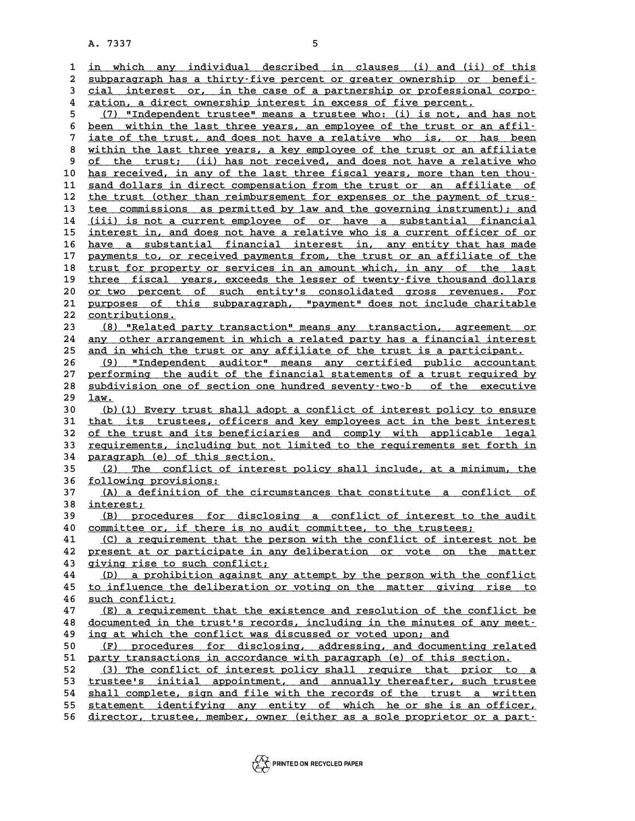|          | 5<br>A. 7337                                                                                                                                   |
|----------|------------------------------------------------------------------------------------------------------------------------------------------------|
|          |                                                                                                                                                |
| 1        | in which any individual described in clauses (i) and (ii) of this                                                                              |
| 2        | subparagraph has a thirty-five percent or greater ownership or benefi-                                                                         |
| 3        | cial interest or, in the case of a partnership or professional corpo-                                                                          |
| 4        | ration, a direct ownership interest in excess of five percent.                                                                                 |
| 5        | (7) "Independent trustee" means a trustee who: (i) is not, and has not                                                                         |
| 6<br>7   | been within the last three years, an employee of the trust or an affil-<br>iate of the trust, and does not have a relative who is, or has been |
| 8        | within the last three years, a key employee of the trust or an affiliate                                                                       |
| 9        | of the trust; (ii) has not received, and does not have a relative who                                                                          |
| 10       | has received, in any of the last three fiscal years, more than ten thou-                                                                       |
| 11       | sand dollars in direct compensation from the trust or an affiliate of                                                                          |
| 12       | the trust (other than reimbursement for expenses or the payment of trus-                                                                       |
| 13       | tee commissions as permitted by law and the governing instrument); and                                                                         |
| 14       | (iii) is not a current employee of or have a substantial financial                                                                             |
| 15       | interest in, and does not have a relative who is a current officer of or                                                                       |
| 16       | have a substantial financial interest in, any entity that has made                                                                             |
| 17       | payments to, or received payments from, the trust or an affiliate of the                                                                       |
| 18       | trust for property or services in an amount which, in any of the last                                                                          |
| 19       | three fiscal years, exceeds the lesser of twenty-five thousand dollars                                                                         |
| 20       | or two percent of such entity's consolidated gross revenues. For                                                                               |
| 21       | purposes of this subparagraph, "payment" does not include charitable                                                                           |
| 22       | contributions.                                                                                                                                 |
| 23       | (8) "Related party transaction" means any transaction, agreement or                                                                            |
| 24       | any other arrangement in which a related party has a financial interest                                                                        |
| 25<br>26 | and in which the trust or any affiliate of the trust is a participant.<br>(9) "Independent auditor" means any certified public accountant      |
| 27       | performing the audit of the financial statements of a trust required by                                                                        |
| 28       | subdivision one of section one hundred seventy-two-b of the executive                                                                          |
| 29       | law.                                                                                                                                           |
| 30       | (b) (1) Every trust shall adopt a conflict of interest policy to ensure                                                                        |
| 31       | that its trustees, officers and key employees act in the best interest                                                                         |
| 32       | of the trust and its beneficiaries and comply with applicable legal                                                                            |
| 33       | requirements, including but not limited to the requirements set forth in                                                                       |
| 34       | paragraph (e) of this section.                                                                                                                 |
| 35       | The conflict of interest policy shall include, at a minimum, the<br>(2)                                                                        |
| 36       | following provisions:                                                                                                                          |
| 37       | (A) a definition of the circumstances that constitute a conflict of                                                                            |
| 38       | interest;                                                                                                                                      |
| 39       | (B) procedures for disclosing a conflict of interest to the audit                                                                              |
| 40       | committee or, if there is no audit committee, to the trustees;<br>(C) a requirement that the person with the conflict of interest not be       |
| 41<br>42 | present at or participate in any deliberation or vote on the matter                                                                            |
| 43       | giving rise to such conflict;                                                                                                                  |
| 44       | (D) a prohibition against any attempt by the person with the conflict                                                                          |
| 45       | to influence the deliberation or voting on the matter giving rise to                                                                           |
| 46       | such conflict;                                                                                                                                 |
| 47       | (E) a requirement that the existence and resolution of the conflict be                                                                         |
| 48       | documented in the trust's records, including in the minutes of any meet-                                                                       |
| 49       | ing at which the conflict was discussed or voted upon; and                                                                                     |
| 50       | (F) procedures for disclosing, addressing, and documenting related                                                                             |
| 51       | party transactions in accordance with paragraph (e) of this section.                                                                           |
| 52       | (3) The conflict of interest policy shall require that prior to a                                                                              |
| 53       | trustee's initial appointment, and annually thereafter, such trustee                                                                           |
| 54       | shall complete, sign and file with the records of the trust a written                                                                          |
| 55       | statement identifying any entity of which he or she is an officer,                                                                             |
| 56       | director, trustee, member, owner (either as a sole proprietor or a part-                                                                       |

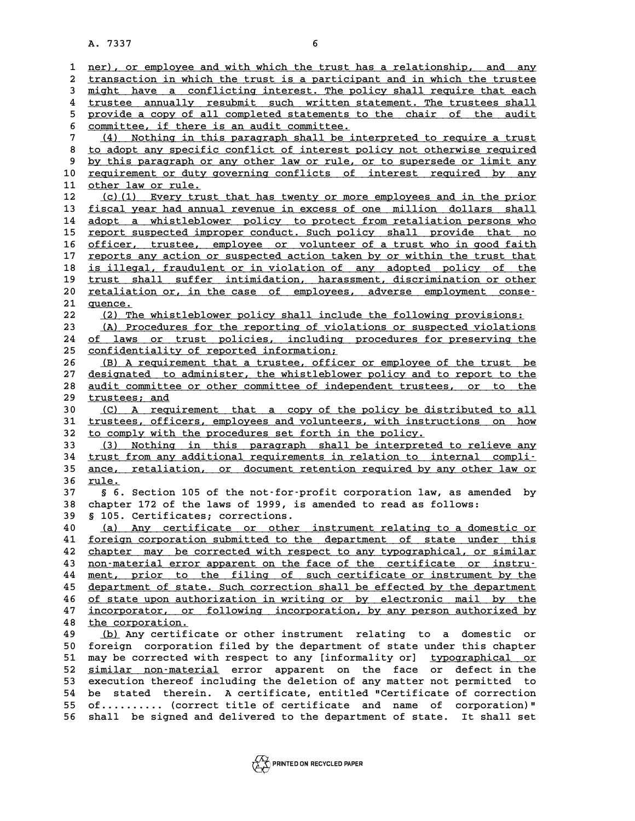A. 7337<br>1 <u>ner), or employee and with which the trust has a relationship, and any</u><br>2 transaction in which the trust is a participant and in which the trustee 1 ner), or employee and with which the trust has a relationship, and any<br>2 <u>transaction in which the trust is a participant and in which the trustee</u><br>3 might, have a conflicting interest. The policy shall require that each **3** mer), or employee and with which the trust has a relationship, and any<br> **2** transaction in which the trust is a participant and in which the trustee<br> **3** might have a conflicting interest. The policy shall require that 4 transaction in which the trust is a participant and in which the trustee<br>  $\frac{1}{2}$  might have a conflicting interest. The policy shall require that each<br>  $\frac{1}{2}$  trustee annually resubmit such written statement. The t 3 <u>might have a conflicting interest. The policy shall require that each</u><br>
4 trustee annually resubmit such written statement. The trustees shall<br>
5 provide a copy of all completed statements to the chair of the audit 4 trustee annually resubmit such written statement. The trustees shall<br>5 provide a copy of all completed statements to the chair of the audit<br>6 committee, if there is an audit committee.<br>7 (4) Nothing in this paragraph sha 5 provide a copy of all completed statements to the chair of the audit<br>
6 committee, if there is an audit committee.<br>
7 (4) Nothing in this paragraph shall be interpreted to require a trust<br>
8 to adopt any specific conflic 8 committee, if there is an audit committee.<br> **8 (4)** Nothing in this paragraph shall be interpreted to require a trust<br> **8 to adopt any specific conflict of interest policy not otherwise required**<br>
by this paragraph or an **9 by this paragraph or any other law or rule, or to supersede or limit any \_\_\_\_\_\_\_\_\_\_\_\_\_\_\_\_\_\_\_\_\_\_\_\_\_\_\_\_\_\_\_\_\_\_\_\_\_\_\_\_\_\_\_\_\_\_\_\_\_\_\_\_\_\_\_\_\_\_\_\_\_\_\_\_\_\_\_\_\_\_\_\_ 10 requirement or duty governing conflicts of interest required by any \_\_\_\_\_\_\_\_\_\_\_\_\_\_\_\_\_\_\_\_\_\_\_\_\_\_\_\_\_\_\_\_\_\_\_\_\_\_\_\_\_\_\_\_\_\_\_\_\_\_\_\_\_\_\_\_\_\_\_\_\_\_\_\_\_\_\_\_\_\_\_\_** 9 <u>by this paragraph or</u><br>10 <u>requirement or duty g</u><br>11 <u>other law or rule.</u><br>22 (3)(1) Front trust **10** requirement or duty governing conflicts of interest required by any other law or rule.<br> **12** (c)(1) Every trust that has twenty or more employees and in the prior<br> **13** fiscal year had annual revenue in excess of one **11 <u>other law or rule.</u><br>
12 (c)(1) Every trust that has twenty or more employees and in the prior<br>
13 fiscal year had annual revenue in excess of one million dollars shall<br>
2dont a whistleblower polisy to protect from ret** 12 (c)(1) Every trust that has twenty or more employees and in the prior<br>
13 fiscal year had annual revenue in excess of one million dollars shall<br>
14 <u>adopt a whistleblower policy to protect from retaliation persons who</u><br> 12 (c)(1) Every trust that has twenty or more employees and in the prior<br>
13 <u>fiscal year had annual revenue in excess of one million dollars shall</u><br>
14 <u>adopt a whistleblower policy to protect from retaliation persons who</u> **14** adopt a whistleblower policy to protect from retaliation persons who<br> **15** report suspected improper conduct. Such policy shall provide that no<br> **16** officer, trustee, employee or volunteer of a trust who in good fait **15** report suspected improper conduct. Such policy shall provide that no<br>16 officer, trustee, employee or volunteer of a trust who in good faith<br>17 reports any action or suspected action taken by or within the trust that<br> **16** <u>officer, trustee, employee or volunteer of a trust who in good faith</u><br>17 <u>reports any action or suspected action taken by or within the trust that</u><br>18 <u>is illegal, fraudulent or in violation of any adopted policy of </u> **17** reports any action or suspected action taken by or within the trust that<br> **18** is illegal, fraudulent or in violation of any adopted policy of the<br>
<u>trust shall suffer intimidation, harassment, discrimination or other</u> **20 <u>is illegal</u>, fraudulent or in violation of any adopted policy of the<br>
20 <u>trust shall suffer intimidation, harassment, discrimination or other</u><br>
21 quence** 19 <u>trust shall suffer intimidation, harassment, discrimination or other<br>
20 <u>retaliation or, in the case of employees, adverse employment conse-</u><br>
21 <u>(2)</u> The whistleblower policy shall include the following provisions:</u> 20 <u>retaliation or, in the case of employees, adverse employment conse-<br>
21 <u>quence.</u><br>
<u>(2) The whistleblower policy shall include the following provisions:</u><br>
(2) The whistleblower policy shall include the following provis</u> 23 (A) Procedures for the reporting of violations or suspected violations<br>24 of laws or trust policies, including procedures for preserving the **22 (2) The whistleblower policy shall include the following provisions:**<br> **23** (A) Procedures for the reporting of violations or suspected violations<br> **24** of laws or trust policies, including procedures for preserving th **23** (A) Procedures for the reporting of viola<br>
<u>24</u> of laws or trust policies, including<br>
25 <u>confidentiality of reported information;</u><br>
26 (B) a requirement that a trustee officer 24 of laws or trust policies, including procedures for preserving the<br>
25 <u>confidentiality</u> of reported information;<br>
26 (B) A requirement that a trustee, officer or employee of the trust be<br>
27 decignated to administer, t 25 <u>confidentiality of reported information;</u><br>
26 (B) A requirement that a trustee, officer or employee of the trust be<br>
27 <u>designated to administer, the whistleblower policy and to report to the</u><br>
28 audit committee or o (B) A requirement that a trustee, officer or employee of the trust be<br>27 <u>designated to administer</u>, the whistleblower policy and to report to the<br>28 audit committee or other committee of independent trustees, or to the<br>29 27 <u>designated to a</u><br>28 <u>audit committee</u><br>29 <u>trustees; and</u><br>20 (C) 2 require and and the committee or other committee of independent trustees, or to the trustees; and trustees; and  $(C)$  A requirement that a copy of the policy be distributed to all trustees of figers employees and volunteers with in <sup>29</sup> trustees; and<br>
30 (C) A requirement that a copy of the policy be distributed to all<br>
31 trustees, officers, employees and volunteers, with instructions on how<br>
<sup>22</sup> to comply with the procedures set forth in the polic 30 (C) A requirement that a copy of the policy be dis<br>
31 trustees, officers, employees and volunteers, with instru<br>
32 to comply with the procedures set forth in the policy.<br>
<sup>33</sup> (3) Nothing in this paragraph shall be in 31 <u>trustees, officers, employees and volunteers, with instructions on how<br>32 to comply with the procedures set forth in the policy.<br>33 (3) Nothing in this paragraph shall be interpreted to relieve any<br>34 trust from any ad</u> to comply with the procedures set forth in the policy.<br>
33 (3) Nothing in this paragraph shall be interpreted to relieve any<br>
34 trust from any additional requirements in relation to internal compli-<br>
35 apoc, retaliation 33 (3) Nothing in this paragraph shall be interpreted to relieve any<br>34 trust from any additional requirements in relation to internal compli-<br>35 ance, retaliation, or document retention required by any other law or 34 <u>trust free</u><br>35 <u>ance, reed<br>36 rule.</u> **35 <u>ance, retaliation, or document retention required by any other law or**<br>36 <u>rule.</u><br>37 § 6. Section 105 of the not-for-profit corporation law, as amended by<br>38 chapter 172 of the laws of 1999, is amended to read as foll</u> **36 <u>rule.</u><br>37 § 6. Section 105 of the not-for-profit corporation law, as amend<br>38 chapter 172 of the laws of 1999, is amended to read as follows:<br>39 § 195 Cortificates: corrections 37** § 6. Section 105 of the not-for-probable chapter 172 of the laws of 1999, is<br>39 § 105. Certificates; corrections. 38 chapter 172 of the laws of 1999, is amended to read as follows:<br>39 § 105. Certificates; corrections.<br>40 <u>(a) Any certificate or other instrument relating to a domestic or</u><br>41 foreign corporation submitted to the departm **40** § 105. Certificates; corrections.<br> **40** (a) Any certificate or other instrument relating to a domestic or<br>
<u>41 foreign corporation submitted to the department of state under this</u><br> **42 sharter may be corrected with re 40** (a) Any certificate or other instrument relating to a domestic or<br> **41** <u>foreign corporation submitted to the department of state under this</u><br> **22** <u>chapter may be corrected with respect to any typographical, or simil</u> 41 <u>foreign corporation submitted to the department of state under this</u><br>42 <u>chapter may be corrected with respect to any typographical, or similar</u><br><u>44 ment, prior to the filing</u> of such certificate or instrument by the 44 <u>ment, prior to the filing of such certificate or instrument by the</u><br>45 department of state. Such correction shall be effected by the department 43 <u>non-material error apparent on the face of the certificate or instru-</u><br>44 <u>ment, prior to the filing of such certificate or instrument by the department</u><br>45 <u>department of state. Such correction shall be effected by th</u> 44 <u>ment, prior to the filing of such certificate or instrument by the</u><br>45 <u>department of state. Such correction shall be effected by the department</u><br>46 <u>of state upon authorization in writing or by electronic mail by the</u> department of state. Such correction shall be effected by the department<br>46 of state upon authorization in writing or by electronic mail by the<br>incorporator, or following incorporation, by any person authorized by<br>the corp 46 of state upon autho<br>47 <u>incorporator, or<br>48 the corporation.</u><br>49 (b) Apy cortifica **47** incorporator, or following incorporation, by any person authorized by<br> **48** the corporation.<br> **49** (b) Any certificate or other instrument relating to a domestic or<br> **60** foreign corporation filed by the dopentment of **50 formulary 10 formulary 10 formulary 10 formulary 10 formulary 10 foreign corporation filed by the department of state under this chapter**<br>**50 foreign corporation filed by the department of state under this chapter**<br>**51** 49 (b) Any certificate or other instrument relating to a domestic or<br>50 foreign corporation filed by the department of state under this chapter<br>51 may be corrected with respect to any [informality or] <u>typographical or</u><br>52 50 foreign corporation filed by the department of state under this chapter<br>51 may be corrected with respect to any [informality or] <u>typographical or</u><br>52 <u>similar non-material</u> error apparent on the face or defect in the<br>e 51 may be corrected with respect to any [informality or] <u>typographical or</u><br>52 <u>similar non-material</u> error apparent on the face or defect in the<br>53 execution thereof including the deletion of any matter not permitted to<br>5 52 <u>similar non-material</u> error apparent on the face or defect in the<br>53 execution thereof including the deletion of any matter not permitted to<br>54 be stated therein. A certificate, entitled "Certificate of correction<br>55 o **55 of.......... (correct title of certificate and name of corporation)" 56 shall be signed and delivered to the department of state. It shall set**

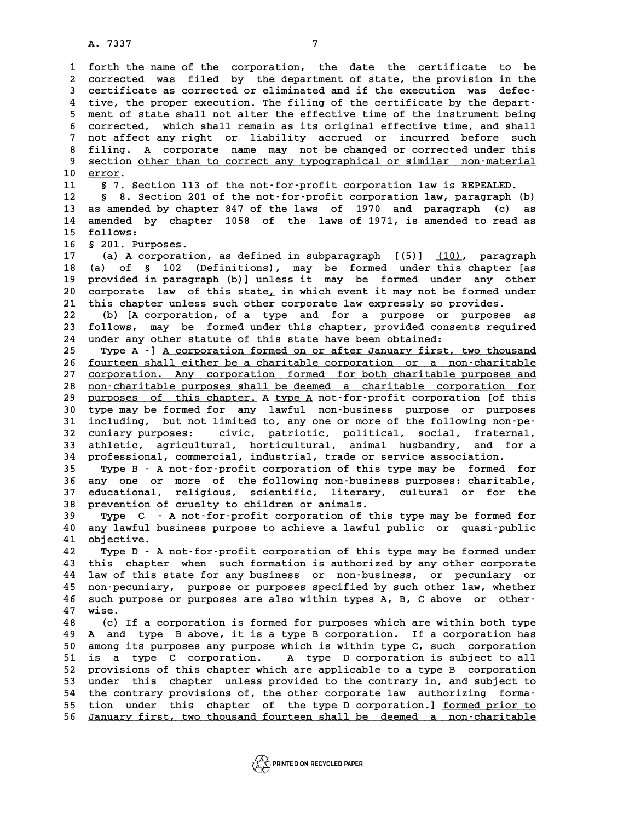**1 forth the name of the corporation, the date the certificate to be** 1 forth the name of the corporation, the date the certificate to be<br>2 corrected was filed by the department of state, the provision in the<br>3 certificate as corrected or eliminated and if the execution was defected 1 forth the name of the corporation, the date the certificate to be<br>2 corrected was filed by the department of state, the provision in the<br>3 certificate as corrected or eliminated and if the execution was defec-<br><sup>4</sup> tive t 2 corrected was filed by the department of state, the provision in the certificate as corrected or eliminated and if the execution was defective, the proper execution. The filing of the certificate by the depart-<br> **A** mort 3 certificate as corrected or eliminated and if the execution was defective, the proper execution. The filing of the certificate by the depart-<br>5 ment of state shall not alter the effective time of the instrument being<br>cor 4 tive, the proper execution. The filing of the certificate by the depart-<br>5 ment of state shall not alter the effective time of the instrument being<br>6 corrected, which shall remain as its original effective time, and shal 5 ment of state shall not alter the effective time of the instrument being<br>6 corrected, which shall remain as its original effective time, and shall<br>7 not affect any right or liability accrued or incurred before such<br>8 fil **8 corrected, which shall remain as its original effective time, and shall<br>
7 not affect any right or liability accrued or incurred before such<br>
8 filing. A corporate name may not be changed or corrected under this<br>
8 sect** 9 not affect any right or liability accrued or incurred before such<br>8 filing. A corporate name may not be changed or corrected under this<br>9 section <u>other than to correct any typographical or similar non-material</u><br>0 crror 8 filing.<br>9 section <u>o</u><br>10 <u>error</u>.<br>11 5 7 80 9 section other than to correct any typographical or similar non-material<br>10 <u>error</u>.<br>11 § 7. Section 113 of the not-for-profit corporation law is REPEALED.<br>12 § 8 Section 201 of the not-for-profit corporation law paragrap 10 <u>error</u>.<br>11 § 7. Section 113 of the not-for-profit corporation law is REPEALED.<br>12 § 8. Section 201 of the not-for-profit corporation law, paragraph (b)<br>13 as amended by chapter 847 of the laws of 1970 and paragraph (c) **11 § 7. Section 113 of the not-for-profit corporation law is REPEALED.**<br> **12 § 8. Section 201 of the not-for-profit corporation law, paragraph (b)**<br> **13 as amended by chapter 847 of the laws of 1970 and paragraph (c) as**<br> 12 § 8. Section 201 of the not-for-profit corporation law, paragraph (b)<br>13 as amended by chapter 847 of the laws of 1970 and paragraph (c) as<br>14 amended by chapter 1058 of the laws of 1971, is amended to read as 13 as amended 14<br>14 amended by<br>15 follows: 14 amended by chapter 1058 of the laws of 1971, is amended to read as<br>15 follows:<br>16 § 201. Purposes.<br>17 (a) A corporation, as defined in subparagraph [(5)] (10), paragraph 17 (a) A corporation, as defined in subparagraph [(5)] <u>(10)</u>, paragraph<br>18 (a) of § 102 (Definitions), may be formed under this chapter [as **16 § 201. Purposes.**<br>17 (a) A corporation, as defined in subparagraph [(5)] <u>(10)</u>, paragraph<br>18 (a) of § 102 (Definitions), may be formed under this chapter [as<br>19 provided in paragraph (b)] upless it may be formed under 17 (a) A corporation, as defined in subparagraph [(5)] <u>(10)</u>, paragraph 18 (a) of § 102 (Definitions), may be formed under this chapter [as provided in paragraph (b)] unless it may be formed under any other 18 (a) of § 102 (Definitions), may be formed under this chapter [as<br>19 provided in paragraph (b)] unless it may be formed under any other<br>20 corporate law of this state, in which event it may not be formed under<br>21 this ch 19 provided in paragraph (b)] unless it may be formed under any other corporate law of this state, in which event it may not be formed und<br>21 this chapter unless such other corporate law expressly so provides.<br>22 (b) In co 20 corporate law of this state, in which event it may not be formed under<br>21 this chapter unless such other corporate law expressly so provides.<br>22 (b) [A corporation, of a type and for a purpose or purposes as<br>23 follows, 21 this chapter unless such other corporate law expressly so provides.<br>22 (b) [A corporation, of a type and for a purpose or purposes as<br>23 follows, may be formed under this chapter, provided consents required<br>24 under any 22 (b) [A corporation, of a type and for a purpose or<br>23 follows, may be formed under this chapter, provided conse:<br>24 under any other statute of this state have been obtained:<br><sup>25</sup> Turne A al A corporation formed on a aft 23 follows, may be formed under this chapter, provided consents required<br>24 under any other statute of this state have been obtained:<br>25 Type A - <u>] A corporation formed on or after January first, two thousand</u><br>26 fourteen 24 under any other statute of this state have been obtained:<br>25 Type A - ] <u>A corporation formed on or after January first, two thousand</u><br>26 <u>fourteen shall either be a charitable corporation or a non-charitable</u><br>27 corpor Type A - 1 <u>A corporation formed on or after January first, two thousand</u><br>
26 <u>fourteen shall either be a charitable corporation or a non-charitable</u><br>
27 <u>corporation. Any corporation formed for both charitable purposes an</u> 26 <u>fourteen shall either be a charitable corporation or a non-charitable</u><br>27 <u>corporation. Any corporation formed for both charitable purposes and</u><br>28 <u>non-charitable purposes shall be deemed a charitable corporation for</u> 29 <u>purposes of this chapter.</u> A <u>type A</u> not-for-profit corporation [of this<br>30 type may be formed for any lawful non-business purpose or purposes **30 non-charitable purposes shall be deemed a charitable corporation for**<br> **30 type may be formed for any lawful non-business purpose or purposes**<br> **30 type may be formed for any lawful non-business purpose or purposes**<br> **30 purposes of this chapter. A type A not for profit corporation [of this**<br>30 type may be formed for any lawful non-business purpose or purposes<br>31 including, but not limited to, any one or more of the following non-pe-<br>2 **30 type may be formed for any lawful non-business purpose or purposes**<br>31 including, but not limited to, any one or more of the following non-pe-<br>32 cuniary purposes: civic, patriotic, political, social, fraternal,<br>33 ath 31 including, but not limited to, any one or more of the following non-pe-<br>32 cuniary purposes: civic, patriotic, political, social, fraternal,<br>33 athletic, agricultural, horticultural, animal husbandry, and for a 32 cuniary purposes: civic, patriotic, political, social, fraterna<br>33 athletic, agricultural, horticultural, animal husbandry, and for<br>34 professional, commercial, industrial, trade or service association.<br><sup>35</sup> Tupe B. Ang 33 athletic, agricultural, horticultural, animal husbandry, and for a<br>34 professional, commercial, industrial, trade or service association.<br>35 Type B - A not-for-profit corporation of this type may be formed for<br>26 Animal **34 professional, commercial, industrial, trade or service association.**<br> **35 Type B - A not-for-profit corporation of this type may be formed for**<br> **36 any one or more of the following non-business purposes: charitable,<br> 35** Type B - A not-for-profit corporation of this type may be formed for<br>36 any one or more of the following non-business purposes: charitable,<br>37 educational, religious, scientific, literary, cultural or for the<br>28 prove 36 any one or more of the following non-busine<br>37 educational, religious, scientific, literary,<br>38 prevention of cruelty to children or animals. 37 educational, religious, scientific, literary, cultural or for the<br>38 prevention of cruelty to children or animals.<br>39 Type C - A not-for-profit corporation of this type may be formed for<br>40 any lawful business purpose t **40 38 prevention of cruelty to children or animals.**<br>**40 any lawful business purpose to achieve a lawful public or quasi-public**<br>**41 objective 40** any lawful bu<br> **40** any lawful bu<br> **41** objective. **42 Type D - A not-for-profit corporation of this type may be formed under 43 this chapter when such formation is authorized by any other corporate 42** Type D - A not-for-profit corporation of this type may be formed under<br>43 this chapter when such formation is authorized by any other corporate<br>44 law of this state for any business or non-business, or pecuniary or<br>45 **43 this chapter when such formation is authorized by any other corporate**<br>**44 law of this state for any business or non-business, or pecuniary or**<br>**45 non-pecuniary, purpose or purposes specified by such other law, whethe** 44 law of this state for any business or non-business, or pecuniary or<br>45 non-pecuniary, purpose or purposes specified by such other law, whether<br>46 such purpose or purposes are also within types A, B, C above or other-<br><sup>4</sup> at the mon-pecuniary, purpose or purposes specified by such other law, whether<br>46 such purpose or purposes are also within types A, B, C above or other-<br>47 wise.<br>(c) If a corporation is formed for purposes which are within **46 such purpose or purposes are also within types A, B, C above or other-**<br>**47 wise.** (c) If a corporation is formed for purposes which are within both type<br>**49 A and type B above, it is a type B corporation.** If a corpor **49 A and type B above, it is a type B corporation. If a corporation has** (c) If a corporation is formed for purposes which are within both type 49 A and type B above, it is a type B corporation. If a corporation has 50 among its purposes any purpose which is within type C, such corporation is a A and type B above, it is a type B corporation. If a corporation has<br>50 among its purposes any purpose which is within type C, such corporation<br>51 is a type C corporation. A type D corporation is subject to all<br>52 provisio 50 among its purposes any purpose which is within type C, such corporation<br>51 is a type C corporation. A type D corporation is subject to all<br>52 provisions of this chapter which are applicable to a type B corporation<br>53 un 51 is a type C corporation. A type D corporation is subject to all<br>52 provisions of this chapter which are applicable to a type B corporation<br>53 under this chapter unless provided to the contrary in, and subject to<br>54 the 52 provisions of this chapter which are applicable to a type B corporation<br>
53 under this chapter unless provided to the contrary in, and subject to<br>
54 the contrary provisions of, the other corporate law authorizing forma 52 provisions of this chapter which are applicable to a type B corporation<br>53 under this chapter unless provided to the contrary in, and subject to<br>54 the contrary provisions of, the other corporate law authorizing forma-<br> **56 January first, two thousand fourteen shall be deemed a non-charitable \_\_\_\_\_\_\_\_\_\_\_\_\_\_\_\_\_\_\_\_\_\_\_\_\_\_\_\_\_\_\_\_\_\_\_\_\_\_\_\_\_\_\_\_\_\_\_\_\_\_\_\_\_\_\_\_\_\_\_\_\_\_\_\_\_\_\_\_\_\_\_\_**

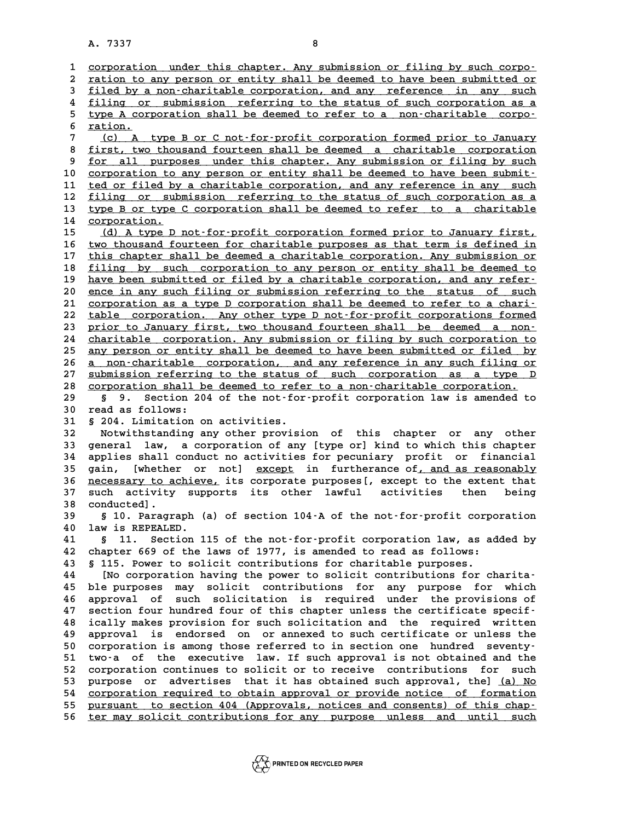A. 7337<br>1 <u>corporation under this chapter. Any submission or filing by such corpo-</u><br>2 ration to any person or entity shall be deemed to baye been submitted or 2 <u>corporation under this chapter. Any submission or filing by such corpo-</u><br>2 <u>ration to any person or entity shall be deemed to have been submitted or</u><br>3 filed by a pop-charitable corporation, and any, reference in any, s 3 <u>corporation under this chapter. Any submission or filing by such corporation to any person or entity shall be deemed to have been submitted or filed by a non-charitable corporation, and any reference in any such<br>
4 fili</u> a filed by a non-charitable corporation, and any reference in any such<br> **4** filing or submission referring to the status of such corporation as a<br> **time a corporation shall be deemed to refer to a per-charitable corporatio** Filed by a non-charitable corporation, and any reference in any such<br>
filing or submission referring to the status of such corporation as a<br>
<u>type A corporation shall be deemed to refer to a non-charitable corpo-</u><br>
stier 4 <u>filing or submission referring to the status of such corporation as a<br>5 <u>type A corporation shall be deemed to refer to a non-charitable corpo-<br>6 <u>ration.</u><br>(c) A type B or C not-for-profit corporation formed prior to Ja</u></u> 5 type A corporation shall be deemed to refer to a non-charitable corpo-<br> **6 ration.**<br>
<u>**7** (c) A type B or C not-for-profit corporation formed prior to January</u><br>
8 first, two thousand fourteen shall be deemed a charitable <u>(c) A type B or C not-for-profit corporation formed prior to January</u><br>8 <u>first, two thousand fourteen shall be deemed a charitable corporation</u><br>9 for all purposes under this chapter. Any submission or filing by such 9 <u>for all purposes under this chapter. Any submission or filing by such</u><br>10 corporation to any person or entity shall be deemed to have been submit-8 <u>first, two thousand fourteen shall be deemed a charitable corporation</u><br>
<u>10 for all purposes under this chapter</u>. Any submission or filing by such<br>
10 <u>corporation</u> to any person or entity shall be deemed to have been s **10** <u>for all purposes under this chapter</u>. Any submission or filing by such<br>10 corporation to any person or entity shall be deemed to have been submit-<br>11 ted or filed by a charitable corporation, and any reference in any corporation to any person or entity shall be deemed to have been submit-<br>
i1 ted or filed by a charitable corporation, and any reference in any such<br>
i12 filing or submission referring to the status of such corporation as 11 ted or filed by a charitable corporation, and any reference in any such<br>12 filing or submission referring to the status of such corporation as a<br>13 type B or type C corporation shall be deemed to refer to a charitable<br>2 12 <u>filing or sub:</u><br>13 <u>type B or type</u><br>14 <u>corporation.</u><br>15 (d) A type D : **13** type B or type C corporation shall be deemed to refer to a charitable corporation.<br> **14** corporation.<br> **15** (d) A type D not-for-profit corporation formed prior to January first,<br> **16** type they and fourteen for chari **14 corporation.**<br> **15 (d) A type D not-for-profit corporation formed prior to January first,<br>
16 two thousand fourteen for charitable purposes as that term is defined in<br>
this shaptor shall be deemed a sharitable corporat** 15 (d) A type D not-for-profit corporation formed prior to January first,<br>16 two thousand fourteen for charitable purposes as that term is defined in<br>17 this chapter shall be deemed a charitable corporation. Any submission two thousand fourteen for charitable purposes as that term is defined in<br>17 this chapter shall be deemed a charitable corporation. Any submission or<br>18 filing by such corporation to any person or entity shall be deemed to<br> 17 this chapter shall be deemed a charitable corporation. Any submission or filing by such corporation to any person or entity shall be deemed to have been submitted or filed by a charitable corporation, and any refer-<br>20 18 filing by such corporation to any person or entity shall be deemed to have been submitted or filed by a charitable corporation, and any refer-<br>20 ence in any such filing or submission referring to the status of such<br>21 have been submitted or filed by a charitable corporation, and any refer-22 table corporation. Any other type D not-for-profit corporations formed<br>23 prior to January first, two thousand fourteen shall be deemed a non-21 <u>corporation as a type D corporation shall be deemed to refer to a chari-</u><br>22 <u>table corporation. Any other type D not-for-profit corporations formed</u><br>23 <u>prior to January first, two thousand fourteen shall be deemed a </u> 22 table corporation. Any other type D not-for-profit corporations formed<br>23 <u>prior to January first, two thousand fourteen shall be deemed a non-</u><br>24 <u>charitable corporation. Any submission or filing by such corporation t</u> Prior to January first, two thousand fourteen shall be deemed a non-<br>
24 charitable corporation. Any submission or filing by such corporation to<br>
25 any person or entity shall be deemed to have been submitted or filed by<br> charitable corporation. Any submission or filing by such corporation to<br>25 <u>any person or entity shall be deemed to have been submitted or filed by</u><br>26 <u>a non-charitable corporation, and any reference in any such filing or</u> any person or entity shall be deemed to have been submitted or filed by<br> **a** non-charitable corporation, and any reference in any such filing or<br> **EXECUTE:**<br> **EXECUTE:**<br> **EXECUTE:**<br> **EXECUTE:**<br> **EXECUTE:**<br> **EXECUTE:**<br> **EXE** 26 <u>a non-charitable corporation, and any reference in any such filing or<br>27 submission referring to the status of such corporation as a type D<br>28 corporation shall be deemed to refer to a non-charitable corporation.<br>29 5 </u> **27 submission referring to the status of such corporation as a type D**<br>28 **corporation shall be deemed to refer to a non-charitable corporation.**<br>29 **8** 9. Section 204 of the not-for-profit corporation law is amended to 28 <u>corporation shall b</u><br>29 § 9. Section 20<br>30 read as follows:<br>31 § 204 Limitation 20 <sup>29</sup> § 9. Section 204 of the not-for<br>30 read as follows:<br>31 § 204. Limitation on activities. **30 read as follows:**<br> **31 § 204. Limitation on activities.**<br> **32 Notwithstanding any other provision of this chapter or any other**<br> **33 deparal law a corporation of any [type orl kind to which this chapter 31 § 204. Limitation on activities.**<br>**32 Wotwithstanding any other provision of this chapter or any other**<br>**33 general law, a corporation of any [type or] kind to which this chapter**<br>**34 applies shall conduct po activitie** 32 Notwithstanding any other provision of this chapter or any other<br>33 general law, a corporation of any [type or] kind to which this chapter<br>34 applies shall conduct no activities for pecuniary profit or financial<br>35 gain 33 general law, a corporation of any [type or] kind to which this chapter<br>34 applies shall conduct no activities for pecuniary profit or financial<br>35 gain, [whether or not] <u>except</u> in furtherance of, and as reasonably<br>26 34 applies shall conduct no activities for pecuniary profit or financial<br>35 gain, [whether or not] <u>except</u> in furtherance of, and as reasonably<br>36 <u>necessary to achieve</u>, its corporate purposes[, except to the extent that 35 gain, [whether or not] <u>except</u> in furtherance of<u>, and as reasonably</u><br>36 <u>necessary to achieve,</u> its corporate purposes[, except to the extent that<br>37 such activity supports its other lawful activities then being<br>28 co 36 <u>necessary to achieve,</u> its corporate purposes[, except to the extent that<br>37 such activity supports its other lawful activities then being<br>38 conducted].<br>39 \$ 10. Paragraph (a) of section 104-A of the not-for-profit co 37 such activity supports its other lawful activities then being<br>38 conducted].<br>39 § 10. Paragraph (a) of section 104-A of the not-for-profit corporation<br><sup>40</sup> law is PEPEALED 38 conducted].<br>
39 § 10. Paragraph (<br>
40 law is REPEALED.<br>
<sup>41</sup> § <sup>11</sup> Section 1 **5 10. Paragraph (a) of section 104-A of the not-for-profit corporation**<br> **40 law is REPEALED.**<br> **41 § 11. Section 115 of the not-for-profit corporation law, as added by**<br> **42. Section 115 of the laws of 1977** is arreaded **40 law is REPEALED.**<br> **41 S 11. Section 115 of the not-for-profit corporation law, as ad<br>
<b>42 chapter 669 of the laws of 1977, is amended to read as follows:**<br> **43 S 115 Power to soligit contributions for charitable purpo 41 § 11. Section 115 of the not-for-profit corporation law, as a**<br>**42 chapter 669 of the laws of 1977, is amended to read as follows:**<br>**43 § 115. Power to solicit contributions for charitable purposes.**<br><sup>44</sup> [No corporati 42 chapter 669 of the laws of 1977, is amended to read as follows:<br>43 § 115. Power to solicit contributions for charitable purposes.<br>44 [No corporation having the power to solicit contributions for charita-<br><sup>15</sup> ble purpos **43 § 115. Power to solicit contributions for charitable purposes.**<br>**44** [No corporation having the power to solicit contributions for charita-<br>**45 ble purposes may solicit contributions for any purpose for which<br>16 proces** Factor and the power to solicit contributions for charita-<br>
45 ble purposes may solicit contributions for any purpose for which<br>
46 approval of such solicitation is required under the provisions of<br>
47 section four bundred ble purposes may solicit contributions for any purpose for which<br> **46 approval of such solicitation is required under the provisions of**<br> **47 section four hundred four of this chapter unless the certificate specif-**<br> **49 i** 46 approval of such solicitation is required under the provisions of<br>47 section four hundred four of this chapter unless the certificate specif-<br>48 ically makes provision for such solicitation and the required written<br>29 i **47 section four hundred four of this chapter unless the certificate specif-**<br>48 ically makes provision for such solicitation and the required written<br>49 approval is endorsed on or annexed to such certificate or unless the ically makes provision for such solicitation and the required written<br>
49 approval is endorsed on or annexed to such certificate or unless the<br>
50 corporation is among those referred to in section one hundred seventy-<br>
51 **49 approval is endorsed on or annexed to such certificate or unless the corporation is among those referred to in section one hundred seventy-**<br>51 two-a of the executive law. If such approval is not obtained and the<br>52 co **50 corporation is among those referred to in section one hundred seventy-**<br>51 two-a of the executive law. If such approval is not obtained and the<br>52 corporation continues to solicit or to receive contributions for such<br>5 51 two-a of the executive law. If such approval is not obtained and the<br>52 corporation continues to solicit or to receive contributions for such<br>53 purpose or advertises that it has obtained such approval, the <u>[(a) No</u><br>54 52 corporation continues to solicit or to receive contributions for such<br>53 purpose or advertises that it has obtained such approval, the] <u>(a) No</u><br>54 <u>corporation required to obtain approval or provide notice of formation</u> 55 <u>pursuant to section 404 (Approvals, notices and consents) of this chap-</u><br>56 ter may solicit contributions for any purpose unless and until such **56 ter may solicit contributions for any purpose unless and until such \_\_\_\_\_\_\_\_\_\_\_\_\_\_\_\_\_\_\_\_\_\_\_\_\_\_\_\_\_\_\_\_\_\_\_\_\_\_\_\_\_\_\_\_\_\_\_\_\_\_\_\_\_\_\_\_\_\_\_\_\_\_\_\_\_\_\_\_\_\_\_\_**

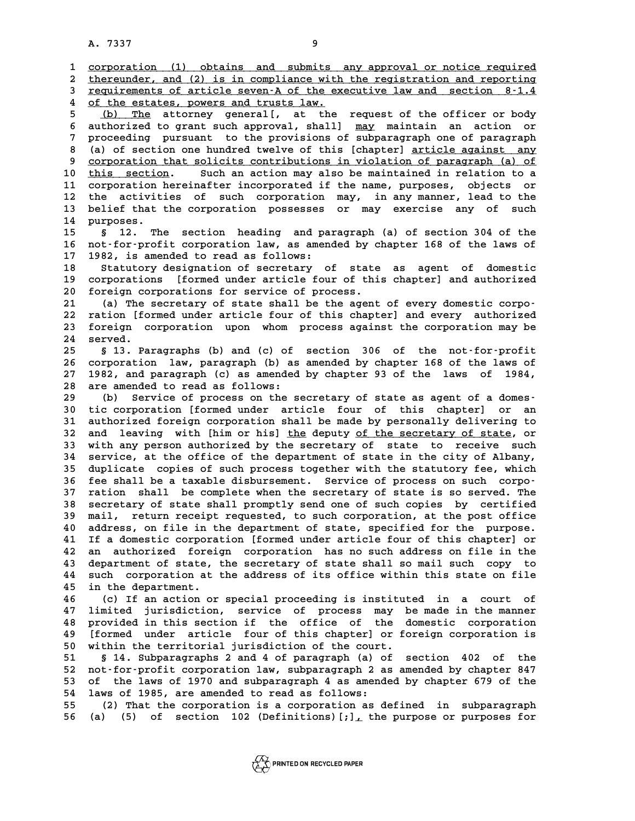A. 7337<br>1 <u>corporation (1) obtains and submits any approval or notice required</u><br>2 thereunder and (2) is in compliance with the registration and reperting **2** <u>thereunder, and (1)</u> obtains and submits any approval or notice required<br>2 <u>thereunder, and (2) is in compliance with the registration and reporting<br>3 requirements of article seven. A of the executive law and section </u> 3 <u>corporation (1) obtains and submits any approval or notice required</u><br>
2 thereunder, and (2) is in compliance with the registration and reporting<br>
3 requirements of article seven-A of the executive law and section 8-1.4<br> 2 <u>thereunder, and (2) is in compliance with</u><br>3 <u>requirements of article seven A of the ex</u><br>4 <u>of the estates, powers and trusts law.</u><br>5 (b) The atterney seneral is the **Figurements of article seven-A of the executive law and section 8-1.4**<br>4 of the estates, powers and trusts law.<br>5 (b) The attorney general[, at the request of the officer or body<br>6 outborized to graph such approved shall **6 authorized to grant such an argume in the states, powers and trusts law.**<br> **6 authorized to grant such approval, shall]** <u>may</u> maintain an action or<br> **6 authorized to grant such approval, shall]** <u>may</u> maintain an actio <sup>5</sup> (b) The attorney general [, at the request of the officer or body<br>
<sup>6</sup> authorized to grant such approval, shall] <u>may</u> maintain an action or<br>
<sup>7</sup> proceeding pursuant to the provisions of subparagraph one of paragraph<br> 8 authorized to grant such approval, shall]  $\frac{may}{may}$  maintain an action or<br>
7 proceeding pursuant to the provisions of subparagraph one of paragraph<br>
8 (a) of section one hundred twelve of this [chapter] <u>article against </u> 9 proceeding pursuant to the provisions of subparagraph one of paragraph (a) of section one hundred twelve of this [chapter] <u>article against any</u><br>9 <u>corporation that solicits contributions in violation of paragraph (a) of</u> **10 this section. Such an action may also be maintained in relation to a \_\_\_\_\_\_\_\_\_\_\_\_\_ 10** corporation that solicits contributions in violation of paragraph (a) of<br>10 this section. Such an action may also be maintained in relation to a<br>11 corporation hereinafter incorporated if the name, purposes, objects o 11 corporation hereinafter incorporated if the name, purposes, objects or<br>12 the activities of such corporation may, in any manner, lead to the<br>13 belief that the corporation possesses or may exercise any of such 11 corporation hereinafter incorporated if the name, purposes, objects or<br>12 the activities of such corporation may, in any manner, lead to the<br>13 belief that the corporation possesses or may exercise any of such<br>14 nurros 12 the activit<br>13 belief that<br>14 purposes.<br><sup>15 \$ 12</sup> mb **13 belief that the corporation possesses or may exercise any of such purposes.**<br>**14 purposes.**<br>**15 § 12. The section heading and paragraph (a) of section 304 of the**<br>**16 pot for profit corporation law as argueded by chant 14 purposes.**<br>15 § 12. The section heading and paragraph (a) of section 304 of the<br>16 not-for-profit corporation law, as amended by chapter 168 of the laws of<br>17 1982 is amended to read as follows: 15 § 12. The section heading and pa<br>16 not-for-profit corporation law, as amen<br>17 1982, is amended to read as follows:<br>18 Statutery decignation of accretary: 16 not-for-profit corporation law, as amended by chapter 168 of the laws of<br>17 1982, is amended to read as follows:<br>18 Statutory designation of secretary of state as agent of domestic<br>29 Secretary in the secretary of this 17 1982, is amended to read as follows:<br>18 Statutory designation of secretary of state as agent of domestic<br>19 corporations [formed under article four of this chapter] and authorized<br>20 foreign corporations for servise of 18 Statutory designation of secretary of state<br>19 corporations [formed under article four of thi<br>20 foreign corporations for service of process.<br>21 (a) The secretary of state shall be the agent 20 corporations [formed under article four of this chapter] and authorized<br>
20 foreign corporations for service of process.<br>
21 (a) The secretary of state shall be the agent of every domestic corpo-<br>
22 ration [formed unde **20 foreign corporations for service of process.**<br> **21** (a) The secretary of state shall be the agent of every domestic corpo-<br> **22 ration [formed under article four of this chapter] and every authorized**<br> **23 foreign corp** 21 (a) The secretary of state shall be the agent of every domestic corpo-<br>22 ration [formed under article four of this chapter] and every authorized<br>23 foreign corporation upon whom process against the corporation may be 22 ration [fo.<br>23 foreign c<br>24 served.<br><sup>25 \$ 13 Pa.</sup> 23 foreign corporation upon whom process against the corporation may be<br>24 served.<br>25 § 13. Paragraphs (b) and (c) of section 306 of the not-for-profit<br>26 servestion law paragraph (b) as amended by shapter 169 of the law o **24 served.**<br> **25 § 13. Paragraphs (b) and (c) of section 306 of the not-for-profit<br>
<b>26 corporation law, paragraph (b) as amended by chapter 168 of the laws of**<br> **27 1982 and paragraph** (c) as amended by chapter 83 of the 8 13. Paragraphs (b) and (c) of section 306 of the not-for-profit<br>26 corporation law, paragraph (b) as amended by chapter 168 of the laws of<br>27 1982, and paragraph (c) as amended by chapter 93 of the laws of 1984, 26 corporation law, paragraph (b) as amended by chapter 168 of the laws of 27 1982, and paragraph (c) as amended by chapter 93 of the laws of 1984, are amended to read as follows:<br>29 (b) Service of process on the secretary **29 (b) Service of process on the secretary of state as agent of a domes**are amended to read as follows:<br> **30** (b) Service of process on the secretary of state as agent of a domes-<br> **30** tic corporation [formed under article four of this chapter] or an<br> **31** authorized foreign corporation shall **39** (b) Service of process on the secretary of state as agent of a domes-<br>30 tic corporation [formed under article four of this chapter] or an<br>31 authorized foreign corporation shall be made by personally delivering to<br>32 30 tic corporation [formed under article four of this chapter] or an<br>31 authorized foreign corporation shall be made by personally delivering to<br>32 and leaving with [him or his] <u>the</u> deputy <u>of the secretary of state</u>, or 31 authorized foreign corporation shall be made by personally delivering to<br>32 and leaving with [him or his] <u>the</u> deputy <u>of the secretary of state</u>, or<br>33 with any person authorized by the secretary of state to receive s 32 and leaving with [him or his] <u>the</u> deputy <u>of the secretary of state</u>, or<br>33 with any person authorized by the secretary of state to receive such<br>34 service, at the office of the department of state in the city of Alba 33 with any person authorized by the secretary of state to receive such<br>34 service, at the office of the department of state in the city of Albany,<br>35 duplicate copies of such process together with the statutory fee, which 33 with any person authorized by the secretary of state to receive such<br>34 service, at the office of the department of state in the city of Albany,<br>35 duplicate copies of such process together with the statutory fee, which 35 duplicate copies of such process together with the statutory fee, which<br>36 fee shall be a taxable disbursement. Service of process on such corpo-<br>37 ration shall be complete when the secretary of state is so served. The 36 fee shall be a taxable disbursement. Service of process on such corporation shall be complete when the secretary of state is so served. The secretary of state shall promptly send one of such copies by certified mail. re 37 ration shall be complete when the secretary of state is so served. The<br>38 secretary of state shall promptly send one of such copies by certified<br>39 mail, return receipt requested, to such corporation, at the post office **40 address, on file in the department of such copies by certified**<br>**40 address, on file in the department of state, specified for the purpose.**<br>41 If a domestic corporation [formed under article four of this chanter] or 39 mail, return receipt requested, to such corporation, at the post office<br>40 address, on file in the department of state, specified for the purpose.<br>41 If a domestic corporation [formed under article four of this chapter] **40 address, on file in the department of state, specified for the purpose.**<br>**41 If a domestic corporation [formed under article four of this chapter] or**<br>**42 an authorized foreign corporation has no such address on file i** 41 If a domestic corporation [formed under article four of this chapter] or<br>42 an authorized foreign corporation has no such address on file in the<br>43 department of state, the secretary of state shall so mail such copy to<br> 42 an authorized foreign corporation has no such address on file in the<br>43 department of state, the secretary of state shall so mail such copy to<br>44 such corporation at the address of its office within this state on file<br>4 43 department of state,<br>44 such corporation at<br>45 in the department. 44 such corporation at the address of its office within this state on file<br>45 in the department.<br>46 (c) If an action or special proceeding is instituted in a court of<br>47 limited iurigdiction, service of process may be made 45 in the department.<br>46 (c) If an action or special proceeding is instituted in a court of<br>47 limited jurisdiction, service of process may be made in the manner<br>48 provided in this section if the office of the domestic co **46** (c) If an action or special proceeding is instituted in a court of 17 limited jurisdiction, service of process may be made in the manner as provided in this section if the office of the domestic corporation is 47 limited jurisdiction, service of process may be made in the manner<br>48 provided in this section if the office of the domestic corporation<br>49 [formed under article four of this chapter] or foreign corporation is<br>50 within **50 within the territorial jurisdiction of the court. 19** [formed under article four of this chapter] or foreign corporation is<br>
50 within the territorial jurisdiction of the court.<br>
51 § 14. Subparagraphs 2 and 4 of paragraph (a) of section 402 of the<br>
52 not-for-profit cor

**50 within the territorial jurisdiction of the court.**<br> **51 § 14. Subparagraphs 2 and 4 of paragraph (a) of section 402 of the**<br> **52 not-for-profit corporation law, subparagraph 2 as amended by chapter 847**<br> **53 of the law** 51 § 14. Subparagraphs 2 and 4 of paragraph (a) of section 402 of the<br>52 not-for-profit corporation law, subparagraph 2 as amended by chapter 847<br>53 of the laws of 1970 and subparagraph 4 as amended by chapter 679 of the<br>5 52 not-for-profit corporation law, subparagraph 2 as amended by chapter 847<br>53 of the laws of 1970 and subparagraph 4 as amended by chapter 679 of the<br>54 laws of 1985, are amended to read as follows:<br>(2) That the corporati

**55 (2) That the corporation is a corporation as defined in subparagraph** (a) (5) of section 102 (Definitions) $[j]_L$  the purpose or purposes for



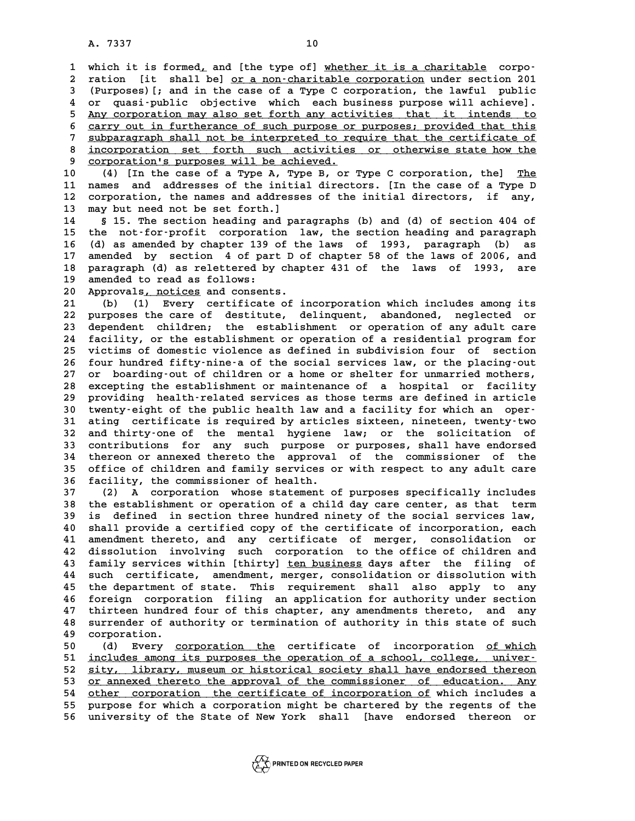**10**<br> **1** which it is formed, and [the type of] <u>whether it is a charitable</u> corpo-<br> **2** ration [it shall be] or a pop-sharitable corporation under section 201 **2** which it is formed, and [the type of] <u>whether it is a charitable</u> corpo-<br>2 ration [it shall be] <u>or a non-charitable corporation</u> under section 201<br>3 (Purposes)[, and in the gase of a Time C corporation, the lawful, p which it is formed, and [the type of] <u>whether it is a charitable</u> corporation [it shall be] <u>or a non-charitable corporation</u> under section 201<br>3 (Purposes)[; and in the case of a Type C corporation, the lawful public<br>2 ( 2 ration [it shall be] <u>or a non-charitable corporation</u> under section 201<br>3 (Purposes) [; and in the case of a Type C corporation, the lawful public<br>4 or quasi-public objective which each business purpose will achieve].<br>5 For the same of a type C corporation, the lawful public<br>
4 or quasi-public objective which each business purpose will achievel.<br>
5 Any corporation may also set forth any activities that it intends to<br>
5 Any corporation may 6 carry out in furtherance of such puriness purpose will achievel.<br>
<u>Fany corporation may also set forth any activities that it intends to</u><br> **Example 18 carry out in furtherance of such purpose or purposes; provided that t** 5 Any corporation may also set forth any activities that it intends to<br>6 carry out in furtherance of such purpose or purposes; provided that this<br>7 subparagraph shall not be interpreted to require that the certificate of<br>8 8 carry out in furtherance of such purpose or purposes; provided that this<br> **8 subparagraph shall not be interpreted to require that the certificate of**<br> **8 incorporation set forth such activities or otherwise state how th** q subparagraph shall not be interpreted to re<br>
<u>incorporation set</u> forth such activities<br>
<u>corporation's purposes will be achieved.</u><br>
(1) In the gase of a Time A Time B ox **10 (4) [In the case of a Type A, Type B, or Type C corporation, the] The \_\_\_**

**11 names and addresses of the initial directors. [In the case of a Type D** 10 (4) [In the case of a Type A, Type B, or Type C corporation, the] <u>The</u><br>11 names and addresses of the initial directors. [In the case of a Type D<br>12 corporation, the names and addresses of the initial directors, if any, 10 (4) [In the case of a Type A, Type B, or Type C corporation, the] <u>The</u><br>11 names and addresses of the initial directors. [In the case of a Type D<br>12 corporation, the names and addresses of the initial directors, if any, 12 corporation, the names and addresses of the initial directors, if any,<br>13 may but need not be set forth.]<br>14 § 15. The section heading and paragraphs (b) and (d) of section 404 of<br>15 the not-for-profit corporation 12W t

**13 may but need not be set forth.]**<br>
14 § 15. The section heading and paragraphs (b) and (d) of section 404 of<br>
15 the not-for-profit corporation law, the section heading and paragraph<br>
16 (d) as appended by shapter 130 o 14 § 15. The section heading and paragraphs (b) and (d) of section 404 of<br>15 the not-for-profit corporation law, the section heading and paragraph<br>16 (d) as amended by chapter 139 of the laws of 1993, paragraph (b) as<br>17 p **15 the not-for-profit corporation law, the section heading and paragraph** (d) as amended by chapter 139 of the laws of 1993, paragraph (b) as amended by section 4 of part D of chapter 58 of the laws of 2006, and<br>19 paragr 16 (d) as amended by chapter 139 of the laws of 1993, paragraph (b) as<br>17 amended by section 4 of part D of chapter 58 of the laws of 2006, and<br>18 paragraph (d) as relettered by chapter 431 of the laws of 1993, are<br>19 amen 17 amended by section 4 of par<br>18 paragraph (d) as relettered by<br>19 amended to read as follows:<br><sup>20</sup> Approvials retiges and separat 18 paragraph (d) as relettered by chap<br>19 amended to read as follows:<br>20 Approvals, notices and consents.<br><sup>21</sup> (b) (1) Every certificate of i

**20 Approvals, notices and consents.<br>
21 (b) (1) Every certificate of incorporation which includes among its**<br>
22 purposes the care of destitute, delinguent, abandoned, neglected or **22 purposes the care of destitute, delinquent, abandoned, neglected or 21 (b)** (1) Every certificate of incorporation which includes among its<br>22 purposes the care of destitute, delinquent, abandoned, neglected or<br>23 dependent children; the establishment or operation of any adult care<br>24 fac 22 purposes the care of destitute, delinquent, abandoned, neglected or<br>23 dependent children; the establishment or operation of any adult care<br>24 facility, or the establishment or operation of a residential program for<br>25 dependent children; the establishment or operation of any adult care<br>24 facility, or the establishment or operation of a residential program for<br>25 victims of domestic violence as defined in subdivision four of section<br>26 24 facility, or the establishment or operation of a residential program for<br>25 victims of domestic violence as defined in subdivision four of section<br>26 four hundred fifty-nine-a of the social services law, or the placing-25 victims of domestic violence as defined in subdivision four of section<br>26 four hundred fifty-nine-a of the social services law, or the placing-out<br>27 or boarding-out of children or a home or shelter for unmarried mother 26 four hundred fifty-nine-a of the social services law, or the placing-out<br>27 or boarding-out of children or a home or shelter for unmarried mothers,<br>28 excepting the establishment or maintenance of a hospital or facility 27 or boarding out of children or a home or shelter for unmarried mothers,<br>28 excepting the establishment or maintenance of a hospital or facility<br>29 providing health-related services as those terms are defined in article<br> 28 excepting the establishment or maintenance of a hospital or facility<br>
29 providing health related services as those terms are defined in article<br>
30 twenty-eight of the public health law and a facility for which an oper 29 providing health-related services as those terms are defined in article<br>30 twenty-eight of the public health law and a facility for which an oper-<br>31 ating certificate is required by articles sixteen, nineteen, twenty-t 30 twenty-eight of the public health law and a facility for which an oper-<br>31 ating certificate is required by articles sixteen, nineteen, twenty-two<br>32 and thirty-one of the mental hygiene law; or the solicitation of<br>33 c 31 ating certificate is required by articles sixteen, nineteen, twenty-two<br>32 and thirty-one of the mental hygiene law; or the solicitation of<br>33 contributions for any such purpose or purposes, shall have endorsed<br><sup>34</sup> the 32 and thirty-one of the mental hygiene law; or the solicitation of<br>33 contributions for any such purpose or purposes, shall have endorsed<br>34 thereon or annexed thereto the approval of the commissioner of the<br>35 office of 33 contributions for any such purpose or purposes, shall have endorsed<br>34 thereon or annexed thereto the approval of the commissioner of the<br>35 office of children and family services or with respect to any adult care<br>26 fa 34 thereon or annexed thereto the approval<br>35 office of children and family services of<br>36 facility, the commissioner of health.<br><sup>37</sup> (2) A corporation whose statement of 35 office of children and family services or with respect to any adult care<br>36 facility, the commissioner of health.<br>37 (2) A corporation whose statement of purposes specifically includes<br>the catablishment or eperation of

**36 facility, the commissioner of health.**<br>
37 (2) A corporation whose statement of purposes specifically includes<br>
38 the establishment or operation of a child day care center, as that term<br>
39 is dofined in section three **37** (2) A corporation whose statement of purposes specifically includes<br>38 the establishment or operation of a child day care center, as that term<br>39 is defined in section three hundred ninety of the social services law,<br> **40 shall provide a certified copy of the center, as that term**<br>**40 shall provide a certified copy of the certificate of incorporation, each**<br>**41 smendment thereto and any certificate of merger** consolidation or **40 is defined in section three hundred ninety of the social services law,<br>
40 shall provide a certified copy of the certificate of incorporation, each**<br>
41 amendment thereto, and any certificate of merger, consolidation o 40 shall provide a certified copy of the certificate of incorporation, each<br>41 amendment thereto, and any certificate of merger, consolidation or<br>42 dissolution involving such corporation to the office of children and<br>43 f 41 amendment thereto, and any certificate of merger, consolidation or<br>42 dissolution involving such corporation to the office of children and<br>43 family services within [thirty] <u>ten business</u> days after the filing of<br>44 su 42 dissolution involving such corporation to the office of children and<br>43 family services within [thirty] <u>ten business</u> days after the filing of<br>44 such certificate, amendment, merger, consolidation or dissolution with<br>4 43 family services within [thirty] <u>ten business</u> days after the filing of<br>44 such certificate, amendment, merger, consolidation or dissolution with<br>45 the department of state. This requirement shall also apply to any<br>46 f 44 such certificate, amendment, merger, consolidation or dissolution with<br>45 the department of state. This requirement shall also apply to any<br>46 foreign corporation filing an application for authority under section<br>47 thi 45 the department of state. This requirement shall also apply to any<br>46 foreign corporation filing an application for authority under section<br>47 thirteen hundred four of this chapter, any amendments thereto, and any<br>48 sur **46 foreign corporation filing an application for authority under section**<br>47 thirteen hundred four of this chapter, any amendments thereto, and any<br>48 surrender of authority or termination of authority in this state of su 47 thirteen hundred four of this chapter, any amendments thereto, and any<br>48 surrender of authority or termination of authority in this state of such<br>49 corporation.<br>50 (d) Every <u>corporation the</u> certificate of incorporat **50 (d)** Every corporation the certificate of incorporation can include the certificate of incorporation of which<br> **50** (d) Every corporation the certificate of incorporation of which<br> **51** includes among its purposes the

corporation.<br>
50 (d) Every <u>corporation the</u> certificate of incorporation <u>of which</u><br>
51 <u>includes among its purposes the operation of a school, college, univer-</u><br>
52 situ library museum or bistorical society shall have en 50 (d) Every <u>corporation the</u> certificate of incorporation <u>of which</u><br>51 <u>includes among its purposes the operation of a school, college, univer-</u><br>52 <u>sity, library, museum or historical society shall have endorsed thereo</u> 51 <u>includes among its purposes the operation of a school, college, univer-</u><br>52 <u>sity, library, museum or historical society shall have endorsed thereon</u><br>53 <u>or annexed thereto the approval of the commissioner of education</u> 52 <u>sity, library, museum or historical society shall have endorsed thereon</u><br>53 <u>or annexed thereto the approval of the commissioner of education. Any<br>54 other corporation the certificate of incorporation of which includes</u> **53** <u>or annexed thereto the approval of the commissioner of education. Any other corporation the certificate of incorporation of which includes a purpose for which a corporation might be chartered by the regents of the un</u> **56 university of the State of New York shall [have endorsed thereon or**

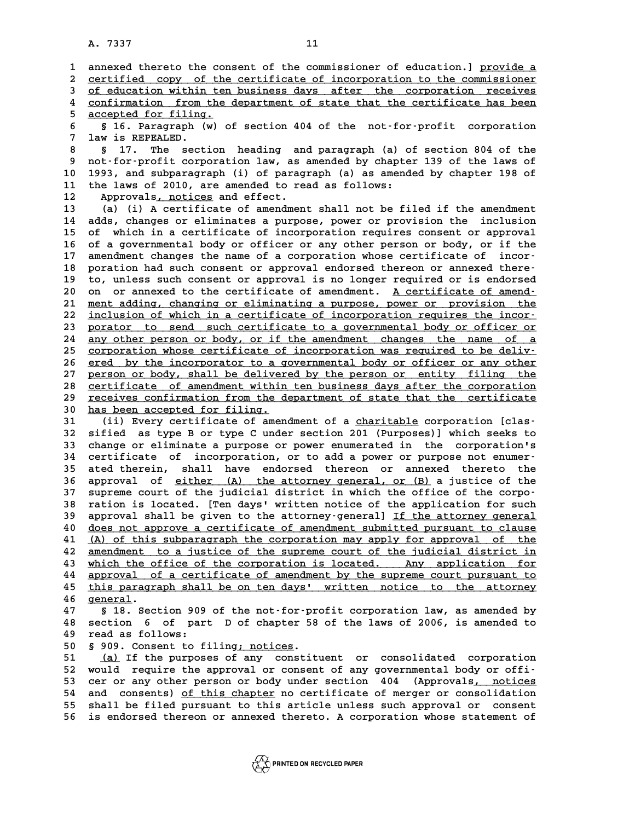**11**<br>**1** annexed thereto the consent of the commissioner of education.] <u>provide a</u><br>2 contified copy of the contificate of incorporation to the commissioner 2 annexed thereto the consent of the commissioner of education.] <u>provide a</u><br>2 <u>certified copy of the certificate of incorporation to the commissioner</u><br>3 of education within ten business days, after, the corporation, requi 3 annexed thereto the consent of the commissioner of education.] <u>provide a</u><br>2 <u>certified copy of the certificate of incorporation to the commissioner</u><br>3 <u>of education within ten business days after the corporation receive</u> 2 <u>certified copy of the certificate of incorporation to the commissioner<br>3 <u>of education within ten business days after the corporation receives</u><br>4 confirmation from the department of state that the certificate has been<br>5</u> 3 <u>of education within ten</u><br>4 <u>confirmation from the</u><br>5 <u>accepted for filing.</u> **6** <u>confirmation from the department of state that the certificate has been<br>**6 § 16. Paragraph** (w) of section 404 of the not-for-profit corporation<br>7 law is REPEALED.</u> 5 <u>accepted for filing.</u><br>
5 <u>accepted for filing.</u><br>
5 **16. Paragraph (w)** of section 404 of the not-for-profit corporation<br>
7 law is REPEALED.<br>
8 § 17. The section heading and paragraph (a) of section 804 of the 8 **8 16. Paragraph (w)** of section 404 of the not-for-profit corporation<br>
7 law is REPEALED.<br>
8 **§ 17.** The section heading and paragraph (a) of section 804 of the<br>
9 not-for-profit corporation law, as amended by chapter 1 **9 not-for-profit corporation law, as amended by chapter 139 of the laws of** 8 § 17. The section heading and paragraph (a) of section 804 of the<br>9 not-for-profit corporation law, as amended by chapter 139 of the laws of<br>10 1993, and subparagraph (i) of paragraph (a) as amended by chapter 198 of<br>11 9 not-for-profit corporation law, as amended by chapte<br>10 1993, and subparagraph (i) of paragraph (a) as amend<br>11 the laws of 2010, are amended to read as follows:<br><sup>12</sup> Approvels potions and offect 10 1993, and subparagraph (i) of parag<br>11 the laws of 2010, are amended to re<br>12 Approvals<u>, notices</u> and effect. 11 the laws of 2010, are amended to read as follows:<br>
12 Approvals<u>, notices</u> and effect.<br>
13 (a) (i) A certificate of amendment shall not be filed if the amendment<br>
14 adds, changes or eliminates a purpose, power or provi **14 adds, changes or eliminates a purpose, power or provision the inclusion 15 of which in a certificate of incorporation requires consent or approval 14 adds, changes or eliminates a purpose, power or provision the inclusion**<br>15 of which in a certificate of incorporation requires consent or approval<br>16 of a governmental body or officer or any other person or body, or i 15 of which in a certificate of incorporation requires consent or approval<br>
16 of a governmental body or officer or any other person or body, or if the<br>
17 amendment changes the name of a corporation whose certificate of i 16 of a governmental body or officer or any other person or body, or if the<br>17 amendment changes the name of a corporation whose certificate of incor-<br>18 poration had such consent or approval endorsed thereon or annexed th 17 amendment changes the name of a corporation whose certificate of incor-<br>18 poration had such consent or approval endorsed thereon or annexed there-<br>19 to, unless such consent or approval is no longer required or is endo 20 poration had such consent or approval endorsed thereon or annexed there-<br>
20 on or annexed to the certificate of amendment. <u>A certificate of amend-</u><br>
21 ment adding chapping or eliminating a purpose, power or provision to, unless such consent or approval is no longer required or is endorsed<br>20 on or annexed to the certificate of amendment. <u>A certificate of amend-</u><br>21 <u>ment adding, changing or eliminating a purpose, power or provision th</u> 21 <u>ment adding, changing or eliminating a purpose, power or provision the</u><br>22 <u>inclusion of which in a certificate of incorporation requires the incor-</u><br>23 <u>porator to send such certificate to a governmental body or offic</u> 21 <u>ment adding, changing or eliminating a purpose, power or provision the<br>22 inclusion of which in a certificate of incorporation requires the incor-<br>23 porator to send such certificate to a governmental body or officer o</u> 22 <u>inclusion of which in a certificate of incorporation requires the incor-</u><br>23 <u>porator to send such certificate to a governmental body or officer or</u><br>24 <u>any other person or body, or if the amendment changes the name of</u> 23 porator to send such certificate to a governmental body or officer or<br>24 any other person or body, or if the amendment changes the name of a<br>25 corporation whose certificate of incorporation was required to be deliv-<br>26 24 any other person or body, or if the amendment changes the name of a<br>25 <u>corporation whose certificate of incorporation</u> was required to be deliv-<br>26 <u>ered</u> by the incorporator to a governmental body or officer or any ot 25 <u>corporation whose certificate of incorporation was required to be deliv-</u><br>26 <u>ered by the incorporator to a governmental body or officer or any other</u><br>27 <u>person or body, shall be delivered by the person or entity fili</u> 28 certificate of amendment within ten business days after the corporation<br>29 receives confirmation from the department of state that the certificate Person or body, shall be delivered by the person or entity filing the<br>
28 <u>certificate</u> of amendment within ten business days after the corporation<br>
29 receives confirmation from the department of state that the certificat 28 certificate of amendment within<br>
29 <u>receives confirmation from the d</u><br>
30 has been accepted for filing.<br>
<sup>21</sup> (ii) Every certificate of amen. **130 Teceives confirmation from the department of state that the certificate**<br> **31** (ii) Every certificate of amendment of a <u>charitable</u> corporation [clas-<br> **32** sified as time B or time C under sestion 201 (Durnessa)] wh **1230 32 sified as type B or type C under section 201 (Purposes)] which seeks to**<br>32 sified as type B or type C under section 201 (Purposes)] which seeks to<br>33 shapes or eliminate a purpose or power enumerated in the corpo **31** (ii) Every certificate of amendment of a <u>charitable</u> corporation [clas-<br>32 sified as type B or type C under section 201 (Purposes)] which seeks to<br>33 change or eliminate a purpose or power enumerated in the corporati 32 sified as type B or type C under section 201 (Purposes)] which seeks to<br>33 change or eliminate a purpose or power enumerated in the corporation's<br>34 certificate of incorporation, or to add a power or purpose not enumer-33 change or eliminate a purpose or power enumerated in the corporation's<br>34 certificate of incorporation, or to add a power or purpose not enumer-<br>35 ated therein, shall have endorsed thereon or annexed thereto the<br>26 app 34 certificate of incorporation, or to add a power or purpose not enumer-<br>35 ated therein, shall have endorsed thereon or annexed thereto the<br>36 approval of <u>either (A) the attorney general, or (B)</u> a justice of the<br><sup>37</sup> s 35 ated therein, shall have endorsed thereon or annexed thereto the approval of <u>either (A) the attorney general, or (B)</u> a justice of the supreme court of the judicial district in which the office of the corpo-<br> **37 supre 36 approval of <u>either (A) the attorney general, or (B)</u> a justice of the supreme court of the judicial district in which the office of the corporation is located. [Ten days' written notice of the application for such** ap 37 supreme court of the judicial district in which the office of the corporation is located. [Ten days' written notice of the application for such approval shall be given to the attorney-general] <u>If the attorney general</u> 38 ration is located. [Ten days' written notice of the application for such<br>39 approval shall be given to the attorney-general] <u>If the attorney general</u><br>40 <u>does not approve a certificate of amendment submitted pursuant t</u> approval shall be given to the attorney-general] <u>If the attorney general</u><br>40 <u>does not approve a certificate of amendment submitted pursuant to clause</u><br>41 <u>(A) of this subparagraph the corporation may apply for approval o</u> **40** <u>does not approve a certificate of amendment submitted pursuant to clause</u><br> **41** (A) of this subparagraph the corporation may apply for approval of the<br>
<u>amendment</u> to a justice of the supreme court of the judicial di **41 (A) of this subparagraph the corporation may apply for approval of the amendment to a justice of the supreme court of the judicial district in which the office of the corporation is located. Any application for approve** 42 <u>amendment to a justice of the supreme court of the judicial district in<br>43 which the office of the corporation is located. Any application for<br>44 approval of a certificate of amendment by the supreme court pursuant to<br></u> 43 which the office of the corporation is located. Any application for<br>44 approval of a certificate of amendment by the supreme court pursuant to<br>this paragraph shall be on ten days' written notice to the attorney<br>26 appro approval of a certificate of amendment by the supreme court pursuant to<br>45 this paragraph shall be on ten days' written notice to the attorney<br>46 general.<br>47 § 18. Section 909 of the not-for-profit corporation law, as amen **45** this paragraph shall be on ten days' written notice to the attorney<br> **46** general.<br> **47** § 18. Section 909 of the not-for-profit corporation law, as amended by<br> **48** section 6 of part D of chapter 58 of the laws of 20 **46 general.**<br>47 § 18. Section 909 of the not-for-profit corporation law, as amended by<br>48 section 6 of part D of chapter 58 of the laws of 2006, is amended to<br>19 road as follows. 47 **8 18. Section 909**<br>48 section 6 of par<br>49 read as follows: **48 section 6 of part D of chapter 58<br><b>49 read as follows:**<br>50 § 909. Consent to filing; notices.<br>51 (a) If the purposes of any constiti **50 s 909. Consent to filing<u>; notices</u>.<br>
51 (a) If the purposes of any constituent or consolidated corporation<br>
52 yould require the energy of consent of any governmental body or official** 50 § 909. Consent to filing<u>; notices</u>.<br>
51 (a) If the purposes of any constituent or consolidated corporation<br>
52 would require the approval or consent of any governmental body or offi-<br>
53 der or any other person or body 51 (a) If the purposes of any constituent or consolidated corporation<br>52 would require the approval or consent of any governmental body or offi-<br>53 cer or any other person or body under section 404 (Approvals<u>, notices</u><br>54 52 would require the approval or consent of any governmental body or offi-<br>53 cer or any other person or body under section 404 (Approvals<u>, notices</u><br>54 and consents) <u>of this chapter</u> no certificate of merger or consolida 53 cer or any other person or body under section 404 (Approvals<u>, notices</u><br>54 and consents) <u>of this chapter</u> no certificate of merger or consolidation<br>55 shall be filed pursuant to this article unless such approval or con 54 and consents) <u>of this chapter</u> no certificate of merger or consolidation<br>55 shall be filed pursuant to this article unless such approval or consent<br>56 is endorsed thereon or annexed thereto. A corporation whose stateme

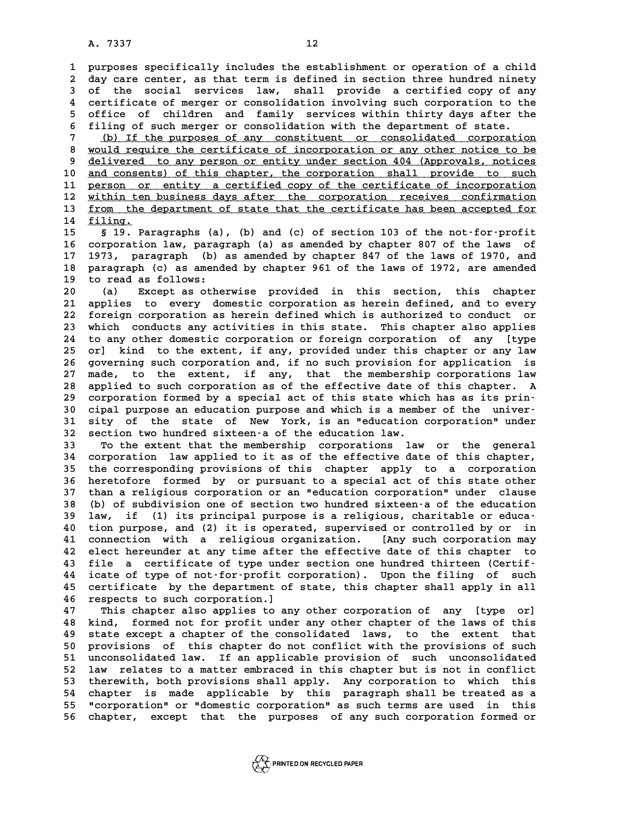A. 7337<br>1 purposes specifically includes the establishment or operation of a child<br>2 day gare conter, as that term is defined in section three hundred ninety **2** purposes specifically includes the establishment or operation of a child<br>2 day care center, as that term is defined in section three hundred ninety<br>3 of the social services law, shall provide a certified copy of any 1 purposes specifically includes the establishment or operation of a child<br>2 day care center, as that term is defined in section three hundred ninety<br>3 of the social services law, shall provide a certified copy of any<br>4 ce day care center, as that term is defined in section three hundred ninety<br>3 of the social services law, shall provide a certified copy of any<br>4 certificate of merger or consolidation involving such corporation to the<br>5 offi 3 of the social services law, shall provide a certified copy of any<br>4 certificate of merger or consolidation involving such corporation to the<br>5 office of children and family services within thirty days after the<br>5 filing 4 certificate of merger or consolidation involving such corporation to the office of children and family services within thirty days after the filing of such merger or consolidation with the department of state.<br><sup>7</sup> (b) If 5 office of children and family services within thirty days after the<br>6 filing of such merger or consolidation with the department of state.<br><u>(b) If the purposes of any constituent or consolidated corporation</u><br>8 would requ

**8 would require the certificate of incorporation or any other notice to be \_\_\_\_\_\_\_\_\_\_\_\_\_\_\_\_\_\_\_\_\_\_\_\_\_\_\_\_\_\_\_\_\_\_\_\_\_\_\_\_\_\_\_\_\_\_\_\_\_\_\_\_\_\_\_\_\_\_\_\_\_\_\_\_\_\_\_\_\_\_\_\_** (b) If the purposes of any constituent or consolidated corporation<br>8 <u>would require the certificate of incorporation or any other notice to be</u><br>9 <u>delivered to any person or entity under section 404 (Approvals, notices</u><br>20 8 <u>would require the certificate of incorporation or any other notice to be<br>
9 delivered to any person or entity under section 404 (Approvals, notices<br>
10 and consents) of this chapter, the corporation shall provide to suc</u> delivered to any person or entity under section 404 (Approvals, notices<br>
10 and consents) of this chapter, the corporation shall provide to such<br>
11 person or entity a certified copy of the certificate of incorporation<br>
12 and consents) of this chapter, the corporation shall provide to such<br>
11 person or entity a certified copy of the certificate of incorporation<br>
12 within ten business days after the corporation receives confirmation<br>
13 fr 11 person or entity a certified copy of the certificate of incorporation<br>12 <u>within ten business days after the corporation receives confirmation</u><br>13 <u>from the department of state that the certificate has been accepted for</u> 12 <u>within ten</u><br>13 <u>from the</u><br>14 <u>filing.</u> **13** <u>from the department of state that the certificate has been accepted for filing.</u><br>15 § 19. Paragraphs (a), (b) and (c) of section 103 of the not-for-profit<br>16 corporation law paragraph (a) as areaded by shatter 207 of

14 <u>filing.</u><br>15 § 19. Paragraphs (a), (b) and (c) of section 103 of the not-for-profit<br>16 corporation law, paragraph (a) as amended by chapter 807 of the laws of<br>17 1973, paragraph (b) as amended by chapter 847 of the laws 15 § 19. Paragraphs (a), (b) and (c) of section 103 of the not-for-profit<br>16 corporation law, paragraph (a) as amended by chapter 807 of the laws of<br>17 1973, paragraph (b) as amended by chapter 847 of the laws of 1970, and 16 corporation law, paragraph (a) as amended by chapter 807 of the laws of<br>17 1973, paragraph (b) as amended by chapter 847 of the laws of 1970, and<br>18 paragraph (c) as amended by chapter 961 of the laws of 1972, are amend 17 1973, paragraph (b)<br>18 paragraph (c) as amend<br>19 to read as follows:<br><sup>20</sup> (a) Fryaph as other 18 paragraph (c) as amended by chapter 961 of the laws of 1972, are amended<br>19 to read as follows:<br>20 (a) Except as otherwise provided in this section, this chapter<br>21 applies to every domestic corporation as herein define

**21 applies to every domestic corporation as herein defined, and to every 20** (a) Except as otherwise provided in this section, this chapter<br> **21 applies to every domestic corporation as herein defined, and to every**<br> **22 foreign corporation as herein defined which is authorized to conduct or**<br> 21 applies to every domestic corporation as herein defined, and to every<br>22 foreign corporation as herein defined which is authorized to conduct or<br>23 which conducts any activities in this state. This chapter also applies<br> 22 foreign corporation as herein defined which is authorized to conduct or<br>23 which conducts any activities in this state. This chapter also applies<br>24 to any other domestic corporation or foreign corporation of any [type<br> 23 which conducts any activities in this state. This chapter also applies<br>24 to any other domestic corporation or foreign corporation of any [type<br>25 or] kind to the extent, if any, provided under this chapter or any law<br>2 24 to any other domestic corporation or foreign corporation of any [type<br>25 or] kind to the extent, if any, provided under this chapter or any law<br>26 governing such corporation and, if no such provision for application is<br> 25 or] kind to the extent, if any, provided under this chapter or any law<br>26 governing such corporation and, if no such provision for application is<br>27 made, to the extent, if any, that the membership corporations law<br>28 a 26 governing such corporation and, if no such provision for application is<br>27 made, to the extent, if any, that the membership corporations law<br>28 applied to such corporation as of the effective date of this chapter. A<br>29 27 made, to the extent, if any, that the membership corporations law<br>
28 applied to such corporation as of the effective date of this chapter. A<br>
29 corporation formed by a special act of this state which has as its prin-<br> applied to such corporation as of the effective date of this chapter. A<br>
29 corporation formed by a special act of this state which has as its prin-<br>
30 cipal purpose an education purpose and which is a member of the unive <sup>29</sup> corporation formed by a special act of this state which has as its prin-<br>30 cipal purpose an education purpose and which is a member of the univer-<br>31 sity of the state of New York, is an "education corporation" under 30 cipal purpose an education purpose and which is a memb<br>31 sity of the state of New York, is an "education<br>32 section two hundred sixteen-a of the education law.<br>33 To the extent that the membership corporations law 31 sity of the state of New York, is an "education corporation" under<br>32 section two hundred sixteen-a of the education law.<br>33 To the extent that the membership corporations law or the general<br>34 secondary law applied to

32 section two hundred sixteen-a of the education law.<br>
33 To the extent that the membership corporations law or the general<br>
34 corporation law applied to it as of the effective date of this chapter,<br>
35 the corresponding To the extent that the membership corporations law or the general<br>34 corporation law applied to it as of the effective date of this chapter,<br>35 the corresponding provisions of this chapter apply to a corporation<br>26 heratof 34 corporation law applied to it as of the effective date of this chapter,<br>35 the corresponding provisions of this chapter apply to a corporation<br>36 heretofore formed by or pursuant to a special act of this state other<br>37 35 the corresponding provisions of this chapter apply to a corporation<br>36 heretofore formed by or pursuant to a special act of this state other<br>37 than a religious corporation or an "education corporation" under clause<br><sup>28</sup> **36 heretofore formed by or pursuant to a special act of this state other**<br>**37 than a religious corporation or an "education corporation" under clause**<br>**38 (b) of subdivision one of section two hundred sixteen-a of the edu** 37 than a religious corporation or an "education corporation" under clause<br>38 (b) of subdivision one of section two hundred sixteen-a of the education<br>39 law, if (1) its principal purpose is a religious, charitable or educ **40 (b)** of subdivision one of section two hundred sixteen-a of the education<br> **40 tion purpose, and (2) it is operated, supervised or controlled by or in**<br> **41 connection** with a religious organization [Any such corporati **41 connection with a religious organization. [Any such corporation may** 40 tion purpose, and (2) it is operated, supervised or controlled by or in<br>41 connection with a religious organization. [Any such corporation may<br>42 elect hereunder at any time after the effective date of this chapter to<br>4 41 connection with a religious organization. [Any such corporation may elect hereunder at any time after the effective date of this chapter to file a certificate of type under section one hundred thirteen (Certif-<br>
<sup>14</sup> is **44 icate of type of not-for-profit corporation). Upon the filing of such** 43 file a certificate of type under section one hundred thirteen (Certif-<br>44 icate of type of not-for-profit corporation). Upon the filing of such<br>45 certificate by the department of state, this chapter shall apply in all<br> 44 icate of type of not-for-profit corporation.<br>45 certificate by the department of<br>46 respects to such corporation.] **45 certificate by the department of state, this chapter shall apply in all**<br>46 respects to such corporation.]<br>47 This chapter also applies to any other corporation of any [type or]<br>18 bind formed pot for profit under any

**46 respects to such corporation.]**<br>47 This chapter also applies to any other corporation of any [type or]<br>48 kind, formed not for profit under any other chapter of the laws of this<br>49 state exact a shapter of the consolid **47** This chapter also applies to any other corporation of any [type or]<br>48 kind, formed not for profit under any other chapter of the laws of this<br>49 state except a chapter of the consolidated laws, to the extent that<br>50 **50 provisions of the consolidated laws of the laws of this state except a chapter of the consolidated laws, to the extent that provisions of this chapter do not conflict with the provisions of such<br>The provisions of this** 49 state except a chapter of the consolidated laws, to the extent that<br>50 provisions of this chapter do not conflict with the provisions of such<br>51 unconsolidated law. If an applicable provision of such unconsolidated<br>52 l 50 provisions of this chapter do not conflict with the provisions of such<br>51 unconsolidated law. If an applicable provision of such unconsolidated<br>52 law relates to a matter embraced in this chapter but is not in conflict<br> 51 unconsolidated law. If an applicable provision of such unconsolidated<br>52 law relates to a matter embraced in this chapter but is not in conflict<br>53 therewith, both provisions shall apply. Any corporation to which this<br>5 52 law relates to a matter embraced in this chapter but is not in conflict<br>53 therewith, both provisions shall apply. Any corporation to which this<br>54 chapter is made applicable by this paragraph shall be treated as a<br>55 d 53 therewith, both provisions shall apply. Any corporation to which this<br>54 chapter is made applicable by this paragraph shall be treated as a<br>55 "corporation" or "domestic corporation" as such terms are used in this<br>56 sh 54 chapter is made applicable by this paragraph shall be treated as a<br>55 "corporation" or "domestic corporation" as such terms are used in this<br>56 chapter, except that the purposes of any such corporation formed or

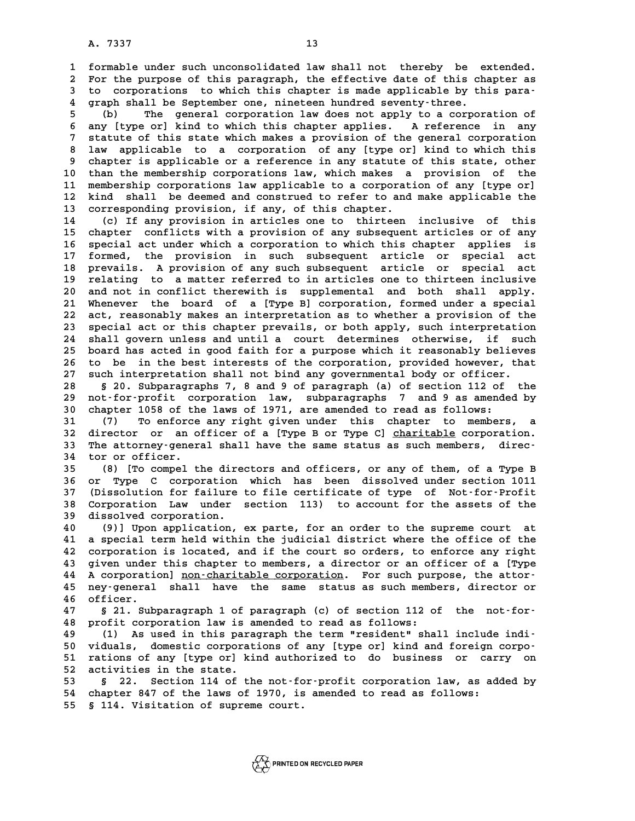A. 7337<br>1 formable under such unconsolidated law shall not thereby be extended.<br>2 For the purpose of this paragraph, the effective date of this shaptor as 1 formable under such unconsolidated law shall not thereby be extended.<br>2 For the purpose of this paragraph, the effective date of this chapter as<br>3 to dernorations, to which this chapter is made applicable by this para. 1 formable under such unconsolidated law shall not thereby be extended.<br>
2 For the purpose of this paragraph, the effective date of this chapter as<br>
3 to corporations to which this chapter is made applicable by this para-<br> 2 For the purpose of this paragraph, the effective date of this ch<br>3 to corporations to which this chapter is made applicable by th<br>4 graph shall be September one, nineteen hundred seventy-three.<br><sup>5</sup> 5 to corporations to which this chapter is made applicable by this para-<br>4 graph shall be September one, nineteen hundred seventy-three.<br>5 (b) The general corporation law does not apply to a corporation of<br>5 apply the solu

**6 4 4 4 4 and September one, nineteen hundred seventy-three.**<br> **6 any [type or] kind to which this chapter applies.** A reference in any<br> **6 any [type or] kind to which this chapter applies.** A reference in any<br> **6 any fig** <sup>5</sup> (b) The general corporation law does not apply to a corporation of any [type or] kind to which this chapter applies. A reference in any statute of this state which makes a provision of the general corporation **8 any [type or] kind to which this chapter applies.** A reference in any statute of this state which makes a provision of the general corporation 8 law applicable to a corporation of any [type or] kind to which this chapte 9 statute of this state which makes a provision of the general corporation<br>
8 law applicable to a corporation of any [type or] kind to which this<br>
9 chapter is applicable or a reference in any statute of this state, other<br> **10 than the membership corporations law, which makes a provision of the** 9 chapter is applicable or a reference in any statute of this state, other<br>10 than the membership corporations law, which makes a provision of the<br>11 membership corporations law applicable to a corporation of any [type or] 10 than the membership corporations law, which makes a provision of the<br>11 membership corporations law applicable to a corporation of any [type or]<br>12 kind shall be deemed and construed to refer to and make applicable the<br> 11 membership corporations law applicable to a corporation of any [type or]<br>12 kind shall be deemed and construed to refer to and make applicable the<br>13 corresponding provision, if any, of this chapter.<br>14 (c) If any provi

**14 (c) If any provision in articles one to thirteen inclusive of this** 13 corresponding provision, if any, of this chapter.<br>
14 (c) If any provision in articles one to thirteen inclusive of this<br>
15 chapter conflicts with a provision of any subsequent articles or of any<br>
16 special ast under 14 (c) If any provision in articles one to thirteen inclusive of this<br>15 chapter conflicts with a provision of any subsequent articles or of any<br>16 special act under which a corporation to which this chapter applies is<br>17 **15 chapter conflicts with a provision of any subsequent articles or of any special act under which a corporation to which this chapter applies is<br>17 formed, the provision in such subsequent article or special act<br>18 provi** 16 special act under which a corporation to which this chapter applies is<br>17 formed, the provision in such subsequent article or special act<br>18 prevails. A provision of any such subsequent article or special act<br>19 polatin 17 formed, the provision in such subsequent article or special act<br>18 prevails. A provision of any such subsequent article or special act<br>19 relating to a matter referred to in articles one to thirteen inclusive<br>20 and pot 18 prevails. A provision of any such subsequent article or special act<br>19 relating to a matter referred to in articles one to thirteen inclusive<br>20 and not in conflict therewith is supplemental and both shall apply.<br>21 Whe 19 relating to a matter referred to in articles one to thirteen inclusive<br>20 and not in conflict therewith is supplemental and both shall apply.<br>21 Whenever the board of a [Type B] corporation, formed under a special 20 and not in conflict therewith is supplemental and both shall apply.<br>21 Whenever the board of a [Type B] corporation, formed under a special<br>22 act, reasonably makes an interpretation as to whether a provision of the<br>23 21 Whenever the board of a [Type B] corporation, formed under a special<br>22 act, reasonably makes an interpretation as to whether a provision of the<br>23 special act or this chapter prevails, or both apply, such interpretatio 22 act, reasonably makes an interpretation as to whether a provision of the<br>23 special act or this chapter prevails, or both apply, such interpretation<br>24 shall govern unless and until a court determines otherwise, if such 23 special act or this chapter prevails, or both apply, such interpretation<br>24 shall govern unless and until a court determines otherwise, if such<br>25 board has acted in good faith for a purpose which it reasonably believes 24 shall govern unless and until a court determines otherwise, if such<br>25 board has acted in good faith for a purpose which it reasonably believes<br>26 to be in the best interests of the corporation, provided however, that<br>2 **25 board has acted in good faith for a purpose which it reasonably believe**<br>26 to be in the best interests of the corporation, provided however, tha<br>27 such interpretation shall not bind any governmental body or officer.<br>

**28 to be in the best interests of the corporation, provided however, that**<br>**27 such interpretation shall not bind any governmental body or officer.**<br>**28** § 20. Subparagraphs 7, 8 and 9 of paragraph (a) of section 112 of t 27 such interpretation shall not bind any governmental body or officer.<br>28 § 20. Subparagraphs 7, 8 and 9 of paragraph (a) of section 112 of the<br>29 not-for-profit corporation law, subparagraphs 7 and 9 as amended by<br>20 sha **30 chapter 1058 of the laws of 1971, are amended to read as follows: 39 not-for-profit corporation law, subparagraphs 7 and 9 as amended by chapter 1058 of the laws of 1971, are amended to read as follows:**<br>31 (7) To enforce any right given under this chapter to members, a<br>32 director or a

30 chapter 1058 of the laws of 1971, are amended to read as follows:<br>31 (7) To enforce any right given under this chapter to members, a<br>32 director or an officer of a [Type B or Type C] <u>charitable</u> corporation.<br><sup>33</sup> The a 31 (7) To enforce any right given under this chapter to members, a<br>32 director or an officer of a [Type B or Type C] <u>charitable</u> corporation.<br>33 The attorney-general shall have the same status as such members, direc-<br><sup>34</sup> 32 director or an o<br>33 The attorney-gener<br>34 tor or officer.<br><sup>35</sup> (8) [The compolities] The attorney-general shall have the same status as such members, direc-<br>34 tor or officer.<br>35 (8) [To compel the directors and officers, or any of them, of a Type B<br>36 or Time C correction which has been discolued under se

**34 tor or officer.**<br>35 (8) [To compel the directors and officers, or any of them, of a Type B<br>36 or Type C corporation which has been dissolved under section 1011<br>37 (Dissolution for failure to file sertificate of type of **35** (8) [To compel the directors and officers, or any of them, of a Type B<br>36 or Type C corporation which has been dissolved under section 1011<br>37 (Dissolution for failure to file certificate of type of Not-for-Profit<br>28 36 or Type C corporation which has been dissolved under section 1011<br>37 (Dissolution for failure to file certificate of type of Not-for-Profit<br>38 Corporation Law under section 113) to account for the assets of the<br><sup>39</sup> dis **37** (Dissolution for failure<br> **38** Corporation Law under<br> **39** dissolved corporation.<br> **40** (2) Upon application **40 (40)** 38 Corporation Law under section 113) to account for the assets of the<br> **40** (9)] Upon application, ex parte, for an order to the supreme court at<br> **41** a special term held within the indicial district where the

dissolved corporation.<br>
40 (9)] Upon application, ex parte, for an order to the supreme court at<br>
41 a special term held within the judicial district where the office of the<br>
42 corporation is located, and if the court so **40** (9)] Upon application, ex parte, for an order to the supreme court at a special term held within the judicial district where the office of the corporation is located, and if the court so orders, to enforce any right c **41 a special term held within the judicial district where the office of the corporation is located, and if the court so orders, to enforce any right given under this chapter to members, a director or an officer of a [Type 42 corporation is located, and if the court so orders, to enforce any right<br>43 given under this chapter to members, a director or an officer of a [Type<br>44 A corporation] <u>non-charitable corporation</u>. For such purpose, the** 43 given under this chapter to members, a director or an officer of a [Type<br>44 A corporation] <u>non-charitable corporation</u>. For such purpose, the attor-<br>45 ney-general shall have the same status as such members, director o **44** A corporati<br>**45** ney-general<br>**46** officer. a provide the same status as such members, director or of ficer.<br> **47** § 21. Subparagraph 1 of paragraph (c) of section 112 of the not-for-<br> **49** anofit corporation lay is appened to read as follows:

**46 officer.**<br>47 § 21. Subparagraph 1 of paragraph (c) of section 112 o<br>48 profit corporation law is amended to read as follows:<br>49 (1) As used in this paragraph the term "resident" sha **47** § 21. Subparagraph 1 of paragraph (c) of section 112 of the not-for-<br> **48** profit corporation law is amended to read as follows:<br>
(1) As used in this paragraph the term "resident" shall include indi-<br> **60** uiduals dem

**50 profit corporation law is amended to read as follows:**<br> **49** (1) As used in this paragraph the term "resident" shall include indi-<br> **50 viduals, domestic corporations of any [type or] kind and foreign corpo-**<br> **51 rati 49** (1) As used in this paragraph the term "resident" shall include indi-<br>50 viduals, domestic corporations of any [type or] kind and foreign corpo-<br>51 rations of any [type or] kind authorized to do business or carry on<br>5 50 viduals, domestic corporat<br>51 rations of any [type or] ki:<br>52 activities in the state.<br>53 8 22 Section 114 of the 51 rations of any [type or] kind authorized to do business or carry on<br>52 activities in the state.<br>53 § 22. Section 114 of the not-for-profit corporation law, as added by<br>54 chapter 847 of the laws of 1970, is amended to r

52 activities in the state.<br>53 § 22. Section 114 of the not-for-profit corporation law, as ad<br>54 chapter 847 of the laws of 1970, is amended to read as follows:<br>55 § 114 Vicitation of gunrome court 53 § 22. Section 114 of the not-fo<br>54 chapter 847 of the laws of 1970, is<br>55 § 114. Visitation of supreme court.

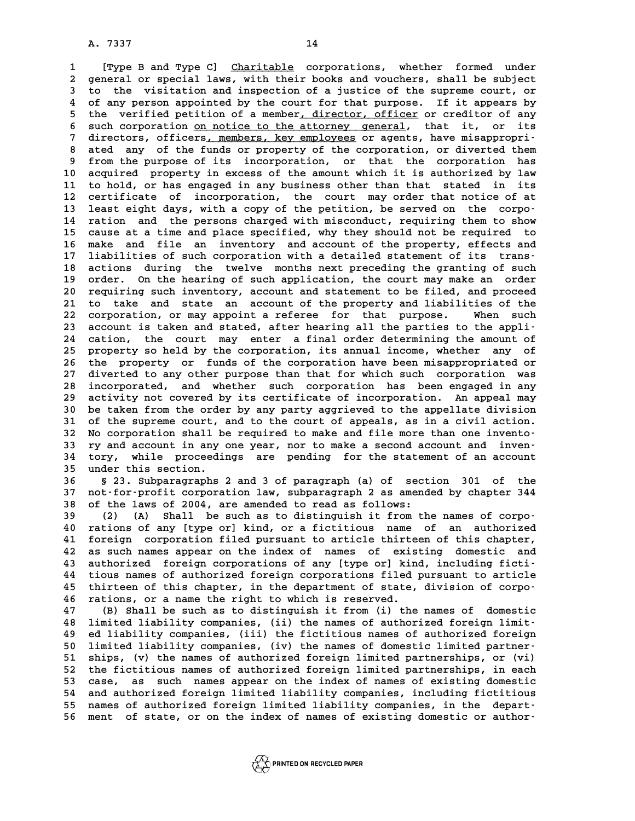**14**<br>1 [Type B and Type C] <u>Charitable</u> corporations, whether formed under<br>2 **conoral or gregial laws** with their books and vousbors shall be subject **2** [Type B and Type C] <u>Charitable</u> corporations, whether formed under<br>2 general or special laws, with their books and vouchers, shall be subject<br>3 to the visitation and inspection of a justice of the supreme court, or **1 [Type B and Type C] Charitable corporations, whether formed under<br>
2 general or special laws, with their books and vouchers, shall be subject<br>
3 to the visitation and inspection of a justice of the supreme court, or<br>
4** q general or special laws, with their books and vouchers, shall be subject<br>
3 to the visitation and inspection of a justice of the supreme court, or<br>
4 of any person appointed by the court for that purpose. If it appears b 5 to the visitation and inspection of a justice of the supreme court, or<br>4 of any person appointed by the court for that purpose. If it appears by<br>5 the verified petition of a member, director, officer or creditor of any<br>5 4 of any person appointed by the court for that purpose. If it appears by<br>5 the verified petition of a member, director, officer or creditor of any<br>6 such corporation <u>on notice to the attorney general</u>, that it, or its<br>di 5 the verified petition of a member<u>, director, officer</u> or creditor of any<br>6 such corporation <u>on notice to the attorney general</u>, that it, or its<br>7 directors, officers<u>, members, key employees</u> or agents, have misappropr 8 such corporation <u>on notice to the attorney general</u>, that it, or its<br>7 directors, officers<u>, members, key employees</u> or agents, have misappropri-<br>8 ated any of the funds or property of the corporation, or diverted them<br> directors, officers<u>, members, key employees</u> or agents, have misappropri-<br>
8 ated any of the funds or property of the corporation, or diverted them<br>
9 from the purpose of its incorporation, or that the corporation has<br>
2 8 ated any of the funds or property of the corporation, or diverted them<br>9 from the purpose of its incorporation, or that the corporation has<br>10 acquired property in excess of the amount which it is authorized by law<br>11 to 9 from the purpose of its incorporation, or that the corporation has<br>10 acquired property in excess of the amount which it is authorized by law<br>11 to hold, or has engaged in any business other than that stated in its<br>22 co 10 acquired property in excess of the amount which it is authorized by law<br>11 to hold, or has engaged in any business other than that stated in its<br>12 certificate of incorporation, the court may order that notice of at<br>13 11 to hold, or has engaged in any business other than that stated in its<br>12 certificate of incorporation, the court may order that notice of at<br>13 least eight days, with a copy of the petition, be served on the corpo-<br>14 r 12 certificate of incorporation, the court may order that notice of at<br>13 least eight days, with a copy of the petition, be served on the corpo-<br>14 ration and the persons charged with misconduct, requiring them to show<br>15 12 certificate of incorporation, the court may order that notice of at<br>13 least eight days, with a copy of the petition, be served on the corpo-<br>14 ration and the persons charged with misconduct, requiring them to show<br>15 **16 make and file an inventory and account of the property, effects and** 15 cause at a time and place specified, why they should not be required to make and file an inventory and account of the property, effects and<br>17 liabilities of such corporation with a detailed statement of its trans-<br>18 a 16 make and file an inventory and account of the property, effects and<br>17 liabilities of such corporation with a detailed statement of its trans-<br>18 actions during the twelve months next preceding the granting of such<br>20 a 17 liabilities of such corporation with a detailed statement of its trans-<br>18 actions during the twelve months next preceding the granting of such<br>19 order. On the hearing of such application, the court may make an order<br>2 actions during the twelve months next preceding the granting of such<br>19 order. On the hearing of such application, the court may make an order<br>20 requiring such inventory, account and statement to be filed, and proceed<br>21 20 order. On the hearing of such application, the court may make an order<br>20 requiring such inventory, account and statement to be filed, and proceed<br>21 to take and state an account of the property and liabilities of the<br>2 20 requiring such inventory, account and statement to be filed, and proceed<br>21 to take and state an account of the property and liabilities of the<br>22 corporation, or may appoint a referee for that purpose. When such<br>23 acc 21 to take and state an account of the property and liabilities of the<br>
22 corporation, or may appoint a referee for that purpose. When such<br>
23 account is taken and stated, after hearing all the parties to the appli-<br>
24 22 corporation, or may appoint a referee for that purpose. When such<br>23 account is taken and stated, after hearing all the parties to the appli-<br>24 cation, the court may enter a final order determining the amount of<br>25 pro 23 account is taken and stated, after hearing all the parties to the appli-<br>24 cation, the court may enter a final order determining the amount of<br>25 property so held by the corporation, its annual income, whether any of<br>t 24 cation, the court may enter a final order determining the amount of<br>25 property so held by the corporation, its annual income, whether any of<br>26 the property or funds of the corporation have been misappropriated or<br>27 d 25 property so held by the corporation, its annual income, whether any of<br>26 the property or funds of the corporation have been misappropriated or<br>27 diverted to any other purpose than that for which such corporation was<br>i 26 the property or funds of the corporation have been misappropriated or<br>27 diverted to any other purpose than that for which such corporation was<br>28 incorporated, and whether such corporation has been engaged in any<br>29 ac 27 diverted to any other purpose than that for which such corporation was<br>28 incorporated, and whether such corporation has been engaged in any<br>29 activity not covered by its certificate of incorporation. An appeal may<br>20 28 incorporated, and whether such corporation has been engaged in any<br>29 activity not covered by its certificate of incorporation. An appeal may<br>30 be taken from the order by any party aggrieved to the appellate division<br>3 30 activity not covered by its certificate of incorporation. An appeal may<br>30 be taken from the order by any party aggrieved to the appellate division<br>31 of the supreme court, and to the court of appeals, as in a civil act 30 be taken from the order by any party aggrieved to the appellate division 31 of the supreme court, and to the court of appeals, as in a civil action.<br>
32 No corporation shall be required to make and file more than one in 31 of the supreme court, and to the court of appeals, as in a civil action.<br>
32 No corporation shall be required to make and file more than one invento-<br>
33 ry and account in any one year, nor to make a second account and 32 No corporation shall be required to make and file more than one invento-<br>33 ry and account in any one year, nor to make a second account and inven-<br>34 tory, while proceedings are pending for the statement of an account 33 ry and account in any<br>34 tory, while proceedi:<br>35 under this section. **34 tory, while proceedings are pending for the statement of an account**<br>**35 under this section.**<br>**36 § 23. Subparagraphs 2 and 3 of paragraph (a) of section 301 of the**<br>**37 pot for profit corporation law subparagraph 2.35** 

35 under this section.<br>
36 § 23. Subparagraphs 2 and 3 of paragraph (a) of section 301 of the<br>
37 not-for-profit corporation law, subparagraph 2 as amended by chapter 344<br>
38 of the laws of 2004, are amended to read as fol **38 of the laws of 2004, are amended to read as follows:** 37 not-for-profit corporation law, subparagraph 2 as amended by chapter 344<br>38 of the laws of 2004, are amended to read as follows:<br>(2) (A) Shall be such as to distinguish it from the names of corpo-<br>40 rations of any [typ

**40 rations of any [type or] kind, or a fictitious name of an authorized 41 (2)** (A) Shall be such as to distinguish it from the names of corporations of any [type or] kind, or a fictitious name of an authorized foreign corporation filed pursuant to article thirteen of this chapter,<br> **42** as s **40 rations of any [type or] kind, or a fictitious name of an authorized**<br>**41 foreign corporation filed pursuant to article thirteen of this chapter,**<br>**42 as such names appear on the index of names of existing domestic and** 41 foreign corporation filed pursuant to article thirteen of this chapter,<br>42 as such names appear on the index of names of existing domestic and<br>43 authorized foreign corporations of any [type or] kind, including ficti-<br>4 42 as such names appear on the index of names of existing domestic and<br>43 authorized foreign corporations of any [type or] kind, including ficti-<br>44 tious names of authorized foreign corporations filed pursuant to article<br> 43 authorized foreign corporations of any [type or] kind, including ficti-<br>44 tious names of authorized foreign corporations filed pursuant to article<br>45 thirteen of this chapter, in the department of state, division of co 44 tious names of authorized foreign corporations filed thirteen of this chapter, in the department of state,<br>46 rations, or a name the right to which is reserved.<br><sup>47</sup> (B) Shall be such as to distinguish it from (i) the **45 thirteen of this chapter, in the department of state, division of corpo-**<br>**46 rations, or a name the right to which is reserved.**<br>**47** (B) Shall be such as to distinguish it from (i) the names of domestic<br>**48** limited

**46 rations, or a name the right to which is reserved.**<br> **47** (B) Shall be such as to distinguish it from (i) the names of domestic<br> **48 limited liability companies, (ii) the names of authorized foreign limit-**<br> **49 od lia 47** (B) Shall be such as to distinguish it from (i) the names of domestic<br>48 limited liability companies, (ii) the names of authorized foreign limit-<br>49 ed liability companies, (iii) the fictitious names of authorized for 150 limited liability companies, (ii) the names of authorized foreign limit-<br>
49 ed liability companies, (ii) the fictitious names of authorized foreign<br>
50 limited liability companies, (iv) the names of domestic limited p **61 Shipseller Companies, (ii) the fictitious names of authorized foreign<br>
50 limited liability companies, (iv) the names of domestic limited partner-<br>
51 ships, (v) the names of authorized foreign limited partnerships, or 50 limited liability companies, (iv) the names of domestic limited partner-**<br> **51 ships, (v) the names of authorized foreign limited partnerships, or (vi)**<br> **52 the fictitious names of authorized foreign limited partnersh** 51 ships, (v) the names of authorized foreign limited partnerships, or (vi)<br>52 the fictitious names of authorized foreign limited partnerships, in each<br>53 case, as such names appear on the index of names of existing domest 52 the fictitious names of authorized foreign limited partnerships, in each<br>53 case, as such names appear on the index of names of existing domestic<br>54 and authorized foreign limited liability companies, including fictitio 53 case, as such names appear on the index of names of existing domestic<br>
54 and authorized foreign limited liability companies, including fictitious<br>
55 names of authorized foreign limited liability companies, in the depa 54 and authorized foreign limited liability companies, including fictitious<br>55 names of authorized foreign limited liability companies, in the depart-<br>56 ment of state, or on the index of names of existing domestic or auth

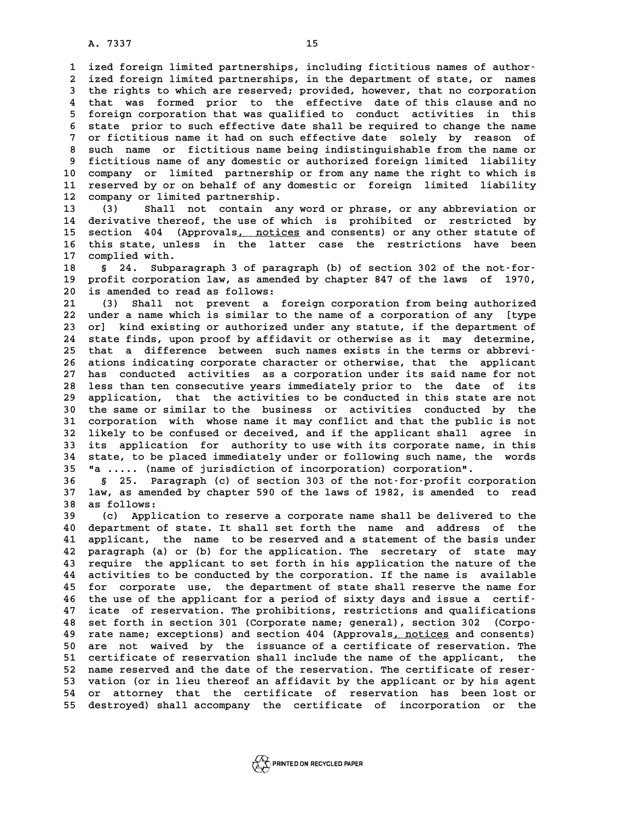A. 7337<br>1 ized foreign limited partnerships, including fictitious names of author-<br><sup>2</sup> ized foreign limited partnerships, in the department of state, or, pames 1 ized foreign limited partnerships, including fictitious names of author-<br>2 ized foreign limited partnerships, in the department of state, or names<br>3 the rights to which are reserved; provided, boyever, that no corporatio 1 ized foreign limited partnerships, including fictitious names of author-<br>2 ized foreign limited partnerships, in the department of state, or names<br>3 the rights to which are reserved; provided, however, that no corporatio ized foreign limited partnerships, in the department of state, or names<br>3 the rights to which are reserved; provided, however, that no corporation<br>4 that was formed prior to the effective date of this clause and no<br>5 forei 3 the rights to which are reserved; provided, however, that no corporation<br>4 that was formed prior to the effective date of this clause and no<br>5 foreign corporation that was qualified to conduct activities in this<br>5 state 4 that was formed prior to the effective date of this clause and no<br>5 foreign corporation that was qualified to conduct activities in this<br>6 state prior to such effective date shall be required to change the name<br>7 or fict 5 foreign corporation that was qualified to conduct activities in this<br>6 state prior to such effective date shall be required to change the name<br>7 or fictitious name it had on such effective date solely by reason of<br>8 such 8 state prior to such effective date shall be required to change the name<br>7 or fictitious name it had on such effective date solely by reason of<br>8 such name or fictitious name being indistinguishable from the name or<br>9 fic 9 or fictitious name it had on such effective date solely by reason of<br>8 such name or fictitious name being indistinguishable from the name or<br>9 fictitious name of any domestic or authorized foreign limited liability<br>10 co 8 such name or fictitious name being indistinguishable from the name or<br>9 fictitious name of any domestic or authorized foreign limited liability<br>10 company or limited partnership or from any name the right to which is<br>11 9 fictitious name of any domestic or authorized foreign limited liability<br>10 company or limited partnership or from any name the right to which is<br>11 reserved by or on behalf of any domestic or foreign limited liability<br>22 10 company or limited partnership<br>11 reserved by or on behalf of any dom<br>12 company or limited partnership.<br>13 (3) shall not contain any. 11 reserved by or on behalf of any domestic or foreign limited liability<br>12 company or limited partnership.<br>13 (3) Shall not contain any word or phrase, or any abbreviation or<br>14 derivative thereof, the use of which is pro

12 company or limited partnership.<br>13 (3) Shall not contain any word or phrase, or any abbreviation or<br>14 derivative thereof, the use of which is prohibited or restricted by<br>15 section 404 (Approvals potions and consonts) 13 (3) Shall not contain any word or phrase, or any abbreviation or<br>14 derivative thereof, the use of which is prohibited or restricted by<br>15 section 404 (Approvals, notices and consents) or any other statute of<br>this state 14 derivative thereof, the use of which is prohibited or restricted by<br>15 section 404 (Approvals<u>, notices</u> and consents) or any other statute of<br>16 this state, unless in the latter case the restrictions have been<br>17 compl 15 section 404 (Ap)<br>16 this state, unles<br>17 complied with. **16 this state, unless in the latter case the restrictions have been**<br> **17 complied with.**<br> **18** § 24. Subparagraph 3 of paragraph (b) of section 302 of the not-for-<br> **19 profit corporation law as amonded by shapter 847 of** 

17 complied with.<br>18 § 24. Subparagraph 3 of paragraph (b) of section 302 of the not–for–<br>19 profit corporation law, as amended by chapter 847 of the laws of 1970,<br>20 is amended to read as follows. 18 § 24. Subparagraph 3 of parag<br>19 profit corporation law, as amende<br>20 is amended to read as follows:<br><sup>21</sup> (3) Shall not prevent a fo **20 profit corporation law, as amended by chapter 847 of the laws of 1970,<br>
20 is amended to read as follows:**<br>
21 (3) Shall not prevent a foreign corporation from being authorized<br>
22 under a name which is similar to the

<sup>2</sup> is amended to read as follows:<br>
21 (3) Shall not prevent a foreign corporation from being authorized<br>
22 under a name which is similar to the name of a corporation of any [type<br>
23 orl kind existing or authorized under 21 (3) Shall not prevent a foreign corporation from being authorized<br>22 under a name which is similar to the name of a corporation of any [type<br>23 or] kind existing or authorized under any statute, if the department of<br>24 22 under a name which is similar to the name of a corporation of any [type<br>23 or] kind existing or authorized under any statute, if the department of<br>24 state finds, upon proof by affidavit or otherwise as it may determine 23 or] kind existing or authorized under any statute, if the department of<br>24 state finds, upon proof by affidavit or otherwise as it may determine,<br>25 that a difference between such names exists in the terms or abbrevi-<br>2 24 state finds, upon proof by affidavit or otherwise as it may determine,<br>25 that a difference between such names exists in the terms or abbrevi-<br>26 ations indicating corporate character or otherwise, that the applicant<br>27 25 that a difference between such names exists in the terms or abbrevi<sup>26</sup><br>26 ations indicating corporate character or otherwise, that the applicant<br>27 has conducted activities as a corporation under its said name for not<br> **28 less than ten consecutive years immediately prior to the date of its 29 application, that the activities to be conducted in this state are not** 18 less than ten consecutive years immediately prior to the date of its<br>
29 application, that the activities to be conducted in this state are not<br>
30 the same or similar to the business or activities conducted by the<br>
31 **39 application, that the activities to be conducted in this state are not**<br>30 the same or similar to the business or activities conducted by the<br>31 corporation with whose name it may conflict and that the public is not<br>32 30 the same or similar to the business or activities conducted by the<br>31 corporation with whose name it may conflict and that the public is not<br>32 likely to be confused or deceived, and if the applicant shall agree in<br>33 i 31 corporation with whose name it may conflict and that the public is not<br>32 likely to be confused or deceived, and if the applicant shall agree in<br>33 its application for authority to use with its corporate name, in this<br>3 32 likely to be confused or deceived, and if the applicant shall agree in<br>33 its application for authority to use with its corporate name, in this<br>34 state, to be placed immediately under or following such name, the words<br> 33 its application for authority to use with its corporate name,<br>34 state, to be placed immediately under or following such name, the<br>35 "a..... (name of jurisdiction of incorporation) corporation". 34 state, to be placed immediately under or following such name, the words<br>35 "a ..... (name of jurisdiction of incorporation) corporation".<br>36 \$ 25. Paragraph (c) of section 303 of the not-for-profit corporation<br><sup>37</sup> lay

**35 "a .....** (name of jurisdiction of incorporation) corporation".<br>36 § 25. Paragraph (c) of section 303 of the not-for-profit corporation<br>37 law, as amended by chapter 590 of the laws of 1982, is amended to read<br>38 35 fo **36 § 25.** Para<br>**37 law, as amende**<br>**38 as follows:**<br>**29** (c) **Applice 37 law, as amended by chapter 590 of the laws of 1982, is amended to read<br>38 as follows:**<br>(c) Application to reserve a corporate name shall be delivered to the<br>40 department of state. It shall set forth the name and addre

**40 department of state. It shall set or porate name shall be delivered to the<br>40 department of state. It shall set forth the name and address of the<br>41 applicant, the name to be reserved and a statement of the basis under 41 applicant, the name to be reserved and a statement of the basis under 40 department of state. It shall set forth the name and address of the applicant, the name to be reserved and a statement of the basis under paragraph (a) or (b) for the application. The secretary of state may**<br>**13 requir** 41 applicant, the name to be reserved and a statement of the basis under<br>42 paragraph (a) or (b) for the application. The secretary of state may<br>43 require the applicant to set forth in his application the nature of the<br>44 42 paragraph (a) or (b) for the application. The secretary of state may<br>43 require the applicant to set forth in his application the nature of the<br>44 activities to be conducted by the corporation. If the name is available<br> **43** require the applicant to set forth in his application the nature of the activities to be conducted by the corporation. If the name is available for corporate use, the department of state shall reserve the name for activities to be conducted by the corporation. If the name is available<br>
45 for corporate use, the department of state shall reserve the name for<br>
46 the use of the applicant for a period of sixty days and issue a certif-<br> 45 for corporate use, the department of state shall reserve the name for<br>46 the use of the applicant for a period of sixty days and issue a certif-<br>47 icate of reservation. The prohibitions, restrictions and qualifications 46 the use of the applicant for a period of sixty days and issue a certif-<br>47 icate of reservation. The prohibitions, restrictions and qualifications<br>48 set forth in section 301 (Corporate name; general), section 302 (Corp 47 icate of reservation. The prohibitions, restrictions and qualifications<br>48 set forth in section 301 (Corporate name; general), section 302 (Corporate name; exceptions) and section 404 (Approvals<u>, notices</u> and consents) **50 are forth in section 301 (Corporate name; general), section 302 (Corpo-**<br>**49 rate name; exceptions) and section 404 (Approvals<u>, notices</u> and consents)<br>50 are not waived by the issuance of a certificate of reservation.** For the name; exceptions) and section 404 (Approvals<u>, notices</u> and consents)<br>
50 are not waived by the issuance of a certificate of reservation. The<br>
51 certificate of reservation shall include the name of the applicant, 50 are not waived by the issuance of a certificate of reservation. The certificate of reservation shall include the name of the applicant, the name reserved and the date of the reservation. The certificate of reser-<br>
<sup>52</sup> 51 certificate of reservation shall include the name of the applicant, the<br>52 name reserved and the date of the reservation. The certificate of reser-<br>53 vation (or in lieu thereof an affidavit by the applicant or by his a 52 name reserved and the date of the reservation. The certificate of reser-<br>53 vation (or in lieu thereof an affidavit by the applicant or by his agent<br>54 or attorney that the certificate of reservation has been lost or<br>55 53 vation (or in lieu thereof an affidavit by the applicant or by his agent<br>54 or attorney that the certificate of reservation has been lost or<br>55 destroyed) shall accompany the certificate of incorporation or the

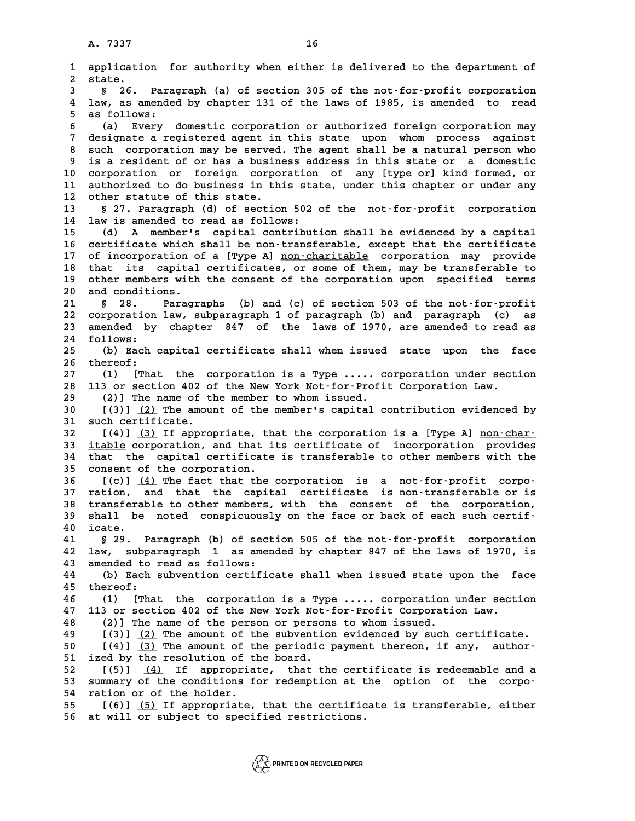**1 application for authority when either is delivered to the department of** 1 applicati<sup>.</sup><br>2 state.<br><sup>3 s</sup> <sup>26</sup> **3 3 3 3 3 application** for authority when either is delivered to the department of state.<br> **3 8** 26. Paragraph (a) of section 305 of the not-for-profit corporation<br> **1 a 121 25. Paragraph (by chantor 131** a state.<br> **4 law, as amended by chapter 131 of the laws of 1985, is amended to read**<br> **4 law, as amended by chapter 131 of the laws of 1985, is amended to read**<br> **5 as follows:** 3 **§ 26. Para**<br>4 law, as amende<br>5 as follows: **6 (a) Every domestic corporation or authorized foreign corporation may**<br>**6 (a) Every domestic corporation or authorized foreign corporation may**<br>**6 (a)** Every domestic corporation or authorized foreign corporation may <sup>5</sup> as follows:<br>
<sup>5</sup> (a) Every domestic corporation or authorized foreign corporation may<br>
<sup>7</sup> designate a registered agent in this state upon whom process against<br>
<sup>2</sup> designate a registered agent in this state upon whom **8 (a) Every domestic corporation or authorized foreign corporation may designate a registered agent in this state upon whom process against such corporation may be served. The agent shall be a natural person who<br>a is a re** designate a registered agent in this state upon whom process against<br>8 such corporation may be served. The agent shall be a natural person who<br>9 is a resident of or has a business address in this state or a domestic<br>8 corp 8 such corporation may be served. The agent shall be a natural person who<br>9 is a resident of or has a business address in this state or a domestic<br>10 corporation or foreign corporation of any [type or] kind formed, or<br>11 a 9 is a resident of or has a business address in this state or a domestic<br>10 corporation or foreign corporation of any [type or] kind formed, or<br>11 authorized to do business in this state, under this chapter or under any<br>12 10 corporation or foreign corpo<br>11 authorized to do business in th<br>12 other statute of this state.<br><sup>13</sup> 5.<sup>27</sup> Paragraph (d) of section 11 authorized to do business in this state, under this chapter or under any<br>12 other statute of this state.<br>13 § 27. Paragraph (d) of section 502 of the not-for-profit corporation<br>14 law is amended to read as follows: 12 other statute of this state.<br>13 § 27. Paragraph (d) of section 502<br>14 law is amended to read as follows:<br>15 (d) a memboris spoital sentribut **13 S 27. Paragraph (d) of section 502 of the not-for-profit corporation**<br>**14 law is amended to read as follows:**<br>(d) A member's capital contribution shall be evidenced by a capital<br>16 sectificate which shall be assumed an **14 law is amended to read as follows:**<br> **15** (d) A member's capital contribution shall be evidenced by a capital<br> **16 certificate which shall be non-transferable, except that the certificate**<br> **17 of incorporation of a [T 15** (d) A member's capital contribution shall be evidenced by a capital<br>16 certificate which shall be non-transferable, except that the certificate<br>17 of incorporation of a [Type A] <u>non-charitable</u> corporation may provid 16 certificate which shall be non-transferable, except that the certificate<br>17 of incorporation of a [Type A] <u>non-charitable</u> corporation may provide<br>18 that its capital certificates, or some of them, may be transferable 17 of incorporation of a [Type A] <u>non-charitable</u> corporation may provide<br>18 that its capital certificates, or some of them, may be transferable to<br>19 other members with the consent of the corporation upon specified terms that its capital certificates, or some of them, may be transferable to<br>19 other members with the consent of the corporation upon specified terms<br>20 and conditions.<br>21 § 28. Paragraphs (b) and (c) of section 503 of the not-**21 b 28. Paragraphs (b)** and (c) of section 503 of the not-for-profit<br> **22 corporation 1aw, subparagraph 1 of paragraph (b)** and paragraph (c) as **20** and conditions.<br>
21 § 28. Paragraphs (b) and (c) of section 503 of the not-for-profit<br>
22 corporation law, subparagraph 1 of paragraph (b) and paragraph (c) as<br>
23 amended by chapter 847 of the laws of 1970 are amende 21 § 28. Paragraphs (b) and (c) of section 503 of the not-for-profit<br>22 corporation law, subparagraph 1 of paragraph (b) and paragraph (c) as<br>23 amended by chapter 847 of the laws of 1970, are amended to read as 22 corporation<br>23 amended by<br>24 follows:<br><sup>25</sup> (b) Fach 23 amended by chapter 847 of the laws of 1970, are amended to read as<br>24 follows:<br>25 (b) Each capital certificate shall when issued state upon the face<br>26 thereof: 24 follows:<br>25 (b) Each capital certificate shall when issued state upon the face<br>26 thereof:<br>27 (1) [That the corporation is a Type ..... corporation under section (b) Each capital certificate shall when issued state upon the face<br>26 thereof:<br>27 (1) [That the corporation is a Type ..... corporation under section<br>28 113 or section 402 of the New York Not-for-Profit Corporation Law. **26 thereof:**<br>27 (1) [That the corporation is a Type .... corporation under sect<br>28 113 or section 402 of the New York Not-for-Profit Corporation Law.<br>29 (2) The name of the member to whem issued 27 (1) [That the corporation is a Type ..... compose that the member to whom issued.<br>29 (2)] The name of the member to whom issued.<br>20 [(3)] (2) The arguint of the member is sanital C 113 or section 402 of the New York Not-for-Profit Corporation Law.<br>
29 (2)] The name of the member to whom issued.<br>
30 [(3)] <u>(2)</u> The amount of the member's capital contribution evidenced by<br>
31 such certificate (2) The name of the member to whom issued.<br> **30** [(3)] <u>(2)</u> The amount of the member's capital contribution evidenced by<br> **31** such certificate.<br> **32** [(4)] <u>(3)</u> If appropriate, that the corporation is a [Type A] <u>non-ch</u> Iable 130 [(3)] (12) The amount of the member's capital contribution evidenced by<br> **31** such certificate.<br> **32** [(4)] (3) If appropriate, that the corporation is a [Type A] non-char-<br> **33** <u>itable</u> corporation, and that it 33 <u>itable</u> corporation, and that its certificate of incorporation provides<br>34 that the capital certificate is transferable to other members with the **32** [(4)] <u>(3)</u> If appropriate, that the corporation is a [Type A] <u>non-char-</u><br>33 <u>itable</u> corporation, and that its certificate of incorporation provides<br>34 that the capital certificate is transferable to other members w 33 <u>itable</u> corporation, and that i<br>34 that the capital certificate<br>35 consent of the corporation. **34 that the capital certificate is transferable to other members with the consent of the corporation.<br>36 [(c)] <u>(4)</u> The fact that the corporation is a not-for-profit corpo-<br>27 ration and that the capital certificate is p** 35 consent of the corporation.<br>36 [(c)] <u>(4)</u> The fact that the corporation is a not-for-profit corpo-<br>37 ration, and that the capital certificate is non-transferable or is<br>28 transferable to sther perhaps with the sensort **36 [(c)] (4) The fact that the corporation is a not-for-profit corpo-**<br>**37 ration, and that the capital certificate is non-transferable or is**<br>**38 transferable to other members, with the consent of the corporation,**<br>**39 s** 37 ration, and that the capital certificate is non-transferable or is<br>38 transferable to other members, with the consent of the corporation,<br>39 shall be noted conspicuously on the face or back of each such certif-<br><sup>40</sup> iga 38 transfera<br>**39 shall be**<br>40 icate.<br>41 \$ 29 99 shall be noted conspicuously on the face or back of each such certif-<br>
40 icate.<br> **41** § 29. Paragraph (b) of section 505 of the not-for-profit corporation<br> **42 law, subparagraph 1** as amended by chapter 847 of the laws **40 icate.**<br>41 § 29. Paragraph (b) of section 505 of the not-for-profit corporation<br>42 law, subparagraph 1 as amended by chapter 847 of the laws of 1970, is<br>43 amended to read as follows: 41 § 29. Paragraph (b) of sect<br>42 law, subparagraph 1 as amen<br>43 amended to read as follows:<br><sup>44</sup> (b) Fach subvention sertific **42 law, subparagraph 1 as amended by chapter 847 of the laws of 1970, is<br>43 amended to read as follows:<br>44 (b) Each subvention certificate shall when issued state upon the face<br>45 thereof:** 43 amended to read as follows:<br>44 (b) Each subvention certificate shall when issued state upon the face<br>45 thereof:<br>46 (1) [That the corporation is a Type ..... corporation under section (b) Each subvention certificate shall when issued state upon the face<br>45 thereof:<br>46 (1) [That the corporation is a Type ..... corporation under section<br><sup>47 113</sup> ex section <sup>402</sup> of the New York Not-for-Profit Corporation **45 thereof:**<br>46 (1) [That the corporation is a Type .... corporation under sect<br>47 113 or section 402 of the New York Not-for-Profit Corporation Law.<br>48 (2)] The name of the names ar persons to rham issued 46 (1) [That the corporation is a Type ..... corporation 47 113 or section 402 of the New York Not-for-Profit Corporation<br>48 (2)] The name of the person or persons to whom issued.<br>19 (3)] (2) The amount of the subvention o **47 113 or section 402 of the New York Not-for-Profit Corporation Law.**<br> **48** (2)] The name of the person or persons to whom issued.<br> **49** [(3)] <u>(2)</u> The amount of the subvention evidenced by such certificate.<br> **50** [(4)] (2) The name of the person or persons to whom issued.<br> **49** [(3)] <u>(2)</u> The amount of the subvention evidenced by such certificate.<br> **50** [(4)] <u>(3)</u> The amount of the periodic payment thereon, if any, author-<br> **51** ized b 49  $[(3)]$   $(2)$  The amount of the subvention<br>50  $[(4)]$   $(3)$  The amount of the periodic is<br>51 ized by the resolution of the board. **50**  $[(4)]$   $(3)$  The amount of the periodic payment thereon, if any, author-<br> **51** ized by the resolution of the board.<br> **52**  $[(5)]$   $(4)$  If appropriate, that the certificate is redeemable and a<br> **53** summary of the condi 51 ized by the resolution of the board.<br>
52 [(5)] <u>(4)</u> If appropriate, that the certificate is redeemable and a<br>
53 summary of the conditions for redemption at the option of the corpo-52 [(5)] <u>(4)</u> If appropria<br>53 summary of the conditions f<br>54 ration or of the holder.<br>55 [(6)] (5) If appropriate 53 summary of the conditions for redemption at the option of the corpo-<br>54 ration or of the holder.<br>55 [(6)] <u>(5)</u> If appropriate, that the certificate is transferable, either<br>56 at vill or subject to aposition portrigtion

54 ration or of the holder.<br>55 [(6)] <u>(5)</u> If appropriate, that the certificate is transferable, either<br>56 at will or subject to specified restrictions.

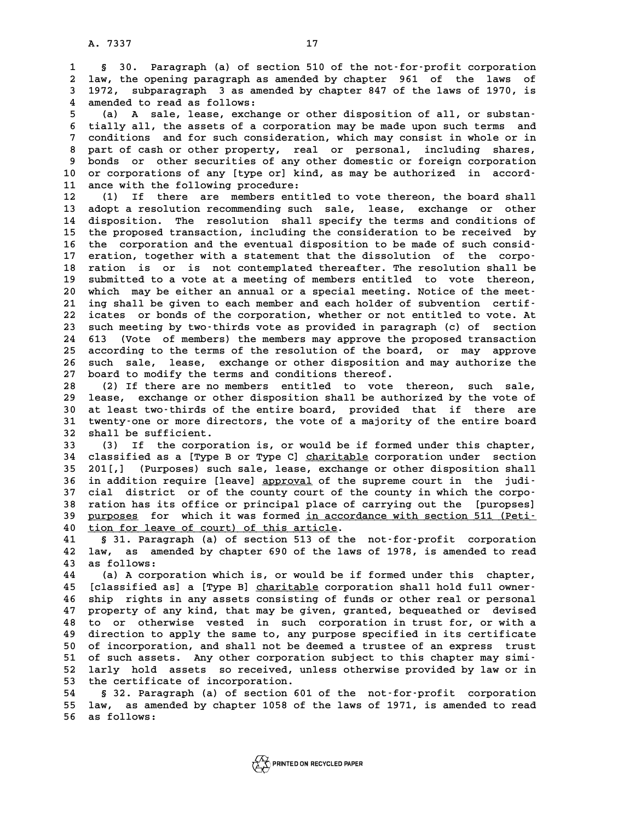**17**<br> **1** § 30. Paragraph (a) of section 510 of the not-for-profit corporation<br> **1** s 30. Paragraph (a) of section 510 of the not-for-profit corporation **2** 1 S 30. Paragraph (a) of section 510 of the not-for-profit corporation<br>2 law, the opening paragraph as amended by chapter 961 of the laws of<br>3 1972 subparagraph 3 as amended by chapter 847 of the laws of 1970 is **3 30. Paragraph (a) of section 510 of the not-for-profit corporation**<br>2 law, the opening paragraph as amended by chapter 961 of the laws of<br>3 1972, subparagraph 3 as amended by chapter 847 of the laws of 1970, is<br>4 amende 2 law, the opening paragraph as<br>3 1972, subparagraph 3 as amen<br>4 amended to read as follows: **5** (a) A subparagraph 3 as amended by chapter 847 of the laws of 1970, is<br> **4** amended to read as follows:<br> **5** (a) A sale, lease, exchange or other disposition of all, or substan-<br> **6** tially all the agasts of a sermanti

4 amended to read as follows:<br>
5 (a) A sale, lease, exchange or other disposition of all, or substan-<br>
6 tially all, the assets of a corporation may be made upon such terms and<br>
7 conditions and for such consideration, whi **7** (a) A sale, lease, exchange or other disposition of all, or substan-<br>6 tially all, the assets of a corporation may be made upon such terms and<br>7 conditions and for such consideration, which may consist in whole or in<br>2 8 tially all, the assets of a corporation may be made upon such terms and<br>
7 conditions and for such consideration, which may consist in whole or in<br>
8 part of cash or other property, real or personal, including shares,<br>
8 Ponditions and for such consideration, which may consist in whole or in<br> **9 bonds** or other securities of any other domestic or foreign corporation<br> **9 bonds** or other securities of any other domestic or foreign corporatio 8 part of cash or other property, real or personal, including shares,<br>
9 bonds or other securities of any other domestic or foreign corporation<br>
10 or corporations of any [type or] kind, as may be authorized in accord-<br>
<sup>1</sup> 9 bonds or other securities of any ot<br>10 or corporations of any [type or] kind<br>11 ance with the following procedure:<br><sup>11</sup> (1) If there are members ontitled 10 or corporations of any [type or] kind, as may be authorized in accord-<br>11 ance with the following procedure:<br>12 (1) If there are members entitled to vote thereon, the board shall<br>13 adopt a resolution recommending such

11 ance with the following procedure:<br>
12 (1) If there are members entitled to vote thereon, the board shall<br>
13 adopt a resolution recommending such sale, lease, exchange or other<br>
14 dignosition mbo resolution shall good 12 (1) If there are members entitled to vote thereon, the board shall<br>13 adopt a resolution recommending such sale, lease, exchange or other<br>14 disposition. The resolution shall specify the terms and conditions of<br>the prop 12 (1) If there are members entitled to vote thereon, the board shall<br>13 adopt a resolution recommending such sale, lease, exchange or other<br>14 disposition. The resolution shall specify the terms and conditions of<br>15 the p 14 disposition. The resolution shall specify the terms and conditions of<br>
15 the proposed transaction, including the consideration to be received by<br>
16 the corporation and the eventual disposition to be made of such consi the proposed transaction, including the consideration to be received by<br>
16 the corporation and the eventual disposition to be made of such consid-<br>
17 eration, together with a statement that the dissolution of the corpo-<br> **16 the corporation and the eventual disposition to be made of such consid-**<br>17 eration, together with a statement that the dissolution of the corpo-<br>18 ration is or is not contemplated thereafter. The resolution shall be<br> 17 eration, together with a statement that the dissolution of the corpo-<br>18 ration is or is not contemplated thereafter. The resolution shall be<br>19 submitted to a vote at a meeting of members entitled to vote thereon,<br>20 w 18 ration is or is not contemplated thereafter. The resolution shall be<br>
19 submitted to a vote at a meeting of members entitled to vote thereon,<br>
20 which may be either an annual or a special meeting. Notice of the meet-<br> 19 submitted to a vote at a meeting of members entitled to vote thereon,<br>
20 which may be either an annual or a special meeting. Notice of the meet-<br>
21 ing shall be given to each member and each holder of subvention certi 20 which may be either an annual or a special meeting. Notice of the meet-<br>21 ing shall be given to each member and each holder of subvention certif-<br>22 icates or bonds of the corporation, whether or not entitled to vote. 21 ing shall be given to each member and each holder of subvention certif-<br>22 icates or bonds of the corporation, whether or not entitled to vote. At<br>23 such meeting by two-thirds vote as provided in paragraph (c) of secti 22 icates or bonds of the corporation, whether or not entitled to vote. At<br>23 such meeting by two-thirds vote as provided in paragraph (c) of section<br>24 613 (Vote of members) the members may approve the proposed transactio 23 such meeting by two-thirds vote as provided in paragraph (c) of section 24 613 (Vote of members) the members may approve the proposed transaction 25 according to the terms of the resolution of the board, or may approve 24 613 (Vote of members) the members may approve the proposed transaction<br>25 according to the terms of the resolution of the board, or may approve<br>26 such sale, lease, exchange or other disposition and may authorize the<br>27 according to the terms of the resolution of the board such sale, lease, exchange or other disposition and conditions thereof.<br>27 board to modify the terms and conditions thereof.<br>28 (2) If there are no members entitled to

27 board to modify the terms and conditions thereof.<br>28 (2) If there are no members entitled to vote thereon, such sale,<br>29 lease, exchange or other disposition shall be authorized by the vote of **29 lease, exchange or other disposition shall be authorized by the vote of 30 100 at least two-thirds of the entire entire dependence of the entire board, provided that if there are**<br>**30** at least two-thirds of the entire board, provided that if there are<br>**31** two-twice or more directors, the wo 19 lease, exchange or other disposition shall be authorized by the vote of at least two-thirds of the entire board, provided that if there are twenty-one or more directors, the vote of a majority of the entire board 30 at least two-thirds of<br>31 twenty-one or more dire<br>32 shall be sufficient.<br><sup>33</sup> (3) If the corporat 31 twenty-one or more directors, the vote of a majority of the entire board<br>32 shall be sufficient.<br>33 (3) If the corporation is, or would be if formed under this chapter,<br>34 classified as a [Type B or Type C] charitable c

**32 shall be sufficient.**<br> **33** (3) If the corporation is, or would be if formed under this chapter,<br> **34 classified as a [Type B or Type C] charitable corporation under section**<br> **35 2011 1. (Durposes)** such sale, lease e **33** (3) If the corporation is, or would be if formed under this chapter,<br>34 classified as a [Type B or Type C] <u>charitable</u> corporation under section<br>35 201[,] (Purposes) such sale, lease, exchange or other disposition sh **34 classified as a [Type B or Type C] <u>charitable</u> corporation under section<br>35 201[,] (Purposes) such sale, lease, exchange or other disposition shall<br>36 in addition require [leave] <u>approval</u> of the supreme court in the** 35 201[,] (Purposes) such sale, lease, exchange or other disposition shall<br>36 in addition require [leave] <u>approval</u> of the supreme court in the judi-<br>37 cial district or of the county court of the county in which the corp **36 in addition require [leave] <u>approval</u> of the supreme court in the judi-<br>37 cial district or of the county court of the county in which the corpo-<br>38 ration has its office or principal place of carrying out the [purops** 37 cial district or of the county court of the county in which the corpo-<br>38 ration has its office or principal place of carrying out the [puropses]<br>39 <u>purposes</u> for which it was formed <u>in accordance with section 511 (Pe</u> 38 ration has its office or principal place of<br>39 <u>purposes</u> for which it was formed <u>in accord</u><br>40 <u>tion for leave of court) of this article</u>.<br>41 5 31 Paragraph (a) of section 513 of the

**41 gurposes for which it was formed in accordance with section 511 (Peti-**<br> **40 tion for leave of court) of this article.**<br> **41 § 31. Paragraph (a) of section 513 of the not-for-profit corporation**<br> **42 law, as amended by 40** <u>tion for leave of court) of this article</u>.<br>41 § 31. Paragraph (a) of section 513 of the not-for-profit corporation<br>42 law, as amended by chapter 690 of the laws of 1978, is amended to read<br>43 as follows. **41 5** 31. Paragr.<br> **42** law, as amen.<br> **43** as follows:

**44 (a) A corporation which is, or would be if formed under this chapter, 43 as follows:**<br>**44** (a) A corporation which is, or would be if formed under this chapter,<br>45 [classified as] a [Type B] <u>charitable</u> corporation shall hold full owner-<br>46 ship rights in any agasts consisting of funds or **44** (a) A corporation which is, or would be if formed under this chapter,<br>45 [classified as] a [Type B] <u>charitable</u> corporation shall hold full owner-<br>46 ship rights in any assets consisting of funds or other real or per **45 [classified as] a [Type B] charitable corporation shall hold full owner-**<br>**46 ship rights in any assets consisting of funds or other real or personal**<br>**47 property of any kind, that may be given, granted, bequeathed or 46 ship rights in any assets consisting of funds or other real or personal**<br>**47 property of any kind, that may be given, granted, bequeathed or devised**<br>**48 to or otherwise vested in such corporation in trust for, or with** 47 property of any kind, that may be given, granted, bequeathed or devised<br>48 to or otherwise vested in such corporation in trust for, or with a<br>49 direction to apply the same to, any purpose specified in its certificate<br>5 48 to or otherwise vested in such corporation in trust for, or with a<br>49 direction to apply the same to, any purpose specified in its certificate<br>50 of incorporation, and shall not be deemed a trustee of an express trust<br>5 49 direction to apply the same to, any purpose specified in its certificate<br>50 of incorporation, and shall not be deemed a trustee of an express trust<br>51 of such assets. Any other corporation subject to this chapter may si 50 of incorporation, and shall not be deemed a trustee of an express trust<br>51 of such assets. Any other corporation subject to this chapter may simi-<br>52 larly hold assets so received, unless otherwise provided by law or in 51 of such assets. Any other corporation subject to this chapter may simi-<br>52 larly hold assets so received, unless otherwise provided by law or in<br>53 the certificate of incorporation.<br>54 \$ 32. Paragraph (a) of section 601 52 larly hold assets so received, unless otherwise provided by law or in<br>53 the certificate of incorporation.<br>54 § 32. Paragraph (a) of section 601 of the not-for-profit corporation<br>55 law 25. Propied by chapter 1958 of th

53 the certificate of incorporation.<br>54 § 32. Paragraph (a) of section 601 of the not-for-profit corporation<br>55 law, as amended by chapter 1058 of the laws of 1971, is amended to read<br>56 as follows: 55 law, as amended by chapter 1058 of the laws of 1971, is amended to read 56 as follows:

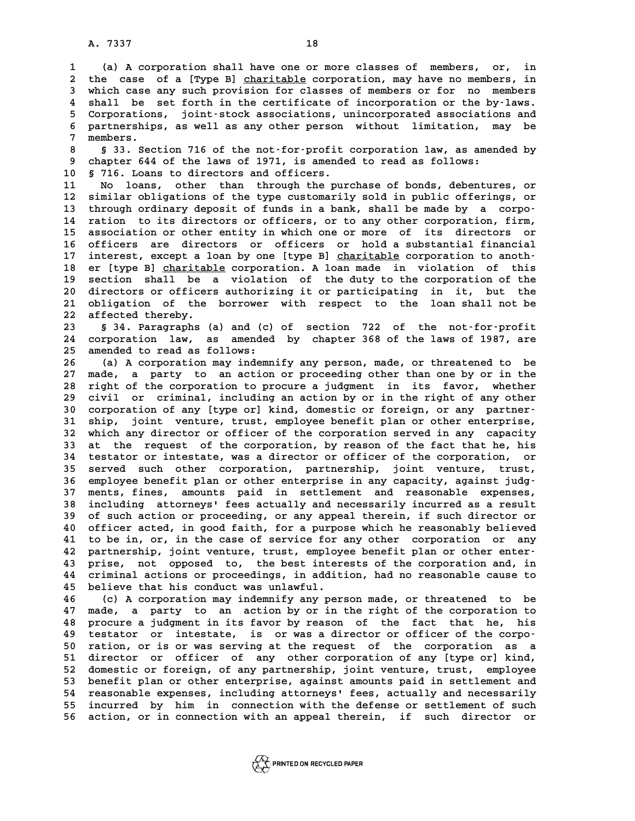A. 7337<br>1 (a) A corporation shall have one or more classes of members, or, in<br>2 the case of a [Type B] charitable corporation, may have no members, in 2 the case of a [Type B] charitable corporation, may have no members, in<br>3 which case any such provision for classes of members or for no members **3 which case any such provision for classes of members or for no members** 2 the case of a [Type B] charitable corporation, may have no members, in<br>3 which case any such provision for classes of members or for no members<br>4 shall be set forth in the certificate of incorporation or the by-laws.<br>5 C which case any such provision for classes of members or for no members<br>4 shall be set forth in the certificate of incorporation or the by-laws.<br>5 Corporations, joint-stock associations, unincorporated associations and<br>5 pa 4 shall be set forth in the certificate of incorporation or the by-laws.<br>5 Corporations, joint-stock associations, unincorporated associations and<br>6 partnerships, as well as any other person without limitation, may be<br><sup>7</sup> 5 Corporations, joint-stock associations, unincorporated associations and<br>6 partnerships, as well as any other person without limitation, may be<br>7 members.<br>8 \$ 33. Section 716 of the not-for-profit corporation law, as amen 8 **partnerships, as well as any other person without limitation, may be**<br>**8 § 33. Section 716 of the not-for-profit corporation law, as amended by**<br>**9 chapter 644 of the laws of 1971, is amended to read as follows:** 

**9 chapter 644 of the laws of 1971, is amended to read as follows:** 9 chapter 644 of the laws of 1971, is amended to read as follows:<br>10 § 716. Loans to directors and officers.<br>11 No loans, other than through the purchase of bonds, debentures, or<br>12 similar chlistians of the two sustanaril

**10 § 716. Loans to directors and officers. 10 § 716. Loans to directors and officers.**<br>**11 No loans, other than through the purchase of bonds, debentures, or**<br>**12 similar obligations of the type customarily sold in public offerings, or**<br>**13 through ordinary deposi** 12 similar obligations of the type customarily sold in public offerings, or<br>13 through ordinary deposit of funds in a bank, shall be made by a corpo<sup>1</sup><br>14 ration to its directors or officers, or to any other corporation, f 12 similar obligations of the type customarily sold in public offerings, or<br>13 through ordinary deposit of funds in a bank, shall be made by a corporation<br>14 ration to its directors or officers, or to any other corporation 13 through ordinary deposit of funds in a bank, shall be made by a corpo-<br>14 ration to its directors or officers, or to any other corporation, firm,<br>15 association or other entity in which one or more of its directors or<br>1 15 association or other entity in which one or more of its directors or<br>16 officers are directors or officers or hold a substantial financial<br>17 interest, except a loan by one [type B] charitable corporation to anoth-**15 association or other entity in which one or more of its directors or officers are directors or officers or hold a substantial financial interest, except a loan by one [type B] charitable corporation to anoth-<br>
<b>12. a 16 officers are directors or officers or hold a substantial financial<br>17 interest, except a loan by one [type B] <u>charitable</u> corporation to anoth-<br>18 er [type B] charitable corporation. A loan made in violation of this<br>c** 17 interest, except a loan by one [type B] <u>charitable</u> corporation to anoth-<br>18 er [type B] <u>charitable</u> corporation. A loan made in violation of this<br>19 section shall be a violation of the duty to the corporation of the<br> 18 er [type B] charitable corporation. A loan made in violation of this<br>19 section shall be a violation of the duty to the corporation of the<br>20 directors or officers authorizing it or participating in it, but the<br>21 chlig 19 section shall be a violation of the duty to the corporation of the<br>20 directors or officers authorizing it or participating in it, but the<br>21 obligation of the borrower with respect to the loan shall not be 20 directors or officer<br>21 obligation of the<br>22 affected thereby.<br><sup>23</sup> 5.34 Paragraphs ( 21 obligation of the borrower with respect to the loan shall not be<br>22 affected thereby.<br>23 § 34. Paragraphs (a) and (c) of section 722 of the not-for-profit<br>24 corporation law, as amended by chapter 368 of the laws of 198

22 affected thereby.<br>23 § 34. Paragraphs (a) and (c) of section 722 of the not-for-profit<br>24 corporation law, as amended by chapter 368 of the laws of 1987, are<br><sup>25</sup> amended to read as follows: 23 § 34. Paragraphs (a) and (c)<br>24 corporation law, as amended<br>25 amended to read as follows:<br>26 (a) a corporation may indown 24 corporation law, as amended by chapter 368 of the laws of 1987, are<br>25 amended to read as follows:<br>26 (a) A corporation may indemnify any person, made, or threatened to be<br><sup>27</sup> made, a party to an action or proceeding o

25 amended to read as follows:<br>
26 (a) A corporation may indemnify any person, made, or threatened to be<br>
27 made, a party to an action or proceeding other than one by or in the<br>
28 right of the corporation to procure a ju **28 (a) A corporation may indemnify any person, made, or threatened to be**<br>27 made, a party to an action or proceeding other than one by or in the<br>28 right of the corporation to procure a judgment in its favor, whether 27 made, a party to an action or proceeding other than one by or in the<br>28 right of the corporation to procure a judgment in its favor, whether<br>29 civil or criminal, including an action by or in the right of any other<br>20 c 28 right of the corporation to procure a judgment in its favor, whether<br>29 civil or criminal, including an action by or in the right of any other<br>30 corporation of any [type or] kind, domestic or foreign, or any partner-<br><sup></sup> 29 civil or criminal, including an action by or in the right of any other<br>30 corporation of any [type or] kind, domestic or foreign, or any partner-<br>31 ship, joint venture, trust, employee benefit plan or other enterprise, 30 corporation of any [type or] kind, domestic or foreign, or any partner-<br>31 ship, joint venture, trust, employee benefit plan or other enterprise,<br>32 which any director or officer of the corporation served in any capacit 31 ship, joint venture, trust, employee benefit plan or other enterprise,<br>32 which any director or officer of the corporation served in any capacity<br>33 at the request of the corporation, by reason of the fact that he, his<br> 32 which any director or officer of the corporation served in any capacity<br>33 at the request of the corporation, by reason of the fact that he, his 33 at the request of the corporation, by reason of the fact that he, his<br>34 testator or intestate, was a director or officer of the corporation, or<br>35 served such other corporation, partnership, joint venture, trust,<br>26 se 34 testator or intestate, was a director or officer of the corporation, or<br>35 served such other corporation, partnership, joint venture, trust,<br>36 employee benefit plan or other enterprise in any capacity, against judg-<br><sup>2</sup> 35 served such other corporation, partnership, joint venture, trust,<br>36 employee benefit plan or other enterprise in any capacity, against judg-<br>37 ments, fines, amounts paid in settlement and reasonable expenses,<br>38 inclu 36 employee benefit plan or other enterprise in any capacity, against judg-<br>37 ments, fines, amounts paid in settlement and reasonable expenses,<br>38 including attorneys' fees actually and necessarily incurred as a result<br>39 37 ments, fines, amounts paid in settlement and reasonable expenses,<br>38 including attorneys' fees actually and necessarily incurred as a result<br>39 of such action or proceeding, or any appeal therein, if such director or<br>40 **40 including attorneys' fees actually and necessarily incurred as a result**<br>**40 officer acted, in good faith, for a purpose which he reasonably believed**<br>**41 to be in oxy in the gase of service for any other corporation o** 40 officer acted, in good faith, for a purpose which he reasonably believed<br>41 to be in, or, in the case of service for any other corporation or any<br>42 partnership, joint venture, trust, employee benefit plan or other ente **42 partnership, joint venture, trust, employee benefit plan or other enter-43 prise, not opposed to, the best interests of the corporation and, in** 42 partnership, joint venture, trust, employee benefit plan or other enter-<br>43 prise, not opposed to, the best interests of the corporation and, in<br>44 criminal actions or proceedings, in addition, had no reasonable cause t 43 prise, not opposed to, the best inter<br>44 criminal actions or proceedings, in addit<br>45 believe that his conduct was unlawful. **44 criminal actions or proceedings, in addition, had no reasonable cause to**<br>45 believe that his conduct was unlawful.<br>46 (c) A corporation may indemnify any person made, or threatened to be<br>47 made, a party to an adding

**45 believe that his conduct was unlawful.**<br>46 (c) A corporation may indemnify any person made, or threatened to be<br>47 made, a party to an action by or in the right of the corporation to<br>48 programs a indemnation its fares 46 (c) A corporation may indemnify any person made, or threatened to be<br>47 made, a party to an action by or in the right of the corporation to<br>48 procure a judgment in its favor by reason of the fact that he, his<br>19 testat 47 made, a party to an action by or in the right of the corporation to<br>48 procure a judgment in its favor by reason of the fact that he, his<br>49 testator or intestate, is or was a director or officer of the corpo-<br>50 ration 48 procure a judgment in its favor by reason of the fact that he, his<br>49 testator or intestate, is or was a director or officer of the corpo-<br>50 ration, or is or was serving at the request of the corporation as a<br>51 direct **51** director or intestate, is or was a director or officer of the corporation, or is or was serving at the request of the corporation as a director or officer of any other corporation of any [type or] kind,<br>52 demostic or 50 ration, or is or was serving at the request of the corporation as a<br>51 director or officer of any other corporation of any [type or] kind,<br>52 domestic or foreign, of any partnership, joint venture, trust, employee<br>benef 51 director or officer of any other corporation of any [type or] kind,<br>52 domestic or foreign, of any partnership, joint venture, trust, employee<br>53 benefit plan or other enterprise, against amounts paid in settlement and<br> 52 domestic or foreign, of any partnership, joint venture, trust, employee<br>53 benefit plan or other enterprise, against amounts paid in settlement and<br>54 reasonable expenses, including attorneys' fees, actually and necessa 53 benefit plan or other enterprise, against amounts paid in settlement and<br>54 reasonable expenses, including attorneys' fees, actually and necessarily<br>55 incurred by him in connection with the defense or settlement of suc 54 reasonable expenses, including attorneys' fees, actually and necessarily<br>55 incurred by him in connection with the defense or settlement of such<br>56 action, or in connection with an appeal therein, if such director or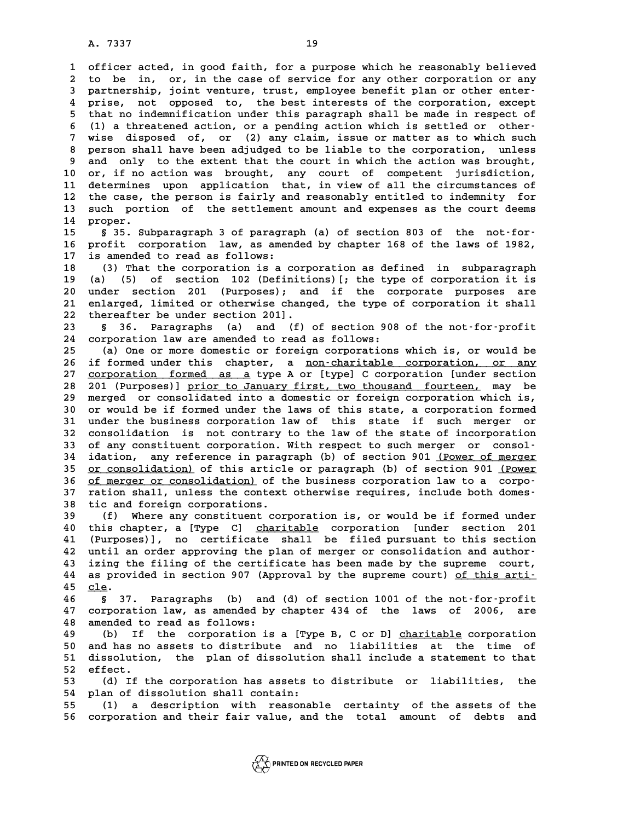**1 officer acted, in good faith, for a purpose which he reasonably believed 2** to be in, or, in good faith, for a purpose which he reasonably believed<br>2 to be in, or, in the case of service for any other corporation or any<br>3 partnership, joint venture, trust, employee benefit plan or other enter. 1 officer acted, in good faith, for a purpose which he reasonably believed<br>
2 to be in, or, in the case of service for any other corporation or any<br>
3 partnership, joint venture, trust, employee benefit plan or other enter 2 to be in, or, in the case of service for any other corporation or any<br>3 partnership, joint venture, trust, employee benefit plan or other enter-<br>4 prise, not opposed to, the best interests of the corporation, except<br>5 th **5** partnership, joint venture, trust, employee benefit plan or other enter-<br>4 prise, not opposed to, the best interests of the corporation, except<br>5 that no indemnification under this paragraph shall be made in respect of 4 prise, not opposed to, the best interests of the corporation, except<br>
5 that no indemnification under this paragraph shall be made in respect of<br>
6 (1) a threatened action, or a pending action which is settled or other-<br> <sup>5</sup> that no indemnification under this paragraph shall be made in respect of (1) a threatened action, or a pending action which is settled or other-<br>7 wise disposed of, or (2) any claim, issue or matter as to which such<br>pa 8 (1) a threatened action, or a pending action which is settled or other-<br>7 wise disposed of, or (2) any claim, issue or matter as to which such<br>8 person shall have been adjudged to be liable to the corporation, unless<br>2 a 9 wise disposed of, or (2) any claim, issue or matter as to which such<br>8 person shall have been adjudged to be liable to the corporation, unless<br>9 and only to the extent that the court in which the action was brought, **10 or, if no action was brought, any court of competent jurisdiction,** 9 and only to the extent that the court in which the action was brought,<br>10 or, if no action was brought, any court of competent jurisdiction,<br>11 determines upon application that, in view of all the circumstances of<br>the ca 10 or, if no action was brought, any court of competent jurisdiction,<br>11 determines upon application that, in view of all the circumstances of<br>12 the case, the person is fairly and reasonably entitled to indemnity for<br>13 s 11 determines upon application that, in view of all the circumstances of<br>12 the case, the person is fairly and reasonably entitled to indemnity for<br>13 such portion of the settlement amount and expenses as the court deems<br>1 12 the case,<br>13 such port<br>14 proper.<br>15 s<sup>25</sup> sui 13 such portion of the settlement amount and expenses as the court deems<br>
14 proper.<br>
5 35. Subparagraph 3 of paragraph (a) of section 803 of the not-for-<br>
16 profit corporation law as amonded by shapter 168 of the law of

14 proper.<br>15 § 35. Subparagraph 3 of paragraph (a) of section 803 of the not-for-<br>16 profit corporation law, as amended by chapter 168 of the laws of 1982,<br>17 is amended to read as follows: 15 **s** 35. Subparagraph 3 of paragram<br>16 profit corporation law, as amen<br>17 is amended to read as follows: **16 profit corporation law, as amended by chapter 168 of the laws of 1982,<br>17 is amended to read as follows:**<br>(3) That the corporation is a corporation as defined in subparagraph<br>19 (a) (5) of soction 102 (Definitionals th

**17** is amended to read as follows:<br> **18** (3) That the corporation is a corporation as defined in subparagraph<br> **19** (a) (5) of section 102 (Definitions)[; the type of corporation it is<br>
20 under section 201 (Durneses), an **20 under section 201 (Purposes); and if the corporate purposes are** 19 (a) (5) of section 102 (Definitions) [; the type of corporation it is 20 under section 201 (Purposes); and if the corporate purposes are 21 enlarged, limited or otherwise changed, the type of corporation it shall therea 20 under section 201 (Purposes); and if the corporate purposes are<br>21 enlarged, limited or otherwise changed, the type of corporation it shall<br>22 thereafter be under section 201].<br>23 § 36. Paragraphs (a) and (f) of section 21 enlarged, limited or otherwise changed, the type of corporation it shall<br>22 thereafter be under section 201].<br>23 § 36. Paragraphs (a) and (f) of section 908 of the not-for-profit<br>24 corporation law are amended to read a

22 thereafter be under section 201].<br>
23 § 36. Paragraphs (a) and (f) of section 908<br>
24 corporation law are amended to read as follows:<br>
25 (a) Ope or more demostic or foreign corporations **23** § 36. Paragraphs (a) and (f) of section 908 of the not-for-profit<br>24 corporation law are amended to read as follows:<br>25 (a) One or more domestic or foreign corporations which is, or would be<br>26 if formed under this sh

24 corporation law are amended to read as follows:<br>25 (a) One or more domestic or foreign corporations which is, or would be<br>26 if formed under this chapter, a <u>non-charitable corporation, or any</u><br>27 corporation formed as 25 (a) One or more domestic or foreign corporations which is, or would be<br>26 if formed under this chapter, a <u>non-charitable corporation, or any</u><br>27 <u>corporation formed as a</u> type A or [type] C corporation [under section<br>2 26 if formed under this chapter, a <u>non-charitable corporation, or any</u><br>27 <u>corporation formed as a</u> type A or [type] C corporation [under section<br>28 201 (Purposes)] prior to January first, two thousand fourteen, may be<br>29 27 <u>corporation formed as a</u> type A or [type] C corporation [under section 28 201 (Purposes)] prior to January first, two thousand fourteen, may be merged or consolidated into a domestic or foreign corporation which is, or 20 201 (Purposes)] <u>prior to January first, two thousand fourteen</u>, may be merged or consolidated into a domestic or foreign corporation which is, or would be if formed under the laws of this state, a corporation formed<br>31 **39 merged or consolidated into a domestic or foreign corporation which is,<br>30 or would be if formed under the laws of this state, a corporation formed<br>31 under the business corporation law of this state if such merger or<br>** 30 or would be if formed under the laws of this state, a corporation formed<br>31 under the business corporation law of this state if such merger or<br>32 consolidation is not contrary to the law of the state of incorporation<br>33 31 under the business corporation law of this state if such merger or<br>32 consolidation is not contrary to the law of the state of incorporation<br>33 of any constituent corporation. With respect to such merger or consol-<br>34 i consolidation is not contrary to the law of the state of incorporation 33 of any constituent corporation. With respect to such merger or consol-<br>34 idation, any reference in paragraph (b) of section 901 <u>(Power of merger</u><br>35 <u>or consolidation</u>) of this article or paragraph (b) of section 901 34 idation, any reference in paragraph (b) of section 901 <u>(Power of merger</u><br>35 <u>or consolidation</u>) of this article or paragraph (b) of section 901 <u>(Power</u><br>36 <u>of merger or consolidation</u>) of the business corporation law 35 <u>or consolidation</u>) of this article or paragraph (b) of section 901 (Power<br>36 <u>of merger or consolidation</u>) of the business corporation law to a corpo-<br>37 ration shall, unless the context otherwise requires, include bot 36 of merger or consolidation) of the business corporation law to a corporation shall, unless the context otherwise requires, include both domes-<br>38 tic and foreign corporations.<br>(f) Where any constituent corporation is, o 37 ration shall, unless the context otherwise requires, include both domes-<br>38 tic and foreign corporations.<br>39 (f) Where any constituent corporation is, or would be if formed under<br>40 this chapter, a Type Cl charitable co

**40 this chapter, a [Type C] charitable corporation [under section 201 \_\_\_\_\_\_\_\_\_\_ 41 (F)** Where any constituent corporation is, or would be if formed under<br>
40 this chapter, a [Type C] charitable corporation [under section 201<br>
41 (Purposes)], no certificate shall be filed pursuant to this section<br>
42 40 this chapter, a [Type C] <u>charitable</u> corporation [under section 2014] (Purposes)], no certificate shall be filed pursuant to this section 42 until an order approving the plan of merger or consolidation and author-<br><sup>42</sup> 41 (Purposes)], no certificate shall be filed pursuant to this section<br>42 until an order approving the plan of merger or consolidation and author-<br>43 izing the filing of the certificate has been made by the supreme court,<br> 42 until an order approving the plan of merger or consolidation and author-<br>43 izing the filing of the certificate has been made by the supreme court,<br>44 as provided in section 907 (Approval by the supreme court) <u>of this </u> **43** izing t<br>**44** as prov<br>**45** cle.<br>*16* 5 37 **44 as provided in section 907 (Approval by the supreme court) <u>of this arti-</u><br>45 <u>cle</u>.<br>46 § 37. Paragraphs (b) and (d) of section 1001 of the not-for-profit<br>47 corporation law as amonded by chanter 434 of the laws of 200** 

45 cle.<br>46 § 37. Paragraphs (b) and (d) of section 1001 of the not-for-profit<br>47 corporation law, as amended by chapter 434 of the laws of 2006, are 46 § 37. Paragraphs (b) and<br>47 corporation law, as amended by<br>48 amended to read as follows:<br><sup>49</sup> (b) If the corporation is **47 corporation law, as amended by chapter 434 of the laws of 2006, are<br>48 amended to read as follows:<br>(b) If the corporation is a [Type B, C or D] <u>charitable</u> corporation<br>50 and bas po assets to distribute and no lightli** 

**50 48 amended to read as follows:**<br> **50 and has no assets to distribute and no liabilities at the time of**<br> **50 and has no assets to distribute and no liabilities at the time of**<br> **51 discolution** the plan of dissolution **49** (b) If the corporation is a [Type B, C or D] <u>charitable</u> corporation<br>50 and has no assets to distribute and no liabilities at the time of<br>51 dissolution, the plan of dissolution shall include a statement to that<br>52 e 50 and has no<br>51 dissolution<br>52 effect.<br>53 (d) If t 51 dissolution, the plan of dissolution shall include a statement to that<br>52 effect.<br>53 (d) If the corporation has assets to distribute or liabilities, the<br>54 plan of dissolution shall contain:

52 effect.<br>
53 (d) If the corporation has assets t<br>
54 plan of dissolution shall contain:<br>
55 (1) a description with reasonab **53** (d) If the corporation has assets to distribute or liabilities, the<br>54 plan of dissolution shall contain:<br>55 (1) a description with reasonable certainty of the assets of the<br>56 corporation and their fair walve and the

**56 corporation and their fair value, and the total amount of debts and**

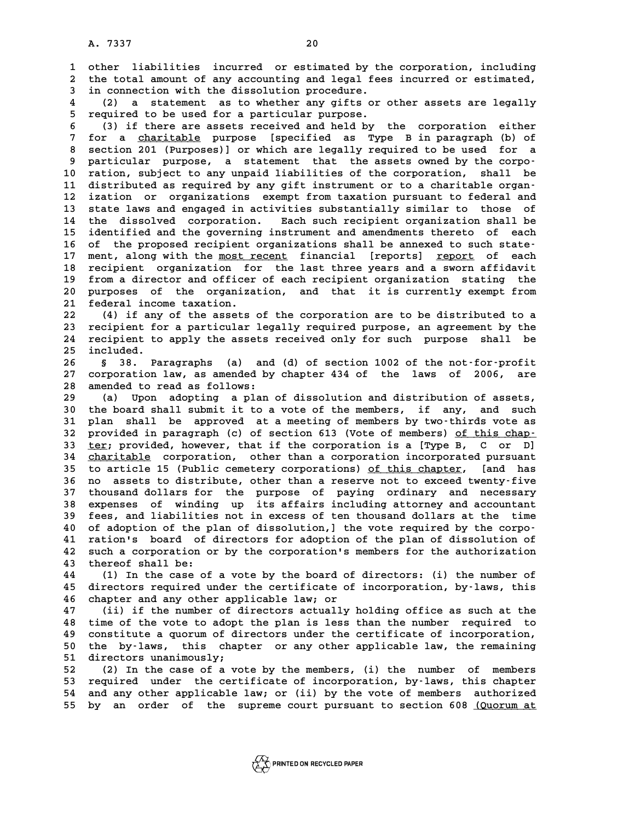**1 other liabilities incurred or estimated by the corporation, including** 1 other liabilities incurred or estimated by the corporation, including<br>2 the total amount of any accounting and legal fees incurred or estimated,<br>3 in connection with the dissolution procedure 1 other liabilities incurred or estimated by th<br>2 the total amount of any accounting and legal fee<br>3 in connection with the dissolution procedure. 2 the total amount of any accounting and legal fees incurred or estimated,<br>3 in connection with the dissolution procedure.<br>4 (2) a statement as to whether any gifts or other assets are legally<br>5 required to be used for a p

3 in connection with the dissolution procedure.<br>4 (2) a statement as to whether any gifts or<br>5 required to be used for a particular purpose.<br>6 (3) if there are against reserved and bold by **6 (2) a statement as to whether any gifts or other assets are legally<br>
<b>6 (3) if there are assets received and held by the corporation either**<br> **6 (3) if there are assets received and held by the corporation either**<br> **6 (** 

**7 for a charitable purpose [specified as Type B in paragraph (b) of \_\_\_\_\_\_\_\_\_\_ 8 (3) if there are assets received and held by the corporation either**<br> **8 section 201 (Purposes)] or which are legally required to be used for a**<br> **8 particular nurposes)] or which are legally required to be used for a**<br> **9 particular purpose is pecified as Type B in paragraph (b) of section 201 (Purposes)] or which are legally required to be used for a particular purpose, a statement that the assets owned by the corpo-<br>
<b>Particular purpos 10 ration, subject to any unpaid liabilities of the corporation, shall be** 9 particular purpose, a statement that the assets owned by the corporation, subject to any unpaid liabilities of the corporation, shall be distributed as required by any gift instrument or to a charitable organ-<br>
<sup>11</sup> inst IO ration, subject to any unpaid liabilities of the corporation, shall be<br>11 distributed as required by any gift instrument or to a charitable organ-<br>12 ization or organizations exempt from taxation pursuant to federal and 11 distributed as required by any gift instrument or to a charitable organ-<br>12 ization or organizations exempt from taxation pursuant to federal and<br>13 state laws and engaged in activities substantially similar to those of 12 ization or organizations exempt from taxation pursuant to federal and<br>13 state laws and engaged in activities substantially similar to those of<br>14 the dissolved corporation. Each such recipient organization shall be<br>ide 13 state laws and engaged in activities substantially similar to those of<br>14 the dissolved corporation. Each such recipient organization shall be<br>15 identified and the governing instrument and amendments thereto of each<br>16 14 the dissolved corporation. Each such recipient organization shall be identified and the governing instrument and amendments thereto of each 16 of the proposed recipient organizations shall be annexed to such state-<br>17 m 15 identified and the governing instrument and amendments thereto of each<br>16 of the proposed recipient organizations shall be annexed to such state-<br>17 ment, along with the <u>most recent</u> financial [reports] <u>report</u> of eac 16 of the proposed recipient organizations shall be annexed to such state-<br>17 ment, along with the <u>most recent</u> financial [reports] <u>report</u> of each<br>18 recipient organization for the last three years and a sworn affidavit 17 ment, along with the <u>most recent</u> financial [reports] <u>report</u> of each recipient organization for the last three years and a sworn affidavit<br>19 from a director and officer of each recipient organization stating the<br>20 18 recipient organization for the last three years and a sworn affidavit<br>19 from a director and officer of each recipient organization stating the<br>20 purposes of the organization, and that it is currently exempt from<br>21 fe 19 from a director and officer of each recipient organization stating the<br>20 purposes of the organization, and that it is currently exempt from<br>21 federal income taxation.<br>22 (4) if any of the assets of the corporation are

**22 (4) if any of the assets of the corporation are to be distributed to a 21 federal income taxation.**<br>
22 (4) if any of the assets of the corporation are to be distributed to a<br>
23 recipient for a particular legally required purpose, an agreement by the<br>
24 required to apply the aggets require **22** (4) if any of the assets of the corporation are to be distributed to a<br>23 recipient for a particular legally required purpose, an agreement by the<br>24 recipient to apply the assets received only for such purpose shall 23 recipient fo<br>24 recipient to<br>25 included.<br>26 s 24 recipient to apply the assets received only for such purpose shall be<br>25 included.<br>26 § 38. Paragraphs (a) and (d) of section 1002 of the not-for-profit<br>27 corporation law, as amended by chapter 434 of the laws of 2006,

25 included.<br>26 § 38. Paragraphs (a) and (d) of section 1002 of the not-for-profit<br>27 corporation law, as amended by chapter 434 of the laws of 2006, are<br>28 corporated to read as follows: 26 § 38. Paragraphs (a) and<br>27 corporation law, as amended by<br>28 amended to read as follows:<br><sup>29</sup> (a) Upon adopting a plan

28 amended to read as follows:<br>29 (a) Upon adopting a plan of dissolution and distribution of assets,<br>30 the board shall submit it to a vote of the members, if any, and such **30 the board shall submit it to a vote of the members, if any, and such 39** (a) Upon adopting a plan of dissolution and distribution of assets,<br>30 the board shall submit it to a vote of the members, if any, and such<br>31 plan shall be approved at a meeting of members by two-thirds vote as<br>32 pr 30 the board shall submit it to a vote of the members, if any, and such<br>31 plan shall be approved at a meeting of members by two-thirds vote as<br>32 provided in paragraph (c) of section 613 (Vote of members) <u>of this chap-</u><br> **31 plan shall be approved at a meeting of members by two-thirds vote as<br>32 provided in paragraph (c) of section 613 (Vote of members) <u>of this chap-</u><br>33 <u>ter</u>; provided, however, that if the corporation is a [Type B, C or** 32 provided in paragraph (c) of section 613 (Vote of members) <u>of this chap-</u><br>33 <u>ter</u>; provided, however, that if the corporation is a [Type B, C or D]<br>34 <u>charitable</u> corporation, other than a corporation incorporated pu **33 ter; provided, however, that if the corporation is a [Type B, C or D]**<br> **34 charitable corporation, other than a corporation incorporated pursuant**<br> **35 to article 15 (Public cemetery corporations) <u>of this chapter</u>, [** 34 charitable corporation, other than a corporation incorporated pursuant<br>35 to article 15 (Public cemetery corporations) <u>of this chapter</u>, [and has<br>36 no assets to distribute, other than a reserve not to exceed twenty-fi **35 to article 15 (Public cemetery corporations) of this chapter, [and has**<br>36 no assets to distribute, other than a reserve not to exceed twenty-five<br>37 thousand dollars for the purpose of paying ordinary and necessary<br>28 36 no assets to distribute, other than a reserve not to exceed twenty-five<br>37 thousand dollars for the purpose of paying ordinary and necessary<br>38 expenses of winding up its affairs including attorney and accountant<br>5000 a 37 thousand dollars for the purpose of paying ordinary and necessary<br>38 expenses of winding up its affairs including attorney and accountant<br>39 fees, and liabilities not in excess of ten thousand dollars at the time<br>40 of 38 expenses of winding up its affairs including attorney and accountant<br>39 fees, and liabilities not in excess of ten thousand dollars at the time<br>40 of adoption of the plan of dissolution,] the vote required by the corpo-**41 11 12 11 12 11 12 11 12 11 12 11 12 11 12 11 12 11 12 11 12 11 12 11 12 11 12 11 12 11 12 11 12 11 12 11 12 11 12 11 12 11 12 11 12 11 12 11 12 11 12 11 12 11 12 11 12 11 12 11 12 11 12 11 12 11 12 11 12 11 12 11 12 11** 40 of adoption of the plan of dissolution,] the vote required by the corpo-<br>41 ration's board of directors for adoption of the plan of dissolution of<br>42 such a corporation or by the corporation's members for the authorizat 41 ration's board of<br>42 such a corporation of<br>43 thereof shall be:<br><sup>44</sup> (1) In the gase of

**44 (1) In the case of a vote by the board of directors: (i) the number of 43 thereof shall be:**<br>44 (1) In the case of a vote by the board of directors: (i) the number of<br>45 directors required under the certificate of incorporation, by-laws, this<br>46 shapter and any other applicable laws or 44 (1) In the case of a vote by the board of<br>45 directors required under the certificate of<br>46 chapter and any other applicable law; or<br>47 (ii) if the number of directors actually

46 chapter and any other applicable law; or<br>47 (ii) if the number of directors actually holding office as such at the<br>48 time of the vote to adopt the plan is less than the number required to do chapter and any other applicable law; or<br>
47 (ii) if the number of directors actually holding office as such at the<br>
48 time of the vote to adopt the plan is less than the number required to<br>
19 constitute a guerum of d 47 (ii) if the number of directors actually holding office as such at the<br>48 time of the vote to adopt the plan is less than the number required to<br>49 constitute a quorum of directors under the certificate of incorporation 48 time of the vote to adopt the plan is less than the number required to constitute a quorum of directors under the certificate of incorporation,<br>50 the by-laws, this chapter or any other applicable law, the remaining<br>51 49 constitute a quorum of di<br>50 the by-laws, this chap<br>51 directors unanimously;<br>52 (2) In the gase of a Ve 50 the by-laws, this chapter or any other applicable law, the remaining<br>51 directors unanimously;<br>52 (2) In the case of a vote by the members, (i) the number of members<br>53 required under the certificate of incorporation by

51 directors unanimously;<br>
52 (2) In the case of a vote by the members, (i) the number of members<br>
53 required under the certificate of incorporation, by-laws, this chapter<br>
54 and any other applicable law; or (ii) by the 52 (2) In the case of a vote by the members, (i) the number of members<br>53 required under the certificate of incorporation, by-laws, this chapter<br>54 and any other applicable law; or (ii) by the vote of members authorized<br>55 53 required under the certificate of incorporation, by laws, this chapter<br>54 and any other applicable law; or (ii) by the vote of members authorized<br>55 by an order of the supreme court pursuant to section 608 <u>(Quorum at</u>

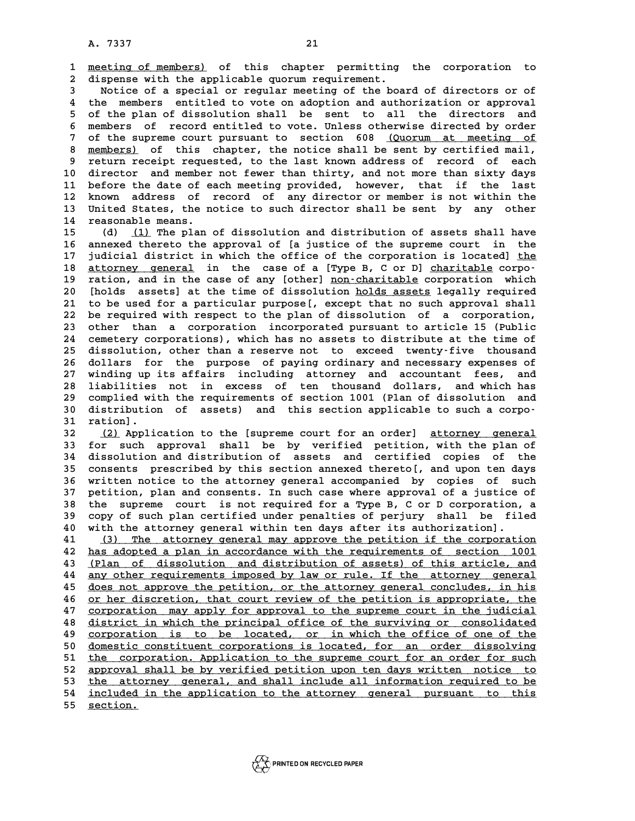A. 7337<br>1 <u>meeting of members)</u> of this chapter permitting the corporation to<br>2 dignonse with the applicable guerum requirement **2** <u>meeting of members)</u> of this chapter permitting<br>2 dispense with the applicable quorum requirement.<br>3 Motice of a special or requier meeting of the boa **3** <u>meeting of members</u>) of this chapter permitting the corporation to<br> **3** dispense with the applicable quorum requirement.<br>
3 Notice of a special or regular meeting of the board of directors or of<br>  $\frac{1}{2}$  the member

dispense with the applicable quorum requirement.<br>
3 Notice of a special or regular meeting of the board of directors or of<br>
4 the members entitled to vote on adoption and authorization or approval<br>
5 of the plan of dissolu **5** Notice of a special or regular meeting of the board of directors or of<br>4 the members entitled to vote on adoption and authorization or approval<br>5 of the plan of dissolution shall be sent to all the directors and<br>5 memb 4 the members entitled to vote on adoption and authorization or approval<br>5 of the plan of dissolution shall be sent to all the directors and<br>6 members of record entitled to vote. Unless otherwise directed by order<br>7 of the 5 of the plan of dissolution shall be sent to all the directors and<br>6 members of record entitled to vote. Unless otherwise directed by order<br>7 of the supreme court pursuant to section 608 <u>(Quorum at meeting of</u><br>members) o 6 members of record entitled to vote. Unless otherwise directed by order<br>7 of the supreme court pursuant to section 608 <u>(Quorum at meeting of</u><br>8 <u>members)</u> of this chapter, the notice shall be sent by certified mail,<br>8 ro 9 of the supreme court pursuant to section 608 <u>(Quorum at meeting of</u><br>
8 <u>members)</u> of this chapter, the notice shall be sent by certified mail,<br>
9 return receipt requested, to the last known address of record of each<br>
8 8 <u>members</u>) of this chapter, the notice shall be sent by certified mail,<br>9 return receipt requested, to the last known address of record of each<br>10 director and member not fewer than thirty, and not more than sixty days<br><sup></sup> 9 return receipt requested, to the last known address of record of each director and member not fewer than thirty, and not more than sixty days 11 before the date of each meeting provided, however, that if the last<br><sup>12</sup> kn 10 director and member not fewer than thirty, and not more than sixty days<br>11 before the date of each meeting provided, however, that if the last<br>12 known address of record of any director or member is not within the<br>13 Un 11 before the date of each meeting provided, however, that if the last<br>12 known address of record of any director or member is not within the<br>13 United States, the notice to such director shall be sent by any other 12 known address of<br>13 United States, the n<br>14 reasonable means.<br>15 (d) (1) The plan **13 United States, the notice to such director shall be sent by any other reasonable means.**<br> **15** (d) <u>(1)</u> The plan of dissolution and distribution of assets shall have<br> **16 annexed thereto the approval of La** justice of

**16 annexed thereto the approval of [a justice of the supreme court in the 17** judicial district in which the office of the corporation is located] <u>the</u><br>18 attorney general in the case of a [Type B, C or D] charitable corpo-**16 annexed thereto the approval of [a justice of the supreme court in the judicial district in which the office of the corporation is located] <u>the</u> attorney general in the case of a [Type B, C or D] <u>charitable</u> corpo-<br> 17** judicial district in which the office of the corporation is located] <u>the</u><br>18 <u>attorney general</u> in the case of a [Type B, C or D] <u>charitable</u> corporation, and in the case of any [other] <u>non-charitable</u> corporation **20 attorney general in the case of a [Type B, C or D] charitable corporation, and in the case of any [other] <u>non-charitable</u> corporation which<br>20 [holds assets] at the time of dissolution <u>holds assets</u> legally required<br>** 19 ration, and in the case of any [other] <u>non-charitable</u> corporation which<br>20 [holds assets] at the time of dissolution <u>holds assets</u> legally required<br>21 to be used for a particular purpose[, except that no such approva **22 be required with respect to the plan of dissolution of a corporation,** 21 to be used for a particular purpose [, except that no such approval shall<br>22 be required with respect to the plan of dissolution of a corporation,<br>23 other than a corporation incorporated pursuant to article 15 (Public<br> 22 be required with respect to the plan of dissolution of a corporation,<br>23 other than a corporation incorporated pursuant to article 15 (Public<br>24 cemetery corporations), which has no assets to distribute at the time of<br>2 23 other than a corporation incorporated pursuant to article 15 (Public<br>24 cemetery corporations), which has no assets to distribute at the time of<br>25 dissolution, other than a reserve not to exceed twenty-five thousand<br>26 24 cemetery corporations), which has no assets to distribute at the time of<br>25 dissolution, other than a reserve not to exceed twenty-five thousand<br>26 dollars for the purpose of paying ordinary and necessary expenses of<br>27 25 dissolution, other than a reserve not to exceed twenty-five thousand<br>26 dollars for the purpose of paying ordinary and necessary expenses of<br>27 winding up its affairs including attorney and accountant fees, and<br>19 light 26 dollars for the purpose of paying ordinary and necessary expenses of 27 winding up its affairs including attorney and accountant fees, and 28 liabilities not in excess of ten thousand dollars, and which has complied wit 27 winding up its affairs including attorney and accountant fees, and<br>28 liabilities not in excess of ten thousand dollars, and which has<br>29 complied with the requirements of section 1001 (Plan of dissolution and<br>20 distri 28 liabilities not in excess of ten thousand dollars, and which has<br>29 complied with the requirements of section 1001 (Plan of dissolution and<br>30 distribution of assets) and this section applicable to such a corpo-<br><sup>31</sup> ra 29 complied wi<br>30 distribution<br>31 ration]. 30 distribution of assets) and this section applicable to such a corpo-<br>31 ration].<br>32 <u>(2)</u> Application to the [supreme court for an order] <u>attorney general</u><br>33 for such approval shall be by verified petition with the pl

**31 ration].**<br> **32** (2) Application to the [supreme court for an order] <u>attorney general</u><br> **33** for such approval shall be by verified petition, with the plan of<br> **24** discolution and distribution of assets and sertified **32 (2) Application to the [supreme court for an order] <u>attorney general</u><br>33 for such approval shall be by verified petition, with the plan of<br>34 dissolution and distribution of assets and certified copies of the<br>35 copie** 33 for such approval shall be by verified petition, with the plan of<br>34 dissolution and distribution of assets and certified copies of the<br>35 consents prescribed by this section annexed thereto[, and upon ten days<br><sup>36</sup> uni **34 dissolution and distribution of assets and certified copies of the consents prescribed by this section annexed thereto[, and upon ten days written notice to the attorney general accompanied by copies of such<br>
<b>37 potit** 35 consents prescribed by this section annexed thereto[, and upon ten days<br>36 written notice to the attorney general accompanied by copies of such<br>37 petition, plan and consents. In such case where approval of a justice of 36 written notice to the attorney general accompanied by copies of such<br>37 petition, plan and consents. In such case where approval of a justice of<br>38 the supreme court is not required for a Type B, C or D corporation, a<br>3 37 petition, plan and consents. In such case where approval of a justice of<br>38 the supreme court is not required for a Type B, C or D corporation, a<br>39 copy of such plan certified under penalties of perjury shall be filed<br> <sup>4</sup> the supreme court is not required for a Type B, C or D corporation,<br>
<sup>40</sup> with the attorney general within ten days after its authorization].<br>
<sup>41</sup> (3) The attorney general may approve the petition if the corporation

copy of such plan certified under penalties of perjury shall be filed<br>40 with the attorney general within ten days after its authorization].<br>41 (3) The attorney general may approve the petition if the corporation<br>42 has ad **42** <u>has adopted a plan in accordance with the requirements of section 1001</u><br>43 <u>(Plan of dissolution and distribution of assets) of this article, and</u> **41 (3) The attorney general may approve the petition if the corporation**<br>42 has adopted a plan in accordance with the requirements of section 1001<br>43 (Plan of dissolution and distribution of assets) of this article, and<br>4 A and the requirements of section 1001<br>
43 (Plan of dissolution and distribution of assets) of this article, and<br>
44 any other requirements imposed by law or rule. If the attorney general<br>
45 does not approve the potition 43 (Plan of dissolution and distribution of assets) of this article, and<br>44 any other requirements imposed by law or rule. If the attorney general<br>45 <u>does not approve the petition, or the attorney general concludes, in hi</u> 44 any other requirements imposed by law or rule. If the attorney general<br>45 <u>does not approve the petition, or the attorney general concludes, in his</u><br>46 <u>or her discretion, that court review of the petition is appropriat</u> does not approve the petition, or the attorney general concludes, in his<br>
or her discretion, that court review of the petition is appropriate, the<br>
<u>corporation may apply for approval to the supreme court in the judicial</u><br> or her discretion, that court review of the petition is appropriate, the<br>47 corporation may apply for approval to the surveme court in the judicial<br>48 district in which the principal office of the surviving or consolidated **47** corporation may apply for approval to the supreme court in the judicial<br>48 district in which the principal office of the surviving or consolidated<br>49 corporation is to be located, or in which the office of one of the<br> district in which the principal office of the surviving or consolidated<br>49 <u>corporation is to be located, or in which the office of one of the</u><br>50 <u>domestic constituent corporations is located, for an order dissolving</u><br>the corporation is to be located, or in which the office of one of the<br>50 <u>domestic constituent corporations is located</u>, for an order dissolving<br>51 the corporation. Application to the supreme court for an order for such<br>52 pr 50 <u>domestic constituent corporations is located, for an order dissolving<br>51 the corporation. Application to the supreme court for an order for such<br>52 approval shall be by verified petition upon ten days written notice to</u> 51 the corporation. Application to the supreme court for an order for such<br>52 approval shall be by verified petition upon ten days written notice to<br>53 the attorney general, and shall include all information required to be 52 approval shall be by verified petition upon ten days written notice to<br>53 <u>the attorney general, and shall include all information required to be<br>54 included in the application to the attorney general pursuant to this<br>5</u> 53 <u>the attorn</u><br>54 <u>included in</u><br>55 <u>section.</u>

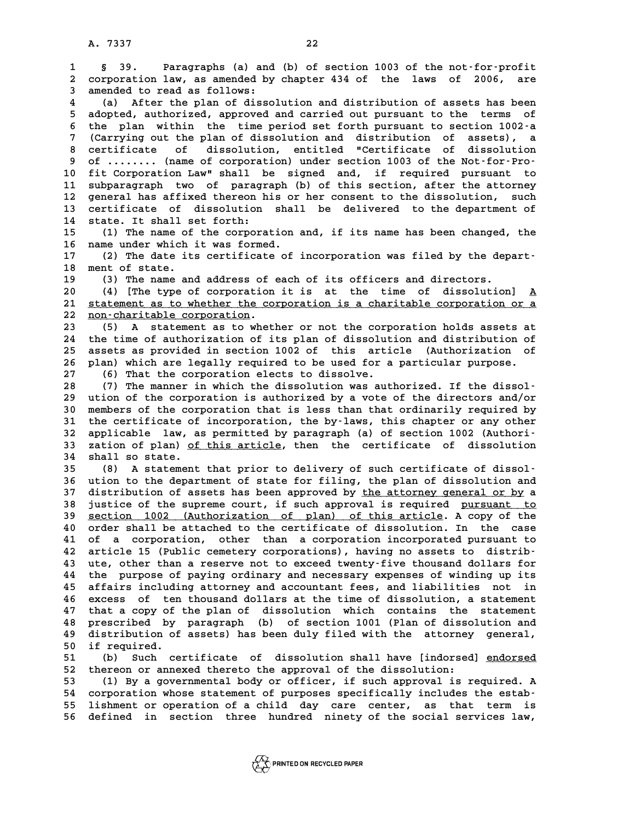**1 § 39. Paragraphs (a) and (b) of section 1003 of the not-for-profit 2** 1 S 39. Paragraphs (a) and (b) of section 1003 of the not-for-profit<br>2 corporation law, as amended by chapter 434 of the laws of 2006, are 1 § 39. Paragraphs (a) and<br>2 corporation law, as amended by<br>3 amended to read as follows: 2 corporation law, as amended by chapter 434 of the laws of 2006, are<br>3 amended to read as follows:<br>4 (a) After the plan of dissolution and distribution of assets has been<br>5 adopted authorized approved and carried out purg 3 amended to read as follows:<br>
4 (a) After the plan of dissolution and distribution of assets has been<br>
5 adopted, authorized, approved and carried out pursuant to the terms of<br>
6 the plan within the time period set forth **(a)** After the plan of dissolution and distribution of assets has been<br>5 adopted, authorized, approved and carried out pursuant to the terms of<br>6 the plan within the time period set forth pursuant to section 1002-a<br>6 (Car 5 adopted, authorized, approved and carried out pursuant to the terms of<br>6 the plan within the time period set forth pursuant to section 1002-a<br>7 (Carrying out the plan of dissolution and distribution of assets), a<br>8 conti 6 the plan within the time period set forth pursuant to section 1002-a<br>7 (Carrying out the plan of dissolution and distribution of assets), a<br>8 certificate of dissolution, entitled "Certificate of dissolution<br>0.6 (para of 9 (Carrying out the plan of dissolution and distribution of assets), a<br>
8 certificate of dissolution, entitled "Certificate of dissolution<br>
9 of ....... (name of corporation) under section 1003 of the Not-for-Pro-<br>
10 fit 8 certificate of dissolution, entitled "Certificate of dissolution<br>9 of ....... (name of corporation) under section 1003 of the Not-for-Pro-<br>10 fit Corporation Law" shall be signed and, if required pursuant to<br>11 subparazz 9 of ....... (name of corporation) under section 1003 of the Not-for-Pro-<br>10 fit Corporation Law" shall be signed and, if required pursuant to<br>11 subparagraph two of paragraph (b) of this section, after the attorney<br>22 sep 10 fit Corporation Law" shall be signed and, if required pursuant to<br>11 subparagraph two of paragraph (b) of this section, after the attorney<br>12 general has affixed thereon his or her consent to the dissolution, such<br>13 ge 11 subparagraph two of paragraph (b) of this section, after the attorney<br>12 general has affixed thereon his or her consent to the dissolution, such<br>13 certificate of dissolution shall be delivered to the department of<br>14 s 12 general has affixed thereon h<br>13 certificate of dissolution<br>14 state. It shall set forth:<br><sup>15</sup> (1) The name of the germora 13 certificate of dissolution shall be delivered to the department of<br>14 state. It shall set forth:<br>15 (1) The name of the corporation and, if its name has been changed, the<br>16 nome under which it was formed 14 state. It shall set forth:<br>15 (1) The name of the corporation<br>16 name under which it was formed.<br>17 (2) The date its cortificate of (1) The name of the corporation and, if its name has been changed, the<br> **16** name under which it was formed.<br>
17 (2) The date its certificate of incorporation was filed by the depart-<br>
18 mont of state 16 name under which it was formed.<br>17 (2) The date its certificate<br>18 ment of state.<br>19 (3) The name and address of e 17 (2) The date its certificate of incorporation was filed by the depart-<br>18 ment of state.<br>19 (3) The name and address of each of its officers and directors.<br>20 (4) [The type of corporation it is at the time of dissolutio **20** (3) The name and address of each of its officers and directors.<br> **20** (4) [The type of corporation it is at the time of dissolution] <u>A</u><br>
21 statement as to whether the corporation is a charitable corporation or a (3) The name and address of each of its officers and directors.<br>
20 (4) [The type of corporation it is at the time of dissolution] <u>A</u><br>
21 <u>statement as to whether the corporation is a charitable corporation or a</u><br>
22 non-20 (4) [The type of corporation<br>
21 <u>statement as to whether the co</u><br>
22 <u>non-charitable corporation</u>.<br>
23 (5) a statement as to what 21 <u>statement as to whether the corporation is a charitable corporation or a</u><br>22 <u>non-charitable corporation</u>.<br>23 (5) A statement as to whether or not the corporation holds assets at<br>24 the time of authorization of its pla **22 non-charitable corporation.**<br> **23** (5) A statement as to whether or not the corporation holds assets at<br> **24** the time of authorization of its plan of dissolution and distribution of<br> **25** assets as provided in section **23** (5) A statement as to whether or not the corporation holds assets at the time of authorization of its plan of dissolution and distribution of assets as provided in section 1002 of this article (Authorization of plan) 24 the time of authorization of its plan of dissolution and distribution of assets as provided in section 1002 of this article (Authorization of plan) which are legally required to be used for a particular purpose.<br>27 (6) 25 assets as provided in section 1002 of this arti<br>26 plan) which are legally required to be used for a<br>27 (6) That the corporation elects to dissolve.<br>28 (7) The paper in which the dissolution was auto plan) which are legally required to be used for a particular purpose.<br>
27 (6) That the corporation elects to dissolve.<br>
28 (7) The manner in which the dissolution was authorized. If the dissol-<br>
29 ution of the corporation **27 (6) That the corporation elects to dissolve.**<br> **28** (7) The manner in which the dissolution was authorized. If the dissol-<br> **29** ution of the corporation is authorized by a vote of the directors and/or<br> **20** members of **30 130 11 members of the corporation is authorized by a vote of the directors and/or**<br>**30 members of the corporation that is less than that ordinarily required by**<br>**31** the cortificate of incorporation the by-laws this ch 29 ution of the corporation is authorized by a vote of the directors and/or<br>30 members of the corporation that is less than that ordinarily required by<br>31 the certificate of incorporation, the by-laws, this chapter or any 30 members of the corporation that is less than that ordinarily required by<br>31 the certificate of incorporation, the by-laws, this chapter or any other<br>32 applicable law, as permitted by paragraph (a) of section 1002 (Auth 31 the certificate of incorporation, the by-laws, this chapter or any other<br>32 applicable law, as permitted by paragraph (a) of section 1002 (Authori-<br>33 zation of plan) <u>of this article</u>, then the certificate of dissoluti 32 applicable law, as permitted by paragraph (a) of section 1002 (Authori<sup>3</sup><br>33 zation of plan) <u>of this article</u>, then the certificate of dissolution<br>34 shall so state.<br>35 (8) A statement that prior to delivery of such ce **35 (8) A statement that prior to delivery of such certificate of dissol-34 shall so state.**<br>35 (8) A statement that prior to delivery of such certificate of dissol-<br>36 ution to the department of state for filing, the plan of dissolution and<br>37 distribution of assets has been approved by the a **35 (8)** A statement that prior to delivery of such certificate of dissol-<br>36 ution to the department of state for filing, the plan of dissolution and<br>37 distribution of assets has been approved by <u>the attorney general or</u> 36 ution to the department of state for filing, the plan of dissolution and<br>37 distribution of assets has been approved by <u>the attorney general or by</u> a<br>38 justice of the supreme court, if such approval is required <u>pursu</u> 37 distribution of assets has been approved by <u>the attorney general or by</u> a<br>38 justice of the supreme court, if such approval is required <u>pursuant to</u><br><u>section 1002</u> (Authorization of plan) of this article. A copy of th **40 dege is the supreme court, if such approval is required pursuant to**<br> **40 section 1002 (Authorization of plan) of this article. A copy of the**<br> **40 order shall be attached to the certificate of dissolution. In the case** 39 <u>section 1002 (Authorization of plan) of this article</u>. A copy of the<br>40 order shall be attached to the certificate of dissolution. In the case<br>41 of a corporation, other than a corporation incorporated pursuant to<br>42 a **42 article 15 (Public cemetery corporations), having no assets to distrib-43 ute, other than a reserve not to exceed twenty-five thousand dollars for** 42 article 15 (Public cemetery corporations), having no assets to distrib-<br>43 ute, other than a reserve not to exceed twenty-five thousand dollars for<br>44 the purpose of paying ordinary and necessary expenses of winding up 43 ute, other than a reserve not to exceed twenty-five thousand dollars for<br>44 the purpose of paying ordinary and necessary expenses of winding up its<br>45 affairs including attorney and accountant fees, and liabilities not 44 the purpose of paying ordinary and necessary expenses of winding up its<br>45 affairs including attorney and accountant fees, and liabilities not in<br>46 excess of ten thousand dollars at the time of dissolution, a statement 45 affairs including attorney and accountant fees, and liabilities not in<br>46 excess of ten thousand dollars at the time of dissolution, a statement<br>47 that a copy of the plan of dissolution which contains the statement<br>48 **46 excess of ten thousand dollars at the time of dissolution, a statement**<br>47 that a copy of the plan of dissolution which contains the statement<br>48 prescribed by paragraph (b) of section 1001 (Plan of dissolution and<br>dis 47 that a copy of the plan of dissolution which contains the statement<br>48 prescribed by paragraph (b) of section 1001 (Plan of dissolution and<br>49 distribution of assets) has been duly filed with the attorney general,<br>50 if 48 prescribed by<br>49 distribution of<br>50 if required.<br>51 (b) Such Ce distribution of assets) has been duly filed with the attorney general,<br>50 if required.<br>51 (b) Such certificate of dissolution shall have [indorsed] endorsed<br>52 thereon or annexed thereto the approval of the dissolution: <sup>5</sup> 15 the suited.<br>
51 (b) Such certificate of dissolution shall have [indorsed<br>
52 thereon or annexed thereto the approval of the dissolution:<br>
<sup>53</sup> (1) By a covernmental body or officer if such annoyal is r **51** (b) Such certificate of dissolution shall have [indorsed] endorsed<br>
52 thereon or annexed thereto the approval of the dissolution:<br>
53 (1) By a governmental body or officer, if such approval is required. A<br>
54 corpora

53 (1) By a governmental body or officer, if such approval is required. A<br>54 corporation whose statement of purposes specifically includes the estab-<br>55 lishment or operation of a child day care center, as that term is 53 (1) By a governmental body or officer, if such approval is required. A<br>54 corporation whose statement of purposes specifically includes the estab-<br>55 lishment or operation of a child day care center, as that term is<br>56 54 corporation whose statement of purposes specifically includes the estab-<br>55 lishment or operation of a child day care center, as that term is<br>56 defined in section three hundred ninety of the social services law,

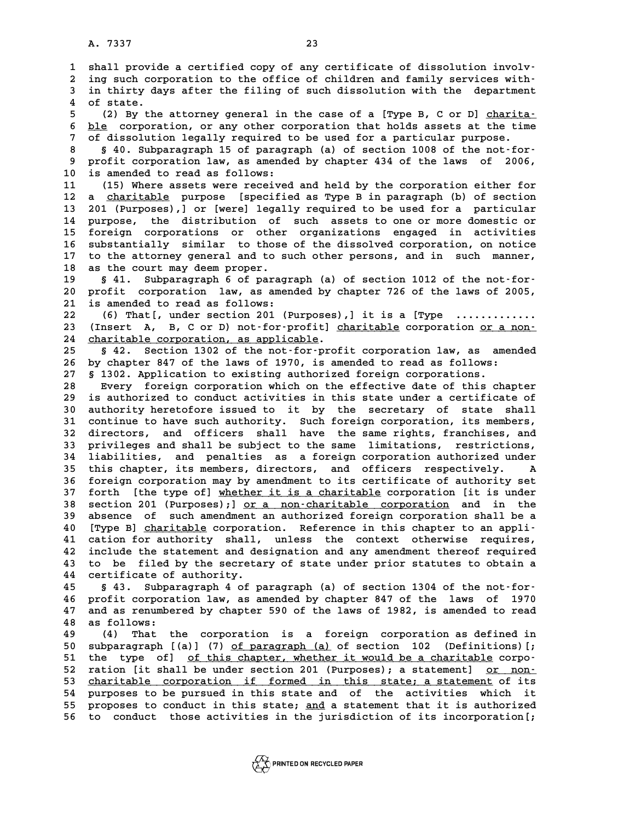A. 7337<br>1 shall provide a certified copy of any certificate of dissolution involv-<br><sup>2</sup> ing such corporation to the office of children and family corvices with-1 shall provide a certified copy of any certificate of dissolution involv-<br>2 ing such corporation to the office of children and family services with-<br>3 in thirty days after the filing of such dissolution with the departmen **3 in the superior of the filipity of the filipity of the such corporation to the office of children and family services with-**<br> **3** in thirty days after the filing of such dissolution with the department<br> **4** of this 2 ing such cort<br>3 in thirty day<br>4 of state. 3 in thirty days after the filing of such dissolution with the department<br>4 of state.<br>5 (2) By the attorney general in the case of a [Type B, C or D] <u>charita-</u><br><sup>5</sup> ble corporation or any other corporation that helds again 6 blackstate.<br> **6** (2) By the attorney general in the case of a [Type B, C or D] <u>charita-</u><br> **6** ble corporation, or any other corporation that holds assets at the time<br> **6** dissolution locally required to be used for a pa <sup>5</sup> (2) By the attorney general in the case of a [Type B, C or D] charita<br>
<sup>6</sup> <u>ble</u> corporation, or any other corporation that holds assets at the tim<br>
<sup>7</sup> of dissolution legally required to be used for a particular purpo **8 <u>ble</u> corporation, or any other corporation that holds assets at the time<br>
7 of dissolution legally required to be used for a particular purpose.<br>
8 40. Subparagraph 15 of paragraph (a) of section 1008 of the not-for-<br> 9 profit corporation law, as amended by chapter 434 of the laws of 2006,** 8 § 40. Subparagraph 15 of paragr<br>9 profit corporation law, as amende<br>10 is amended to read as follows:<br><sup>11</sup> (15) Where assets were received **11 (15)** Profit corporation law, as amended by chapter 434 of the laws of 2006,<br>10 is amended to read as follows:<br>11 (15) Where assets were received and held by the corporation either for **10** is amended to read as follows:<br> **11** (15) Where assets were received and held by the corporation either for<br> **12** a charitable purpose [specified as Type B in paragraph (b) of section<br> **13** 201 (Burposes) Lor [werel l 11 (15) Where assets were received and held by the corporation either for<br>12 a <u>charitable</u> purpose [specified as Type B in paragraph (b) of section<br>13 201 (Purposes),] or [were] legally required to be used for a particula 12 a <u>charitable</u> purpose [specified as Type B in paragraph (b) of section<br>13 201 (Purposes),] or [were] legally required to be used for a particular<br>14 purpose, the distribution of such assets to one or more domestic or<br>1 13 201 (Purposes), or [were] legally required to be used for a particular<br>14 purpose, the distribution of such assets to one or more domestic or<br>15 foreign corporations or other organizations engaged in activities<br>16 subst 14 purpose, the distribution of such assets to one or more domestic or<br>15 foreign corporations or other organizations engaged in activities<br>16 substantially similar to those of the dissolved corporation, on notice<br>17 to th **15 foreign corporations or other organizations engaged in activities**<br>16 substantially similar to those of the dissolved corporation, on notice<br>17 to the attorney general and to such other persons, and in such manner,<br>28 16 substantially similar to those<br>17 to the attorney general and to s<br>18 as the court may deem proper. 17 to the attorney general and to such other persons, and in such manner,<br>
18 as the court may deem proper.<br>
19 § 41. Subparagraph 6 of paragraph (a) of section 1012 of the not-for-<br>
20 profit corporation law, as amended b 18 as the court may deem proper.<br>19 § 41. Subparagraph 6 of paragraph (a) of section 1012 of the not-for-<br>20 profit corporation law, as amended by chapter 726 of the laws of 2005,<br><sup>21</sup> is amended to read as follows: **20 S 41. Subparagraph 6 of paragraph 20** profit corporation law, as amended to read as follows: **20 profit corporation law, as amended by chapter 726 of the laws of 2005,<br>21 is amended to read as follows:**<br>22 (6) That[, under section 201 (Purposes),] it is a [Type ................ **21** is amended to read as follows:<br> **22** (6) That [, under section 201 (Purposes),] it is a [Type .............<br> **23** (Insert A, B, C or D) not-for-profit] <u>charitable</u> corporation <u>or a non-</u><br> **24** charitable corporation 22 (6) That[, under section 201 (Purposes)<br>23 (Insert A, B, C or D) not-for-profit] <u>c</u><br>24 <u>charitable corporation, as applicable</u>.<br>25 5.42 Sostion 1302 of the pot-for-prof **23 (Insert A, B, C or D) not-for-profit] charitable corporation or a non-**<br>24 <u>charitable corporation, as applicable</u>.<br>25 § 42. Section 1302 of the not-for-profit corporation law, as amended<br>26 by charitar 247 of the law charitable corporation, as applicable.<br>
25 § 42. Section 1302 of the not-for-profit corporation law, as amended to read as follows:<br>
27 § 1302. Application to ovising authorized foreign corporations. <sup>25</sup> § 42. Section 1302 of the not-for-profit corporation law, as am<br>26 by chapter 847 of the laws of 1970, is amended to read as follows:<br>27 § 1302. Application to existing authorized foreign corporations. 26 by chapter 847 of the laws of 1970, is amended to read as follows:<br>27 § 1302. Application to existing authorized foreign corporations.<br>28 Every foreign corporation which on the effective date of this chapter<br>29 is autho **29 is authorized to conduct activities in this state under a certificate of 30 authority heretofore issued to it by the secretary of state shall 31 continue to have such authority. Such foreign corporation, its members, 30 authority heretofore issued to it by the secretary of state shall**<br>31 continue to have such authority. Such foreign corporation, its members,<br>32 directors, and officers shall have the same rights, franchises, and<br>33 pr 31 continue to have such authority. Such foreign corporation, its members,<br>32 directors, and officers shall have the same rights, franchises, and<br>33 privileges and shall be subject to the same limitations, restrictions,<br><sup>3</sup> 32 directors, and officers shall have the same rights, franchises, and<br>33 privileges and shall be subject to the same limitations, restrictions,<br>34 liabilities, and penalties as a foreign corporation authorized under<br><sup>35</sup> **33 privileges and shall be subject to the same limitations, restrictions, 14 liabilities, and penalties as a foreign corporation authorized under this chapter, its members, directors, and officers respectively. A 34 liabilities, and penalties as a foreign corporation authorized under<br>35 this chapter, its members, directors, and officers respectively. A<br>36 foreign corporation may by amendment to its certificate of authority set<br>37** 35 this chapter, its members, directors, and officers respectively. A<br>36 foreign corporation may by amendment to its certificate of authority set<br>37 forth [the type of] whether it is a charitable corporation [it is under<br>3 36 foreign corporation may by amendment to its certificate of authority set<br>37 forth [the type of] <u>whether it is a charitable</u> corporation [it is under<br>38 section 201 (Purposes);] <u>or a non-charitable corporation</u> and in 37 forth [the type of] whether it is a charitable corporation [it is under<br>38 section 201 (Purposes);] <u>or a non-charitable corporation</u> and in the<br>39 absence of such amendment an authorized foreign corporation shall be a<br> **40 absence of such amendment an authorized foreign corporation and in the absence of such amendment an authorized foreign corporation shall be a<br>
<b>40** [Type B] <u>charitable</u> corporation. Reference in this chapter to an app **41 cation for authority shall, unless the context otherwise requires, 40 [Type B] charitable corporation. Reference in this chapter to an appli-**<br>**41 cation for authority shall, unless the context otherwise requires,**<br>**42 include the statement and designation and any amendment thereof requi** 41 cation for authority shall, unless the context otherwise requires,<br>42 include the statement and designation and any amendment thereof required<br>43 to be filed by the secretary of state under prior statutes to obtain a<br>44 42 include the statement and de<br>43 to be filed by the secreta<br>44 certificate of authority.<br><sup>45</sup> 5.43 Subparamaph 4.05.0 43 to be filed by the secretary of state under prior statutes to obtain a<br>44 certificate of authority.<br>45 § 43. Subparagraph 4 of paragraph (a) of section 1304 of the not-for-<br>46 profit corporation law, as amended by chapt **46 profit corporation law, as amended by chapter 847 of the laws of 1970 45 § 43. Subparagraph 4 of paragraph (a) of section 1304 of the not-for-**<br>46 profit corporation law, as amended by chapter 847 of the laws of 1970<br>47 and as renumbered by chapter 590 of the laws of 1982, is amended to rea 46 profit corpora<br>47 and as renumbe<br>48 as follows:<br>49 (4) mbit ti and as renumbered by chapter 590 of the laws of 1982, is amended to read<br>48 as follows:<br>(4) That the corporation is a foreign corporation as defined in<br>50 subparazzarb [(a)] (7) of parazzarb (a) of sostion 102 (Definitiona **50 48 as follows:**<br>**50 subparagraph [(a)] (7) <u>of paragraph (a)</u> of section 102 (Definitions)[;<br><b>51** the type ofl of this chapter, whether it would be a charitable corpo-**49** (4) That the corporation is a foreign corporation as defined in<br>50 subparagraph [(a)] (7) <u>of paragraph (a)</u> of section 102 (Definitions)[;<br>51 the type of] <u>of this chapter, whether it would be a charitable c</u>orpo-<br>52 50 subparagraph [(a)] (7) <u>of paragraph (a)</u> of section 102 (Definitions)[;<br>51 the type of] <u>of this chapter, whether it would be a charitable</u> corpo-<br>52 ration [it shall be under section 201 (Purposes); a statement] <u>or n</u> 51 the type of] <u>of this chapter, whether it would be a charitable</u> corpo-<br>52 ration [it shall be under section 201 (Purposes); a statement] <u>or non-</u><br>53 <u>charitable corporation if formed in this state; a statement</u> of its 52 ration [it shall be under section 201 (Purposes); a statement] <u>or non-</u><br>53 <u>charitable corporation if formed in this state; a statement</u> of its<br>54 purposes to be pursued in this state and of the activities which it<br>55 53 <u>charitable corporation if formed in this state; a statement</u> of its<br>54 purposes to be pursued in this state and of the activities which it<br>55 proposes to conduct in this state; <u>and</u> a statement that it is authorized<br>5 53 charitable corporation if formed in this state; a statement of its<br>54 purposes to be pursued in this state and of the activities which it<br>55 proposes to conduct in this state; <u>and</u> a statement that it is authorized<br>56

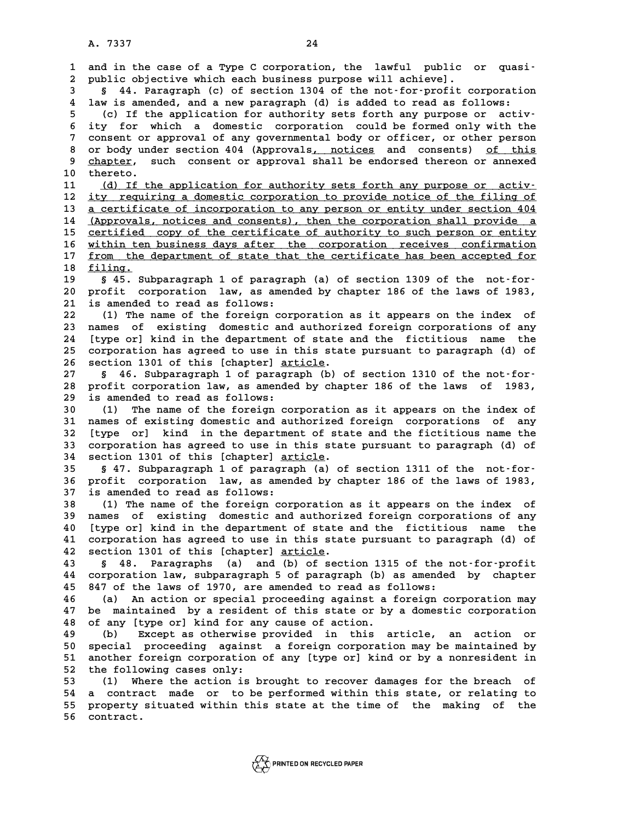A. 7337<br> **1** and in the case of a Type C corporation, the lawful public or quasi-<br>
<sup>2</sup> public objective which each business purpose will achievel **2** and in the case of a Type C corporation, the lawful public<br>2 public objective which each business purpose will achieve]. **3 3 1** and in the case of a Type C corporation, the lawful public or quasi-<br> **3 6** 44. Paragraph (c) of section 1304 of the not-for-profit corporation<br> **1 120** is arranged and a now paragraph (d) is added to read public objective which each business purpose will achieve].<br> **5 44. Paragraph (c) of section 1304 of the not-for-profit corporation**<br> **4 law is amended, and a new paragraph (d) is added to read as follows:**<br> **6 (c) If the 5 44. Paragraph (c) of section 1304 of the not-for-profit corporation<br>
4 law is amended, and a new paragraph (d) is added to read as follows:<br>
<b>5** (c) If the application for authority sets forth any purpose or activ-<br> **6 6 12 is amended, and a new paragraph (d) is added to read as follows:**<br> **6 ity for which a domestic corporation could be formed only with the**<br> **6 ity for which a domestic corporation could be formed only with the**<br> **6 co 7** (c) If the application for authority sets forth any purpose or activ-<br> **6** ity for which a domestic corporation could be formed only with the<br> **7** consent or approval of any governmental body or officer, or other perso 8 ity for which a domestic corporation could be formed only with the<br>
7 consent or approval of any governmental body or officer, or other person<br>
8 or body under section 404 (Approvals, <u>notices</u> and consents) <u>of this</u><br>
8 9 consent or approval of any governmental body or officer, or other person<br>
8 or body under section 404 (Approvals<u>, notices</u> and consents) <u>of this<br>
9 chapter</u>, such consent or approval shall be endorsed thereon or annexe 8 or body under section 404 (Approvals<u>, notices</u> and consents) <u>of this</u><br>9 chapter, such consent or approval shall be endorsed thereon or annexed<br>10 thereto.<br>11 (d) If the application for authority sets forth any purpose 11 (d) If the application for authority sets forth any purpose or activ-<br>12 ity requiring a domestic corporation to provide notice of the filing of 12 <u>ity requiring a domestic corporation to provide notice of the filing of</u><br>13 a certificate of incorporation to any person or entity under section 404 11 (d) If the application for authority sets forth any purpose or activ-<br>12 <u>ity requiring a domestic corporation to provide notice of the filing of</u><br>13 <u>a certificate of incorporation to any person or entity under section</u> **12 ity requiring a domestic corporation to provide notice of the filing of a certificate of incorporation to any person or entity under section 404 (Approvals, notices and consents), then the corporation shall provide a c** 14 <u>(Approvals, notices and consents), then the corporation shall provide a</u><br>15 <u>certified copy of the certificate of authority to such person or entity</u> **14 (Approvals, notices and consents), then the corporation shall provide a**<br>15 <u>certified copy of the certificate of authority to such person or entity</u><br>16 within ten business days after the corporation receives confirmat **15** certified copy of the certificate of authority to such person or entity<br>16 within ten business days after the corporation receives confirmation<br>17 from the department of state that the certificate has been accepted fo **16** <u>within ten</u><br> **17** <u>from the</u><br> **18** <u>filing.</u><br> **19** *s* 45 cm **17** <u>from the department of state that the certificate has been accepted for<br>
18 <u>filing.</u><br>
19 § 45. Subparagraph 1 of paragraph (a) of section 1309 of the not-for-<br>
20 profit corporation law as amondod by chapter 186 of </u> **20 18 12 profit corporation 120 arraged 10 arraged 18 are extended by chapter 186 of the laws of 1983,**<br>20 profit corporation law, as amended by chapter 186 of the laws of 1983, 19 **8 45.** Subparagraph 1 of paragram<br>
20 profit corporation law, as amended to read as follows:<br>
22 (1) The name of the foreign corp **20 profit corporation law, as amended by chapter 186 of the laws of 1983,<br>
21 is amended to read as follows:**<br>
22 (1) The name of the foreign corporation as it appears on the index of<br>
23 names of existing domestic and au 21 is amended to read as follows:<br>22 (1) The name of the foreign corporation as it appears on the index of<br>23 names of existing domestic and authorized foreign corporations of any<br>24 time orl kind in the doportment of stat 22 (1) The name of the foreign corporation as it appears on the index of<br>23 names of existing domestic and authorized foreign corporations of any<br>24 [type or] kind in the department of state and the fictitious name the<br>25 23 names of existing domestic and authorized foreign corporations of any 14 [type or] kind in the department of state and the fictitious name the corporation has agreed to use in this state pursuant to paragraph (d) of sec 24 [type or] kind in the department of state corporation has agreed to use in this state<br>26 section 1301 of this [chapter] <u>article</u>.<br>27 5 46 Subparagraph 1 of paragraph (b) 0 <sup>25</sup> corporation has agreed to use in this state pursuant to paragraph (d) of section 1301 of this [chapter] <u>article</u>.<br>
27 § 46. Subparagraph 1 of paragraph (b) of section 1310 of the not-for-<br>
28 anofit corporation lay a **26 section 1301 of this [chapter] <u>article</u>.<br>27 § 46. Subparagraph 1 of paragraph (b) of section 1310 of the not-for-<br>28 profit corporation law, as amended by chapter 186 of the laws of 1983,<br>29 is aroughed to read as fol** 27 § 46. Subparagraph 1 of paragraph<br>28 profit corporation law, as amende<br>29 is amended to read as follows: **30 profit corporation law, as amended by chapter 186 of the laws of 1983,<br>
29 is amended to read as follows:**<br>
30 (1) The name of the foreign corporation as it appears on the index of<br>
31 names of existing domestic and au <sup>1</sup> is amended to read as follows:<br>
30 (1) The name of the foreign corporation as it appears on the index of<br>
31 names of existing domestic and authorized foreign corporations of any<br>
<sup>22</sup> time orly kind in the dopertment **30** (1) The name of the foreign corporation as it appears on the index of names of existing domestic and authorized foreign corporations of any [type or] kind in the department of state and the fictitious name the corpora 31 names of existing domestic and authorized foreign corporations of any 12 [type or] kind in the department of state and the fictitious name the corporation has agreed to use in this state pursuant to paragraph (d) of sec 34 section 1301 of this [chapter] <u>article</u>.<br>35 § 47. Subparagraph 1 of paragraph (a) **35 § 47. Subparagraph 1 of paragraph (a) of section 1311 of the not-for-**34 section 1301 of this [chapter] <u>article</u>.<br>35 § 47. Subparagraph 1 of paragraph (a) of section 1311 of the not-for-<br>36 profit corporation law, as amended by chapter 186 of the laws of 1983, **35 5 47. Subparagraph 1 of paragram**<br> **36 profit corporation law, as amended to read as follows:**<br> **37 is amended to read as follows: 36 profit corporation law, as amended by chapter 186 of the laws of 1983,<br>37 is amended to read as follows:**<br>38 (1) The name of the foreign corporation as it appears on the index of<br>39 names of existing demostic and autho **19 is amended to read as follows:**<br> **38** (1) The name of the foreign corporation as it appears on the index of<br> **39 names of existing domestic and authorized foreign corporations of any**<br> **10** first only kind in the doppr **40 (1) The name of the foreign corporation as it appears on the index of names of existing domestic and authorized foreign corporations of any 10 [type or] kind in the department of state and the fictitious name the**<br>40 [ 39 names of existing domestic and authorized foreign corporations of any 40 [type or] kind in the department of state and the fictitious name the 41 corporation has agreed to use in this state pursuant to paragraph (d) of **42** section 1301 of this [chapter] <u>article</u>.<br>43 § 48. Paragraphs (a) and (b) of s **43 § 48. Paragraphs (a) and (b) of section 1315 of the not-for-profit 42 section 1301 of this [chapter] <u>article</u>.<br>43 § 48. Paragraphs (a) and (b) of section 1315 of the not-for-profit<br>44 corporation law, subparagraph 5 of paragraph (b) as amended by chapter<br>45 847 of the laws of 1970, are 43 6** 48. Paragraphs (a) and (b) of section 1315 of the n<br>44 corporation law, subparagraph 5 of paragraph (b) as amended<br>45 847 of the laws of 1970, are amended to read as follows:<br>46 (a) largestion or sposial proceedin **44 corporation law, subparagraph 5 of paragraph (b) as amended by chapter**<br>**45 847 of the laws of 1970, are amended to read as follows:**<br>**46** (a) An action or special proceeding against a foreign corporation may<br><sup>47</sup> be m 45 847 of the laws of 1970, are amended to read as follows:<br>46 (a) An action or special proceeding against a foreign corporation may<br>47 be maintained by a resident of this state or by a domestic corporation 46 (a) An action or special proceeding against a<br>47 be maintained by a resident of this state or by<br>48 of any [type or] kind for any cause of action.<br><sup>49</sup> (b) Freent as otherwise previded in this a 47 be maintained by a resident of this state or by a domestic corporation<br>48 of any [type or] kind for any cause of action.<br>49 (b) Except as otherwise provided in this article, an action or<br>50 sposial preseeding against a **50 special proceeding against a for any cause of action.**<br> **50 special proceeding against a foreign corporation may be maintained by**<br> **51 another foreign corporation of any [type or] kind or by a popresident in 49** (b) Except as otherwise provided in this article, an action or special proceeding against a foreign corporation may be maintained by a nontestion foreign corporation of any [type or] kind or by a nonresident in 50 special proceeding against<br>51 another foreign corporation<br>52 the following cases only:<br>53 (1) Where the agtion is b 51 another foreign corporation of any [type or] kind or by a nonresident in<br>52 the following cases only:<br>53 (1) Where the action is brought to recover damages for the breach of<br>54 a contract made or to be performed within 52 the following cases only:<br>
53 (1) Where the action is brought to recover damages for the breach of<br>
54 a contract made or to be performed within this state, or relating to<br>
55 property situated within this state at the 53 (1) Where the action is brought to recover damages for the breach of<br>54 a contract made or to be performed within this state, or relating to<br>55 property situated within this state at the time of the making of the 54 a contra<br>55 property<br>56 contract.

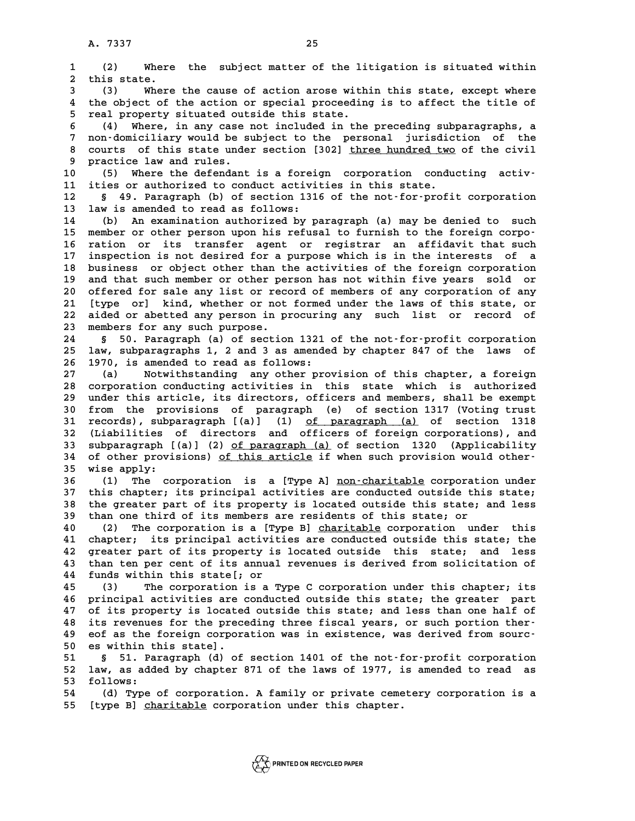**A. 7337 25 1 (2) Where the subject matter of the litigation is situated within** 2 (2) Where the subject matter of the litigation is situated within<br>2 this state.<br>3 (3) Where the cause of action arose within this state, except where **3 (2) Where the subject matter of the litigation is situated within<br>
<b>3** (3) Where the cause of action arose within this state, except where<br>
<sup>4</sup> the chiest of the astion or special preseeding is to affect the title of this state.<br>
4 (3) Where the cause of action arose within this state, except where<br>
4 the object of the action or special proceeding is to affect the title of<br>
5 roal property situated sutside this state. 3 (3) Where the cause of action arose with<br>4 the object of the action or special proceedin<br>5 real property situated outside this state.<br>(4) Where in any sees not included in the 4 the object of the action or special proceeding is to affect the title of<br>5 real property situated outside this state.<br>6 (4) Where, in any case not included in the preceding subparagraphs, a<br>7 non-demigiliary would be sub **7** real property situated outside this state.<br> **6** (4) Where, in any case not included in the preceding subparagraphs, a<br> **7** non-domiciliary would be subject to the personal jurisdiction of the<br> **8** courts of this state **8 (4) Where, in any case not included in the preceding subparagraphs, a**<br>**7 non-domiciliary would be subject to the personal jurisdiction of the courts of this state under section [302] <u>three hundred two</u> of the civil<br><b>8** 9 non-domiciliary would be s<br>8 courts of this state unde<br>9 practice law and rules.<br>0 (5) Where the defendant 8 courts of this state under section [302] three hundred two of the civil<br>
9 practice law and rules.<br>
10 (5) Where the defendant is a foreign corporation conducting activ-<br>
<sup>11</sup> ities or authorized to conduct activities in 9 practice law and rules.<br>
10 (5) Where the defendant is a foreign corporation condu<br>
11 ities or authorized to conduct activities in this state.<br>
<sup>12</sup> 5 49 Paragraph (b) of section 1316 of the pot-for-profi **10** (5) Where the defendant is a foreign corporation conducting activ-<br>11 ities or authorized to conduct activities in this state.<br>12 § 49. Paragraph (b) of section 1316 of the not-for-profit corporation<br>13 law is amended 11 ities or authorized to conduct activities in this state.<br>12 § 49. Paragraph (b) of section 1316 of the not-for-profit corporation<br>13 law is amended to read as follows:<br>14 (b) An examination authorized by paragraph (a) m 12 § 49. Paragraph (b) of section 1316 of the not-for-profit corporation<br>13 law is amended to read as follows:<br>14 (b) An examination authorized by paragraph (a) may be denied to such<br>15 member or other person upon his refu **15 member or other person upon his refusal to furnish to the foreign corpo-14** (b) An examination authorized by paragraph (a) may be denied to such<br>15 member or other person upon his refusal to furnish to the foreign corpo-<br>16 ration or its transfer agent or registrar an affidavit that such<br>17 i 15 member or other person upon his refusal to furnish to the foreign corpo-<br>16 ration or its transfer agent or registrar an affidavit that such<br>17 inspection is not desired for a purpose which is in the interests of a<br>busi 16 ration or its transfer agent or registrar an affidavit that such<br>17 inspection is not desired for a purpose which is in the interests of a<br>18 business or object other than the activities of the foreign corporation<br>20 an 17 inspection is not desired for a purpose which is in the interests of a<br>18 business or object other than the activities of the foreign corporation<br>19 and that such member or other person has not within five years sold or 18 business or object other than the activities of the foreign corporation<br>19 and that such member or other person has not within five years sold or<br>20 offered for sale any list or record of members of any corporation of a and that such member or other person has not within five years sold or 20 offered for sale any list or record of members of any corporation of any 11 [type or] kind, whether or not formed under the laws of this state, or aided or abetted any person in procuring any such list or record of nemb 21 [type or] kind, whether or not<br>22 aided or abetted any person in p<br>23 members for any such purpose. 22 aided or abetted any person in procuring any such list or record of<br>23 members for any such purpose.<br>24 § 50. Paragraph (a) of section 1321 of the not-for-profit corporation<br>25 law subparagraphs 1 2 and 2 as arounded by 23 members for any such purpose.<br>24 § 50. Paragraph (a) of section 1321 of the not-for-profit corporation<br>25 law, subparagraphs 1, 2 and 3 as amended by chapter 847 of the laws of 24 § 50. Paragraph (a) of section 1321<br>25 law, subparagraphs 1, 2 and 3 as amende<br>26 1970, is amended to read as follows:<br><sup>27</sup> (a) Motwithstanding any other pro-**25 law, subparagraphs 1, 2 and 3 as amended by chapter 847 of the laws of 1970, is amended to read as follows:**<br> **27** (a) Notwithstanding any other provision of this chapter, a foreign<br> **28** correction conducting antiurit **26 1970, is amended to read as follows:**<br> **27** (a) Notwithstanding any other provision of this chapter, a foreign<br> **28 corporation conducting activities in this state which is authorized**<br> **29 under this article its direc 27** (a) Notwithstanding any other provision of this chapter, a foreign<br>28 corporation conducting activities in this state which is authorized<br>29 under this article, its directors, officers and members, shall be exempt<br>20 28 corporation conducting activities in this state which is authorized<br>29 under this article, its directors, officers and members, shall be exempt<br>30 from the provisions of paragraph (e) of section 1317 (Voting trust<br>31 re 39 under this article, its directors, officers and members, shall be exempt<br>30 from the provisions of paragraph (e) of section 1317 (Voting trust<br>31 records), subparagraph [(a)] (1) <u>of paragraph (a)</u> of section 1318<br>32 (L **30 from the provisions of paragraph (e) of section 1317 (Voting trust**<br>**31 records), subparagraph [(a)] (1) <u>of paragraph (a)</u> of section 1318<br><b>32 (Liabilities of directors and officers of foreign corporations), and**<br>**33 31 records), subparagraph [(a)] (1) <u>of paragraph (a)</u> of section 1318<br>32 (Liabilities of directors and officers of foreign corporations), and<br>33 subparagraph [(a)] (2) <u>of paragraph (a)</u> of section 1320 (Applicability<br>24** 32 (Liabilities of directors and officers of foreign corporations), and<br>33 subparagraph [(a)] (2) <u>of paragraph (a)</u> of section 1320 (Applicability<br>34 of other provisions) <u>of this article</u> if when such provision would oth 33 subparagraph [<br>34 of other provi<br>35 wise apply:<br><sup>26</sup> (1) mb 34 of other provisions) <u>of this article</u> if when such provision would other-<br>35 wise apply:<br>(1) The corporation is a [Type A] <u>non-charitable</u> corporation under<br>27 this shaptor, its principal activities are conducted suts **37 this chapter; its principal activities are conducted outside this state; 36** (1) The corporation is a [Type A] <u>non-charitable</u> corporation under<br>37 this chapter; its principal activities are conducted outside this state;<br>38 the greater part of its property is located outside this state; and l 37 this chapter; its principal activities are conducted outside thier the greater part of its property is located outside this state;<br>39 than one third of its members are residents of this state; or<br>40 (2) The correction i the greater part of its property is located outside this state; and less<br>
40 (2) The corporation is a [Type B] charitable corporation under this<br>
41 charter, its principal activities are conducted outside this state, the 40 (2) The corporation is a [Type B] charitable corporation under this<br>41 chapter; its principal activities are conducted outside this state; the<br>42 greater part of its property is located outside this state; and less **40** (2) The corporation is a [Type B] charitable corporation under this<br>41 chapter; its principal activities are conducted outside this state; the<br>42 greater part of its property is located outside this state; and less<br>th 41 chapter; its principal activities are conducted outside this state; the<br>42 greater part of its property is located outside this state; and less<br>43 than ten per cent of its annual revenues is derived from solicitation of 42 greater part of its property is<br>43 than ten per cent of its annual<br>44 funds within this state[; or<br>45 (3) mbo corporation is a m 43 than ten per cent of its annual revenues is derived from solicitation of<br>44 funds within this state *[; or*<br>(3) The corporation is a Type C corporation under this chapter; its<br>(5) The corporation is a Type C corporation **44 funds within this state[; or<br>45 (3) The corporation is a Type C corporation under this chapter; its<br>46 principal activities are conducted outside this state; the greater part<br>47 of its proporty is logated outside this 45** (3) The corporation is a Type C corporation under this chapter; its<br>46 principal activities are conducted outside this state; the greater part<br>47 of its property is located outside this state; and less than one half o 46 principal activities are conducted outside this state; the greater part<br>47 of its property is located outside this state; and less than one half of<br>48 its revenues for the preceding three fiscal years, or such portion t 47 of its property is located outside this state; and less than one half of its revenues for the preceding three fiscal years, or such portion ther-<br> **49** eof as the foreign corporation was in existence, was derived from s % its revenues for the preceding three fiscal years, or such portion ther-<br>
49 eof as the foreign corporation was in existence, was derived from sourc-<br>
50 es within this state].<br>
51 § 51. Paragraph (d) of section 1401 of **50** eof as the foreign corporation was in existence, was derived from sourc-<br>
50 es within this state].<br>
51 § 51. Paragraph (d) of section 1401 of the not-for-profit corporation<br>
52 law 25 added by shaptor 271 of the laws 50 es within this state].<br>51 § 51. Paragraph (d) of section 1401 of the not-for-profit corporation<br>52 law, as added by chapter 871 of the laws of 1977, is amended to read as<br>53 follows: 52 law, as added by chapter 871 of the laws of 1977, is amended to read<br>53 follows:<br>54 (d) Type of corporation. A family or private cemetery corporation i 52 law, as added by chapter 871 of the laws of 1977, is amended to read as<br>53 follows:<br>(d) Type of corporation. A family or private cemetery corporation is a<br>55 liune Bl sharitable corporation under this shapter 53 follows:<br>54 (d) Type of corporation. A family or private cemeter<sub>.</sub><br>55 [type B] <u>charitable</u> corporation under this chapter.

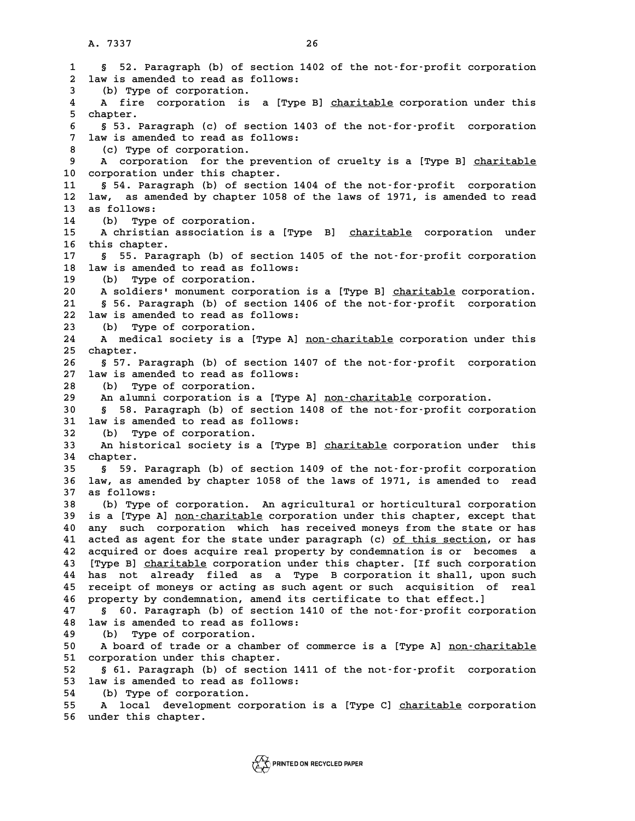**1 § 52. Paragraph (b) of section 1402 of the not-for-profit corporation 2 law is amended to read as follows: 3** 52. Paragraph (b) of sec<br> **2** law is amended to read as fol<br> **3** (b) Type of corporation. **4 A firm 1 A firm 2 A firm 2 and 3 A follows:**<br> **4 A fire corporation.**<br> **4 A fire corporation is a [Type B] <u>charitable</u> corporation under this<br>
E chanter** 3 (b) Type<br>4 A fire<br>5 chapter. **6 \$13. Paragraph (c)** of section 1403 of the not-for-profit corporation<br> **6** § 53. Paragraph (c) of section 1403 of the not-for-profit corporation<br> **6 6** area and an increase in the not-for-profit corporation 5 chapter.<br>6 § 53. Paragraph (c) of section 1403<br>7 law is amended to read as follows: **8 53. Paragraph (c) of section 1<br>
<b>7 law is amended to read as follows:**<br> **8 (c) Type of corporation.**<br> **9 A corporation for the preventi 9 A corporation for the prevention of cruelty is a [Type B] charitable**<br> **9 A corporation for the prevention of cruelty is a [Type B] <u>charitable</u><br>
2 corporation under this shapter** 8 (c) Type of corporation.<br>
9 A corporation for the preventi-<br>
10 corporation under this chapter.<br>
11 S.54 Paragraph (b) of section 1 **11 B 12 & Source 11 S & Source 10 & Source 11 & S & S4. Paragraph (b) of section 1404 of the not-for-profit corporation**<br> **11 § 54. Paragraph (b) of section 1404 of the not-for-profit corporation**<br> **12 law as arended by c 10 corporation under this chapter.**<br> **11 S 54. Paragraph (b) of section 1404 of the not-for-profit corporation**<br> **12 law, as amended by chapter 1058 of the laws of 1971, is amended to read**<br> **13 as follows: 11 § 54. Paragr**<br>**12 law, as amend<br>13 as follows:**<br><sup>14</sup> (b) Time of 12 law, as amended by chapter 1058 of the laws of 1971, is amended to read<br>13 as follows:<br>(b) Type of corporation.<br>15 A christian association is a Type Bl charitable corporation under 13 as follows:<br>14 (b) Type of corporation.<br>15 A christian association is a [Type B] <u>charitable</u> corporation under<br>16 this shaptor 14 (b) Type of c<br>15 A christian as<br>16 this chapter. **15 A** christian association is a [Type B] <u>charitable</u> corporation under<br>16 this chapter.<br>17 § 55. Paragraph (b) of section 1405 of the not-for-profit corporation<br>18 low is appended to read as follows. 16 this chapter.<br>
17 § 55. Paragraph (b) of section 1405 of the not-for-profit corporation<br>
18 law is amended to read as follows:<br>
19 (b) Type of corporation. 18 law is amended to read as follows:<br>19 (b) Type of corporation.<br>20 A soldiers' monument corporation **20** A soldiers' monument corporation is a [Type B] charitable corporation.<br>21 § 56. Paragraph (b) of section 1406 of the not-for-profit corporation **21 § 56. Paragraph (b) of section 1406 of the not-for-profit corporation** 20 A soldiers' monument corporation is<br>21 § 56. Paragraph (b) of section 1406<br>22 law is amended to read as follows:<br><sup>23</sup> (b) Type of corporation 21 § 56. Paragraph (b) of section<br>22 law is amended to read as foll<br>23 (b) Type of corporation.<br>24 **h** modical society is a Furn 22 law is amended to read as follows:<br>23 (b) Type of corporation.<br>24 A medical society is a [Type A] <u>non-charitable</u> corporation under this<br><sup>25</sup> Shanter 23 (b) Type<br>24 A medica<br>25 chapter. **24 • A medical society is a [Type A] <u>non-charitable</u> corporation under this<br>25 chapter. S 57. Paragraph (b) of section 1407 of the not-for-profit corporation<br>27 lay is arended to read as follows:** 25 chapter.<br>
26 § 57. Paragraph (b) of section 1407<br>
27 law is amended to read as follows:<br>
<sup>29</sup> (b) Firms of corporation 26 § 57. Paragraph (b) of section<br>27 law is amended to read as foll<br>28 (b) Type of corporation.<br>29 **Ap alumpi corporation is a** [1] 27 law is amended to read as follows:<br>28 (b) Type of corporation.<br>29 An alumni corporation is a [Type A] <u>non-charitable</u> corporation.<br>30 An alumni corporation in a sample of the pot-for-profit corpora **38 (b)** Type of corporation.<br>29 An alumni corporation is a [Type A] <u>non-charitable</u> corporation.<br>30 § 58. Paragraph (b) of section 1408 of the not-for-profit corporation<br>31 law is amended to read as follows 29 An alumni corporation is a [Type A]<br>30 § 58. Paragraph (b) of section 140<br>31 law is amended to read as follows: S 58. Paragraph (b) of section 1408 of the not-for-profit corporation<br>31 law is amended to read as follows:<br>32 (b) Type of corporation.<br>33 An historical society is a [Type B] charitable corporation under this **31 law is amended to read as follows:<br>32 (b) Type of corporation.<br>33 An historical society is a [Type B] <u>charitable</u> corporation under this<br><sup>34</sup> Shantor** 32 (b) Type<br>33 An histor<br>34 chapter. **35 § 59. Paragraph (b) of section 1409 of the not-for-profit corporation 34 chapter.**<br>35 § 59. Paragraph (b) of section 1409 of the not-for-profit corporation<br>36 law, as amended by chapter 1058 of the laws of 1971, is amended to read<br><sup>37</sup> 35 follows: **35 s** 59. Parag<br>**36 law, as amende**<br>37 as follows: **36 law, as amended by chapter 1058 of the laws of 1971, is amended to read<br>37 as follows:**<br>(b) Type of corporation. An agricultural or horticultural corporation<br>38 is a [Tupe al pop-sharitable corporation under this shapt **37 as follows:**<br> **38** (b) Type of corporation. An agricultural or horticultural corporation<br> **39 is a [Type A] <u>non-charitable</u> corporation under this chapter, except that**<br> **10** any guch corporation which has received mo **40 40 any such corporation.** An agricultural or horticultural corporation<br> **40 any such corporation which has received moneys from the state or has**<br> **40 any such corporation which has received moneys from the state or ha 40** is a [Type A] <u>non-charitable</u> corporation under this chapter, except that<br>40 any such corporation which has received moneys from the state or has<br>41 acted as agent for the state under paragraph (c) <u>of this section</u>, 40 any such corporation which has received moneys from the state or has<br>41 acted as agent for the state under paragraph (c) <u>of this section</u>, or has<br>42 acquired or does acquire real property by condemnation is or becomes **43 [Type B] charitable corporation under this chapter. [If such corporation \_\_\_\_\_\_\_\_\_\_ 42 acquired or does acquire real property by condemnation is or becomes a**<br>**43 [Type B] <u>charitable</u> corporation under this chapter. [If such corporation<br><b>44 has not already filed as a Type B corporation it shall, upon su 43 [Type B] charitable corporation under this chapter. [If such corporation**<br>**44 has not already filed as a Type B corporation it shall, upon such**<br>**45 receipt of moneys or acting as such agent or such acquisition of real** A has not already filed as a Type B corporation it shall, upon<br>45 receipt of moneys or acting as such agent or such acquisition of<br>46 property by condemnation, amend its certificate to that effect.]<br><sup>47</sup> 5 60 Personanth (b **45 receipt of moneys or acting as such agent or such acquisition of real**<br>**46 property by condemnation, amend its certificate to that effect.**]<br>**47** § 60. Paragraph (b) of section 1410 of the not-for-profit corporation<br>**4** 46 property by condemnation, amend its c<br>47 § 60. Paragraph (b) of section 141<br>48 law is amended to read as follows:<br><sup>49</sup> (b) Turne of corporation **47 5** 60. Paragraph (b) of sect<br> **48** law is amended to read as foll<br> **49** (b) Type of corporation.<br> **50. A board of trade or a shappe 50 A board of the set of trade or a chamber:**<br> **50** A board of trade or a chamber of commerce is a [Type A] <u>non-charitable</u><br> **51 Corporation under this chanter** 49 (b) Type of corporation.<br>50 A board of trade or a chamber of<br>51 corporation under this chapter.<br>52 5.51 Personanh (b) of sostion 1 **50** A board of trade or a chamber of commerce is a [Type A] <u>non-charitable</u><br>51 corporation under this chapter.<br>52 § 61. Paragraph (b) of section 1411 of the not-for-profit corporation<br>53 law is arended to read as follows 51 corporation under this chapter.<br>
52 § 61. Paragraph (b) of section 1411 of the not-for-profit corporation<br>
53 law is amended to read as follows:<br>
54 (b) Type of corporation. 53 law is amended to read as follows:<br>54 (b) Type of corporation.<br>55 A local development corporatio **55 A local development corporation is a [Type C] charitable corporation \_\_\_\_\_\_\_\_\_\_ 56 under this chapter.**

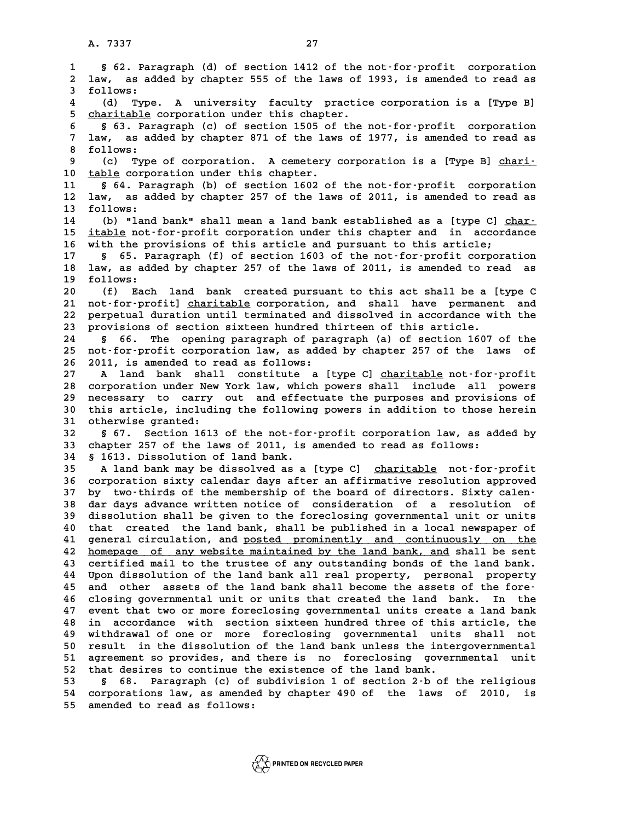**1 § 62. Paragraph (d) of section 1412 of the not-for-profit corporation** 1 § 62. Paragraph (d) of section 1412 of the not-for-profit corporation<br>2 law, as added by chapter 555 of the laws of 1993, is amended to read as<br>3 follows: 1 § 62. Par<br>2 law, as ad<br>3 follows:<br>4 (d) m.mo 1 aw, as added by chapter 555 of the laws of 1993, is amended to read as<br>3 follows:<br>4 (d) Type. A university faculty practice corporation is a [Type B]<br>5 sharitable corporation under this shapter 5 follows:<br>
4 (d) Type. A university faculty practic<br>
5 <u>charitable</u> corporation under this chapter.<br>
5 5 5 Deregana (a) of section 1505 of the **6 (d) Type. A university faculty practice corporation is a [Type B]**<br> **6 <u>s</u> 63. Paragraph (c) of section 1505 of the not-for-profit corporation<br>
7 law as added by chapter 271 of the law of 1277 is appended to read as** 5 charitable corporation under this chapter.<br>6 \$ 63. Paragraph (c) of section 1505 of the not-for-profit corporation<br>7 law, as added by chapter 871 of the laws of 1977, is amended to read as **8 63. Para 6 follows:**<br>**8 follows:**<br>**8 follows: 9 1 aw, as added by chapter 871 of the laws of 1977, is amended to read as follows:<br>8 follows:<br>9 (c) Type of corporation. A cemetery corporation is a [Type B] <u>chari-</u><br>0 table corporation under this shapter** 8 follows:<br>
9 (c) Type of corporation. A cemetery<br>
10 <u>table</u> corporation under this chapter.<br>
11 5 64 Paragraph (b) of section 1602 of **12 (c) Type of corporation.** A cemetery corporation is a [Type B] chari-<br> **10 <u>table</u> corporation under this chapter.**<br> **11** § 64. Paragraph (b) of section 1602 of the not-for-profit corporation<br> **12** law 25.33404 by chap 10 **table corporation under this chapter.**<br>11 § 64. Paragraph (b) of section 1602 of the not-for-profit corporation<br>12 law, as added by chapter 257 of the laws of 2011, is amended to read as<br><sup>13</sup> follows: **11 5** 64. Par **12 law**, as ad **13 follows:** 12 law, as added by chapter 257 of the laws of 2011, is amended to read as<br>13 follows:<br>14 (b) "land bank" shall mean a land bank established as a [type C] <u>char-</u><br>15 itable pot for profit corporation under this shapter and 13 follows:<br>14 (b) "land bank" shall mean a land bank established as a [type C] <u>char-</u><br>15 <u>itable</u> not-for-profit corporation under this chapter and in accordance<br>16 with the provisions of this article and pursuant to thi 13 follows:<br>
16 (b) "land bank" shall mean a land bank established as a [type C] char-<br>
15 <u>itable</u> not-for-profit corporation under this chapter and in accordance<br>
16 with the provisions of this article and pursuant to th **15 <u>itable</u> not-for-profit corporation under this chapter and in accordance<br>16 with the provisions of this article and pursuant to this article;<br>17 § 65. Paragraph (f) of section 1603 of the not-for-profit corporation<br>18 16 with the provisions of this article and pursuant to this article;<br>17 § 65. Paragraph (f) of section 1603 of the not-for-profit corporation<br>18 law, as added by chapter 257 of the laws of 2011, is amended to read as**<br>501 17 § 65. Pa<br>18 law, as add<br>19 follows:<br><sup>20 (f) Fach</sub></sup> 18 law, as added by chapter 257 of the laws of 2011, is amended to read as<br>19 follows:<br>20 (f) Each land bank created pursuant to this act shall be a [type C<br>21 not-for-profitl charitable corporation and shall have permanen 19 follows:<br>
20 (f) Each land bank created pursuant to this act shall be a [type C<br>
21 not-for-profit] <u>charitable</u> corporation, and shall have permanent and<br>
22 perpetual duration until terminated and dissolved in accorda **20** (f) Each land bank created pursuant to this act shall be a [type C<br>21 not-for-profit] <u>charitable</u> corporation, and shall have permanent and<br>22 perpetual duration until terminated and dissolved in accordance with the<br> 21 not-for-profit] <u>charitable</u> corporation, and shall have permanen<br>22 perpetual duration until terminated and dissolved in accordance wi<br>23 provisions of section sixteen hundred thirteen of this article.<br>24 5 55 The epon **22 perpetual duration until terminated and dissolved in accordance with the<br>
23 provisions of section sixteen hundred thirteen of this article.<br>
24 § 66. The opening paragraph of paragraph (a) of section 1607 of the<br>
25 p 23 provisions of section sixteen hundred thirteen of this article.**<br>24 § 66. The opening paragraph of paragraph (a) of section 1607 of the<br>25 not-for-profit corporation law, as added by chapter 257 of the laws of<br>26 2011 **24** § 66. The opening paragraph of par<br>
25 not-for-profit corporation law, as adde<br>
26 2011, is amended to read as follows:<br>
27 a land bank shall constitute a f 25 not-for-profit corporation law, as added by chapter 257 of the laws of<br>26 2011, is amended to read as follows:<br>27 A land bank shall constitute a [type C] charitable not-for-profit<br>28 degrados under Nou York law which po 26 2011, is amended to read as follows:<br>27 A land bank shall constitute a [type C] charitable not for profit<br>28 corporation under New York law, which powers shall include all powers<br>29 nogosary to sarry, sut and offectuate **27 a land bank shall constitute a [type C] charitable not for profit**<br> **28 corporation under New York law, which powers shall include all powers**<br> **29 necessary to carry out and effectuate the purposes and provisions of**<br> 28 corporation under New York law, which powers shall include all powers<br>29 necessary to carry out and effectuate the purposes and provisions of<br>30 this article, including the following powers in addition to those herein<br>3 29 necessary to carry<br>30 this article, includi<br>31 otherwise granted:<br><sup>32</sup> 5.67 Soction 1613 **30 this article, including the following powers in addition to those herein**<br>31 otherwise granted:<br>32 § 67. Section 1613 of the not-for-profit corporation law, as added by<br>33 obanter 257 of the laws of 2011 is amended to 31 otherwise granted:<br>32 § 67. Section 1613 of the not-for-profit corporation law, as ad<br>33 chapter 257 of the laws of 2011, is amended to read as follows:<br><sup>34</sup> § 1613 Dissolution of land bank **32** § 67. Section 1613 of the not-for<br> **33** chapter 257 of the laws of 2011, is<br> **34** § 1613. Dissolution of land bank. 33 chapter 257 of the laws of 2011, is amended to read as follows:<br>34 § 1613. Dissolution of land bank.<br>35 A land bank may be dissolved as a [type C] charitable not-for-profit<br>26 Corporation sittly selected as a formation **34 § 1613. Dissolution of land bank.**<br>**35 A land bank may be dissolved as a [type C]** charitable not for profit<br>36 corporation sixty calendar days after an affirmative resolution approved<br>37 by typethirds of the membershi **35** A land bank may be dissolved as a [type C] charitable not-for-profit<br>36 corporation sixty calendar days after an affirmative resolution approved<br>37 by two-thirds of the membership of the board of directors. Sixty cale 36 corporation sixty calendar days after an affirmative resolution approved<br>37 by two-thirds of the membership of the board of directors. Sixty calen-<br>38 dar days advance written notice of consideration of a resolution of<br> **37 by two-thirds of the membership of the board of directors. Sixty calen-**<br>**38 dar days advance written notice of consideration of a resolution of dissolution shall be given to the foreclosing governmental unit or units<br> 40 that created the land bank, shall be published in a local newspaper of** dissolution shall be given to the foreclosing governmental unit or units<br>40 that created the land bank, shall be published in a local newspaper of<br>41 general circulation, and <u>posted prominently and continuously on the</u><br>22 40 that created the land bank, shall be published in a local newspaper of<br>41 general circulation, and <u>posted prominently and continuously on the</u><br>42 <u>homepage of any website maintained by the land bank, and</u> shall be sent 41 general circulation, and <u>posted prominently and continuously on the</u><br>42 <u>homepage of any website maintained by the land bank, and</u> shall be sent<br>43 certified mail to the trustee of any outstanding bonds of the land ban A upon dissolution of the land bank and shall be sent<br>
43 certified mail to the trustee of any outstanding bonds of the land bank.<br>
44 Upon dissolution of the land bank all real property, personal property<br>
45 and other ag **43** certified mail to the trustee of any outstanding bonds of the land bank.<br>44 Upon dissolution of the land bank all real property, personal property<br>45 and other assets of the land bank shall become the assets of the fo **44 Upon dissolution of the land bank all real property, personal property**<br>45 and other assets of the land bank shall become the assets of the fore-<br>46 closing governmental unit or units that created the land bank. In the and other assets of the land bank shall become the assets of the fore-<br>46 closing governmental unit or units that created the land bank. In the<br>47 event that two or more foreclosing governmental units create a land bank<br>48 do closing governmental unit or units that created the land bank. In the<br>47 event that two or more foreclosing governmental units create a land bank<br>48 in accordance with section sixteen hundred three of this article, the<br> 47 event that two or more foreclosing governmental units create a land bank<br>48 in accordance with section sixteen hundred three of this article, the<br>49 withdrawal of one or more foreclosing governmental units shall not<br>50 48 in accordance with section sixteen hundred three of this article, the<br>49 withdrawal of one or more foreclosing governmental units shall not<br>50 result in the dissolution of the land bank unless the intergovernmental<br>51 a 49 withdrawal of one or more foreclosing governmental units shall not<br>50 result in the dissolution of the land bank unless the intergovernmental<br>51 agreement so provides, and there is no foreclosing governmental unit 50 result in the dissolution of the land bank unless the inte<br>51 agreement so provides, and there is no foreclosing gover:<br>52 that desires to continue the existence of the land bank.<br>53 68 Paragraph (c) of subdivision 1 of 51 agreement so provides, and there is no foreclosing governmental unit<br>52 that desires to continue the existence of the land bank.<br>53 § 68. Paragraph (c) of subdivision 1 of section 2-b of the religious<br>54 corporations la 52 that desires to continue the existence of the land bank.<br>53 § 68. Paragraph (c) of subdivision 1 of section 2 b of the religious<br>54 corporations law, as amended by chapter 490 of the laws of 2010, is<br>55 amended to read

53 § 68. Paragraph (c) of<br>54 corporations law, as amende<br>55 amended to read as follows:

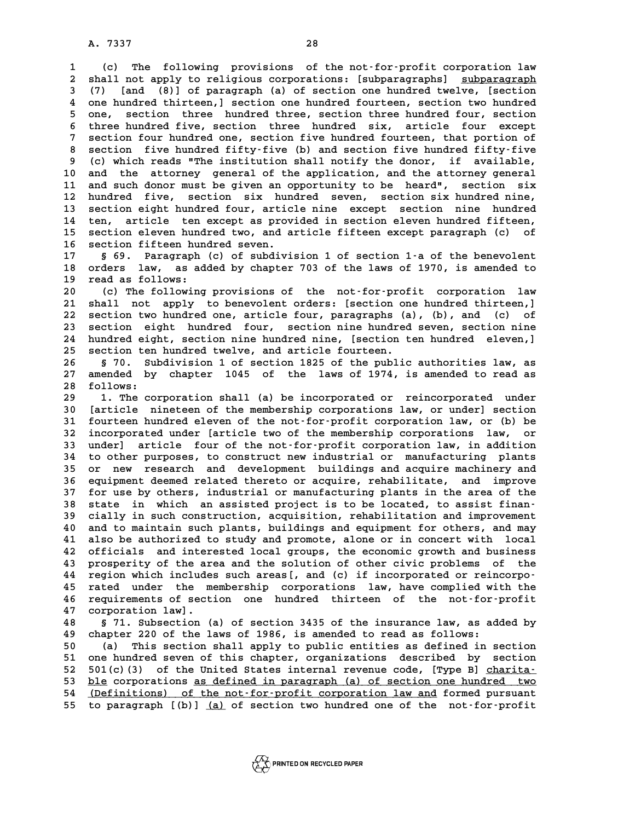**1 (c) The following provisions of the not-for-profit corporation law 2** (c) The following provisions of the not-for-profit corporation law<br>2 shall not apply to religious corporations: [subparagraphs] <u>subparagraph</u><br>3 (7) [and (8)] of paragraph (a) of section one hundred twelve, [section **3 (7)** The following provisions of the not-for-profit corporation law<br> **3 shall not apply to religious corporations:** [subparagraphs] subparagraph<br> **3** (7) [and (8)] of paragraph (a) of section one hundred twelve, [sectio 4 shall not apply to religious corporations: [subparagraphs] subparagraph<br>
4 (7) [and (8)] of paragraph (a) of section one hundred twelve, [section<br>
4 one hundred thirteen,] section one hundred fourteen, section two hundre **5** (7) [and (8)] of paragraph (a) of section one hundred twelve, [section<br>4 one hundred thirteen,] section one hundred fourteen, section two hundred<br>5 one, section three hundred three, section three hundred four, section 4 one hundred thirteen,] section one hundred fourteen, section two hundred<br>5 one, section three hundred three, section three hundred four, section<br>6 three hundred five, section three hundred six, article four except<br>7 sect 5 one, section three hundred three, section three hundred four, section 6 three hundred five, section three hundred six, article four except 7 section four hundred one, section five hundred fourteen, that portion of 8 sect 8 three hundred five, section three hundred six, article four except<br>
8 section four hundred one, section five hundred fourteen, that portion of<br>
8 section five hundred fifty-five (b) and section five hundred fifty-five<br>
8 **9** section four hundred one, section five hundred fourteen, that portion of<br>
8 section five hundred fifty-five (b) and section five hundred fifty-five<br>
9 (c) which reads "The institution shall notify the donor, if availab 8 section five hundred fifty-five (b) and section five hundred fifty-five<br>9 (c) which reads "The institution shall notify the donor, if available,<br>10 and the attorney general of the application, and the attorney general<br><sup>1</sup> 10 (c) which reads "The institution shall notify the donor, if available,<br>10 and the attorney general of the application, and the attorney general<br>11 and such donor must be given an opportunity to be heard", section six<br><sup>1</sup> 10 and the attorney general of the application, and the attorney general<br>11 and such donor must be given an opportunity to be heard", section six<br>12 hundred five, section six hundred seven, section six hundred nine,<br>sectio 11 and such donor must be given an opportunity to be heard", section six<br>12 hundred five, section six hundred seven, section six hundred nine,<br>13 section eight hundred four, article nine except section nine hundred<br>14 top 12 hundred five, section six hundred seven, section six hundred nine,<br>13 section eight hundred four, article nine except section nine hundred<br>14 ten, article ten except as provided in section eleven hundred fifteen,<br>15 sec 13 section eight hundred four, article nine except section nine hundred<br>14 ten, article ten except as provided in section eleven hundred fifteen,<br>15 section eleven hundred two, and article fifteen except paragraph (c) of<br>1 14 ten, article ten except as provided in section eleven hundred fifteen,<br>15 section eleven hundred two, and article fifteen except paragraph (c) of<br>16 section fifteen hundred seven.<br>17 § 69. Paragraph (c) of subdivision 1 15 section eleven hundred two, and article fifteen except paragraph (c) of<br>16 section fifteen hundred seven.<br>17 § 69. Paragraph (c) of subdivision 1 of section 1-a of the benevolent<br>18 orders law, as added by chapter 703 o

**16 section fifteen hundred seven.**<br>17 § 69. Paragraph (c) of subdivision 1 of section 1 a of the benevolent<br>18 orders law, as added by chapter 703 of the laws of 1970, is amended to<br>19 road as follows. 17 § 69. Paragraph<br>18 orders law, as ad<br>19 read as follows:<br><sup>20</sup> (3) <sup>The following</sup> 18 orders law, as added by chapter 703 of the laws of 1970, is amended to<br>19 read as follows:<br>20 (c) The following provisions of the not-for-profit corporation law<br>21 shall not apply to benevolant orders: [section one hund

**21 shall not apply to benevolent orders:** [section one hundred thirteen,]<br>**21 shall not apply to benevolent orders:** [section one hundred thirteen,]<br>22 section two hundred one, article four, paragraphs (a), (b), and (c) o **22 section two hundred one, article four, paragraphs (a), (b), and (c) of** 21 shall not apply to benevolent orders: [section one hundred thirteen,]<br>22 section two hundred one, article four, paragraphs (a), (b), and (c) of<br>23 section eight hundred four, section nine hundred seven, section nine<br>24 22 section two hundred one, article four, paragraphs (a), (b), and (c) of<br>23 section eight hundred four, section nine hundred seven, section nine<br>24 hundred eight, section nine hundred nine, [section ten hundred eleven,]<br>2 23 section eight hundred four, section nine hundred<br>24 hundred eight, section nine hundred nine, [section t<br>25 section ten hundred twelve, and article fourteen. 24 hundred eight, section nine hundred nine, [section ten hundred eleven,]<br>25 section ten hundred twelve, and article fourteen.<br>26 § 70. Subdivision 1 of section 1825 of the public authorities law, as<br>27 amended by chapter

25 section ten hundred twelve, and article fourteen.<br>26 § 70. Subdivision 1 of section 1825 of the public authorities law, as<br>27 amended by chapter 1045 of the laws of 1974, is amended to read as 26 **s** 70. Su<br>
27 amended by<br>
28 follows:

**29 1. The corporation shall (a) be incorporated or reincorporated under 30 [article nineteen of the membership corporations law, or under] section** 1. The corporation shall (a) be incorporated or reincorporated under<br>30 [article nineteen of the membership corporations law, or under] section<br>31 fourteen hundred eleven of the not-for-profit corporation law, or (b) be<br>32 **30** [article nineteen of the membership corporations law, or under] section<br>31 fourteen hundred eleven of the not-for-profit corporation law, or (b) be<br>32 incorporated under [article two of the membership corporations law 31 fourteen hundred eleven of the not-for-profit corporation law, or (b) be<br>32 incorporated under [article two of the membership corporations law, or<br>33 under] article four of the not-for-profit corporation law, in additio 32 incorporated under [article two of the membership corporations law, or<br>33 under] article four of the not-for-profit corporation law, in addition<br>34 to other purposes, to construct new industrial or manufacturing plants<br> 33 under] article four of the not-for-profit corporation law, in addition<br>34 to other purposes, to construct new industrial or manufacturing plants<br>35 or new research and development buildings and acquire machinery and<br>26 **34 to other purposes, to construct new industrial or manufacturing plants**<br>35 or new research and development buildings and acquire machinery and<br>36 equipment deemed related thereto or acquire, rehabilitate, and improve<br>3 35 or new research and development buildings and acquire machinery and<br>36 equipment deemed related thereto or acquire, rehabilitate, and improve<br>37 for use by others, industrial or manufacturing plants in the area of the<br>3 36 equipment deemed related thereto or acquire, rehabilitate, and improve<br>37 for use by others, industrial or manufacturing plants in the area of the<br>38 state in which an assisted project is to be located, to assist finan-37 for use by others, industrial or manufacturing plants in the area of the<br>38 state in which an assisted project is to be located, to assist finan-<br>39 cially in such construction, acquisition, rehabilitation and improveme **40 and to maintain such construction, acquisition, rehabilitation and improvement<br>40 and to maintain such plants, buildings and equipment for others, and may<br>41 also be authorized to study and promote alone or in concert** 39 cially in such construction, acquisition, rehabilitation and improvement<br>40 and to maintain such plants, buildings and equipment for others, and may<br>41 also be authorized to study and promote, alone or in concert with l 40 and to maintain such plants, buildings and equipment for others, and may<br>41 also be authorized to study and promote, alone or in concert with local<br>42 officials and interested local groups, the economic growth and busin **41 also be authorized to study and promote, alone or in concert with local**<br>**42 officials and interested local groups, the economic growth and business**<br>**43 prosperity of the area and the solution of other civic problems** 42 officials and interested local groups, the economic growth and business<br>43 prosperity of the area and the solution of other civic problems of the<br>44 region which includes such areas[, and (c) if incorporated or reincorp 43 prosperity of the area and the solution of other civic problems of the<br>44 region which includes such areas [, and (c) if incorporated or reincorpo-<br>45 rated under the membership corporations law, have complied with the<br> for a region which includes such areas [, and (c) if incorporated or reincorpo-<br>45 rated under the membership corporations law, have complied with the<br>46 requirements of section one hundred thirteen of the not-for-profit<br>4 ated under the membership corporations law, have complied with the<br>46 requirements of section one hundred thirteen of the not-for-profit<br>47 corporation law].<br>48 § 71. Subsection (a) of section 3435 of the insurance law, as % **46** requirements of section one hundred thirteen of the not-for-profit<br>
47 corporation law].<br>
48 § 71. Subsection (a) of section 3435 of the insurance law, as added by<br>
49 chapter 220 of the laws of 1986, is amended to

**47 corporation law].**<br>**48 § 71. Subsection (a) of section 3435 of the insurance law, as ad<br>49 chapter 220 of the laws of 1986, is amended to read as follows:<br>50 (a) This section shall apply to publis entities as defined i 5** 71. Subsection (a) of section 3435 of the insurance law, as added by<br>49 chapter 220 of the laws of 1986, is amended to read as follows:<br>50 (a) This section shall apply to public entities as defined in section<br>51 one hu

**50** chapter 220 of the laws of 1986, is amended to read as follows:<br>
50 (a) This section shall apply to public entities as defined in section<br>
51 one hundred seven of this chapter, organizations described by section<br>
52 5 **50** (a) This section shall apply to public entities as defined in section<br>51 one hundred seven of this chapter, organizations described by section<br>52 501(c)(3) of the United States internal revenue code, [Type B] charita-(a) This section shall apply to public entities as defined in section<br>51 one hundred seven of this chapter, organizations described by section<br>52 501(c)(3) of the United States internal revenue code, [Type B] <u>charita-</u><br>53 52 501(c)(3) of the United States internal revenue code, [Type B] <u>charita-</u><br>53 <u>ble</u> corporations <u>as defined in paragraph (a) of section one hundred two</u><br>54 <u>(Definitions) of the not-for-profit corporation law and</u> forme 53 <u>ble</u> corporations <u>as defined in paragraph (a) of section one hundred two</u><br>54 <u>(Definitions) of the not-for-profit corporation law and</u> formed pursuant<br>55 to paragraph [(b)] <u>(a)</u> of section two hundred one of the not-

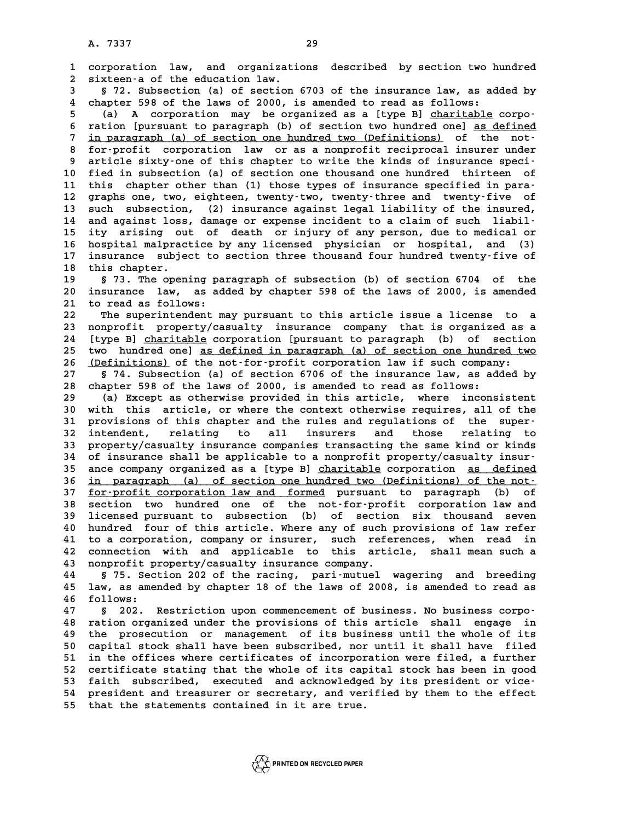**1 corporation law, and organizations described by section two hundred 2** corporation law, and organization<br>2 sixteen-a of the education law.<br>3 5.72 Subsection (a) of section **3 § 72. Subsection (a) of section 6703 of the insurance law, as added by** 4 sixteen a of the education law.<br>
4 s 72. Subsection (a) of section 6703 of the insurance law, as added by<br>
4 chapter 598 of the laws of 2000, is amended to read as follows:<br>
5 (a) A corporation may be organized as a [typ 5 72. Subsection (a) of section 6703 of the insurance law, as added by<br>4 chapter 598 of the laws of 2000, is amended to read as follows:<br>(a) A corporation may be organized as a [type B] <u>charitable</u> corpo-<br>f ration [purgua 4 chapter 598 of the laws of 2000, is amended to read as follows:<br>
5 (a) A corporation may be organized as a [type B] <u>charitable</u> corpo-<br>
6 ration [pursuant to paragraph (b) of section two hundred one] <u>as defined</u><br>
7 in **7** (a) A corporation may be organized as a [type B] charitable corpo-<br> **6** ration [pursuant to paragraph (b) of section two hundred one] <u>as defined</u><br> **7** <u>in paragraph (a) of section one hundred two (Definitions)</u> of the 8 **formal form-profit corporation** (b) of section two hundred one] as defined<br>
8 in paragraph (a) of section one hundred two (Definitions) of the not-<br>
8 for-profit corporation law or as a nonprofit reciprocal insurer unde in paragraph (a) of section one hundred two (Definitions) of the not-10 for-profit corporation law or as a nonprofit reciprocal insurer under<br>
10 article sixty-one of this chapter to write the kinds of insurance speci-<br>
10 fied in subsection (a) of section one thousand one hundred thirteen 9 article sixty-one of this chapter to write the kinds of insurance speci-<br>10 fied in subsection (a) of section one thousand one hundred thirteen of<br>11 this chapter other than (1) those types of insurance specified in para 10 fied in subsection (a) of section one thousand one hundred thirteen of<br>11 this chapter other than (1) those types of insurance specified in para-<br>12 graphs one, two, eighteen, twenty-two, twenty-three and twenty-five of 11 this chapter other than (1) those types of insurance specified in para-<br>12 graphs one, two, eighteen, twenty-two, twenty-three and twenty-five of<br>13 such subsection, (2) insurance against legal liability of the insured, 12 graphs one, two, eighteen, twenty-two, twenty-three and twenty-five of<br>
13 such subsection, (2) insurance against legal liability of the insured,<br>
14 and against loss, damage or expense incident to a claim of such liabi 13 such subsection, (2) insurance against legal liability of the insured,<br>14 and against loss, damage or expense incident to a claim of such liabil-<br>15 ity arising out of death or injury of any person, due to medical or<br>16 14 and against loss, damage or expense incident to a claim of such liabil-<br>15 ity arising out of death or injury of any person, due to medical or<br>16 hospital malpractice by any licensed physician or hospital, and (3)<br>17 in 15 ity arising out of death or injury of any person, due to medical or<br>16 hospital malpractice by any licensed physician or hospital, and (3)<br>17 insurance subject to section three thousand four hundred twenty-five of<br><sup>19</sup> 16 hospital malpractice by any licensed physician or hospital, and (3) insurance subject to section three thousand four hundred twenty-five of this chapter.<br>19 \$ 73. The opening paragraph of subsection (b) of section 6704 **17** insurance subject to section three thousand four hundred twenty-five of this chapter.<br> **19** § 73. The opening paragraph of subsection (b) of section 6704 of the<br> **20** insurance law, as added by chapter 598 of the laws **20 18 this chapter.**<br>19 5 73. The opening paragraph of subsection (b) of section 6704 of the<br>20 insurance law, as added by chapter 598 of the laws of 2000, is amended<br>21 to read as follows: 19 § 73. The opening pa<br>20 insurance law, as ad<br>21 to read as follows:<br><sup>22</sup> mbe superintedent m 20 insurance law, as added by chapter 598 of the laws of 2000, is amended<br>21 to read as follows:<br>22 The superintendent may pursuant to this article issue a license to a<br>23 nonrofit, property/gasualty insurance company, tha 21 to read as follows:<br>22 The superintendent may pursuant to this article issue a license to a<br>23 nonprofit property/casualty insurance company that is organized as a<br>24 time Bl sharitable corporation [nursuant to paragrap The superintendent may pursuant to this article issue a license to a<br>23 nonprofit property/casualty insurance company that is organized as a<br>24 [type B] <u>charitable</u> corporation [pursuant to paragraph (b) of section<br>25 typ 23 nonprofit property/casualty insurance company that is organized as a<br>24 [type B] <u>charitable</u> corporation [pursuant to paragraph (b) of section<br>25 two hundred one] <u>as defined in paragraph (a) of section one hundred two</u> 24 [type B] <u>charitable</u> corporation [pursuant to paragraph (b) of section<br>25 two hundred one] <u>as defined in paragraph (a) of section one hundred tw</u><br>26 <u>(Definitions)</u> of the not-for-profit corporation law if such compan **25 two hundred onel as defined in paragraph (a) of section one hundred two**<br>26 <u>(Definitions)</u> of the not-for-profit corporation law if such company:<br>27 § 74. Subsection (a) of section 6706 of the insurance law, as added **28 (Definitions)** of the not-for-profit corporation law if such company:<br> **27** § 74. Subsection (a) of section 6706 of the insurance law, as added by<br> **28** chapter 598 of the laws of 2000, is amended to read as follows:<br> **29 (a) Except as otherwise provided in this article, where inconsistent** 28 chapter 598 of the laws of 2000, is amended to read as follows:<br>29 (a) Except as otherwise provided in this article, where inconsistent<br>30 with this article, or where the context otherwise requires, all of the<br>31 provis **39** (a) Except as otherwise provided in this article, where inconsistent<br>
30 with this article, or where the context otherwise requires, all of the<br>
31 provisions of this chapter and the rules and regulations of the super 30 with this article, or where the context otherwise requires, all of the<br>31 provisions of this chapter and the rules and regulations of the super-<br>32 intendent, relating to all insurers and those relating to<br>33 property/c 31 provisions of this chapter and the rules and regulations of the super-<br>32 intendent, relating to all insurers and those relating to<br>33 property/casualty insurance companies transacting the same kind or kinds **34 of insurance shall be applicable to a nonprofit property/casualty insur-**33 property/casualty insurance companies transacting the same kind or kinds<br>34 of insurance shall be applicable to a nonprofit property/casualty insur-<br>35 ance company organized as a [type B] <u>charitable</u> corporation <u>as d</u> of insurance shall be applicable to a nonprofit property/casualty insur-<br>35 ance company organized as a [type B] <u>charitable</u> corporation <u>as defined</u><br>36 <u>in paragraph (a) of section one hundred two (Definitions) of the no</u> 35 ance company organized as a [type B] <u>charitable</u> corporation <u>as defined</u><br>36 <u>in paragraph (a) of section one hundred two (Definitions) of the not-</u><br>37 <u>for-profit corporation law and formed</u> pursuant to paragraph (b) **36 in paragraph (a) of section one hundred two (Definitions) of the not-**<br>**37 <u>for-profit corporation law and</u> formed pursuant to paragraph (b) of<br><b>38 section two hundred one of the not-for-profit corporation law and**<br>**39 <u>for-profit corporation law and formed</u> pursuant to paragraph (b) of section two hundred one of the not-for-profit corporation law and licensed pursuant to subsection (b) of section six thousand seven<br>All hundred four of** 38 section two hundred one of the not-for-profit corporation law and<br>39 licensed pursuant to subsection (b) of section six thousand seven<br>40 hundred four of this article. Where any of such provisions of law refer<br>41 to a c 19 licensed pursuant to subsection (b) of section six thousand seven<br>40 hundred four of this article. Where any of such provisions of law refer<br>41 to a corporation, company or insurer, such references, when read in<br>42 conn 40 hundred four of this article. Where any of such provisions of law refer<br>41 to a corporation, company or insurer, such references, when read in<br>42 connection with and applicable to this article, shall mean such a<br>43 nonr 41 to a corporation, company or insurer, such refe<br>42 connection with and applicable to this arti<br>43 nonprofit property/casualty insurance company. 42 connection with and applicable to this article, shall mean such a<br>43 nonprofit property/casualty insurance company.<br>44 § 75. Section 202 of the racing, pari-mutuel wagering and breeding<br>45 lay as amonded by chapter 18 o 43 nonprofit property/casualty insurance company.<br>44 § 75. Section 202 of the racing, pari-mutuel wagering and breeding<br>45 law, as amended by chapter 18 of the laws of 2008, is amended to read as<br>46 follows: **44 5** 75. Sec<br>**45 law, as ame:**<br>**46 follows: 45 law, as amended by chapter 18 of the laws of 2008, is amended to read as<br>
<b>46 follows:**<br> **47 § 202. Restriction upon commencement of business. No business corpo-**<br> **49 ration organized under the provisions of this arti 46 follows:**<br> **47** § 202. Restriction upon commencement of business. No business corpo-<br> **48 ration organized under the provisions of this article shall engage in**<br> **19 the procesution or management of its business until 47 S 202. Restriction upon commencement of business. No business corpo-**<br>**48 ration organized under the provisions of this article shall engage in**<br>**49 the prosecution or management of its business until the whole of its** 48 ration organized under the provisions of this article shall engage in<br>49 the prosecution or management of its business until the whole of its<br>50 capital stock shall have been subscribed, nor until it shall have filed 49 the prosecution or management of its business until the whole of its<br>50 capital stock shall have been subscribed, nor until it shall have filed<br>51 in the offices where certificates of incorporation were filed, a further 50 capital stock shall have been subscribed, nor until it shall have filed<br>51 in the offices where certificates of incorporation were filed, a further<br>52 certificate stating that the whole of its capital stock has been in 51 in the offices where certificates of incorporation were filed, a further<br>52 certificate stating that the whole of its capital stock has been in good<br>53 faith subscribed, executed and acknowledged by its president or vic 52 certificate stating that the whole of its capital stock has been in good<br>53 faith subscribed, executed and acknowledged by its president or vice<br>54 president and treasurer or secretary, and verified by them to the effec **55 that the statements contained in it are true.**

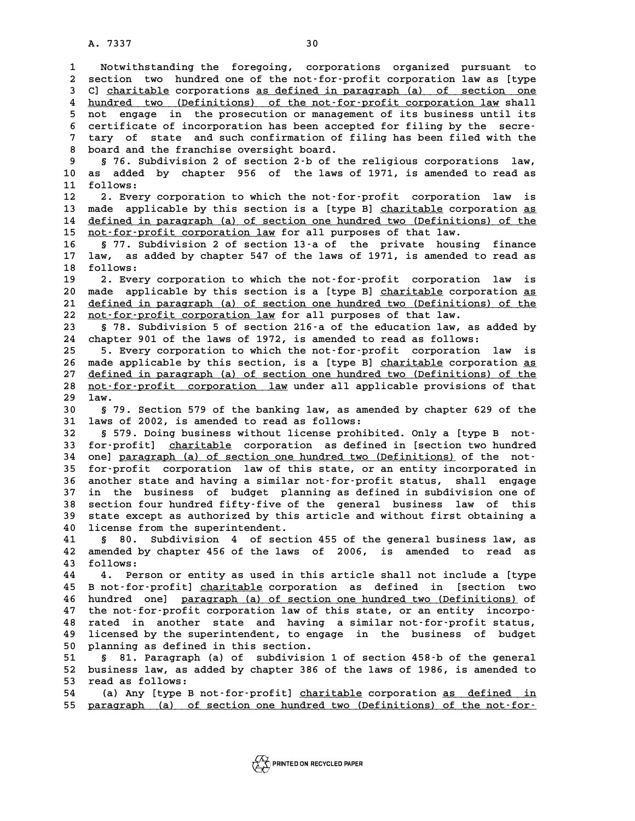**1 Notwithstanding the foregoing, corporations organized pursuant to 2** Notwithstanding the foregoing, corporations organized pursuant to<br>2 section two hundred one of the not-for-profit corporation law as [type<br>3 Cl charitable corporations as defined in paragraph (a) of section one Notwithstanding the foregoing, corporations organized pursuant to<br>
2 section two hundred one of the not-for-profit corporation law as [type<br>
3 C] <u>charitable</u> corporations <u>as defined in paragraph (a) of section one</u><br>
4 hu a ection two hundred one of the not-for-profit corporation law as [type<br> **4 hundred two (Definitions)** of the not-for-profit corporation law shall<br> **1** and engage in the procession or processment of its husiness until its 3 C] <u>charitable</u> corporations <u>as defined in paragraph (a) of section one</u><br>4 <u>hundred two (Definitions) of the not-for-profit corporation law</u> shall<br>5 not engage in the prosecution or management of its business until its<br> 4 <u>hundred two (Definitions) of the not-for-profit corporation law</u> shall<br>5 not engage in the prosecution or management of its business until its<br>6 certificate of incorporation has been accepted for filing by the secre-<br><sup>7</sup> 5 not engage in the prosecution or management of its business until its<br>6 certificate of incorporation has been accepted for filing by the secre-<br>7 tary of state and such confirmation of filing has been filed with the<br>8 bo 6 certificate of incorporation has been accepted for filing by the secre-<br>
7 tary of state and such confirmation of filing has been filed with the<br>
8 board and the franchise oversight board.<br>
8 76. Subdivision 2 of section 9 **tary** of state and such confirmation of filing has been filed with the<br>**8 board and the franchise oversight board.**<br>**9** § 76. Subdivision 2 of section 2-b of the religious corporations law,<br>10 as added by chapter 956 of 8 board and the franchise oversight board.<br>
9 § 76. Subdivision 2 of section 2 b of the religious corporations law,<br>
10 as added by chapter 956 of the laws of 1971, is amended to read as<br>
<sup>11 follows</sub>.</sup> 9 § 76. Sub<br>10 as added :<br>11 follows:<br><sup>12</sup> <sup>2</sup> Every 10 as added by chapter 956 of the laws of 1971, is amended to read as<br>11 follows:<br>12 2. Every corporation to which the not-for-profit corporation law is<br>13 made applicable by this section is a live Bl charitable corporatio 11 follows:<br>12 2. Every corporation to which the not-for-profit corporation law is<br>13 made applicable by this section is a [type B] <u>charitable</u> corporation <u>as</u><br>14 defined in paragraph (a) of section and bundred two (Defi 12 2. Every corporation to which the not-for-profit corporation law is<br>13 made applicable by this section is a [type B] <u>charitable</u> corporation <u>as</u><br>14 <u>defined in paragraph (a) of section one hundred two (Definitions) of</u> 2. Every corporation to which the not-for-profit corporation law is<br>
13 made applicable by this section is a [type B] <u>charitable</u> corporation <u>as</u><br>
14 <u>defined in paragraph (a) of section one hundred two (Definitions) of </u> **16 § 77. Subdivision 2 of section 13-a of the private housing finance 15** <u>not-for-profit corporation law</u> for all purposes of that law.<br>16 § 77. Subdivision 2 of section 13-a of the private housing finance<br>17 law, as added by chapter 547 of the laws of 1971, is amended to read as<br>5. 16 **s** 77. Sub<br>17 law, as ad<br>18 follows: **17 law, as added by chapter 547 of the laws of 1971, is amended to read as<br>18 follows:<br>2. Every corporation to which the not-for-profit corporation law is<br>20 made applicable by this section is a livre Bl sharitable corpor 20 18 follows:**<br> **20 made applicable by this section is a [type B] <u>charitable</u> corporation <u>as</u><br>
<b>20 made applicable by this section is a [type B] <u>charitable</u> corporation <u>as</u><br>
<b>21** defined in paragraph (a) of section o 2. Every corporation to which the not-for-profit corporation law is<br>
20 made applicable by this section is a [type B] <u>charitable</u> corporation <u>as</u><br>
21 <u>defined in paragraph (a) of section one hundred two (Definitions) of </u> 20 made applicable by this section is a [type B] <u>charitable</u> corpo<br>21 <u>defined in paragraph (a) of section one hundred two (Definition</u><br>22 <u>not-for-profit corporation law</u> for all purposes of that law.<br>23 5.78 Subdivision 20 made applicable by this section is a [type B] charitable corporation as<br>
21 defined in paragraph (a) of section one hundred two (Definitions) of the<br>
22 not-for-profit corporation law for all purposes of that law.<br>
3 § **22 <u>not-for-profit corporation law</u> for all purposes of that law.<br>
23 § 78. Subdivision 5 of section 216-a of the education law, as ad<br>
24 chapter 901 of the laws of 1972, is amended to read as follows:<br>
25 § Fuery corpor** <sup>23</sup> 5 78. Subdivision 5 of section 216 a of the education law, as added by<br>
<sup>24</sup> chapter 901 of the laws of 1972, is amended to read as follows:<br>
<sup>25</sup> 5. Every corporation to which the not-for-profit corporation law is<br>
<sup></sup> chapter 901 of the laws of 1972, is amended to read as follows:<br>25 5. Every corporation to which the not-for-profit corporation law is<br>26 made applicable by this section, is a [type B] <u>charitable</u> corporation as<br>27 define **25** 5. Every corporation to which the not-for-profit corporation law is<br>26 made applicable by this section, is a [type B] <u>charitable</u> corporation <u>as</u><br>27 <u>defined in paragraph (a) of section one hundred two (Definitions)</u> 26 made applicable by this section, is a [type B] <u>charitable</u> corporation <u>as</u><br>27 <u>defined in paragraph (a) of section one hundred two (Definitions) of the<br>28 not-for-profit corporation law under all applicable provisions</u> 27 <u>defined</u><br>28 <u>not-for</u><br>29 law.<br>30 \$ 79 **30 <u>not-for-profit</u> corporation law under all applicable provisions of that<br>29 law. S 79. Section 579 of the banking law, as amended by chapter 629 of the<br>31 laws of 2002, is amended to read as follows: 130 law.**<br> **30 s** 79. Section 579 of the banking law, as amended to read as follows:<br> **32 5** 579 Doing business without ligence probibi **30** § 79. Section 579 of the banking law, as amended by chapter 629 of the<br>
31 laws of 2002, is amended to read as follows:<br> **32** § 579. Doing business without license prohibited. Only a [type B not-<br> **33** for profitly ch **11 laws of 2002, is amended to read as follows:**<br>**32** § 579. Doing business without license prohibited. Only a [type B not-<br>**33** for-profit] <u>charitable</u> corporation as defined in [section two hundred<br>**34** one] paragraph 34 one] paragraph (a) of section one hundred two (Definitions) of the not-<br>35 for-profit corporation law of this state, or an entity incorporated in **33 for-profit]** charitable corporation as defined in [section two hundred one] paragraph (a) of section one hundred two (Definitions) of the not-<br>35 for-profit corporation law of this state, or an entity incorporated in<br>2 34 one] paragraph (a) of section one hundred two (Definitions) of the not-<br>35 for-profit corporation law of this state, or an entity incorporated in<br>36 another state and having a similar not-for-profit status, shall engage **35 for-profit corporation law of this state, or an entity incorporated in**<br>36 another state and having a similar not-for-profit status, shall engage<br>37 in the business of budget planning as defined in subdivision one of<br>3 36 another state and having a similar not-for-profit status, shall engage<br>37 in the business of budget planning as defined in subdivision one of<br>38 section four hundred fifty-five of the general business law of this<br>39 sta 37 in the business of budget planning as defined in subdivision one of<br>38 section four hundred fifty-five of the general business law of this<br>39 state except as authorized by this article and without first obtaining a<br>40 l 38 section four hundred fifty-five of<br>39 state except as authorized by this<br>40 license from the superintendent. **40 state except as authorized by this article and without first obtaining a**<br>**40 license from the superintendent.**<br>**41 § 80. Subdivision 4 of section 455 of the general business law, as**<br>22 appended by chapter 456 of the **40 license from the superintendent.**<br>41 § 80. Subdivision 4 of section 455 of the general business law, as<br>42 amended by chapter 456 of the laws of 2006, is amended to read as<br>43 follows: **41 5** 80. S<br> **42** amended by<br> **43** follows: **42 amended by chapter 456 of the laws of 2006, is amended to read as<br>43 follows:<br>44 4. Person or entity as used in this article shall not include a [type<br>45 B pot-for-profitl gharitable corporation as defined in [section 45 B not-for-profit] charitable corporation as defined in [section two \_\_\_\_\_\_\_\_\_\_ 44 4.** Person or entity as used in this article shall not include a [type<br> **45** B not-for-profit] <u>charitable</u> corporation as defined in [section two<br> **46** hundred one] <u>paragraph (a) of section one hundred two (Definit</u> **45 B not-for-profit] charitable corporation as defined in [section two**<br>46 hundred one] <u>paragraph (a) of section one hundred two (Definitions)</u> of<br>47 the not-for-profit corporation law of this state, or an entity incorpo 46 hundred one] <u>paragraph (a) of section one hundred two (Definitions)</u> of<br>47 the not-for-profit corporation law of this state, or an entity incorpo-<br>48 rated in another state and having a similar not-for-profit status,<br>4 47 the not-for-profit corporation law of this state, or an entity incorpo-<br>48 rated in another state and having a similar not-for-profit status,<br>49 licensed by the superintendent, to engage in the business of budget<br>50 pla % 48 rated in another state and having a similar not-for-profit status,<br>
49 licensed by the superintendent, to engage in the business of budget<br>
50 planning as defined in this section.<br>
51 § 81. Paragraph (a) of subdivisio **51 § 81. Paragraph (a) of subdivision 1 of section 458-b of the general** 50 planning as defined in this section.<br>51 § 81. Paragraph (a) of subdivision 1 of section 458-b of the general<br>52 business law, as added by chapter 386 of the laws of 1986, is amended to<br>53 read as follows: 51 § 81. Paragraph<br>
52 business law, as ad<br>
53 read as follows:<br>
54 (2) Apy Live P.P. 52 business law, as added by chapter 386 of the laws of 1986, is amended to<br>53 read as follows:<br>(a) Any [type B not-for-profit] <u>charitable</u> corporation <u>as defined in</u><br>55 paragraph (a) of sostion ano hundred type (Definit 53 read as follows:<br>54 (a) Any [type B not-for-profit] <u>charitable</u> corporation <u>as defined in</u><br>55 <u>paragraph (a) of section one hundred two (Definitions) of the not-for-</u>

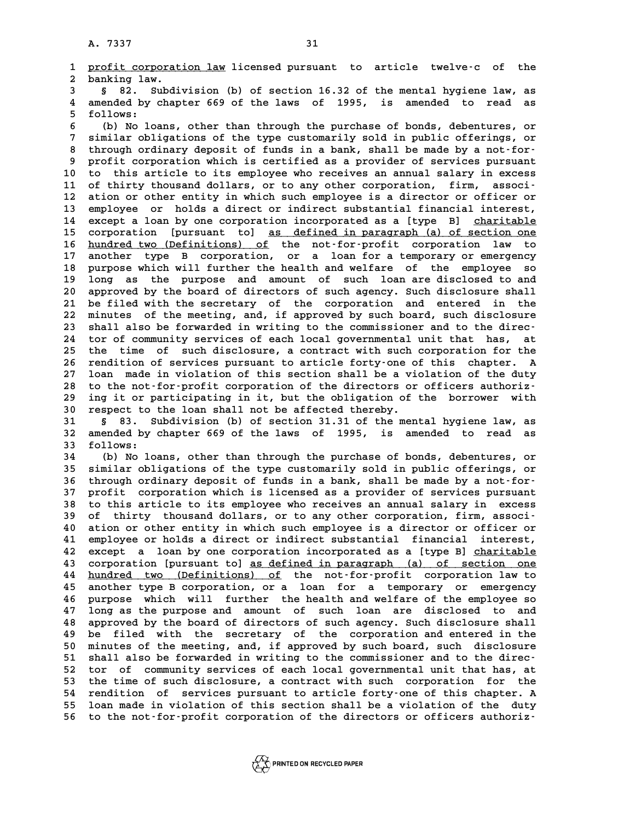**1 1**<br>**1** <u>profit corporation law</u> licensed pursuant to article twelve-c of the<br><sup>2</sup> banking law **1** <u>profit corporat</u><br>2 banking law.<br>3 f 82 Subdi **3 profit corporation law** licensed pursuant to article twelve-c of the<br> **3** § 82. Subdivision (b) of section 16.32 of the mental hygiene law, as<br> **3** arounded by chapter 669 of the laws of 1995 is arounded to read as

**6 anking law.**<br> **4** amended by chapter 669 of the laws of 1995, is amended to read as<br> **4** amended by chapter 669 of the laws of 1995, is amended to read as **5 5 62. 5**<br>**4** amended by<br>5 follows: **6 (b)** 4 amended by chapter 669 of the laws of 1995, is amended to read as<br> **6** (b) No loans, other than through the purchase of bonds, debentures, or<br> **6** (b) No loans, other than through the purchase of bonds, debenture

**7** follows:<br> **6** (b) No loans, other than through the purchase of bonds, debentures, or<br> **7** similar obligations of the type customarily sold in public offerings, or<br>
<sup>8</sup> through ordinary depect of funds in a bank, shall **8 (b)** No loans, other than through the purchase of bonds, debentures, or<br> **8 through ordinary deposit of funds in a bank, shall be made by a not-for-**<br> **8 through ordinary deposit of funds in a bank, shall be made by a n** 9 similar obligations of the type customarily sold in public offerings, or<br>8 through ordinary deposit of funds in a bank, shall be made by a not-for-<br>9 profit corporation which is certified as a provider of services pursua 8 through ordinary deposit of funds in a bank, shall be made by a not-for-<br>9 profit corporation which is certified as a provider of services pursuant<br>10 to this article to its employee who receives an annual salary in exce 9 profit corporation which is certified as a provider of services pursuant<br>
10 to this article to its employee who receives an annual salary in excess<br>
11 of thirty thousand dollars, or to any other corporation, firm, asso **10** to this article to its employee who receives an annual salary in excess<br>11 of thirty thousand dollars, or to any other corporation, firm, associ-<br>12 ation or other entity in which such employee is a director or office **13 employee or holds a direct or indirect substantial financial interest,** 14 except a loan by one corporation incorporated as a [type B] charitable<br>15 corporation [pursuant to] as defined in paragraph (a) of section one 15 corporation [pursuant to] <u>as defined in paragraph (a) of section one</u><br>16 hundred two (Definitions) of the not-for-profit corporation law to 14 except a loan by one corporation incorporated as a [type B] <u>charitable</u><br>15 corporation [pursuant to] <u>as defined in paragraph (a) of section one</u><br>16 <u>hundred two (Definitions) of</u> the not-for-profit corporation law to<br> 15 corporation [pursuant to] <u>as defined in paragraph (a) of section one</u><br>16 <u>hundred two (Definitions) of</u> the not-for-profit corporation law to<br>17 another type B corporation, or a loan for a temporary or emergency<br>18 nur 16 <u>hundred two (Definitions) of</u> the not-for-profit corporation law to<br>17 another type B corporation, or a loan for a temporary or emergency<br>18 purpose which will further the health and welfare of the employee so<br>19 lors 17 another type B corporation, or a loan for a temporary or emergency<br>18 purpose which will further the health and welfare of the employee so<br>19 long as the purpose and amount of such loan are disclosed to and<br>20 approved 18 purpose which will further the health and welfare of the employee so<br>19 long as the purpose and amount of such loan are disclosed to and<br>20 approved by the board of directors of such agency. Such disclosure shall<br>21 be <sup>19</sup> long as the purpose and amount of such loan are disclosed to and<br>20 approved by the board of directors of such agency. Such disclosure shall<br>21 be filed with the secretary of the corporation and entered in the<br>22 minu 20 approved by the board of directors of such agency. Such disclosure shall<br>21 be filed with the secretary of the corporation and entered in the<br>22 minutes of the meeting, and, if approved by such board, such disclosure<br>23 21 be filed with the secretary of the corporation and entered in the<br>
22 minutes of the meeting, and, if approved by such board, such disclosure<br>
23 shall also be forwarded in writing to the commissioner and to the direc-<br> 22 minutes of the meeting, and, if approved by such board, such disclosure<br>23 shall also be forwarded in writing to the commissioner and to the direc-<br>24 tor of community services of each local governmental unit that has, 23 shall also be forwarded in writing to the commissioner and to the direc-<br>24 tor of community services of each local governmental unit that has, at<br>25 the time of such disclosure, a contract with such corporation for the 24 tor of community services of each local governmental unit that has, at<br>25 the time of such disclosure, a contract with such corporation for the<br>26 rendition of services pursuant to article forty-one of this chapter. A<br>2 25 the time of such disclosure, a contract with such corporation for the<br>26 rendition of services pursuant to article forty-one of this chapter. A<br>27 loan made in violation of this section shall be a violation of the duty<br> 26 rendition of services pursuant to article forty-one of this chapter. A<br>27 loan made in violation of this section shall be a violation of the duty<br>28 to the not-for-profit corporation of the directors or officers authori 26 rendition of services pursuant to article forty-one of this chapter. A 10an made in violation of this section shall be a violation of the duty to the not-for-profit corporation of the directors or officers authoriz-<br>29 28 to the not-for-profit corporation of the directors or<br>29 ing it or participating in it, but the obligation of<br>30 respect to the loan shall not be affected thereby.<br>31 8 83 Subdivision (b) of section 31.31 of the men **39 ing it or participating in it, but the obligation of the borrower with**<br>30 respect to the loan shall not be affected thereby.<br>31 § 83. Subdivision (b) of section 31.31 of the mental hygiene law, as<br>32. aported by chapt

**30** respect to the loan shall not be affected thereby.<br>31 § 83. Subdivision (b) of section 31.31 of the mental hygiene law, as<br>32 amended by chapter 669 of the laws of 1995, is amended to read as<br>5010VS: **31 s** 83. **s**<br>32 amended by<br>33 follows: **32 amended by chapter 669 of the laws of 1995, is amended to read as<br>33 follows:**<br>(b) No loans, other than through the purchase of bonds, debentures, or<br>35 similar chligations of the two sustanarily sold in public offerin

**53 follows:**<br> **34** (b) No loans, other than through the purchase of bonds, debentures, or<br> **35 similar obligations of the type customarily sold in public offerings, or**<br> **16 through ordinary deposit of funds in a bank, sh** (b) No loans, other than through the purchase of bonds, debentures, or<br>35 similar obligations of the type customarily sold in public offerings, or<br>36 through ordinary deposit of funds in a bank, shall be made by a not-for-35 similar obligations of the type customarily sold in public offerings, or<br>36 through ordinary deposit of funds in a bank, shall be made by a not-for-<br>37 profit corporation which is licensed as a provider of services purs 36 through ordinary deposit of funds in a bank, shall be made by a not-for-<br>37 profit corporation which is licensed as a provider of services pursuant<br>38 to this article to its employee who receives an annual salary in exc 37 profit corporation which is licensed as a provider of services pursuant<br>38 to this article to its employee who receives an annual salary in excess<br>39 of thirty thousand dollars, or to any other corporation, firm, associ **40 ation of this article to its employee who receives an annual salary in excess**<br>**40 ation or other entity in which such employee is a director or officer or**<br>**41 amployee or holds a direct or indirect substantial financ** 39 of thirty thousand dollars, or to any other corporation, firm, associ-<br>40 ation or other entity in which such employee is a director or officer or<br>41 employee or holds a direct or indirect substantial financial interest **42** except a loan by one corporation incorporated as a [type B] charitable<br>43 corporation [pursuant to] <u>as defined in paragraph (a) of section one</u> 41 employee or holds a direct or indirect substantial financial interest,<br>42 except a loan by one corporation incorporated as a [type B] <u>charitable</u><br>43 corporation [pursuant to] <u>as defined in paragraph (a) of section one</u> **42 except a loan by one corporation incorporated as a [type B] <u>charitable</u><br>43 corporation [pursuant to] <u>as defined in paragraph (a) of section one</u><br>44 <u>hundred two (Definitions) of</u> the not-for-profit corporation law to** 43 corporation [pursuant to] as defined in paragraph (a) of section one<br>44 hundred two (Definitions) of the not-for-profit corporation law to<br>45 another type B corporation, or a loan for a temporary or emergency<br>46 nurrece 44 <u>hundred two (Definitions) of</u> the not-for-profit corporation law to<br>45 another type B corporation, or a loan for a temporary or emergency<br>46 purpose which will further the health and welfare of the employee so<br>47 long another type B corporation, or a loan for a temporary or emergency<br>46 purpose which will further the health and welfare of the employee so<br>47 long as the purpose and amount of such loan are disclosed to and<br>18 parameter in 46 purpose which will further the health and welfare of the employee so<br>47 long as the purpose and amount of such loan are disclosed to and<br>48 approved by the board of directors of such agency. Such disclosure shall<br>be fil **47 long as the purpose and amount of such loan are disclosed to and approved by the board of directors of such agency. Such disclosure shall**<br>**49 be filed with the secretary of the corporation and entered in the**<br>50 minut 48 approved by the board of directors of such agency. Such disclosure shall<br>49 be filed with the secretary of the corporation and entered in the<br>50 minutes of the meeting, and, if approved by such board, such disclosure<br>51 **50** shall also be forwarded in writing to the corporation and entered in the minutes of the meeting, and, if approved by such board, such disclosure shall also be forwarded in writing to the commissioner and to the direc-50 minutes of the meeting, and, if approved by such board, such disclosure<br>51 shall also be forwarded in writing to the commissioner and to the direc-<br>52 tor of community services of each local governmental unit that has, 51 shall also be forwarded in writing to the commissioner and to the direc-<br>52 tor of community services of each local governmental unit that has, at<br>53 the time of such disclosure, a contract with such corporation for the 52 tor of community services of each local governmental unit that has, at<br>53 the time of such disclosure, a contract with such corporation for the<br>54 rendition of services pursuant to article forty-one of this chapter. A<br>5 53 the time of such disclosure, a contract with such corporation for the<br>54 rendition of services pursuant to article forty-one of this chapter. A<br>55 loan made in violation of this section shall be a violation of the duty<br> 54 rendition of services pursuant to article forty-one of this chapter. A<br>55 loan made in violation of this section shall be a violation of the duty<br>56 to the not-for-profit corporation of the directors or officers authori

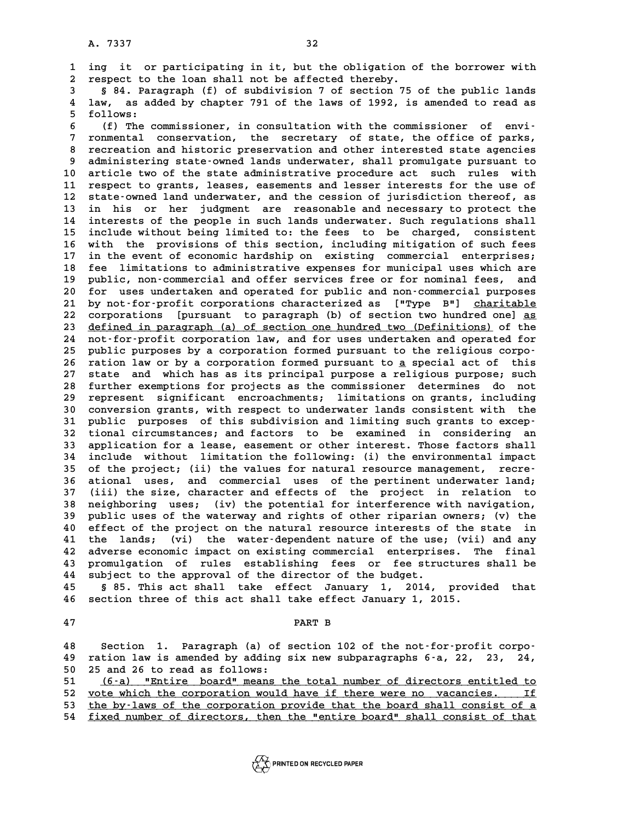**1 ing it or participating in it, but the obligation of the borrower with 2** ing it or participating in it, but the obligation of<br>2 respect to the loan shall not be affected thereby.

**3** ing it or participating in it, but the obligation of the borrower with<br>2 respect to the loan shall not be affected thereby.<br>3 § 84. Paragraph (f) of subdivision 7 of section 75 of the public lands<br><sup>4</sup> law as added by s **4 a law is composed to the loan shall not be affected thereby.**<br>**4 S 84. Paragraph (f) of subdivision 7 of section 75 of the public lands<br>4 law, as added by chapter 791 of the laws of 1992, is amended to read as<br>5 follows 5 5** 84. Par.<br>**4 law, as ad**<br>5 follows: 4 law, as added by chapter 791 of the laws of 1992, is amended to read as<br>
5 follows:<br>
(f) The commissioner, in consultation with the commissioner of envi-<br>
<sup>7</sup> represented approximation the secretary of that the office of

**7** follows:<br> **6** (f) The commissioner, in consultation with the commissioner of envi-<br> **7** ronmental conservation, the secretary of state, the office of parks,<br> **8** recreation and biotaric procession and other interested **8 (f) The commissioner, in consultation with the commissioner of envi-<br>7 ronmental conservation, the secretary of state, the office of parks,<br>8 recreation and historic preservation and other interested state agencies**<br>2 r **1 ronmental conservation, the secretary of state, the office of parks,<br>8 recreation and historic preservation and other interested state agencies<br>9 administering state-owned lands underwater, shall promulgate pursuant to<br>** 10 article two of the state administering state owned lands underwater, shall promulgate pursuant to<br>10 article two of the state administrative procedure act such rules with<br>11 respect to graphs, leases easements and lesse 9 administering state-owned lands underwater, shall promulgate pursuant to<br>10 article two of the state administrative procedure act such rules with<br>11 respect to grants, leases, easements and lesser interests for the use o 10 article two of the state administrative procedure act such rules with<br>11 respect to grants, leases, easements and lesser interests for the use of<br>12 state-owned land underwater, and the cession of jurisdiction thereof, 11 respect to grants, leases, easements and lesser interests for the use of state-owned land underwater, and the cession of jurisdiction thereof, as in his or her judgment are reasonable and necessary to protect the intere 12 state-owned land underwater, and the cession of jurisdiction thereof, as<br>13 in his or her judgment are reasonable and necessary to protect the<br>14 interests of the people in such lands underwater. Such regulations shall<br> 13 in his or her judgment are reasonable and necessary to protect the<br>14 interests of the people in such lands underwater. Such regulations shall<br>15 include without being limited to: the fees to be charged, consistent<br>16 w 14 interests of the people in such lands underwater. Such regulations shall<br>15 include without being limited to: the fees to be charged, consistent<br>16 with the provisions of this section, including mitigation of such fees<br> 15 include without being limited to: the fees to be charged, consistent<br>16 with the provisions of this section, including mitigation of such fees<br>17 in the event of economic hardship on existing commercial enterprises;<br><sup>18</sup> **16 with the provisions of this section, including mitigation of such fees**<br>17 in the event of economic hardship on existing commercial enterprises;<br>18 fee limitations to administrative expenses for municipal uses which ar 17 in the event of economic hardship on existing commercial enterprises;<br>18 fee limitations to administrative expenses for municipal uses which are<br>19 public, non-commercial and offer services free or for nominal fees, and 18 fee limitations to administrative expenses for municipal uses which are<br>19 public, non-commercial and offer services free or for nominal fees, and<br>20 for uses undertaken and operated for public and non-commercial purpos public, non-commercial and offer services free or for nominal fees, and<br>20 for uses undertaken and operated for public and non-commercial purposes<br>21 by not-for-profit corporations characterized as ["Type B"] <u>charitable</u><br> **20** for uses undertaken and operated for public and non-commercial purposes<br>21 by not-for-profit corporations characterized as ["Type B"] <u>charitable</u><br>22 corporations [pursuant to paragraph (b) of section two hundred one] 21 by not-for-profit corporations characterized as ["Type B"] <u>charitable</u><br>22 corporations [pursuant to paragraph (b) of section two hundred one] <u>as</u><br>23 <u>defined in paragraph (a) of section one hundred two (Definitions)</u> 22 corporations [pursuant to paragraph (b) of section two hundred one] <u>as</u><br>23 <u>defined in paragraph (a) of section one hundred two (Definitions)</u> of the<br>24 not-for-profit corporation law, and for uses undertaken and opera 23 <u>defined in paragraph (a) of section one hundred two (Definitions)</u> of the<br>
24 not-for-profit corporation law, and for uses undertaken and operated for<br>
25 public purposes by a corporation formed pursuant to the religio 24 not-for-profit corporation law, and for uses undertaken and operated for<br>25 public purposes by a corporation formed pursuant to the religious corpo-<br>26 ration law or by a corporation formed pursuant to <u>a</u> special act o ration law or by a corporation formed pursuant to a special act of this **26 ration law or by a corporation formed pursuant to <u>a</u> special act of this<br>27 state and which has as its principal purpose a religious purpose; such<br>28 further exemptions for projects as the commissioner determines do n** 27 state and which has as its principal purpose a religious purpose; such<br>28 further exemptions for projects as the commissioner determines do not<br>29 represent significant encroachments; limitations on grants, including<br>20 28 further exemptions for projects as the commissioner determines do not<br>29 represent significant encroachments; limitations on grants, including<br>30 conversion grants, with respect to underwater lands consistent with the<br><sup></sup> 29 represent significant encroachments; limitations on grants, including<br>30 conversion grants, with respect to underwater lands consistent with the<br>31 public purposes of this subdivision and limiting such grants to excep-30 conversion grants, with respect to underwater lands consistent with the<br>31 public purposes of this subdivision and limiting such grants to excep-<br>32 tional circumstances; and factors to be examined in considering an<br>33 31 public purposes of this subdivision and limiting such grants to excep-<br>32 tional circumstances; and factors to be examined in considering an<br>33 application for a lease, easement or other interest. Those factors shall<br>34 32 tional circumstances; and factors to be examined in considering an<br>33 application for a lease, easement or other interest. Those factors shall<br>34 include without limitation the following: (i) the environmental impact<br>25 33 application for a lease, easement or other interest. Those factors shall<br>34 include without limitation the following: (i) the environmental impact<br>35 of the project; (ii) the values for natural resource management, recr **34 include without limitation the following: (i) the environmental impact**<br>35 of the project; (ii) the values for natural resource management, recre-<br>36 ational uses, and commercial uses of the pertinent underwater land;<br> 35 of the project; (ii) the values for natural resource management, recre-<br>36 ational uses, and commercial uses of the pertinent underwater land;<br>37 (iii) the size, character and effects of the project in relation to **36 ational uses, and commercial uses of the pertinent underwater land;**<br>37 (iii) the size, character and effects of the project in relation to<br>38 neighboring uses; (iv) the potential for interference with navigation,<br>29 n **37** (ii) the size, character and effects of the project in relation to neighboring uses; (iv) the potential for interference with navigation, public uses of the waterway and rights of other riparian owners; (v) the offect **40 a sum in the set of the potential for interference with navigation,**<br> **40 effect of the project on the natural resource interests of the state in**<br> **40 effect of the project on the natural resource interests of the sta** qualic uses of the waterway and rights of other riparian owners; (v) the effect of the project on the natural resource interests of the state in the lands; (vi) the water-dependent nature of the use; (vii) and any advance **40** effect of the project on the natural resource interests of the state in<br>
41 the lands; (vi) the water-dependent nature of the use; (vii) and any<br>
42 adverse economic impact on existing commercial enterprises. The fina 41 the lands; (vi) the water-dependent nature of the use; (vii) and any<br>42 adverse economic impact on existing commercial enterprises. The final<br>43 promulgation of rules establishing fees or fee structures shall be<br>44 subj 42 adverse economic impact on existing commercial enterpris<br>43 promulgation of rules establishing fees or fee stru<br>44 subject to the approval of the director of the budget.<br>45 Set mbig 2014 and shall take offect Innuary 1, Az adverse economic impact on existing commercial enterprises. The final<br>43 promulgation of rules establishing fees or fee structures shall be<br>44 subject to the approval of the director of the budget.<br>45 § 85. This act sha

44 subject to the approval of the director of the budget.<br>45 § 85. This act shall take effect January 1, 2014, provi<br>46 section three of this act shall take effect January 1, 2015. 46 section three of this act shall take effect January 1, 2015.<br>47 **PART B** 

PART B<br>
48 Section 1. Paragraph (a) of section 102 of the not-for-profit corpo-<br>
49 ration law is amended by adding six new subparagraphs 6:3 22 23 24 **48** Section 1. Paragraph (a) of section 102 of the not-for-profit corpo-<br>49 ration law is amended by adding six new subparagraphs 6–a, 22, 23, 24,<br>50 35 and 36 to read as follows: **50 1. Paragraph (a) of**<br>**50 25 and 26 to read as follows:**<br>**50 25 and 26 to read as follows:**<br>**51** (6.3) **UFRITE** board means to 49 ration law is amended by adding six new subparagraphs 6-a, 22, 23, 24,<br>50 25 and 26 to read as follows:

| 50 25 and 26 to read as follows:                                            |
|-----------------------------------------------------------------------------|
| 51 (6-a) "Entire board" means the total number of directors entitled to     |
| 52 vote which the corporation would have if there were no vacancies. If     |
| 53 the by–laws of the corporation provide that the board shall consist of a |
| 54 fixed number of directors, then the "entire board" shall consist of that |
|                                                                             |

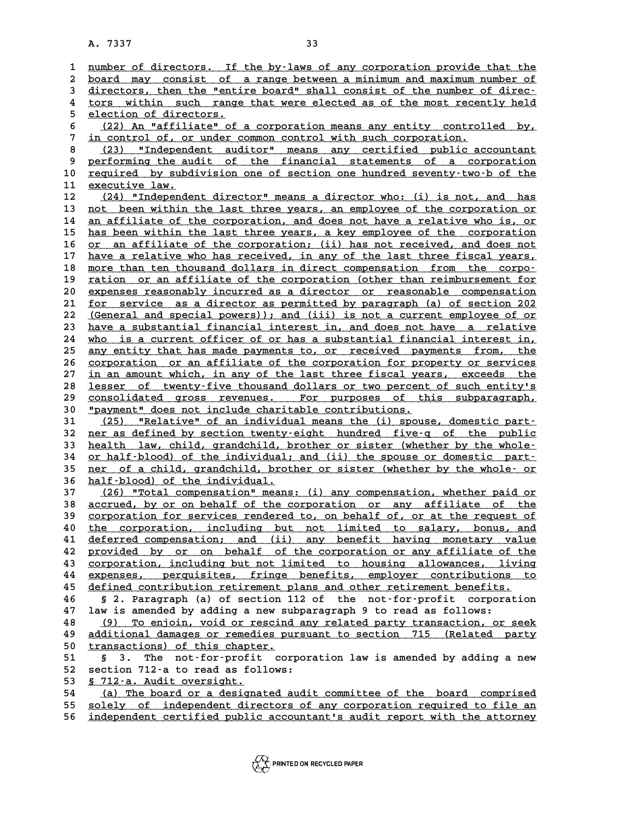|          | A. 7337                           | 33                                                                                                                                           |
|----------|-----------------------------------|----------------------------------------------------------------------------------------------------------------------------------------------|
|          |                                   |                                                                                                                                              |
| 1        |                                   | number of directors. If the by-laws of any corporation provide that the                                                                      |
| 2        |                                   | board may consist of a range between a minimum and maximum number of                                                                         |
| 3        |                                   | directors, then the "entire board" shall consist of the number of direc-                                                                     |
| 4        |                                   | tors within such range that were elected as of the most recently held                                                                        |
| 5        | election of directors.            |                                                                                                                                              |
| 6        |                                   | (22) An "affiliate" of a corporation means any entity controlled by,                                                                         |
| 7        |                                   | in control of, or under common control with such corporation.                                                                                |
| 8        | (23)                              | "Independent auditor" means any certified public accountant                                                                                  |
| 9        |                                   | performing the audit of the financial statements of a corporation                                                                            |
| 10       |                                   | required by subdivision one of section one hundred seventy-two-b of the                                                                      |
| 11       | executive law.                    |                                                                                                                                              |
| 12       |                                   | (24) "Independent director" means a director who: (i) is not, and has                                                                        |
| 13       |                                   | not been within the last three years, an employee of the corporation or                                                                      |
| 14       |                                   | an affiliate of the corporation, and does not have a relative who is, or                                                                     |
| 15       |                                   | has been within the last three years, a key employee of the corporation                                                                      |
| 16       |                                   | or an affiliate of the corporation; (ii) has not received, and does not                                                                      |
| 17       |                                   | have a relative who has received, in any of the last three fiscal years,                                                                     |
| 18       |                                   | more than ten thousand dollars in direct compensation from the corpo-                                                                        |
| 19       |                                   | ration or an affiliate of the corporation (other than reimbursement for                                                                      |
| 20       |                                   | expenses reasonably incurred as a director or reasonable compensation                                                                        |
| 21       |                                   | for service as a director as permitted by paragraph (a) of section 202                                                                       |
| 22       |                                   | (General and special powers)); and (iii) is not a current employee of or                                                                     |
| 23       |                                   | have a substantial financial interest in, and does not have a relative                                                                       |
| 24       |                                   | who is a current officer of or has a substantial financial interest in,                                                                      |
| 25       |                                   | any entity that has made payments to, or received payments from, the                                                                         |
| 26       |                                   | corporation or an affiliate of the corporation for property or services                                                                      |
| 27       |                                   | in an amount which, in any of the last three fiscal years, exceeds the                                                                       |
| 28       |                                   | lesser of twenty-five thousand dollars or two percent of such entity's                                                                       |
| 29       |                                   | consolidated gross revenues. For purposes of this subparagraph,                                                                              |
| 30       |                                   | "payment" does not include charitable contributions.                                                                                         |
| 31<br>32 |                                   | (25) "Relative" of an individual means the (i) spouse, domestic part-<br>ner as defined by section twenty-eight hundred five-q of the public |
| 33       |                                   | health law, child, grandchild, brother or sister (whether by the whole-                                                                      |
| 34       |                                   | or half-blood) of the individual; and (ii) the spouse or domestic part-                                                                      |
| 35       |                                   | ner of a child, grandchild, brother or sister (whether by the whole- or                                                                      |
| 36       | half-blood) of the individual.    |                                                                                                                                              |
| 37       |                                   | (26) "Total compensation" means: (i) any compensation, whether paid or                                                                       |
| 38       |                                   | accrued, by or on behalf of the corporation or any affiliate of the                                                                          |
| 39       |                                   | corporation for services rendered to, on behalf of, or at the request of                                                                     |
| 40       |                                   | the corporation, including but not limited to salary, bonus, and                                                                             |
| 41       |                                   | deferred compensation; and (ii) any benefit having monetary value                                                                            |
| 42       |                                   | provided by or on behalf of the corporation or any affiliate of the                                                                          |
| 43       |                                   | corporation, including but not limited to housing allowances, living                                                                         |
| 44       |                                   | expenses, perquisites, fringe benefits, employer contributions to                                                                            |
| 45       |                                   | defined contribution retirement plans and other retirement benefits.                                                                         |
| 46       |                                   | § 2. Paragraph (a) of section 112 of the not-for-profit corporation                                                                          |
| 47       |                                   | law is amended by adding a new subparagraph 9 to read as follows:                                                                            |
| 48       |                                   | (9) To enjoin, void or rescind any related party transaction, or seek                                                                        |
| 49       |                                   | additional damages or remedies pursuant to section 715 (Related party                                                                        |
| 50       | transactions) of this chapter.    |                                                                                                                                              |
| 51       | Ş.                                | 3. The not-for-profit corporation law is amended by adding a new                                                                             |
| 52       | section 712-a to read as follows: |                                                                                                                                              |
| 53       | § 712-a. Audit oversight.         |                                                                                                                                              |
| 54       |                                   | (a) The board or a designated audit committee of the board comprised                                                                         |
| 55       |                                   | solely of independent directors of any corporation required to file an                                                                       |
| 56       |                                   | independent certified public accountant's audit report with the attorney                                                                     |
|          |                                   |                                                                                                                                              |

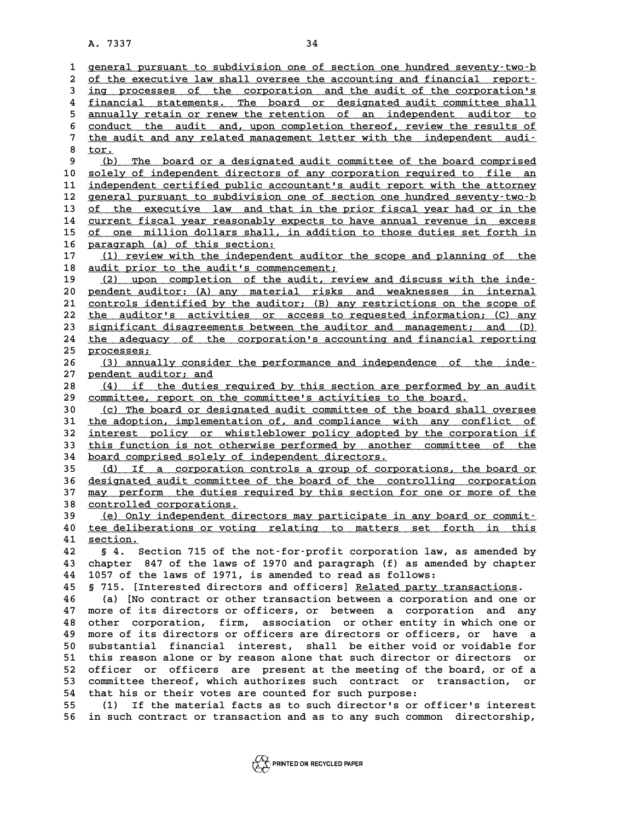|          | A. 7337<br>34                                                                                                                            |
|----------|------------------------------------------------------------------------------------------------------------------------------------------|
| 1        | general pursuant to subdivision one of section one hundred seventy-two-b                                                                 |
| 2        | of the executive law shall oversee the accounting and financial report-                                                                  |
| 3        | ing processes of the corporation and the audit of the corporation's                                                                      |
| 4        | financial statements. The board or designated audit committee shall                                                                      |
| 5        | annually retain or renew the retention of an independent auditor to                                                                      |
| 6        | conduct the audit and, upon completion thereof, review the results of                                                                    |
| 7        | the audit and any related management letter with the independent audi-                                                                   |
| 8        | tor.                                                                                                                                     |
| 9        | The board or a designated audit committee of the board comprised<br>(b)                                                                  |
| 10       | solely of independent directors of any corporation required to file an                                                                   |
| 11       | independent certified public accountant's audit report with the attorney                                                                 |
| 12       | general pursuant to subdivision one of section one hundred seventy-two-b                                                                 |
| 13       | of the executive law and that in the prior fiscal year had or in the                                                                     |
| 14       | current fiscal year reasonably expects to have annual revenue in excess                                                                  |
| 15       | of one million dollars shall, in addition to those duties set forth in                                                                   |
| 16<br>17 | paragraph (a) of this section:<br>(1) review with the independent auditor the scope and planning of the                                  |
| 18       | audit prior to the audit's commencement;                                                                                                 |
| 19       | upon completion of the audit, review and discuss with the inde-<br>(2)                                                                   |
| 20       | pendent auditor: (A) any material risks and weaknesses in internal                                                                       |
| 21       | controls identified by the auditor; (B) any restrictions on the scope of                                                                 |
| 22       | the auditor's activities or access to requested information; (C) any                                                                     |
| 23       | significant disagreements between the auditor and management; and (D)                                                                    |
| 24       | the adequacy of the corporation's accounting and financial reporting                                                                     |
| 25       | processes;                                                                                                                               |
| 26       | (3) annually consider the performance and independence of the inde-                                                                      |
| 27       | pendent auditor; and                                                                                                                     |
| 28<br>29 | if the duties required by this section are performed by an audit<br>(4)<br>committee, report on the committee's activities to the board. |
| 30       | (c) The board or designated audit committee of the board shall oversee                                                                   |
| 31       | the adoption, implementation of, and compliance with any conflict of                                                                     |
| 32       | interest policy or whistleblower policy adopted by the corporation if                                                                    |
| 33       | this function is not otherwise performed by another committee of the                                                                     |
| 34       | board comprised solely of independent directors.                                                                                         |
| 35       | (d) If a corporation controls a group of corporations, the board or                                                                      |
| 36       | designated audit committee of the board of the controlling corporation                                                                   |
| 37       | may perform the duties required by this section for one or more of the                                                                   |
| 38       | <u>controlled corporations.</u>                                                                                                          |
| 39       | (e) Only independent directors may participate in any board or commit-                                                                   |
| 40<br>41 | tee deliberations or voting relating to matters set forth in this<br>section.                                                            |
| 42       | § 4. Section 715 of the not-for-profit corporation law, as amended by                                                                    |
| 43       | chapter 847 of the laws of 1970 and paragraph (f) as amended by chapter                                                                  |
| 44       | 1057 of the laws of 1971, is amended to read as follows:                                                                                 |
| 45       | § 715. [Interested directors and officers] Related party transactions.                                                                   |
| 46       | (a) [No contract or other transaction between a corporation and one or                                                                   |
| 47       | more of its directors or officers, or between a corporation and any                                                                      |
| 48       | other corporation, firm, association or other entity in which one or                                                                     |
| 49       | more of its directors or officers are directors or officers, or have a                                                                   |
| 50       | substantial financial interest, shall be either void or voidable for                                                                     |
| 51       | this reason alone or by reason alone that such director or directors or                                                                  |
| 52       | officer or officers are present at the meeting of the board, or of a                                                                     |
| 53       | committee thereof, which authorizes such contract or transaction, or                                                                     |
| 54<br>55 | that his or their votes are counted for such purpose:<br>If the material facts as to such director's or officer's interest<br>(1)        |
| 56       | in such contract or transaction and as to any such common directorship,                                                                  |
|          |                                                                                                                                          |

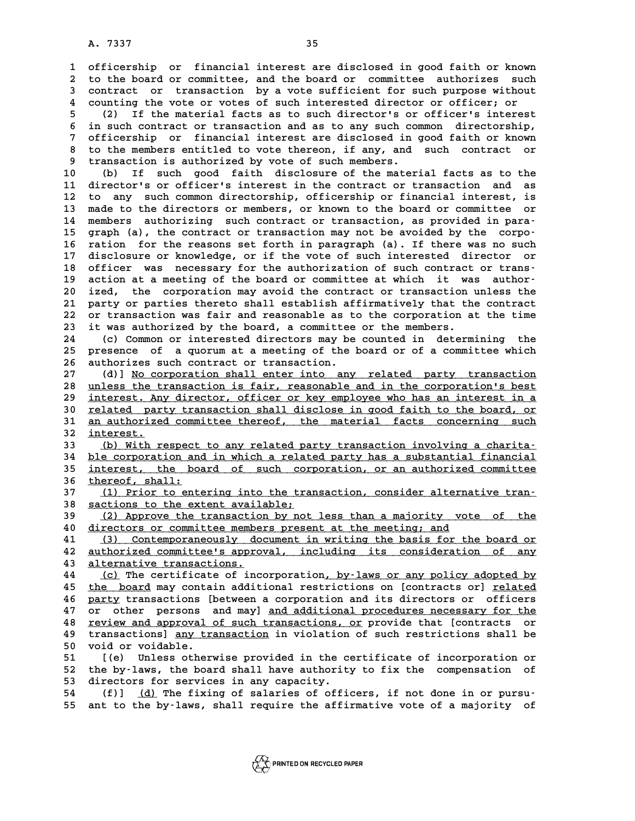**1 officership or financial interest are disclosed in good faith or known 2** officership or financial interest are disclosed in good faith or known<br>2 to the board or committee, and the board or committee authorizes such<br>3 contract or transaction, by a vote sufficient for such purpose without 1 officership or financial interest are disclosed in good faith or known<br>2 to the board or committee, and the board or committee authorizes such<br>3 contract or transaction by a vote sufficient for such purpose without<br>4 cou 2 to the board or committee, and the board or committee authorizes such<br>3 contract or transaction by a vote sufficient for such purpose without<br>4 counting the vote or votes of such interested director or officer; or<br><sup>4</sup> (2 3 contract or transaction by a vote sufficient for such purpose without<br>4 counting the vote or votes of such interested director or officer; or<br>5 (2) If the material facts as to such director's or officer's interest<br>in qua

4 counting the vote or votes of such interested director or officer; or<br>
5 (2) If the material facts as to such director's or officer's interest<br>
6 in such contract or transaction and as to any such common directorship,<br>
7 <sup>5</sup> (2) If the material facts as to such director's or officer's interest<br>6 in such contract or transaction and as to any such common directorship,<br>7 officership or financial interest are disclosed in good faith or known<br>b **8 in such contract or transaction and as to any such common directorship,<br>
<b>8 to the members entitled to vote thereon, if any, and such contract or**<br> **8 transaction is authorized by yote of such members** 9 officership or financial interest are disclosed in to the members entitled to vote thereon, if any, and<br>9 transaction is authorized by vote of such members.<br>(b) If such good faith disclosure of the mater 10 to the members entitled to vote thereon, if any, and such contract or<br>
10 (b) If such good faith disclosure of the material facts as to the<br>
11 director's or officer's interest in the contract or transaction and as

9 transaction is authorized by vote of such members.<br>
10 (b) If such good faith disclosure of the material facts as to the<br>
11 director's or officer's interest in the contract or transaction and as<br>
<sup>12</sup> to any such common **10** (b) If such good faith disclosure of the material facts as to the director's or officer's interest in the contract or transaction and as to any such common directorship, officership or financial interest, is<br>a made to 11 director's or officer's interest in the contract or transaction and as<br>12 to any such common directorship, officership or financial interest, is<br>13 made to the directors or members, or known to the board or committee or 12 to any such common directorship, officership or financial interest, is<br>13 made to the directors or members, or known to the board or committee or<br>14 members authorizing such contract or transaction, as provided in para-13 made to the directors or members, or known to the board or committee or<br>14 members authorizing such contract or transaction, as provided in para-<br>15 graph (a), the contract or transaction may not be avoided by the corpo 14 members authorizing such contract or transaction, as provided in para-<br>15 graph (a), the contract or transaction may not be avoided by the corpo-<br>16 ration for the reasons set forth in paragraph (a). If there was no suc 15 graph (a), the contract or transaction may not be avoided by the corpo-<br>16 ration for the reasons set forth in paragraph (a). If there was no such<br>17 disclosure or knowledge, or if the vote of such interested director o 16 ration for the reasons set forth in paragraph (a). If there was no such<br>17 disclosure or knowledge, or if the vote of such interested director or<br>18 officer was necessary for the authorization of such contract or trans-17 disclosure or knowledge, or if the vote of such interested director or 18 officer was necessary for the authorization of such contract or trans-<br>
19 action at a meeting of the board or committee at which it was author-<br> 18 officer was necessary for the authorization of such contract or trans-<br>19 action at a meeting of the board or committee at which it was author-<br>20 ized, the corporation may avoid the contract or transaction unless the<br>2 19 action at a meeting of the board or committee at which it was author-<br>20 ized, the corporation may avoid the contract or transaction unless the<br>21 party or parties thereto shall establish affirmatively that the contract 20 ized, the corporation may avoid the contract or transaction unless the<br>21 party or parties thereto shall establish affirmatively that the contract<br>22 or transaction was fair and reasonable as to the corporation at the t 21 party or parties thereto shall establish affirmatively that the contract<br>22 or transaction was fair and reasonable as to the corporation at the time<br>23 it was authorized by the board, a committee or the members.<br>24 (c) 22 or transaction was fair and reasonable as to the corporation at the time<br>23 it was authorized by the board, a committee or the members.<br>24 (c) Common or interested directors may be counted in determining the<br>25 processe

23 it was authorized by the board, a committee or the members.<br>24 (c) Common or interested directors may be counted in determining the<br>25 presence of a quorum at a meeting of the board or of a committee which<br>26 puthorizes 24 (c) Common or interested directors may be<br>25 presence of a quorum at a meeting of the 1<br>26 authorizes such contract or transaction.<br>27 (d) No corporation shall other into 25 presence of a quorum at a meeting of the board or of a committee which<br>26 authorizes such contract or transaction.<br>(d)] <u>No corporation shall enter into any related party transaction</u><br>28 unless the transaction is fair r

**26 authorizes such contract or transaction.**<br>
27 (d)] <u>No corporation shall enter into any related party transaction</u><br>
28 <u>unless the transaction is fair, reasonable and in the corporation's best</u><br>
interest. Any director 27 (d)] <u>No corporation shall enter into any related party transaction</u><br>28 <u>unless the transaction is fair, reasonable and in the corporation's best<br>29 interest. Any director, officer or key employee who has an interest in</u> and in the corporation's best<br> **30** <u>interest. Any director, officer or key employee who has an interest in a<br> **20** related party transaction shall disclose in good faith to the board, or<br> **31** an authorized committee ther</u> 30 interest. Any director, officer or key employee who has an interest in a<br>30 related party transaction shall disclose in good faith to the board, or<br>31 an authorized committee thereof, the material facts concerning such<br> interest. Any director, officer or key employee who has an interest in a<br>
30 <u>related</u> party transaction shall disclose in good faith to the board, or<br>
31 <u>an authorized committee thereof</u>, the material facts concerning su 31 <u>an authorized committee thereof, the material facts concerning such<br>32 <u>interest.</u><br>(b) With respect to any related party transaction involving a charita-<br><sup>34</sup> ble corporation and in which a related party based substant</u>

34 <u>ble corporation and in which a related party has a substantial financial</u><br>35 interest, the board of such corporation, or an authorized committee 33 (b) With respect to any related party transaction involving a charita-<br>34 <u>ble corporation and in which a related party has a substantial financial</u><br>35 interest, the board of such corporation, or an authorized committee 34 <u>ble corporation and<br>35 <u>interest, the both</u><br>36 <u>thereof, shall:</u><br>27 (1) Prier to ent</u> 35 interest, the board of such corporation, or an authorized committee<br>36 <u>thereof, shall:</u><br>37 (1) Prior to entering into the transaction, consider alternative tran-<br>38 sections to the sutent supplets:

36 <u>thereof, shall:</u><br>37 (1) Prior to entering into the tra<br>38 <u>sactions to the extent available;</u><br>(2) Approve the transaction by not 37 (1) Prior to entering into the transaction, consider alternative tran-<br>38 <u>sactions to the extent available;</u><br>39 (2) Approve the transaction by not less than a majority vote of the<br>directors or committee members present

38 <u>sactions to the extent available;</u><br>
40 <u>directors or committee members present at the meeting; and</u><br>
41 (3) Contemporaneously document in writing the basis for the board or

41 (3) Contemporaneously document in writing the basis for the board or<br>42 <u>authorized committee's approval</u>, including its consideration of any 40 <u>directors or committee members present at the meeting; and<br>41 (3) Contemporaneously document in writing the basis for the board or<br>42 authorized committee's approval, including its consideration of any<br>3) alternative t</u> 41 (3) Contemporaneously do<br>42 <u>authorized committee's approximate</u><br>43 <u>alternative transactions.</u> **42 <u>authorized committee's approval</u>, including its consideration of any alternative transactions.<br>43 <u>definitive</u> discussed and the certificate of incorporation, by-laws or any policy adopted by<br>45 the beard may contain** 

**43** alternative transactions.<br> **44** (c) The certificate of incorporation, by-laws or any policy adopted by<br>
<u>the board</u> may contain additional restrictions on [contracts or] <u>related</u><br> **16** portu transactions [botween a s 44 (c) The certificate of incorporation, by-laws or any policy adopted by<br>45 <u>the board</u> may contain additional restrictions on [contracts or] <u>related</u><br>46 <u>party</u> transactions [between a corporation and its directors or o 45 <u>the board</u> may contain additional restrictions on [contracts or] <u>related</u><br>46 <u>party</u> transactions [between a corporation and its directors or officers<br>47 or other persons and may] <u>and additional procedures necessary </u> **46 party transactions [between a corporation and its directors or officers**<br>47 or other persons and may] <u>and additional procedures necessary for the</u><br>48 <u>review and approval of such transactions, or</u> provide that [contra **47** or other persons and may] <u>and additional procedures necessary for the review and approval of such transactions, or provide that [contracts or transactions] <u>any transaction</u> in violation of such restrictions shall be</u> a the seriew and approval of such transactions, or provide that [contracts or<br>
49 transactions] <u>any transaction</u> in violation of such restrictions shall be<br>
50 void or voidable.<br>
51 [(e) Unless otherwise provided in the c **51 11 121 121 121 131 131 131 131 131 131 131 131 141 141 141 141 141 141 141 141 141 141 141 141 141 141 141 141 141 141 141 141 141 141 141 141 1** 

**50 void or voidable.**<br> **51 [(e) Unless otherwise provided in the certificate of incorporation or**<br> **52 the by-laws, the board shall have authority to fix the compensation of**<br> **53 directors for services in any ganagity** 51 [(e) Unless otherwise provided in the c<br>52 the by-laws, the board shall have authorit<br>53 directors for services in any capacity.<br>54 (f) (d) The fiving of palaries of offi-52 the by-laws, the board shall have authority to fix the compensation of<br>53 directors for services in any capacity.<br>54 (f)] <u>(d)</u> The fixing of salaries of officers, if not done in or pursu-<br>55 ant to the by-laws, shall r

**55 ant to the by-laws, shall require the affirmative vote of a majority of**

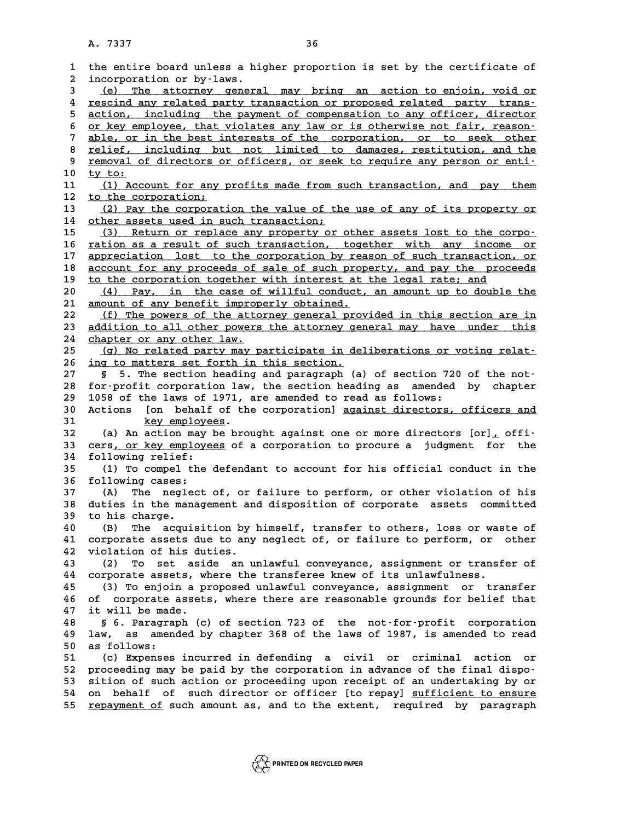**1 the entire board unless a higher proportion is set by the certificate of** 1 the entire board unless a him<br>2 incorporation or by-laws.<br><sup>2</sup> (e) The attorney cenera the entire board unless a higher proportion is set by the certificate of<br>2 incorporation or by-laws.<br>3 <u>(e) The attorney general may bring an action to enjoin, void or</u><br>2 reggind any related party transaction or proposed r incorporation or by-laws.<br>
4 <u>(e) The attorney general may bring an action to enjoin, void or<br>
4 rescind any related party transaction or proposed related party trans-<br>
5 action including the payment of componention to any</u> <u>(e) The attorney general may bring an action to enjoin, void or rescind any related party transaction or proposed related party trans-<br>
5 <u>action, including the payment of compensation to any officer, director</u><br>
5 ar kov </u> 4 <u>rescind any related party transaction or proposed related party trans-</u><br>5 <u>action, including the payment of compensation to any officer, director</u><br>6 <u>or key employee, that violates any law or is otherwise not fair, reas</u> 3 action, including the payment of compensation to any officer, director<br>
or key employee, that violates any law or is otherwise not fair, reason-<br>
<sup>2</sup> able, or in the best interests of the corporation, or to seek other<br>
<sup></sup> 8 <u>or key employee, that violates any law or is otherwise not fair, reason-</u><br>
8 <u>relief, including but not limited to damages, restitution, and the</u><br> **R** removel of directors or officers or sook to require any porson or on **able, or in the best interests of the corporation, or to seek other<br>
<u>relief, including but not limited to damages, restitution, and the<br>
<b>P** removal of directors or officers, or seek to require any person or enti-<br>  $\frac{1$ 8 <u>relief,<br>
9 removal o</u><br>
10 <u>ty to:</u><br>
11 (1) 000 9 **removal of directors or officers, or seek to require any person or enti-**<br>
10 <u>ty to:</u><br>
11 (1) Account for any profits made from such transaction, and pay them<br>
12 to the corporation: 10 <u>ty to:</u><br>11 (1) Account for any<br>12 <u>to the corporation;</u><br>13 (2) Pay the corporat 11 (1) Account for any profits made from such transaction, and pay them<br>
12 <u>to the corporation;</u><br>
13 (2) Pay the corporation the value of the use of any of its property or<br>
14 other aggets used in such transaction. 12 <u>to the corporation;<br>
13 (2) Pay the corporation the value of the<br>
14 other assets used in such transaction;<br>
15 (3) Boturn or replace any proporty or</u> 13 (2) Pay the corporation the value of the use of any of its property or other assets used in such transaction;<br>
15 (3) Return or replace any property or other assets lost to the corpo-<br>
16 ration as a requit of quantipro other assets used in such transaction;<br>
15 (3) Return or replace any property or other assets lost to the corpo-<br>
16 ration as a result of such transaction, together with any income or<br>
17 procession, lost to the corporati 15 (3) Return or replace any property or other assets lost to the corpo-<br>16 <u>ration as a result of such transaction</u>, together with any income or<br>17 appreciation lost to the corporation by reason of such transaction, or<br>20 16 <u>ration as a result of such transaction, together with any income or</u><br>17 appreciation lost to the corporation by reason of such transaction, or<br>18 account for any proceeds of sale of such property, and pay the proceeds<br> appreciation lost to the corporation by reason of such transaction<br>18 account for any proceeds of sale of such property, and pay the pro<br>19 to the corporation together with interest at the legal rate; and<br>20 (4) Pay in the account for any proceeds of sale of such property, and pay the proceeds<br>
19 to the corporation together with interest at the legal rate; and<br>
20 (4) Pay, in the case of willful conduct, an amount up to double the<br>
21 amoun <u>to the corporation together with interest at the legal rate; and<br>
20 (4) Pay, in the case of willful conduct, an amount up to double the<br>
21 amount of any benefit improperly obtained.<br>
22 (f) The powers of the attorney ge</u> 10 (4) Pay, in the case of willful conduct, an amount up to double the<br>
21 <u>amount of any benefit improperly obtained.</u><br>
22 (f) The powers of the attorney general provided in this section are in<br>
23 <u>addition</u> to all other 21 <u>amount of any benefit improperly obtained.</u><br>22 (f) The powers of the attorney general provided in this section are in<br>23 <u>addition to all other powers the attorney general may have under this</u><br>24 sharter or any other l 22 <u>(f) The powers of the atto</u><br>23 <u>addition to all other powers</u><br>24 <u>chapter or any other law.</u><br>25 (g) No related party may n 23 <u>addition to all other powers the attorney general may have under this<br>24 chapter or any other law.<br>25 (g) No related party may participate in deliberations or voting relat-<br>ing to patters act forth in this acction</u> 24 chapter or any other law.<br>
25 (g) No related party may participate in de<br>
26 <u>ing to matters set forth in this section.</u><br>
27 5 5 mbo section booding and paragraph (a **25 (g)** No related party may participate in deliberations or voting relat-<br> **27** § 5. The section heading and paragraph (a) of section 720 of the not-<br> **28** for profit corporation low the section boding as emerged by ch **26 ing to matters set forth in this section.**<br> **27** § 5. The section heading and paragraph (a) of section 720 of the not-<br> **28** for-profit corporation law, the section heading as amended by chapter<br> **29** 1058 of the laws <sup>27</sup> § 5. The section heading and paragraph (a) of section 720<br>
<sup>28</sup> for-profit corporation law, the section heading as amended<br>
<sup>29</sup> 1058 of the laws of 1971, are amended to read as follows:<br>
<sup>20</sup> Actions [on behalf of th for-profit corporation law, the section heading as amended by chapter<br>29 1058 of the laws of 1971, are amended to read as follows:<br>30 Actions [on behalf of the corporation] <u>against directors, officers and</u><br>31 29 1058 of the laws of 1971,<br>30 Actions [on behalf of th<br>31 key employees. **30** Actions [on behalf of the corporation] <u>against directors, officers and</u><br>31 <u>key employees</u>.<br>32 (a) An action may be brought against one or more directors [or], offi-<br>33 cers or key employees of a corporation to proqu **31** key employees.<br> **32** (a) An action may be brought against one or more directors  $[or]_L$  offi-<br> **33** cers, or key employees of a corporation to procure a judgment for the<br> **34** following relief: 33 cers<u>, or key employees</u> of a corporation to procure a judgment for the<br>34 following relief:<br>35 (1) To compel the defendant to account for his official conduct in the 33 cers<u>, or key employees</u> of a corporation to procure a judgment for the<br>34 following relief:<br>35 (1) To compel the defendant to account for his official conduct in the<br><sup>36</sup> following sesses 34 following relief:<br>35 (1) To compel the<br>36 following cases:<br><sup>37</sup> (2) The reglect **35** (1) To compel the defendant to account for his official conduct in the<br>36 following cases:<br>37 (A) The neglect of, or failure to perform, or other violation of his<br>38 duties in the person and disposition of corporate c 36 following cases:<br>37 (A) The neglect of, or failure to perform, or other violation of his<br>38 duties in the management and disposition of corporate assets committed<br>39 to bis share **37** (A) The negle<br>**38 duties in the man**<br>**39 to his charge.**<br> $\frac{10}{10}$  (B) The aggri **40 40 (B)** duties in the management and disposition of corporate assets committed<br>
40 (B) The acquisition by himself, transfer to others, loss or waste of<br>
41 corporate assets due to any peolect of or failure to perform o <sup>2</sup> to his charge.<br>
40 (B) The acquisition by himself, transfer to others, loss or waste of<br>
41 corporate assets due to any neglect of, or failure to perform, or other<br>
<sup>42</sup> violation of his dution 40 (B) The acquisition by 1<br>41 corporate assets due to any<br>42 violation of his duties.<br><sup>43</sup> (2) To set aside anyw 41 corporate assets due to any neglect of, or failure to perform, or other<br>42 violation of his duties.<br>43 (2) To set aside an unlawful conveyance, assignment or transfer of<br>44 corporate assets where the transferee know of 42 violation of his duties.<br>43 (2) To set aside an unlawful conveyance, assignment or transf<br>44 corporate assets, where the transferee knew of its unlawfulness.<br><sup>45</sup> (3) To opicin a proposed unlawful conveyance assignment **43** (2) To set aside an unlawful conveyance, assignment or transfer of<br>44 corporate assets, where the transferee knew of its unlawfulness.<br>45 (3) To enjoin a proposed unlawful conveyance, assignment or transfer<br>46 of corp **44 corporate assets, where the transferee knew of its unlawfulness.**<br>45 (3) To enjoin a proposed unlawful conveyance, assignment or transfer<br>46 of corporate assets, where there are reasonable grounds for belief that<br>47 it 45 (3) To enjoin a p<br>46 of corporate asset<br>47 it will be made.<br>48 5.5 Personant (3 **46 of corporate assets, where there are reasonable grounds for belief that**<br>**47 it will be made.**<br>**48 § 6. Paragraph (c) of section 723 of the not-for-profit corporation**<br>19 Jay 25 arranded by shapter 368 of the lays of 1 **47 it will be made.**<br>48 § 6. Paragraph (c) of section 723 of the not-for-profit corporation<br>49 law, as amended by chapter 368 of the laws of 1987, is amended to read<br>50 33 follows: **48 § 6. Paragra:**<br>**49 law, as amen**<br>50 as follows:<br>51 (c) Experience **50 law, as amended by chapter 368 of the laws of 1987, is amended to read<br>
50 as follows:**<br>
51 (c) Expenses incurred in defending a civil or criminal action or<br>
52 proceeding may be paid by the corporation in advance of t 50 as follows:<br>
51 (c) Expenses incurred in defending a civil or criminal action or<br>
52 proceeding may be paid by the corporation in advance of the final dispo-<br>
53 sition of such action or proceeding upon receipt of an un **53 sition of such action or proceeding upon receipt of an undertaking by or** 52 proceeding may be paid by the corporation in advance of the final dispo-<br>53 sition of such action or proceeding upon receipt of an undertaking by or<br>54 on behalf of such director or officer [to repay] <u>sufficient to ens</u> 53 sition of such action or proceeding upon receipt of an undertaking by or<br>54 on behalf of such director or officer [to repay] <u>sufficient to ensure</u><br>55 <u>repayment of</u> such amount as, and to the extent, required by paragr

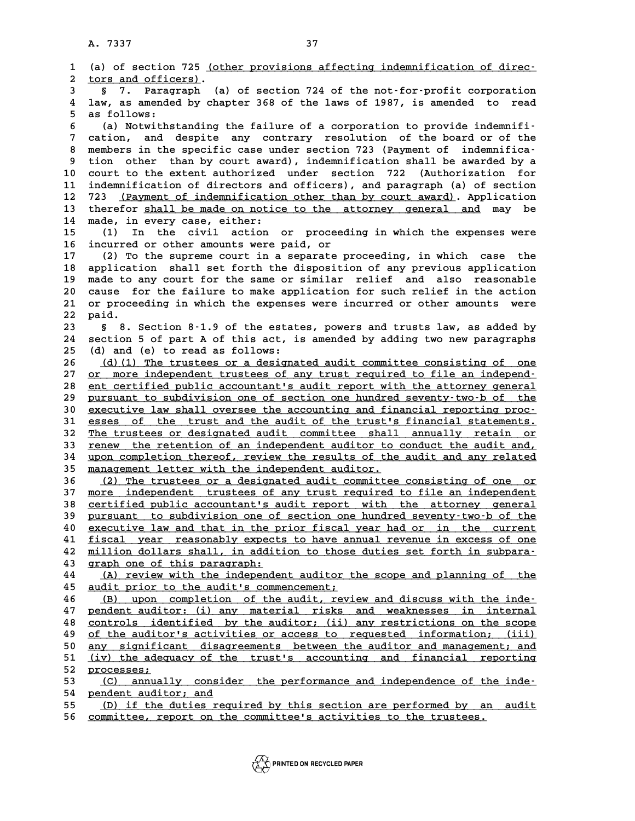|                     | A. 7337<br>37                                                                                                                                   |
|---------------------|-------------------------------------------------------------------------------------------------------------------------------------------------|
|                     |                                                                                                                                                 |
| 1<br>$\overline{a}$ | (a) of section 725 (other provisions affecting indemnification of direc-                                                                        |
| 3                   | tors and officers).<br>Paragraph (a) of section 724 of the not-for-profit corporation<br>S.<br>7.                                               |
| 4                   | law, as amended by chapter 368 of the laws of 1987, is amended to read                                                                          |
| 5                   | as follows:                                                                                                                                     |
| 6                   | (a) Notwithstanding the failure of a corporation to provide indemnifi-                                                                          |
| 7                   | and despite any contrary resolution of the board or of the<br>cation,                                                                           |
| 8                   | members in the specific case under section 723 (Payment of indemnifica-                                                                         |
| 9                   | tion other than by court award), indemnification shall be awarded by a                                                                          |
| 10                  | court to the extent authorized under section 722 (Authorization for                                                                             |
| 11                  | indemnification of directors and officers), and paragraph (a) of section                                                                        |
| 12                  | 723 (Payment of indemnification other than by court award). Application                                                                         |
| 13                  | therefor shall be made on notice to the attorney general and may be                                                                             |
| 14                  | made, in every case, either:                                                                                                                    |
| 15                  | In the civil action or proceeding in which the expenses were<br>(1)                                                                             |
| 16                  | incurred or other amounts were paid, or                                                                                                         |
| 17                  | (2) To the supreme court in a separate proceeding, in which case the                                                                            |
| 18                  | application shall set forth the disposition of any previous application                                                                         |
| 19<br>20            | made to any court for the same or similar relief and also reasonable<br>cause for the failure to make application for such relief in the action |
| 21                  | or proceeding in which the expenses were incurred or other amounts were                                                                         |
| 22                  | paid.                                                                                                                                           |
| 23                  | 8. Section 8-1.9 of the estates, powers and trusts law, as added by<br>S.                                                                       |
| 24                  | section 5 of part A of this act, is amended by adding two new paragraphs                                                                        |
| 25                  | (d) and (e) to read as follows:                                                                                                                 |
| 26                  | (d) (1) The trustees or a designated audit committee consisting of one                                                                          |
| 27                  | or more independent trustees of any trust required to file an independ-                                                                         |
| 28                  | ent certified public accountant's audit report with the attorney general                                                                        |
| 29                  | pursuant to subdivision one of section one hundred seventy-two-b of the                                                                         |
| 30                  | executive law shall oversee the accounting and financial reporting proc-                                                                        |
| 31<br>32            | esses of the trust and the audit of the trust's financial statements.<br>The trustees or designated audit committee shall annually retain or    |
| 33                  | renew the retention of an independent auditor to conduct the audit and,                                                                         |
| 34                  | upon completion thereof, review the results of the audit and any related                                                                        |
| 35                  | management letter with the independent auditor.                                                                                                 |
| 36                  | (2) The trustees or a designated audit committee consisting of one or                                                                           |
| 37                  | more independent trustees of any trust required to file an independent                                                                          |
| 38                  | certified public accountant's audit report with the attorney general                                                                            |
| 39                  | pursuant to subdivision one of section one hundred seventy-two-b of the                                                                         |
| 40                  | executive law and that in the prior fiscal year had or in the current                                                                           |
| 41                  | fiscal year reasonably expects to have annual revenue in excess of one                                                                          |
| 42                  | million dollars shall, in addition to those duties set forth in subpara-                                                                        |
| 43<br>44            | graph one of this paragraph:<br>(A) review with the independent auditor the scope and planning of the                                           |
| 45                  | audit prior to the audit's commencement;                                                                                                        |
| 46                  | (B) upon completion of the audit, review and discuss with the inde-                                                                             |
| 47                  | pendent auditor: (i) any material risks and weaknesses in internal                                                                              |
| 48                  | controls identified by the auditor; (ii) any restrictions on the scope                                                                          |
| 49                  | of the auditor's activities or access to requested information; (iii)                                                                           |
| 50                  | any significant disagreements between the auditor and management; and                                                                           |
| 51                  | (iv) the adequacy of the trust's accounting and financial reporting                                                                             |
| 52                  | processes;                                                                                                                                      |
| 53                  | (C) annually consider the performance and independence of the inde-                                                                             |
| 54                  | pendent auditor; and                                                                                                                            |
| 55<br>56            | (D) if the duties required by this section are performed by an audit<br>committee, report on the committee's activities to the trustees.        |
|                     |                                                                                                                                                 |

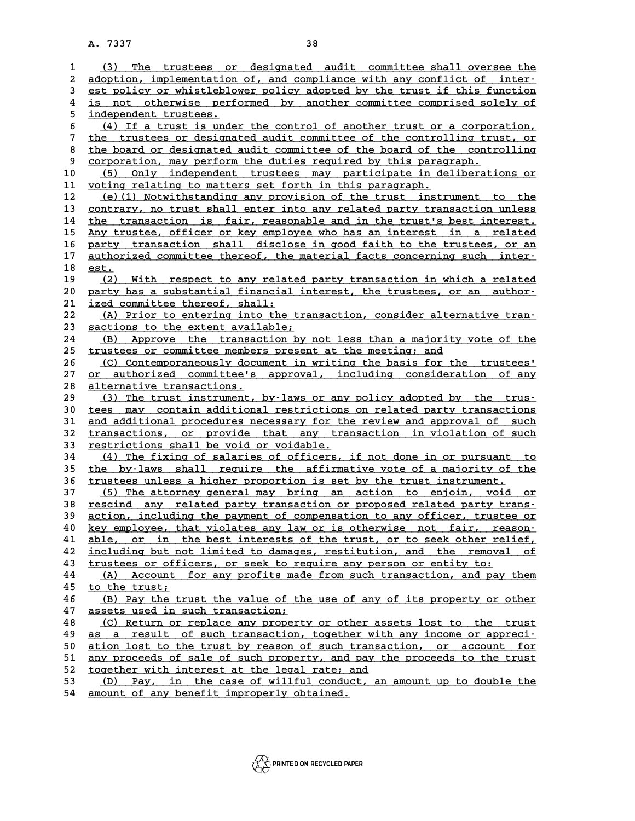|                   | 38<br>A. 7337                                                                                                 |
|-------------------|---------------------------------------------------------------------------------------------------------------|
|                   | The trustees or designated audit committee shall oversee the                                                  |
| $\mathbf{1}$<br>2 | (3)<br>adoption, implementation of, and compliance with any conflict of inter-                                |
| 3                 | est policy or whistleblower policy adopted by the trust if this function                                      |
| 4                 | is not otherwise performed by another committee comprised solely of                                           |
| 5                 | independent trustees.                                                                                         |
| 6                 | (4) If a trust is under the control of another trust or a corporation,                                        |
| 7                 | the trustees or designated audit committee of the controlling trust, or                                       |
| 8                 | the board or designated audit committee of the board of the controlling                                       |
| 9                 | corporation, may perform the duties required by this paragraph.                                               |
| 10                | Only independent trustees may participate in deliberations or<br>(5)                                          |
| 11                | voting relating to matters set forth in this paragraph.                                                       |
| 12                | (e) (1) Notwithstanding any provision of the trust instrument to the                                          |
| 13                | contrary, no trust shall enter into any related party transaction unless                                      |
| 14                | the transaction is fair, reasonable and in the trust's best interest.                                         |
| 15                | Any trustee, officer or key employee who has an interest in a related                                         |
| 16                | party transaction shall disclose in good faith to the trustees, or an                                         |
| 17                | authorized committee thereof, the material facts concerning such inter-                                       |
| 18                | est.                                                                                                          |
| 19                | With respect to any related party transaction in which a related<br>(2)                                       |
| 20<br>21          | party has a substantial financial interest, the trustees, or an author-<br>ized committee thereof, shall:     |
| 22                | (A) Prior to entering into the transaction, consider alternative tran-                                        |
| 23                | sactions to the extent available;                                                                             |
| 24                | (B) Approve the transaction by not less than a majority vote of the                                           |
| 25                | trustees or committee members present at the meeting; and                                                     |
| 26                | (C) Contemporaneously document in writing the basis for the trustees'                                         |
| 27                | or authorized committee's approval, including consideration of any                                            |
| 28                | alternative transactions.                                                                                     |
| 29                | (3) The trust instrument, by-laws or any policy adopted by the trus-                                          |
| 30                | tees may contain additional restrictions on related party transactions                                        |
| 31                | and additional procedures necessary for the review and approval of such                                       |
| 32<br>33          | transactions, or provide that any transaction in violation of such<br>restrictions shall be void or voidable. |
| 34                | (4) The fixing of salaries of officers, if not done in or pursuant to                                         |
| 35                | the by-laws shall require the affirmative vote of a majority of the                                           |
| 36                | trustees unless a higher proportion is set by the trust instrument.                                           |
| 37                | (5) The attorney general may bring an action to enjoin, void<br>or                                            |
| 38                | <u>rescind any related party transaction or proposed related party trans-</u>                                 |
| 39                | action, including the payment of compensation to any officer, trustee or                                      |
| 40                | key employee, that violates any law or is otherwise not fair, reason-                                         |
| 41                | able, or in the best interests of the trust, or to seek other relief,                                         |
| 42                | including but not limited to damages, restitution, and the removal of                                         |
| 43                | trustees or officers, or seek to require any person or entity to:                                             |
| 44                | (A) Account for any profits made from such transaction, and pay them                                          |
| 45                | to the trust;                                                                                                 |
| 46<br>47          | (B) Pay the trust the value of the use of any of its property or other<br>assets used in such transaction;    |
| 48                | (C) Return or replace any property or other assets lost to the trust                                          |
| 49                | as a result of such transaction, together with any income or appreci-                                         |
| 50                | ation lost to the trust by reason of such transaction, or account for                                         |
| 51                | any proceeds of sale of such property, and pay the proceeds to the trust                                      |
| 52                | together with interest at the legal rate; and                                                                 |
| 53                | (D) Pay, in the case of willful conduct, an amount up to double the                                           |
| 54                | amount of any benefit improperly obtained.                                                                    |
|                   |                                                                                                               |

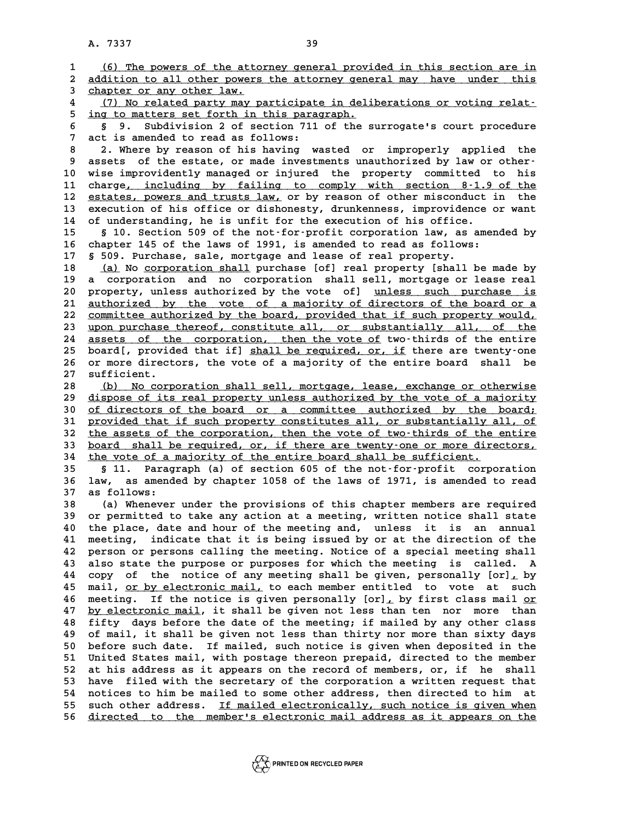|          | 39<br>A. 7337                                                                                                                                  |
|----------|------------------------------------------------------------------------------------------------------------------------------------------------|
|          |                                                                                                                                                |
| 1        | (6) The powers of the attorney general provided in this section are in                                                                         |
| 2        | addition to all other powers the attorney general may have under this                                                                          |
| 3        | chapter or any other law.                                                                                                                      |
| 4        | (7) No related party may participate in deliberations or voting relat-                                                                         |
| 5        | ing to matters set forth in this paragraph.                                                                                                    |
| 6        | Subdivision 2 of section 711 of the surrogate's court procedure<br>9.<br>S.                                                                    |
| 7        | act is amended to read as follows:                                                                                                             |
| 8<br>9   | 2. Where by reason of his having wasted or improperly applied the                                                                              |
| 10       | assets of the estate, or made investments unauthorized by law or other-<br>wise improvidently managed or injured the property committed to his |
| 11       | charge, including by failing to comply with section 8-1.9 of the                                                                               |
| 12       | estates, powers and trusts law, or by reason of other misconduct in the                                                                        |
| 13       | execution of his office or dishonesty, drunkenness, improvidence or want                                                                       |
| 14       | of understanding, he is unfit for the execution of his office.                                                                                 |
| 15       | § 10. Section 509 of the not-for-profit corporation law, as amended by                                                                         |
| 16       | chapter 145 of the laws of 1991, is amended to read as follows:                                                                                |
| 17       | § 509. Purchase, sale, mortgage and lease of real property.                                                                                    |
| 18       | (a) No corporation shall purchase [of] real property [shall be made by                                                                         |
| 19       | corporation and no corporation shall sell, mortgage or lease real<br>a -                                                                       |
| 20       | property, unless authorized by the vote of] unless such purchase is                                                                            |
| 21       | authorized by the vote of a majority of directors of the board or a                                                                            |
| 22       | committee authorized by the board, provided that if such property would,                                                                       |
| 23       | upon purchase thereof, constitute all, or substantially all, of the                                                                            |
| 24       | assets of the corporation, then the vote of two-thirds of the entire                                                                           |
| 25       | board[, provided that if] shall be required, or, if there are twenty-one                                                                       |
| 26       | or more directors, the vote of a majority of the entire board shall be                                                                         |
| 27       | sufficient.                                                                                                                                    |
| 28       | (b) No corporation shall sell, mortgage, lease, exchange or otherwise                                                                          |
| 29       | dispose of its real property unless authorized by the vote of a majority                                                                       |
| 30       | of directors of the board or a committee authorized by the board;                                                                              |
| 31       | provided that if such property constitutes all, or substantially all, of                                                                       |
| 32       | the assets of the corporation, then the vote of two-thirds of the entire                                                                       |
| 33       | board shall be required, or, if there are twenty-one or more directors,                                                                        |
| 34       | the vote of a majority of the entire board shall be sufficient.                                                                                |
| 35       | Paragraph (a) of section 605 of the not-for-profit corporation<br>\$11.                                                                        |
| 36<br>37 | law, as amended by chapter 1058 of the laws of 1971, is amended to read<br>as follows:                                                         |
|          | (a) Whenever under the provisions of this chapter members are required                                                                         |
| 38<br>39 | or permitted to take any action at a meeting, written notice shall state                                                                       |
| 40       | the place, date and hour of the meeting and, unless<br>it<br>is<br>an annual                                                                   |
| 41       | indicate that it is being issued by or at the direction of the<br>meeting,                                                                     |
| 42       | person or persons calling the meeting. Notice of a special meeting shall                                                                       |
| 43       | also state the purpose or purposes for which the meeting is called.<br>A                                                                       |
| 44       | copy of the notice of any meeting shall be given, personally [or], by                                                                          |
| 45       | mail, or by electronic mail, to each member entitled to vote at<br>such                                                                        |
| 46       | If the notice is given personally [or], by first class mail or<br>meeting.                                                                     |
| 47       | by electronic mail, it shall be given not less than ten nor<br>more than                                                                       |
| 48       | fifty days before the date of the meeting; if mailed by any other class                                                                        |
| 49       | of mail, it shall be given not less than thirty nor more than sixty days                                                                       |
| 50       | before such date. If mailed, such notice is given when deposited in the                                                                        |
| 51       | United States mail, with postage thereon prepaid, directed to the member                                                                       |
| 52       | at his address as it appears on the record of members, or, if he shall                                                                         |
| 53       | have filed with the secretary of the corporation a written request that                                                                        |
| 54       | notices to him be mailed to some other address, then directed to him at                                                                        |
| 55       | such other address. If mailed electronically, such notice is given when                                                                        |
| 56       | directed to the member's electronic mail address as it appears on the                                                                          |
|          |                                                                                                                                                |

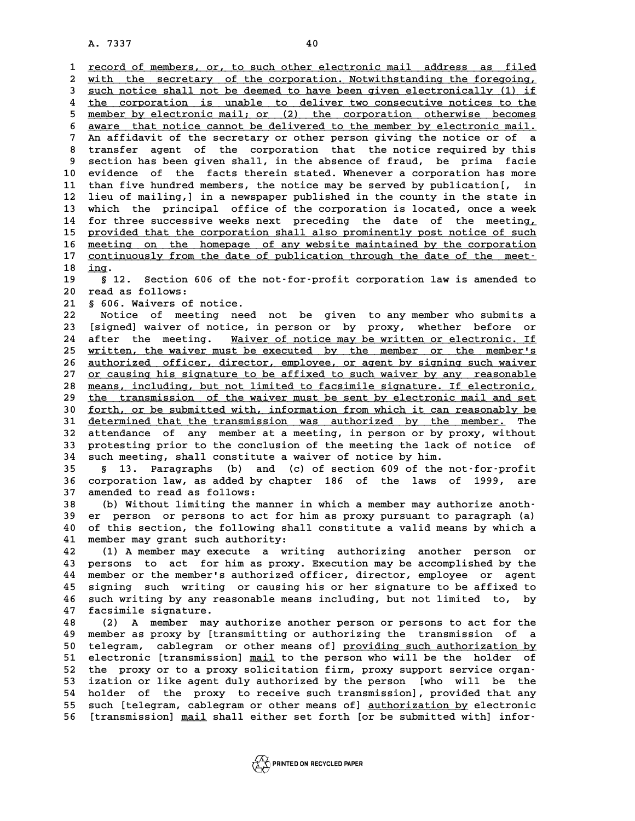A. 7337<br>1 <u>record of members, or, to such other electronic mail address as filed</u><br>2 with the secretary of the corporation Notwithstanding the foregoing **2** record of members, or, to such other electronic mail address as filed<br>2 with the secretary of the corporation. Notwithstanding the foregoing,<br>3 such potice shall not be deemed to have been given electronically (1) if **3** with the secretary of the corporation. Notwithstanding the foregoing,<br>3 such notice shall not be deemed to have been given electronically (1) if<br>4 the corporation is unable to deliver two consecutive notices to the with the secretary of the corporation. Notwithstanding the foregoing,<br>
3 such notice shall not be deemed to have been given electronically (1) if<br>
4 the corporation is unable to deliver two consecutive notices to the<br> **Exa** 5 such notice shall not be deemed to have been given electronically (1) if<br>  $\frac{1}{2}$  the corporation is unable to deliver two consecutive notices to the<br>  $\frac{1}{2}$  member by electronic mail; or (2) the corporation otherwi the corporation is unable to deliver two consecutive notices to the<br>
5 member by electronic mail; or (2) the corporation otherwise becomes<br>
6 aware that notice cannot be delivered to the member by electronic mail.<br>
<sup>7</sup> An **7 7** *12)* **<b>1** *12)* **<b>1** *12)* **12** *12)* **1** *120 <i>n n n n n n a* **<b>***n n a n a n a n a a n a a a a a a a a a* 8 aware that notice cannot be delivered to the member by electronic mail.<br> **8 and all and all and transfer** agent of the corporation that the notice required by this<br> **8 section** has been given shall in the absence of frau **9 an affidavit of the secretary or other person giving the notice or of a**<br>**8 transfer agent of the corporation that the notice required by this**<br>**9 section has been given shall, in the absence of fraud, be prima facie**<br>o 8 transfer agent of the corporation that the notice required by this<br>9 section has been given shall, in the absence of fraud, be prima facie<br>10 evidence of the facts therein stated. Whenever a corporation has more<br>11 than 9 section has been given shall, in the absence of fraud, be prima facie<br>10 evidence of the facts therein stated. Whenever a corporation has more<br>11 than five hundred members, the notice may be served by publication[, in<br>12 10 evidence of the facts therein stated. Whenever a corporation has more<br>11 than five hundred members, the notice may be served by publication[, in<br>12 lieu of mailing,] in a newspaper published in the county in the state i 11 than five hundred members, the notice may be served by publication [, in<br>12 lieu of mailing,] in a newspaper published in the county in the state in<br>13 which the principal office of the corporation is located, once a we 12 lieu of mailing, 1 in a newspaper published in the county in the state in<br>13 which the principal office of the corporation is located, once a week<br>14 for three successive weeks next preceding the date of the meeting,<br>15 which the principal office of the corporation is located, once a week<br>14 for three successive weeks next preceding the date of the meeting,<br>15 <u>provided that the corporation shall also prominently post notice of such</u><br>16 m 14 for three successive weeks next preceding the date of the meeting,<br>15 <u>provided that the corporation shall also prominently post notice of such</u><br>16 <u>meeting on the homepage of any website maintained by the corporation</u><br> 15 provided that the corporation shall also prominently post notice of such<br>16 <u>meeting on the homepage of any website maintained by the corporation</u><br>20 ingleshing the meet-<br>20 ing 16 <u>meeting<br>17 continu</u><br>18 <u>ing</u>. **17** <u>continuously from the date of publication through the date of the meet-</u><br>18 <u>ing</u>.<br>19 § 12. Section 606 of the not-for-profit corporation law is amended to 18 **ing.**<br>19 § 12. Section 60<br>20 read as follows:<br>21 § 606 Waiyers of P. **20** § 12. Section 606 of the 1<br> **20** read as follows:<br> **21** § 606. Waivers of notice. **20 read as follows:**<br> **21 § 606. Waivers of notice.**<br> **22 Notice of meeting need not be given to any member who submits a**<br> **23 Isigned** waiver of notice in person or by provy, whether before or 21 § 606. Waivers of notice.<br>22 Notice of meeting need not be given to any member who submits a<br>23 [signed] waiver of notice, in person or by proxy, whether before or<br>24 after the meeting whiver of notice may be written or Notice of meeting need not be given to any member who submits a<br>23 [signed] waiver of notice, in person or by proxy, whether before or<br>24 after the meeting. <u>Waiver of notice may be written or electronic. If</u><br>25 written th 23 [signed] waiver of notice, in person or by proxy, whether before or<br>24 after the meeting. <u>Waiver of notice may be written or electronic. If</u><br>25 <u>written, the waiver must be executed by the member or the member's</u><br>26 un 24 after the meeting. <u>Waiver of notice may be written or electronic. If</u><br>25 <u>written, the waiver must be executed by the member or the member's</u><br>26 <u>authorized officer, director, employee, or agent by signing such waiver</u> 25 <u>written, the waiver must be executed by the member or the member's<br>26 <u>authorized officer, director, employee, or agent by signing such waiver<br>27 <u>or causing his signature to be affixed to such waiver by any reasonable</u></u></u> 26 <u>authorized officer, director, employee, or agent by signing such waiver<br>27 <u>or causing his signature to be affixed to such waiver by any reasonable</u><br>28 <u>means, including, but not limited to facsimile signature. If elec</u></u> or causing his signature to be affixed to such waiver by any reasonable<br> **28** means, including, but not limited to facsimile signature. If electronic,<br>
<u>the transmission of the waiver must be sent by electronic mail and se</u> means, including, but not limited to facsimile signature. If electronic,<br>
29 the transmission of the waiver must be sent by electronic mail and set<br>
30 <u>forth, or be submitted with, information from which it can reasonably</u> the transmission of the waiver must be sent by electronic mail and set<br>30 <u>forth, or be submitted with, information from which it can reasonably be<br>31 determined that the transmission was authorized by the member. The<br>32 a</u> **30** <u>forth, or be submitted with, information from which it can reasonably be<br>31 determined that the transmission was authorized by the member. The<br>32 attendance of any member at a meeting, in person or by proxy, without<br></u> 31 <u>determined that the transmission was authorized by the member.</u> The<br>32 attendance of any member at a meeting, in person or by proxy, without<br>33 protesting prior to the conclusion of the meeting the lack of notice of<br><sup>3</sup> 32 attendance of any member at a meeting, in person or by proxy, without<br>33 protesting prior to the conclusion of the meeting the lack of notice of<br>34 such meeting, shall constitute a waiver of notice by him.<br>35 s 13. Para **35 § 13. Paragraphs (b) and (c) of section 609 of the not-for-profit** 34 such meeting, shall constitute a waiver of notice by him.<br>35 § 13. Paragraphs (b) and (c) of section 609 of the not-for-profit<br>36 corporation law, as added by chapter 186 of the laws of 1999, are<br><sup>37</sup> amonded to read as **35 § 13. Paragraphs (b)** and<br>36 corporation law, as added by c<br>37 amended to read as follows:<br>(b) Without limiting the many 36 corporation law, as added by chapter 186 of the laws of 1999, are<br>37 amended to read as follows:<br>38 (b) Without limiting the manner in which a member may authorize anoth-<br><sup>39</sup> ar program of portage to act for him as pro 37 amended to read as follows:<br>38 (b) Without limiting the manner in which a member may authorize anoth-<br>39 er person or persons to act for him as proxy pursuant to paragraph (a)<br>40 of this section, the following shall con **40 (b) Without limiting the manner in which a member may authorize anoth-**<br>**40** of this section, the following shall constitute a valid means by which a<br><sup>41</sup> member may graph suthority. **40** of this section, the following shal<br> **41** member may grant such authority:<br> **42** (1) A member may grant such authority: **42 (1) A member may execute a writing authorizing another person or 43 persons to act for him as proxy. Execution may be accomplished by the** 42 (1) A member may execute a writing authorizing another person or<br>43 persons to act for him as proxy. Execution may be accomplished by the<br>44 member or the member's authorized officer, director, employee or agent<br>45 sign 43 persons to act for him as proxy. Execution may be accomplished by the<br>44 member or the member's authorized officer, director, employee or agent<br>45 signing such writing or causing his or her signature to be affixed to<br>46 44 member or the member's authorized officer, director, employee or agent<br>45 signing such writing or causing his or her signature to be affixed to<br>46 such writing by any reasonable means including, but not limited to, by<br><sup></sup> 45 signing such writing or causing his or her signature to be affixed to<br>46 such writing by any reasonable means including, but not limited to, by<br>47 facsimile signature.<br>48 (2) A member may authorize another person or per **46 such writing by any reasonable means including, but not limited to, by<br>47 facsimile signature.**<br>48 (2) A member may authorize another person or persons to act for the<br>49 member 29 provision in itrapomitting or authoriz **47 facsimile signature.**<br> **48** (2) A member may authorize another person or persons to act for the<br> **49 member as proxy by [transmitting or authorizing the transmission of a**<br> **50 tolegy cables and an example of a providi** (2) A member may authorize another person or persons to act for the<br>49 member as proxy by [transmitting or authorizing the transmission of a<br>50 telegram, cablegram or other means of] <u>providing such authorization by</u><br>51 el **50** member as proxy by [transmitting or authorizing the transmission of a<br>50 telegram, cablegram or other means of] <u>providing such authorization by</u><br>51 electronic [transmission] <u>mail</u> to the person who will be the holde 50 telegram, cablegram or other means of] <u>providing such authorization by</u><br>
51 electronic [transmission] <u>mail</u> to the person who will be the holder of<br>
52 the proxy or to a proxy solicitation firm, proxy support service 51 electronic [transmission] <u>mail</u> to the person who will be the holder of<br>52 the proxy or to a proxy solicitation firm, proxy support service organ-<br>53 ization or like agent duly authorized by the person [who will be the 52 the proxy or to a proxy solicitation firm, proxy support service organ-<br>53 ization or like agent duly authorized by the person [who will be the<br>54 holder of the proxy to receive such transmission], provided that any<br>55 53 ization or like agent duly authorized by the person [who will be the<br>54 holder of the proxy to receive such transmission], provided that any<br>55 such [telegram, cablegram or other means of] <u>authorization by</u> electronic<br> 54 holder of the proxy to receive such transmission], provided that any<br>55 such [telegram, cablegram or other means of] <u>authorization by</u> electronic<br>56 [transmission] <u>mail</u> shall either set forth [or be submitted with] i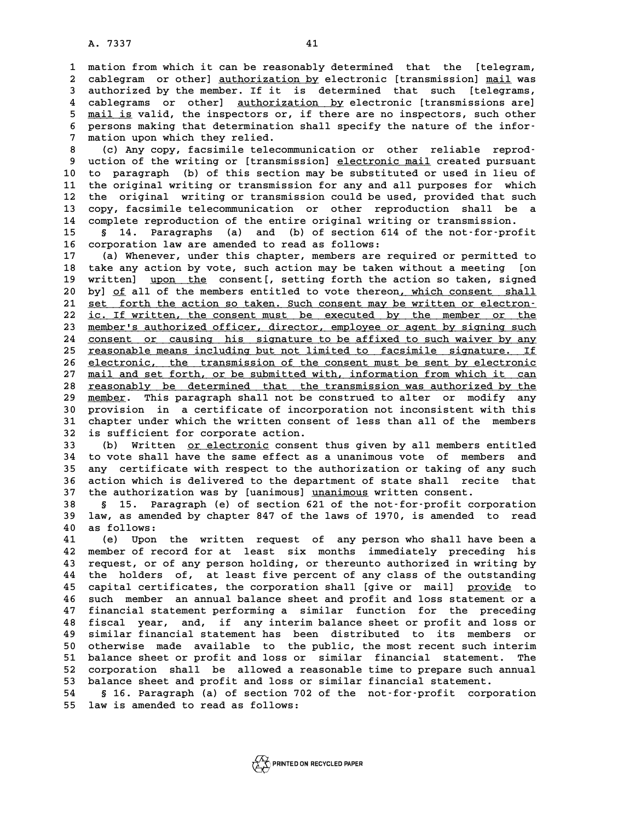**1 mation from which it can be reasonably determined that the [telegram,** 1 mation from which it can be reasonably determined that the [telegram,<br>2 cablegram or other] <u>authorization by</u> electronic [transmission] <u>mail</u> was<br>3 authorized by the member If it is determined that such [telegrams 2 cablegram or other] <u>authorization by</u> electronic [transmission] <u>mail</u> was<br>3 authorized by the member. If it is determined that such [telegrams,<br>4 cablegrams or other] authorization by electronic [transmissions are] 2 cablegram or other] <u>authorization by</u> electronic [transmission] <u>mail</u> was<br>3 authorized by the member. If it is determined that such [telegrams,<br>4 cablegrams or other] <u>authorization by</u> electronic [transmissions are]<br>5 3 authorized by the member. If it is determined that such [telegrams,<br>4 cablegrams or other] <u>authorization by</u> electronic [transmissions are]<br>5 <u>mail is</u> valid, the inspectors or, if there are no inspectors, such other<br>6 4 cablegrams or other] <u>authorization by</u> electronic [transmissions are]<br>
5 <u>mail is</u> valid, the inspectors or, if there are no inspectors, such other<br>
6 persons making that determination shall specify the nature of the in 5 <u>mail is</u> valid, the inspectors or,<br>6 persons making that determination<br>7 mation upon which they relied.<br>(2) Apu sony facsimilatelecom 8 (6 persons making that determination shall specify the nature of the infor-<br>
8 (c) Any copy, facsimile telecommunication or other reliable reprod-<br>
9 uction of the writing or [transmission] electronic mail created pursua

**9** mation upon which they relied.<br>
8 (c) Any copy, facsimile telecommunication or other reliable reprod-<br>
9 uction of the writing or [transmission] electronic mail created pursuant<br>
1 to paragraph (b) of this sostion may 10 (c) Any copy, facsimile telecommunication or other reliable reprod-<br>
10 to paragraph (b) of this section may be substituted or used in lieu of<br>
11 the original writing or transmission for any and all purposes for which 9 uction of the writing or [transmission] <u>electronic mail</u> created pursuant<br>10 to paragraph (b) of this section may be substituted or used in lieu of<br>11 the original writing or transmission for any and all purposes for wh 10 to paragraph (b) of this section may be substituted or used in lieu of<br>11 the original writing or transmission for any and all purposes for which<br>12 the original writing or transmission could be used, provided that such **13 copy, facsimile telecommunication or other reproduction shall be a** 12 the original writing or transmission could be used, provided that such<br>13 copy, facsimile telecommunication or other reproduction shall be a<br>14 complete reproduction of the entire original writing or transmission.<br>15 5 **13 copy, facsimile telecommunication or other reproduction shall be a**<br>**14 complete reproduction of the entire original writing or transmission.**<br>**15 § 14. Paragraphs (a) and (b) of section 614 of the not-for-profit** 

14 complete reproduction of the entire original writi<br>15 § 14. Paragraphs (a) and (b) of section 614<br>16 corporation law are amended to read as follows:<br><sup>17</sup> (a) Whonougr under this shapter members are re 15 § 14. Paragraphs (a) and (b) of section 614 of the not-for-profit<br>16 corporation law are amended to read as follows:<br>17 (a) Whenever, under this chapter, members are required or permitted to<br>18 take any action by vote,

**18 take any action by vote, such action may be taken without a meeting [on** 17 (a) Whenever, under this chapter, members are required or permitted to<br>18 take any action by vote, such action may be taken without a meeting [on<br>19 written] <u>upon the</u> consent[, setting forth the action so taken, signe 18 take any action by vote, such action may be taken without a meeting [on<br>19 written] <u>upon the</u> consent[, setting forth the action so taken, signed<br>20 by] <u>of</u> all of the members entitled to vote thereon<u>, which consent </u> **20 written upon the consent and forth the action so taken, signed**<br> **20 by** <u>of</u> all of the members entitled to vote thereon, which consent shall<br> **21 set forth the action so taken.** Such consent may be written or electro by <u>of</u> all of the members entitled to vote thereon, which consent shall<br>
21 <u>set forth the action so taken. Such consent may be written or electron-</u><br>
22 <u>ic. If written, the consent must be executed by the member or the</u> 21 <u>set forth the action so taken. Such consent may be written or electron-<br>22 ic. If written, the consent must be executed by the member or the<br>23 member's authorized officer, director, employee or agent by signing such<br>2</u> 22 <u>ic. If written, the consent must be executed by the member or the member's authorized officer, director, employee or agent by signing such consent or causing his signature to be affixed to such waiver by any recognable</u> 23 member's authorized officer, director, employee or agent by signing such<br>24 consent or causing his signature to be affixed to such waiver by any<br>25 reasonable means including but not limited to facsimile signature. If<br>2 24 <u>consent or causing his signature to be affixed to such waiver by any</u><br>25 <u>reasonable means including but not limited to facsimile signature. If</u><br>26 <u>electronic, the transmission of the consent must be sent by electroni</u> 25 <u>reasonable means including but not limited to facsimile signature. If</u><br>26 <u>electronic, the transmission of the consent must be sent by electronic</u><br>27 <u>mail and set forth, or be submitted with, information from which it</u> 26 <u>electronic, the transmission of the consent must be sent by electronic</u><br>27 <u>mail and set forth, or be submitted with, information from which it can</u><br>28 <u>reasonably be determined that the transmission was authorized by </u> <u>mail and set forth, or be submitted with, information from which it can<br>28 reasonably be determined that the transmission was authorized by the<br>29 member. This paragraph shall not be construed to alter or modify any<br>20 pr</u> **30 reasonably be determined that the transmission was authorized by the**<br> **30 <u>member</u>. This paragraph shall not be construed to alter or modify any**<br> **30 provision in a certificate of incorporation not inconsistent with** 29 <u>member</u>. This paragraph shall not be construed to alter or modify any<br>30 provision in a certificate of incorporation not inconsistent with this<br>31 chapter under which the written consent of less than all of the members 30 provision in a certificate of incorporation not inconsistent with this<br>31 chapter under which the written consent of less than all of the members<br>32 is sufficient for corporate action.<br>33 (b) Written <u>or electronic</u> con 31 chapter under which the written consent of less than all of the members<br>32 is sufficient for corporate action.<br>33 (b) Written <u>or electronic</u> consent thus given by all members entitled<br>34 to vote shall have the same eff

**32 is sufficient for corporate action.**<br> **33** (b) Written <u>or electronic</u> consent thus given by all members entitled<br> **34** to vote shall have the same effect as a unanimous vote of members and<br> **35** any cortificate with r **33** (b) Written <u>or electronic</u> consent thus given by all members entitled<br>34 to vote shall have the same effect as a unanimous vote of members and<br>35 any certificate with respect to the authorization or taking of any suc 34 to vote shall have the same effect as a unanimous vote of members and<br>35 any certificate with respect to the authorization or taking of any such<br>36 action which is delivered to the department of state shall recite that<br> **35 any certificate with respect to the authorization or taking of any such action which is delivered to the department of state shall recite that the authorization was by [uanimous] <u>unanimous</u> written consent.<br><b>38 5** 1 **36 action which is delivered to the department of state shall recite that**<br>37 the authorization was by [uanimous] <u>unanimous</u> written consent.<br>38 § 15. Paragraph (e) of section 621 of the not-for-profit corporation<br>39 lay

37 the authorization was by [uanimous] <u>unanimous</u> written consent.<br>38 § 15. Paragraph (e) of section 621 of the not-for-profit corporation<br>39 law, as amended by chapter 847 of the laws of 1970, is amended to read<br><sup>40</sup> 35 as amended by chapter 847 of the laws of 1970, is amended to read to read<br>**40** as follows:<br>**41** (e) Upon the written request of any person who shall have been a

**41 (e) Upon the written request of any person who shall have been a 40 as follows:**<br> **41** (e) Upon the written request of any person who shall have been a<br> **42** member of record for at least six months immediately preceding his<br> **43** request or of any person bolding or thereunto authorize 41 (e) Upon the written request of any person who shall have been a<br>42 member of record for at least six months immediately preceding his<br>43 request, or of any person holding, or thereunto authorized in writing by<br><sup>44</sup> the 42 member of record for at least six months immediately preceding his<br>43 request, or of any person holding, or thereunto authorized in writing by<br>44 the holders of, at least five percent of any class of the outstanding<br>45 **43 request, or of any person holding, or thereunto authorized in writing by<br>44 the holders of, at least five percent of any class of the outstanding<br>45 capital certificates, the corporation shall [give or mail] provide to** 44 the holders of, at least five percent of any class of the outstanding<br>45 capital certificates, the corporation shall [give or mail] <u>provide</u> to<br>46 such member an annual balance sheet and profit and loss statement or a<br> 45 capital certificates, the corporation shall [give or mail] <u>provide</u> to<br>46 such member an annual balance sheet and profit and loss statement or a<br>47 financial statement performing a similar function for the preceding<br>48 46 such member an annual balance sheet and profit and loss statement or a<br>47 financial statement performing a similar function for the preceding<br>48 fiscal year, and, if any interim balance sheet or profit and loss or<br>49 si 47 financial statement performing a similar function for the preceding<br>48 fiscal year, and, if any interim-balance sheet or profit and loss or<br>49 similar financial statement has been distributed to its members or<br>50 stherw **50 otherwise made available to the public, the most recent such interim 50 similar financial statement has been distributed to its members or otherwise made available to the public, the most recent such interim balance sheet or profit and loss or similar financial statement. The correction sh** 50 otherwise made available to the public, the most recent such interim<br>51 balance sheet or profit and loss or similar financial statement. The<br>52 corporation shall be allowed a reasonable time to prepare such annual<br>53 ba 51 balance sheet or profit and loss or similar financial statement.<br>52 corporation shall be allowed a reasonable time to prepare such an:<br>53 balance sheet and profit and loss or similar financial statement.<br>54 5.16 Paragra 52 corporation shall be allowed a reasonable time to prepare such annual<br>53 balance sheet and profit and loss or similar financial statement.<br>54 § 16. Paragraph (a) of section 702 of the not-for-profit corporation

53 balance sheet and profit and loss<br>54 § 16. Paragraph (a) of section 7<br>55 law is amended to read as follows:



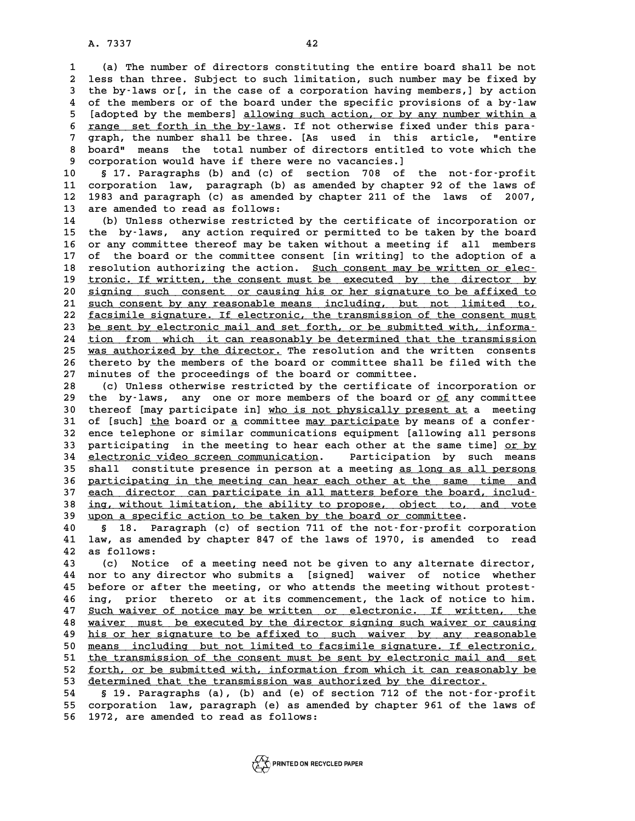**1 (a) The number of directors constituting the entire board shall be not 2** (a) The number of directors constituting the entire board shall be not<br>2 less than three. Subject to such limitation, such number may be fixed by<br>3 the by-laws or [ in the gase of a corporation baying members ] by acti **3 (a) The number of directors constituting the entire board shall be not**<br>2 less than three. Subject to such limitation, such number may be fixed by<br>3 the by-laws or[, in the case of a corporation having members,] by acti 1 ess than three. Subject to such limitation, such number may be fixed by<br>
4 of the members or of the board under the specific provisions of a by-law<br>
<sup>4</sup> of the members or of the board under the specific provisions of a b the by-laws or [, in the case of a corporation having members,] by action<br>4 of the members or of the board under the specific provisions of a by-law<br>5 [adopted by the members] allowing such action, or by any number within 6 **4** of the members or of the board under the specific provisions of a by-law<br>5 [adopted by the members] allowing such action, or by any number within a<br>6 <u>range set forth in the by-laws</u>. If not otherwise fixed under thi 5 [adopted by the members] allowing such action, or by any number within a<br>6 <u>range set forth in the by-laws</u>. If not otherwise fixed under this para-<br>7 graph, the number shall be three. [As used in this article, "entire<br>8 8 **cange set forth in the by-laws.** If not otherwise fixed under this para-<br>7 graph, the number shall be three. [As used in this article, "entire<br>8 board" means the total number of directors entitled to vote which the<br>9 co 9 corporation would have if there. [As used in this article,<br>
9 board" means the total number of directors entitled to vote w<br>
9 corporation would have if there were no vacancies.]<br>
10 § 17. Paragraphs (b) and (c) of secti 8 board" means the total number of directors entitled to vote which the<br>9 corporation would have if there were no vacancies.]<br>10 § 17. Paragraphs (b) and (c) of section 708 of the not-for-profit<br>11 corporation law paragrap

**11 corporation would have if there were no vacancies.]**<br> **10** § 17. Paragraphs (b) and (c) of section 708 of the not-for-profit<br> **11 corporation law, paragraph (b) as amended by chapter 92 of the laws of<br>
<b>12 1983 and par** 10 § 17. Paragraphs (b) and (c) of section 708 of the not-for-profit<br>11 corporation law, paragraph (b) as amended by chapter 92 of the laws of<br>12 1983 and paragraph (c) as amended by chapter 211 of the laws of 2007,<br>13 are 11 corporation law, paragraph (b) as amended by chapter 92 of the laws of 12 1983 and paragraph (c) as amended by chapter 211 of the laws of 2007, are amended to read as follows:<br>14 (b) Unless otherwise restricted by the c 12 1983 and paragraph (c) as amended by chapter 211 of the laws of 2007,<br>13 are amended to read as follows:<br>14 (b) Unless otherwise restricted by the certificate of incorporation or<br>15 the by-laws, any action required or p

**15 the by-laws, any action required or permitted to be taken by the board** (b) Unless otherwise restricted by the certificate of incorporation or<br>15 the by-laws, any action required or permitted to be taken by the board<br>16 or any committee thereof may be taken without a meeting if all members<br><sup>17</sup> 15 the by-laws, any action required or permitted to be taken by the board<br>16 or any committee thereof may be taken without a meeting if all members<br>17 of the board or the committee consent [in writing] to the adoption of a 16 or any committee thereof may be taken without a meeting if all members<br>17 of the board or the committee consent [in writing] to the adoption of a<br>18 resolution authorizing the action. <u>Such consent may be written or ele</u> 17 of the board or the committee consent [in writing] to the adoption of a<br>18 resolution authorizing the action. <u>Such consent may be written or elector</u><br>19 <u>tronic. If written, the consent must be executed by the director</u> resolution authorizing the action. <u>Such consent may be written or elector</u><br>19 <u>signing such consent or causing his or her signature to be affixed to</u><br>20 signing such consent or causing his or her signature to be affixed t 19 <u>tronic. If written, the consent must be executed by the director by signing such consent or causing his or her signature to be affixed to such consent by any reasonable means including, but not limited to, facsimile si</u> 20 signing such consent or causing his or her signature to be affixed to<br>21 <u>such consent by any reasonable means including</u>, but not limited to,<br>22 <u>facsimile signature. If electronic, the transmission of the consent must</u> 21 <u>such consent by any reasonable means including, but not limited to,</u><br>22 <u>facsimile signature. If electronic, the transmission of the consent must</u><br>23 <u>be sent by electronic mail and set forth, or be submitted with, inf</u> 22 <u>facsimile signature. If electronic, the transmission of the consent must<br>23 <u>be sent by electronic mail and set forth, or be submitted with, informa-</u><br>24 <u>tion from which it can reasonably be determined that the transm</u></u> **23** <u>be sent by electronic mail and set forth, or be submitted with, informa-</u><br>24 <u>tion from which it can reasonably be determined that the transmission</u><br>25 was authorized by the director. The resolution and the written c 24 tion from which it can reasonably be determined that the transmission<br>25 was authorized by the director. The resolution and the written consents<br>26 thereto by the members of the board or committee shall be filed with th 25 <u>was authorized by the director.</u> The resolution and the written consents<br>26 thereto by the members of the board or committee shall be filed with the<br>27 minutes of the proceedings of the board or committee.<br>28 (c) Unles

**28 (c) Unless otherwise restricted by the certificate of incorporation or** 29 the by-laws, any one or more members of the board or <u>of</u> any committee 30 thereof [may participate in] who is not physically present at a meeting (c) Unless otherwise restricted by the certificate of incorporation or<br>
29 the by-laws, any one or more members of the board or <u>of</u> any committee<br>
30 thereof [may participate in] who is not physically present at a meeting the by-laws, any one or more members of the board or <u>of</u> any committee<br>30 thereof [may participate in] who is not physically present at a meeting<br>31 of [such] <u>the</u> board or <u>a</u> committee <u>may participate</u> by means of a c 30 thereof [may participate in] who is not physically present at a meeting<br>31 of [such] <u>the</u> board or <u>a</u> committee <u>may participate</u> by means of a confer-<br>32 ence telephone or similar communications equipment [allowing a 31 of [such] <u>the</u> board or <u>a</u> committee <u>may participate</u> by means of a confer-<br>32 ence telephone or similar communications equipment [allowing all persons<br>33 participating in the meeting to hear each other at the same t 32 ence telephone or similar communications equipment [allowing all persons<br>33 participating in the meeting to hear each other at the same time] <u>or by<br>34 electronic video screen communication</u>. Participation by such means 33 participating in the meeting to hear each other at the same time] <u>or by<br>34 electronic video screen communication</u>. Participation by such means<br>35 shall constitute presence in person at a meeting <u>as long as all persons</u> 34 electronic video screen communication. Participation by such means<br>35 shall constitute presence in person at a meeting <u>as long as all persons</u><br>36 <u>participating in the meeting can hear each other at the same time and</u><br> 35 shall constitute presence in person at a meeting <u>as long as all persons</u><br>36 <u>participating in the meeting can hear each other at the same time and<br>37 each director can participate in all matters before the board, inclu</u> 36 participating in the meeting can hear each other at the same time and<br>37 <u>each director can participate in all matters before the board, includ-</u><br>38 ing, without limitation, the ability to propose, object to, and vote<br>3 37 each director can participate in all matters before the board,<br>38 <u>ing, without limitation, the ability to propose, object to, a</u><br>39 <u>upon a specific action to be taken by the board or committee</u>.<br>40 5 19 Paragraph (c) **40 9 40 38 ing, without limitation, the ability to propose, object to, and vote**<br>**40 § 18. Paragraph (c) of section 711 of the not-for-profit corporation**<br>**41 law, as amended by chapter 847 of the laws of 1970, is amended** 

**40 41 law, as amended by chapter 847** of the laws of 1970, is amended to read<br> **41 law, as amended by chapter 847** of the laws of 1970, is amended to read<br> **42** as follows: **40 5 18. Para**<br>**41 law, as amende**<br>**42 as follows:**<br><sup>43</sup> (c) Notice

**43 (c) Notice of a meeting need not be given to any alternate director, 42 as follows:**<br>**43** (c) Notice of a meeting need not be given to any alternate director,<br>**44** nor to any director who submits a [signed] waiver of notice whether<br><sup>45</sup> before ar after the meeting ar who attends the meetin 43 (c) Notice of a meeting need not be given to any alternate director,<br>44 nor to any director who submits a [signed] waiver of notice whether<br>45 before or after the meeting, or who attends the meeting without protest-<br><sup>46</sup> A4 nor to any director who submits a [signed] waiver of notice whether<br>45 before or after the meeting, or who attends the meeting without protest-<br>46 ing, prior thereto or at its commencement, the lack of notice to him.<br><sup>4</sup> before or after the meeting, or who attends the meeting without protest-<br>46 ing, prior thereto or at its commencement, the lack of notice to him.<br>47 <u>Such waiver of notice may be written or electronic. If written, the</u><br>18 46 ing, prior thereto or at its commencement, the lack of notice to him.<br>47 <u>Such waiver of notice may be written or electronic. If written, the waiver must be executed by the director signing such waiver or causing<br>big or</u> **47 Such waiver of notice may be written or electronic. If written, the waiver must be executed by the director signing such waiver or causing his or her signature to be affixed to such waiver by any reasonable**<br> **property 50 maiver must be executed by the director signing such waiver or causing**<br> **49 his or her signature to be affixed to such waiver by any reasonable**<br> **50 means including but not limited to facsimile signature. If electron** A the transmission of the consent must be sent by any reasonable<br>
50 <u>means including</u> but not limited to facsimile signature. If electronic,<br>
<u>the transmission of the consent must be sent by electronic mail and set</u><br>
fort 50 <u>means including but not limited to facsimile signature. If electronic,</u><br>51 <u>the transmission of the consent must be sent by electronic mail and set</u><br>52 <u>forth, or be submitted with, information from which it can reason</u> 51 <u>the transmission of the consent must be sent by electronic mail and set</u><br>52 <u>forth, or be submitted with, information from which it can reasonably be<br>53 <u>determined that the transmission was authorized by the director.</u></u> **52** <u>forth, or be submitted with, information from which it can reasonably be<br>53 determined that the transmission was authorized by the director.<br>54 § 19. Paragraphs (a), (b) and (e) of section 712 of the not-for-profit<br>5</u>

**653** determined that the transmission was authorized by the director.<br>
54 § 19. Paragraphs (a), (b) and (e) of section 712 of the not-for-profit<br>
55 corporation law, paragraph (e) as amended by chapter 961 of the laws of<br> **56 1972, are amended to read as follows:**

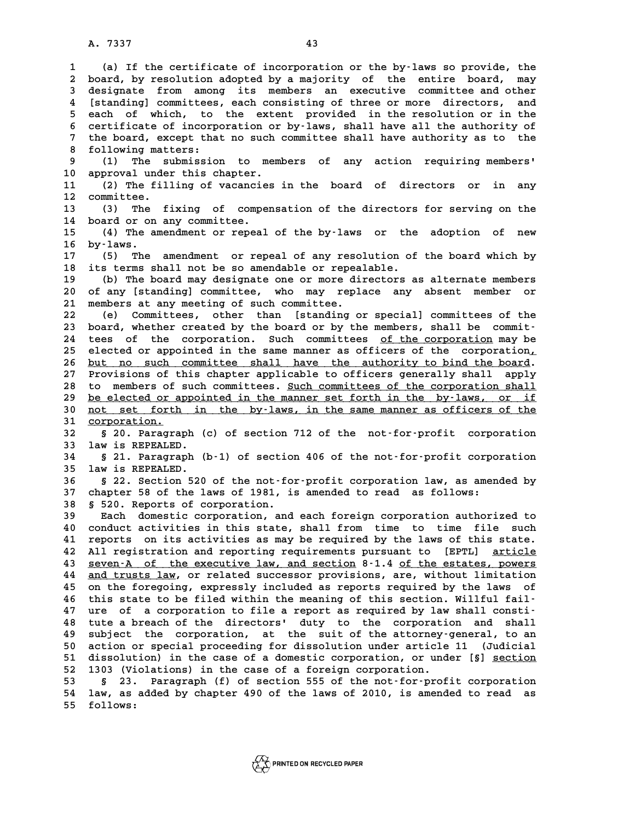**1 (a) If the certificate of incorporation or the by-laws so provide, the 2** (a) If the certificate of incorporation or the by-laws so provide, the board, by resolution adopted by a majority of the entire board, may 1 (a) If the certificate of incorporation or the by-laws so provide, the<br>2 board, by resolution adopted by a majority of the entire board, may<br>3 designate from among its members an executive committee and other<br>4 [standing 2 board, by resolution adopted by a majority of the entire board, may<br>3 designate from among its members an executive committee and other<br>4 [standing] committees, each consisting of three or more directors, and<br>5 angle of 3 designate from among its members an executive committee and other<br>4 [standing] committees, each consisting of three or more directors, and<br>5 each of which, to the extent provided in the resolution or in the<br>6 contificate 4 [standing] committees, each consisting of three or more directors, and<br>5 each of which, to the extent provided in the resolution or in the<br>6 certificate of incorporation or by-laws, shall have all the authority of<br>7 the 5 each of which, to the extent provided in the resolution or in the certificate of incorporation or by-laws, shall have all the authority of the board, except that no such committee shall have authority as to the<br><sup>2</sup> follo 6 certificate of incorp<br>7 the board, except tha<br>8 following matters:<br><sup>9</sup> (1) The submission The board, except that no such committee shall have authority as to the<br>8 following matters:<br>9 (1) The submission to members of any action requiring members' 8 following matters:<br>
9 (1) The submission to mem<br>
10 approval under this chapter.<br>
11 (2) The filling of wagangies 11 (1) The submission to members of any action requiring members<br>
10 approval under this chapter.<br>
11 (2) The filling of vacancies in the board of directors or in any<br>
<sup>12</sup> committee 10 approval unde<br>11 (2) The fil<br>12 committee.<br><sup>13</sup> (3) The f 11 (2) The filling of vacancies in the board of directors or in any<br>12 committee.<br>13 (3) The fixing of compensation of the directors for serving on the<br>14 board or an any committee. 12 committee.<br>13 (3) The fixing of compensation of the directors for serving on the<br>14 board or on any committee.<br>15 (4) The amendment or repeal of the by-laws or the adoption of new **15 (4) The amendment or repeal of the by-laws or the adoption of new** 14 board or on any committee.<br>15 (4) The amendment or rep<br>16 by-laws.<br>17 (5) The amendment or 15 (4) The amendment or repeal of the by-laws or the adoption of new<br>16 by-laws.<br>17 (5) The amendment or repeal of any resolution of the board which by<br>18 its terms shall not be seemandable or repealable. **16 by-laws.**<br> **17** (5) The amendment or repeal of any resolution of<br> **18 its terms shall not be so amendable or repealable.**<br> **19** (b) The beard may designate ane or more directors a

17 (5) The amendment or repeal of any resolution of the board which by<br>18 its terms shall not be so amendable or repealable.<br>19 (b) The board may designate one or more directors as alternate members<br>20 of any [standing] co 18 its terms shall not be so amendable or repealable.<br>
20 (b) The board may designate one or more directors as alternate members<br>
20 of any [standing] committee, who may replace any absent member or<br>
21 members at any meet 19 (b) The board may designate one or more di<br>20 of any [standing] committee, who may repl<br>21 members at any meeting of such committee. 20 of any [standing] committee, who may replace any absent member or<br>21 members at any meeting of such committee.<br>22 (e) Committees, other than [standing or special] committees of the<br>23 board, whether created by the board

**23 board, whether created by the board or by the members, shall be commit-**22 (e) Committees, other than [standing or special] committees of the<br>23 board, whether created by the board or by the members, shall be commit-<br>24 tees of the corporation. Such committees <u>of the corporation</u> may be<br>25 el 23 board, whether created by the board or by the members, shall be commit-<br>24 tees of the corporation. Such committees <u>of the corporation</u> may be<br>25 elected or appointed in the same manner as officers of the corporation,<br> 24 tees of the corporation. Such committees <u>of the corporation</u> may be<br>25 elected or appointed in the same manner as officers of the corporation,<br>26 <u>but no such committee shall have the authority to bind the board</u>.<br>27 P exted or appointed in the same manner as officers of the corporation,<br>26 <u>but no such committee shall have the authority to bind the board</u>.<br>27 Provisions of this chapter applicable to officers generally shall apply<br>28 to 26 <u>but no such committee shall have the authority to bind the board.</u><br>27 Provisions of this chapter applicable to officers generally shall apply<br>28 to members of such committees. <u>Such committees of the corporation shall</u> Provisions of this chapter applicable to officers generally shall apply<br>
28 to members of such committees. <u>Such committees of the corporation shall</u><br>
29 <u>be elected or appointed in the manner set forth in the by-laws, or </u> 28 to members of such committees. <u>Such committees of the corporation shall</u><br>29 <u>be elected or appointed in the manner set forth in the by-laws, or if</u><br>30 <u>not set forth in the by-laws, in the same manner as officers of th</u> **29** <u>be elected or a</u><br>30 <u>not set forth</u><br>31 <u>corporation.</u><br>32 5.30 Paragra

**30** <u>not set forth in the by-laws, in the same manner as officers of the corporation.<br> **32** § 20. Paragraph (c) of section 712 of the not-for-profit corporation<br> **33** law is REPEALED.</u> S 20. Paragraph (c) of section 712 of the not-for-profit corporation<br>33 law is REPEALED.<br>34 S 21. Paragraph (b-1) of section 406 of the not-for-profit corporation **5 20. Paragraph (c) of section 712 of the not-for-profit corporation**<br>**33 law is REPEALED.**<br>**5 21. Paragraph (b-1) of section 406 of the not-for-profit corporation**<br>**25 law is PEPEALED** 

**33 law is REPEALED.**<br> **34 S 21. Paragraph (1986)**<br> **35 law is REPEALED.**<br> **36 5.23 Cootion 530 5 21. Paragraph (b-1) of section 406 of the not-for-profit corporation**<br>**35 law is REPEALED.**<br>**36 § 22. Section 520 of the not-for-profit corporation law, as amended by**<br>**37 sharts:** 58 of the laws of 1981, is amended to

**35 law is REPEALED.**<br>36 § 22. Section 520 of the not-for-profit corporation law, as amended to read as follows:<br>37 chapter 58 of the laws of 1981, is amended to read as follows: **36 § 22. Section 520 of the not-fo<br>37 chapter 58 of the laws of 1981, i<br>38 § 520. Reports of corporation.** 37 chapter 58 of the laws of 1981, is amended to read as follows:<br>38 § 520. Reports of corporation.<br>39 Each domestic corporation, and each foreign corporation authorized to<br>40 Septuat activities in this state, shall from t

**40 conduct activities in the state of corporation.**<br> **40** conduct activities in this state, shall from time to time file such<br> **40** conduct activities in this state, shall from time to time file such<br> **41** reports on its 8 5 520. Reports of corporation.<br>
40 Each domestic corporation, and each foreign corporation authorized to<br>
40 conduct activities in this state, shall from time to time file such<br>
41 reports on its activities as may be req All registration and reporting requirements pursuant to [EPTL] <u>article</u><br>43 <u>seven-A of the executive law, and section</u> 8-1.4 <u>of the estates, powers</u> **41 reports on its activities as may be required by the laws of this state.**<br>42 All registration and reporting requirements pursuant to [EPTL] <u>article</u><br>43 <u>seven-A of the executive law, and section</u> 8-1.4 <u>of the estates,</u> All registration and reporting requirements pursuant to [EPTL] <u>article</u><br>43 <u>seven-A of the executive law, and section</u> 8-1.4 <u>of the estates, powers</u><br>44 <u>and trusts law</u>, or related successor provisions, are, without limi **43 seven-A of the executive law, and section 8-1.4 of the estates, powers**<br>**44 and trusts law, or related successor provisions, are, without limitation**<br>**45 on the foregoing, expressly included as reports required by the** 44 and trusts law, or related successor provisions, are, without limitation<br>45 on the foregoing, expressly included as reports required by the laws of<br>46 this state to be filed within the meaning of this section. Willful f **47 ure of a corporation to file a report as required by law shall consti-**46 this state to be filed within the meaning of this section. Willful fail-<br>47 ure of a corporation to file a report as required by law shall consti-<br>48 tute a breach of the directors' duty to the corporation and shall<br>19 47 ure of a corporation to file a report as required by law shall consti-<br>48 tute a breach of the directors' duty to the corporation and shall<br>49 subject the corporation, at the suit of the attorney-general, to an<br>50 actio 48 tute a breach of the directors' duty to the corporation and shall<br>49 subject the corporation, at the suit of the attorney-general, to an<br>50 action or special proceeding for dissolution under article 11 (Judicial<br>51 diss **50** subject the corporation, at the suit of the attorney-general, to an action or special proceeding for dissolution under article 11 (Judicial dissolution) in the case of a domestic corporation, or under [§] <u>section</u><br> 50 action or special proceeding for dissolution under article<br>51 dissolution) in the case of a domestic corporation, or und<br>52 1303 (Violations) in the case of a foreign corporation.<br>53 6 23 Baragraph (f) of section 555 of 51 dissolution) in the case of a domestic corporation, or under [§] <u>section</u><br>52 1303 (Violations) in the case of a foreign corporation.<br>53 § 23. Paragraph (f) of section 555 of the not-for-profit corporation<br>54 law 25 add

52 1303 (Violations) in the case of a foreign corporation.<br>53 § 23. Paragraph (f) of section 555 of the not-for-profit corporation<br>54 law, as added by chapter 490 of the laws of 2010, is amended to read as<br>55 follows: 53 § 23.<br>54 law, as<br>55 follows:

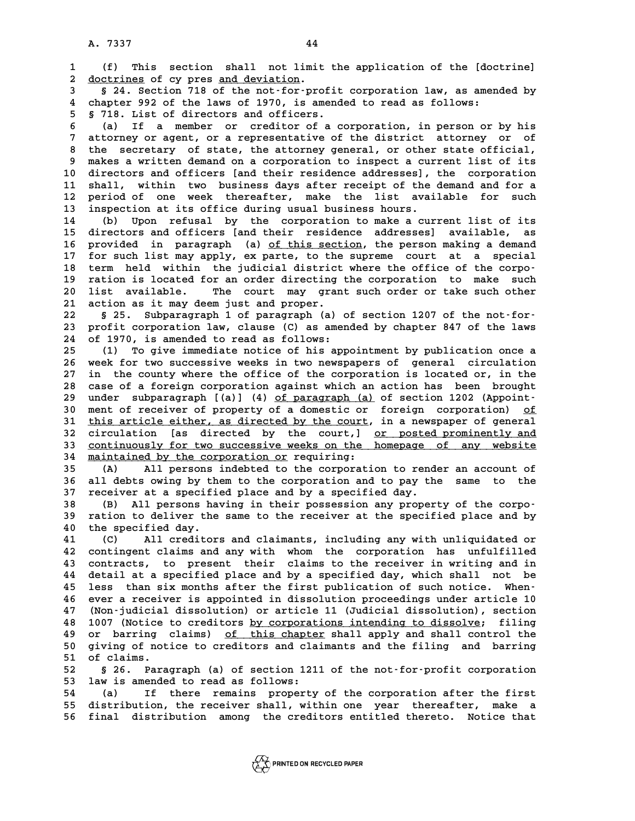**1 (f) This section shall not limit the application of the [doctrine] 2** (f) This section shall not limit<br>2 <u>doctrines</u> of cy pres <u>and deviation</u>.<br>3 5 24 Section 718 of the pot for pro **3 \$ 24. Section 11 of 1 imit the application of the [doctrine]<br>
<u>3 \$ 24. Section</u> 718 of the not-for-profit corporation law, as amended by<br>
4 chapter 992 of the laws of 1970, is amended to read as follows: 4 doctrines of cy pres and deviation.**<br> **4 chapter 992 of the laws of 1970, is amended to read as follows:**<br> **5 5 719 List of directors and officers 5 24. Section 718 of the not-for-profit**<br>4 chapter 992 of the laws of 1970, is amend<br>5 § 718. List of directors and officers. **6** (a) If a member of 1970, is a mended to read as follows:<br> **6** (a) If a member or creditor of a corporation, in person or by his<br> **6** (a) If a member or creditor of a corporation, in person or by his **5** § 718. List of directors and officers.<br> **6** (a) If a member or creditor of a corporation, in person or by his<br>
7 attorney or agent, or a representative of the district attorney or of<br>
<sup>1</sup> the segmentary of state the at **8 (a)** If a member or creditor of a corporation, in person or by his<br>7 attorney or agent, or a representative of the district attorney or of<br>8 the secretary of state, the attorney general, or other state official,<br>2 makes 9 attorney or agent, or a representative of the district attorney or of<br>8 the secretary of state, the attorney general, or other state official,<br>9 makes a written demand on a corporation to inspect a current list of its 10 the secretary of state, the attorney general, or other state official,<br>
10 makes a written demand on a corporation to inspect a current list of its<br>
10 directors and officers [and their residence addresses], the corpora 9 makes a written demand on a corporation to inspect a current list of its<br>10 directors and officers [and their residence addresses], the corporation<br>11 shall, within two business days after receipt of the demand and for a 10 directors and officers [and their residence addresses], the corporation<br>11 shall, within two business days after receipt of the demand and for a<br>12 period of one week thereafter, make the list available for such<br>inspect 11 shall, within two business days after receipt of the period of one week thereafter, make the list availabusiness hours.<br>13 inspection at its office during usual business hours.<br><sup>14</sup> (b) Upon refused by the corporation t 12 period of one week thereafter, make the list available for such<br>13 inspection at its office during usual business hours.<br>14 (b) Upon refusal by the corporation to make a current list of its<br>directors and officers [and t 13 inspection at its office during usual business hours.<br>14 (b) Upon refusal by the corporation to make a current list of its<br>15 directors and officers [and their residence addresses] available, as<br>16 provided in paragraph 16 provided in paragraph (a) <u>of this section</u>, the person making a demand<br>17 for such list may apply, ex parte, to the supreme court at a special 15 directors and officers [and their residence addresses] available, as<br>16 provided in paragraph (a) <u>of this section</u>, the person making a demand<br>17 for such list may apply, ex parte, to the supreme court at a special<br>18 16 provided in paragraph (a) <u>of this section</u>, the person making a demand<br>17 for such list may apply, ex parte, to the supreme court at a special<br>18 term held within the judicial district where the office of the corpo-<br>19 **17** for such list may apply, ex parte, to the supreme court at a special<br>18 term held within the judicial district where the office of the corporation is located for an order directing the corporation to make such<br>20 list 18 term held within the judicial district where the office of the corporation is located for an order directing the corporation to make such 20 list available. The court may grant such order or take such other action as it 19 ration is located for an order directing the corporation to make such 20 list available. The court may grant such order or take such other<br>21 action as it may deem just and proper.<br>22 § 25. Subparagraph 1 of paragraph ( 20 list available. The court may grant such order or take such other<br>
21 action as it may deem just and proper.<br>
22 § 25. Subparagraph 1 of paragraph (a) of section 1207 of the not-for-<br>
23 profit corporation law clause (C 21 action as it may deem just and proper.<br>22 § 25. Subparagraph 1 of paragraph (a) of section 1207 of the not-for-<br>23 profit corporation law, clause (C) as amended by chapter 847 of the laws<br>24 of 1970, is amended to read 22 § 25. Subparagraph 1 of paragraph (a) o<br>23 profit corporation law, clause (C) as amen<br>24 of 1970, is amended to read as follows:<br><sup>25</sup> (1) To give inmediate potice of his appro 23 profit corporation law, clause (C) as amended by chapter 847 of the laws<br>24 of 1970, is amended to read as follows:<br>25 (1) To give immediate notice of his appointment by publication once a<br>26 week for two successive wee 24 of 1970, is amended to read as follows:<br>25 (1) To give immediate notice of his appointment by publication once a<br>26 week for two successive weeks in two newspapers of general circulation<br>27 in the county where the offic 25 (1) To give immediate notice of his appointment by publication once a<br>26 week for two successive weeks in two newspapers of general circulation<br>27 in the county where the office of the corporation is located or, in the<br> 27 in the county where the office of the corporation is located or, in the 28 case of a foreign corporation against which an action has been brought<br>29 under subparagraph [(a)] (4) of paragraph (a) of section 1202 (Appoint 29 under subparagraph [(a)] (4) <u>of paragraph (a)</u> of section 1202 (Appoint-<br>30 ment of receiver of property of a domestic or foreign corporation) of case of a foreign corporation against which an action has been brought<br> **30** under subparagraph [(a)] (4) <u>of paragraph (a</u>) of section 1202 (Appoint-<br> **30** ment of receiver of property of a domestic or foreign corporation 39 under subparagraph [(a)] (4) <u>of paragraph (a)</u> of section 1202 (Appoint-<br>30 ment of receiver of property of a domestic or foreign corporation) <u>of</u><br>31 this article either, as directed by the court, in a newspaper of ge 30 ment of receiver of property of a domestic or foreign corporation) of<br>31 <u>this article either, as directed by the court</u>, in a newspaper of general<br>32 circulation [as directed by the court,] <u>or posted prominently and</u><br> 31 <u>this article either, as directed by the court</u>, in a newspaper of general<br>32 circulation [as directed by the court,] <u>or posted prominently and</u><br>33 <u>continuously for two successive weeks on the homepage of any website</u> 32 circulation [as directed by the court,]<br>33 <u>continuously for two successive weeks on the</u><br>34 <u>maintained by the corporation or</u> requiring:<br><sup>25</sup> (2) all persons indebted to the corporation 33 <u>continuously for two successive weeks on the homepage of any website</u><br>34 <u>maintained by the corporation or</u> requiring:<br>35 (A) All persons indebted to the corporation to render an account of<br>36 all debts owing by them t **34 <u>maintained by the corporation or</u> requiring:<br>35 (A) All persons indebted to the corporation to render an account of<br>36 all debts owing by them to the corporation and to pay the same to the<br>37 requires the apposited pl 35** (A) All persons indebted to the corporation to rend<br>36 all debts owing by them to the corporation and to pay the<br>37 receiver at a specified place and by a specified day.<br>28 (B) all persons begins in their personsion a **36 all debts owing by them to the corporation and to pay the same to the receiver at a specified place and by a specified day.<br>
<b>38** (B) All persons having in their possession any property of the corpo-<br> **39** ration to de 37 receiver at a specified place and by a specified day.<br>38 (B) All persons having in their possession any property of the corpo-<br>39 ration to deliver the same to the receiver at the specified place and by **40 (B) All persons hand a specified day.**<br>**40** the specified day.<br> $\frac{11}{4}$  (C) all greditor **40** ration to deliver the same to the receiver at the specified place and by<br>
40 the specified day.<br>
41 (C) All creditors and claimants, including any with unliquidated or<br>
42 continued plains and any with whom the corpor 40 the specified day.<br>
41 (C) All creditors and claimants, including any with unliquidated or<br>
42 contingent claims and any with whom the corporation has unfulfilled<br>
43 contracts, to present their claims to the receiver i 41 (C) All creditors and claimants, including any with unliquidated or<br>42 contingent claims and any with whom the corporation has unfulfilled<br>43 contracts, to present their claims to the receiver in writing and in<br>44 detai 42 contingent claims and any with whom the corporation has unfulfilled<br>43 contracts, to present their claims to the receiver in writing and in<br>44 detail at a specified place and by a specified day, which shall not be<br><sup>45</sup> 43 contracts, to present their claims to the receiver in writing and in<br>44 detail at a specified place and by a specified day, which shall not be<br>45 less than six months after the first publication of such notice. When-<br>46 44 detail at a specified place and by a specified day, which shall not be<br>45 less than six months after the first publication of such notice. When-<br>46 ever a receiver is appointed in dissolution proceedings under article 1 45 less than six months after the first publication of such notice. When-<br>46 ever a receiver is appointed in dissolution proceedings under article 10<br>47 (Non-judicial dissolution) or article 11 (Judicial dissolution), sect **46 ever a receiver is appointed in dissolution proceedings under article 10**<br>47 (Non-judicial dissolution) or article 11 (Judicial dissolution), section<br>48 1007 (Notice to creditors <u>by corporations intending to dissolve</u> **47 (Non-judicial dissolution) or article 11 (Judicial dissolution), section<br>48 1007 (Notice to creditors <u>by corporations intending to dissolve</u>; filing<br>49 or barring claims) <u>of this chapter</u> shall apply and shall contro 50 1007** (Notice to creditors <u>by corporations intending to dissolve</u>; filing<br>**49 or barring claims**) <u>of this chapter</u> shall apply and shall control the<br>50 giving of notice to creditors and claimants and the filing and b 49 or barring<br>50 giving of not<br>51 of claims.<br>52 526 Para 50 giving of notice to creditors and claimants and the filing and barring<br>51 of claims.<br>52 § 26. Paragraph (a) of section 1211 of the not-for-profit corporation<br>53 law is amended to read as follows: 51 of claims.<br>52 § 26. Paragraph (a) of section 121<br>53 law is amended to read as follows:<br>54 (a) If there remains preparty 52 § 26. Paragraph (a) of section 1211 of the not-for-profit corporation<br>53 law is amended to read as follows:<br>(a) If there remains property of the corporation after the first<br>55 distribution the receiver shall within one

**53 law is amended to read as follows:**<br> **54** (a) If there remains property of the corporation after the first<br> **55 distribution, the receiver shall, within one year thereafter, make a**<br> **56 final distribution among the cr 56 final distribution among the creditors entitled thereto. Notice that**

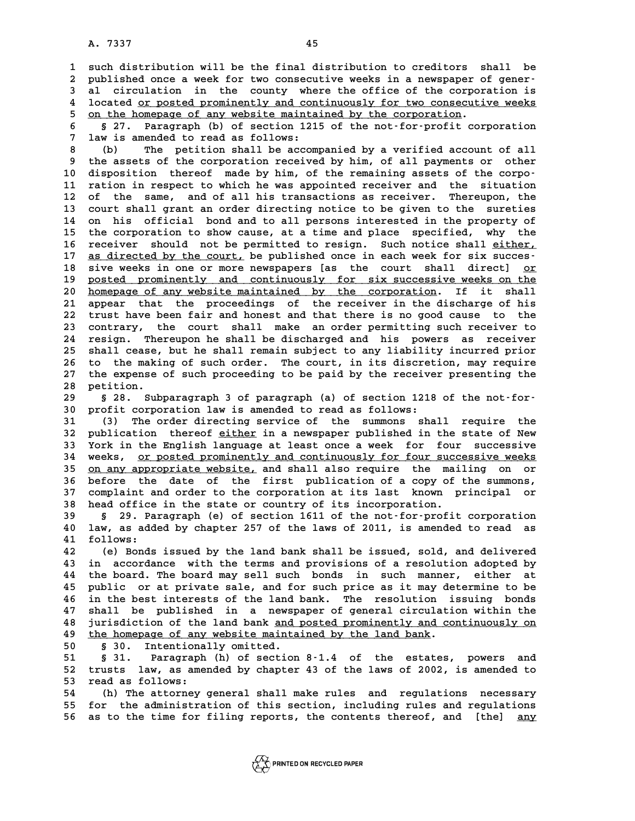**1 such distribution will be the final distribution to creditors shall be** 1 such distribution will be the final distribution to creditors shall be<br>2 published once a week for two consecutive weeks in a newspaper of gener-1 such distribution will be the final distribution to creditors shall be<br>2 published once a week for two consecutive weeks in a newspaper of gener-<br>3 al circulation in the county where the office of the corporation is<br>1 lo 2 published once a week for two consecutive weeks in a newspaper of gener-<br>3 al circulation in the county where the office of the corporation is<br>4 located <u>or posted prominently and continuously for two consecutive weeks</u><br> 3 al circulation in the county where the office of the corpor<br>4 located <u>or posted prominently and continuously for two consecuti</u><br>5 <u>on the homepage of any website maintained by the corporation</u>.<br>5 27 December (b) of soct decript 1 and the section of the consecutive weeks<br> **6 6 8** 27. Paragraph (b) of section 1215 of the not-for-profit corporation<br> **6** 8 27. Paragraph (b) of section 1215 of the not-for-profit corporation<br> **7** law is amend

5 <u>on the homepage of any website mainta</u><br>6 § 27. Paragraph (b) of section 121<br>7 law is amended to read as follows:<br><sup>8</sup> (b) mbo potition shall be accom-**8 27. Paragraph (b) of section 1215 of the not-for-profit corporation<br>
7 law is amended to read as follows:**<br> **8** (b) The petition shall be accompanied by a verified account of all<br>
the account of the corporation received

**9 the assets of the corporation received by him, of all payments or other** 10 (b) The petition shall be accompanied by a verified account of all<br>
10 the assets of the corporation received by him, of all payments or other<br>
10 disposition thereof made by him, of the remaining assets of the corpo-<br> 9 the assets of the corporation received by him, of all payments or other<br>10 disposition thereof made by him, of the remaining assets of the corpo-<br>11 ration in respect to which he was appointed receiver and the situation<br> 10 disposition thereof made by him, of the remaining assets of the corpo-<br>11 ration in respect to which he was appointed receiver and the situation<br>12 of the same, and of all his transactions as receiver. Thereupon, the<br>20 11 ration in respect to which he was appointed receiver and the situation<br>12 of the same, and of all his transactions as receiver. Thereupon, the<br>13 court shall grant an order directing notice to be given to the sureties<br>1 12 of the same, and of all his transactions as receiver. Thereupon, the<br>13 court shall grant an order directing notice to be given to the sureties<br>14 on his official bond and to all persons interested in the property of<br>15 13 court shall grant an order directing notice to be given to the sureties<br>14 on his official bond and to all persons interested in the property of<br>15 the corporation to show cause, at a time and place specified, why the<br>1 14 on his official bond and to all persons interested in the property of<br>15 the corporation to show cause, at a time and place specified, why the<br>16 receiver should not be permitted to resign. Such notice shall <u>either,</u><br>1 the corporation to show cause, at a time and place specified, why the<br>16 receiver should not be permitted to resign. Such notice shall either,<br>17 <u>as directed by the court</u>, be published once in each week for six succes-<br>1 16 receiver should not be permitted to resign. Such notice shall <u>either,</u><br>17 <u>as directed by the court</u>, be published once in each week for six succes-<br>18 sive weeks in one or more newspapers [as the court shall direct] <u></u> 17 <u>as directed by the court,</u> be published once in each week for six successive weeks in one or more newspapers [as the court shall direct] <u>or</u> posted prominently and continuously for six successive weeks on the pornor o 18 sive weeks in one or more newspapers [as the court shall direct] or<br>19 <u>posted prominently and continuously for six successive weeks on the</u><br>20 <u>homepage of any website maintained by the corporation</u>. If it shall<br>21 app **20 posted prominently and continuously for six successive weeks on the homepage of any website maintained by the corporation. If it shall appear that the proceedings of the receiver in the discharge of his**<br>22 trust have 20 homepage of any website maintained by the corporation. If it shall<br>21 appear that the proceedings of the receiver in the discharge of his<br>22 trust have been fair and honest and that there is no good cause to the<br>23 cont 21 appear that the proceedings of the receiver in the discharge of his<br>22 trust have been fair and honest and that there is no good cause to the<br>23 contrary, the court shall make an order permitting such receiver to<br>24 rec 22 trust have been fair and honest and that there is no good cause to the<br>23 contrary, the court shall make an order permitting such receiver to<br>24 resign. Thereupon he shall be discharged and his powers as receiver<br>25 sha 23 contrary, the court shall make an order permitting such receiver to<br>24 resign. Thereupon he shall be discharged and his powers as receiver<br>25 shall cease, but he shall remain subject to any liability incurred prior<br>26 t 24 resign. Thereupon he shall be discharged and his powers as receiver<br>25 shall cease, but he shall remain subject to any liability incurred prior<br>26 to the making of such order. The court, in its discretion, may require<br>2 25 shall cease, but he shall remain subject to any liability incurred prior<br>26 to the making of such order. The court, in its discretion, may require<br>27 the expense of such proceeding to be paid by the receiver presenting 26 to the making of such order. The court, in its discretion, may require<br>27 the expense of such proceeding to be paid by the receiver presenting the<br>28 petition.<br>29 § 28. Subparagraph 3 of paragraph (a) of section 1218 of 27 the expense of such proceeding to be paid by the receiver presenting the<br>28 petition.<br>29 § 28. Subparagraph 3 of paragraph (a) of section 1218 of the not-for-<br>20 profit corporation law is appened to read as follows:

**38 petition.**<br> **30 § 28. Subparagraph 3 of paragraph (a) of section 1218**<br> **30 profit corporation law is amended to read as follows:**<br> **31 (3)** The order directing service of the surmons sha **31 (3) The order directing service of the summons shall require the**

30 profit corporation law is amended to read as follows:<br>31 (3) The order directing service of the summons shall require the<br>32 publication thereof either in a newspaper published in the state of New<br>33 York in the English 31 (3) The order directing service of the summons shall require the<br>32 publication thereof <u>either</u> in a newspaper published in the state of New<br>33 York in the English language at least once a week for four successive<br><sup>34</sup> 32 publication thereof <u>either</u> in a newspaper published in the state of New<br>33 York in the English language at least once a week for four successive<br>34 weeks, <u>or posted prominently and continuously for four successive we</u> 33 York in the English language at least once a week for four successive<br>34 weeks, <u>or posted prominently and continuously for four successive weeks</u><br>35 <u>on any appropriate website,</u> and shall also require the mailing on o **34 weeks, <u>or posted prominently and continuously for four successive weeks**<br>35 <u>on any appropriate website</u>, and shall also require the mailing on or<br>36 before the date of the first publication of a copy of the summons,<br></u> **35 <u>on any appropriate website</u>, and shall also require the mailing on or<br>36 before the date of the first publication of a copy of the summons,<br>37 complaint and order to the corporation at its last known principal or<br>28 b 36 before the date of the first publication of a copy of complaint and order to the corporation at its last known p<br>38 head office in the state or country of its incorporation.<br>39 5 39 Personante (c) of soction 1511 of th 37 complaint and order to the corporation at its last known principal or**<br>**38 head office in the state or country of its incorporation.**<br>**39 \$ 29. Paragraph (e) of section 1611 of the not-for-profit corporation**<br>**40 law,** 

**40 law, as added by chapter 257 of the laws of 2011, is amended to read as 40 6 29. Pa**<br>**40 law, as add**<br>**41 follows:**<br>**42** (o) Bonds

**42 (e) Bonds issued by the land bank shall be issued, sold, and delivered 43 in accordance with the terms and provisions of a resolution adopted by 42** (e) Bonds issued by the land bank shall be issued, sold, and delivered<br>**43** in accordance with the terms and provisions of a resolution adopted by<br>**44** the board. The board may sell such bonds in such manner, either a 43 in accordance with the terms and provisions of a resolution adopted by<br>44 the board. The board may sell such bonds in such manner, either at<br>45 public or at private sale, and for such price as it may determine to be<br>46 44 the board. The board may sell such bonds in such manner, either at<br>45 public or at private sale, and for such price as it may determine to be<br>46 in the best interests of the land bank. The resolution issuing bonds<br>47 sh 45 public or at private sale, and for such price as it may determine to be 46 in the best interests of the land bank. The resolution issuing bonds 47 shall be published in a newspaper of general circulation within the juri 46 in the best interests of the land bank. The resolution issuing bonds<br>47 shall be published in a newspaper of general circulation within the<br>48 jurisdiction of the land bank <u>and posted prominently and continuously on</u><br>t 47 shall be published in a newspaper of general circulati<br>48 jurisdiction of the land bank <u>and posted prominently and co:</u><br>49 <u>the homepage of any website maintained by the land bank</u>. 48 jurisdiction of the land bank <u>and</u><br>49 <u>the homepage of any website mainta</u><br>50 § 30. Intentionally omitted.<br>51 § 31 Baragraph (b) of section

**51 Exercise 19 SET SET SET SET SET SET SET SET SET SAMPLE SET S 30. Intentionally omitted.<br>
51 § 31. Paragraph (h) of section 8-1.4 of the estates, powers and<br>
52 trusts law as amonded by shapter 43 of the laws of 2002,** 50 § 30. Intentionally omitted.<br>
51 § 31. Paragraph (h) of section 8-1.4 of the estates, powers and<br>
52 trusts law, as amended by chapter 43 of the laws of 2002, is amended to<br>
53 read as follows: 51 § 31. Paragraph<br>
52 trusts law, as ame:<br>
53 read as follows:<br>
54 (b) The atternay 52 trusts law, as amended by chapter 43 of the laws of 2002, is amended to<br>53 read as follows:<br>(h) The attorney general shall make rules and regulations necessary<br>55 for the administration of this section, including rules

53 read as follows:<br>54 (h) The attorney general shall make rules and regulations necessary<br>55 for the administration of this section, including rules and regulations<br>56 as to the time for filing reports, the contents there as to the time for filing reports, the contents thereof, and [the] any

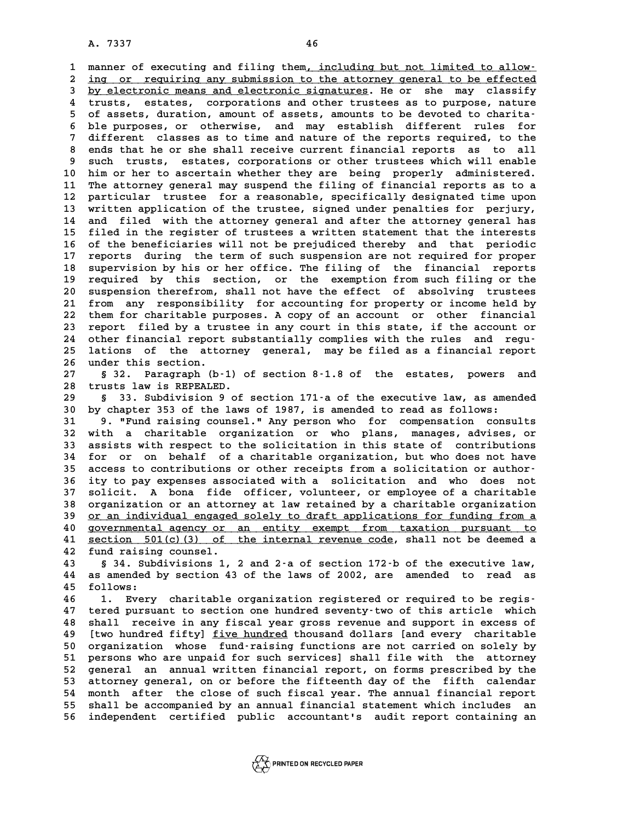A. 7337<br>1 manner of executing and filing them<u>, including but not limited to allow-</u><br>2 ing or requiring any quantisian to the atterney general to be effected 1 manner of executing and filing them<u>, including but not limited to allow-</u><br>2 <u>ing or requiring any submission to the attorney general to be effected</u><br>3 by electronic means and electronic signatures. He or she may classif **3** manner of executing and filing them<u>, including but not limited to allow-<br> **2** ing or requiring any submission to the attorney general to be effected<br> **3** by electronic means and electronic signatures. He or she may cl</u> 2 ing or requiring any submission to the attorney general to be effected<br> **4 by electronic means and electronic signatures**. He or she may classify<br>
4 trusts, estates, corporations and other trustees as to purpose, nature<br> **5 by electronic means and electronic signatures.** He or she may classify trusts, estates, corporations and other trustees as to purpose, nature of assets, duration, amount of assets, amounts to be devoted to charita-<br>
<sup>5</sup> 4 trusts, estates, corporations and other trustees as to purpose, nature<br>5 of assets, duration, amount of assets, amounts to be devoted to charita-<br>6 ble purposes, or otherwise, and may establish different rules for<br>7 diff 5 of assets, duration, amount of assets, amounts to be devoted to charita-<br>6 ble purposes, or otherwise, and may establish different rules for<br>7 different classes as to time and nature of the reports required, to the<br>2 and **8 ble purposes, or otherwise, and may establish different rules for<br>
7 different classes as to time and nature of the reports required, to the<br>
8 ends that he or she shall receive current financial reports as to all<br>
8 gu** 9 different classes as to time and nature of the reports required, to the<br>**9** ends that he or she shall receive current financial reports as to all<br>**9** such trusts, estates, corporations or other trustees which will enable 8 ends that he or she shall receive current financial reports as to all<br>9 such trusts, estates, corporations or other trustees which will enable<br>10 him or her to ascertain whether they are being properly administered.<br><sup>11</sup> 9 such trusts, estates, corporations or other trustees which will enable<br>10 him or her to ascertain whether they are being properly administered.<br>11 The attorney general may suspend the filing of financial reports as to a<br> 10 him or her to ascertain whether they are being properly administered.<br>11 The attorney general may suspend the filing of financial reports as to a<br>12 particular trustee for a reasonable, specifically designated time upon 11 The attorney general may suspend the filing of financial reports as to a<br>12 particular trustee for a reasonable, specifically designated time upon<br>13 written application of the trustee, signed under penalties for perjur 12 particular trustee for a reasonable, specifically designated time upon<br>13 written application of the trustee, signed under penalties for perjury,<br>14 and filed with the attorney general and after the attorney general has 13 written application of the trustee, signed under penalties for perjury,<br>14 and filed with the attorney general and after the attorney general has<br>15 filed in the register of trustees a written statement that the interes 14 and filed with the attorney general and after the attorney general has<br>15 filed in the register of trustees a written statement that the interests<br>16 of the beneficiaries will not be prejudiced thereby and that periodic 15 filed in the register of trustees a written statement that the interests<br>16 of the beneficiaries will not be prejudiced thereby and that periodic<br>17 reports during the term of such suspension are not required for proper 16 of the beneficiaries will not be prejudiced thereby and that periodic<br>17 reports during the term of such suspension are not required for proper<br>18 supervision by his or her office. The filing of the financial reports<br>20 17 reports during the term of such suspension are not required for proper<br>18 supervision by his or her office. The filing of the financial reports<br>19 required by this section, or the exemption from such filing or the<br>20 su 18 supervision by his or her office. The filing of the financial reports<br>19 required by this section, or the exemption from such filing or the<br>20 suspension therefrom, shall not have the effect of absolving trustees<br><sup>21 fr</sup> 19 required by this section, or the exemption from such filing or the<br>20 suspension therefrom, shall not have the effect of absolving trustees<br>21 from any responsibility for accounting for property or income held by **22 them for charitable purposes. A copy of an account or other financial** 21 from any responsibility for accounting for property or income held by<br>22 them for charitable purposes. A copy of an account or other financial<br>23 report filed by a trustee in any court in this state, if the account or<br>2 22 them for charitable purposes. A copy of an account or other financial<br>
23 report filed by a trustee in any court in this state, if the account or<br>
24 other financial report substantially complies with the rules and regu 23 report filed by a trustee in any court in this state, if the account or<br>24 other financial report substantially complies with the rules and regu-<br>25 lations of the attorney general, may be filed as a financial report 24 other financial report<br>25 lations of the atto<br>26 under this section. 25 lations of the attorney general, may be filed as a financial report<br>26 under this section.<br>27 § 32. Paragraph (b-1) of section 8-1.8 of the estates, powers and<br>28 trusts lay is PEPEALED.

26 under this section.<br>27 § 32. Paragraph (b–1) of section 8–1.8 of the estates, powers and<br>28 trusts law is REPEALED.<br>29 § 33. Subdivision 9 of section 171–a of the executive law, as amended **8 32. Paragraph (b-1) of section 8-1.8 of the estates, powers and<br>28 trusts law is REPEALED.**<br>29 § 33. Subdivision 9 of section 171-a of the executive law, as amended<br>20 by chapter 353 of the laws of 1987, is amended to r

<sup>28</sup> trusts law is REPEALED.<br>
<sup>29</sup> § 33. Subdivision 9 of section 171 a of the executive law, as amended to read as follows:<br>
<sup>30</sup> by chapter 353 of the laws of 1987, is amended to read as follows:<br>
<sup>31</sup> <sup>0</sup> "Eund raising

**31 9. "Fund raising counsel." Any person who for compensation consults 30 by chapter 353 of the laws of 1987, is amended to read as follows:**<br> **31 9. "Fund raising counsel." Any person who for compensation consults**<br> **32 with a charitable organization or who plans, manages, advises, or**<br> **33 31** 9. "Fund raising counsel." Any person who for compensation consults<br>32 with a charitable organization or who plans, manages, advises, or<br>33 assists with respect to the solicitation in this state of contributions<br>34 fo 32 with a charitable organization or who plans, manages, advises, or<br>33 assists with respect to the solicitation in this state of contributions<br>34 for or on behalf of a charitable organization, but who does not have<br>35 ago 33 assists with respect to the solicitation in this state of contributions<br>34 for or on behalf of a charitable organization, but who does not have<br>35 access to contributions or other receipts from a solicitation or author-**34 for or on behalf of a charitable organization, but who does not have**<br>**35 access to contributions or other receipts from a solicitation or author**<br>**36 ity to pay expenses associated with a solicitation and who does not** 35 access to contributions or other receipts from a solicitation or author-<br>36 ity to pay expenses associated with a solicitation and who does not<br>37 solicit. A bona fide officer, volunteer, or employee of a charitable<br>38 **36 ity to pay expenses associated with a solicitation and who does not solicit. A bona fide officer, volunteer, or employee of a charitable organization or an attorney at law retained by a charitable organization<br>29 or an** 37 solicit. A bona fide officer, volunteer, or employee of a charitable<br>38 organization or an attorney at law retained by a charitable organization<br>39 <u>or an individual engaged solely to draft applications for funding from</u> organization or an attorney at law retained by a charitable organization<br>
<u>or an individual engaged solely to draft applications for funding from a</u><br>
<u>qovernmental agency or an entity exempt from taxation pursuant to</u><br>  $\frac$ 39 <u>or an individual engaged solely to draft applications for funding from a</u><br>40 governmental agency or an entity exempt from taxation pursuant to<br>41 section 501(c)(3) of the internal revenue code, shall not be deemed a<br>42 40 **governmental agency or**<br>41 **section 501(c)(3) of**<br>42 fund raising counsel.<br>43 **5.34 Subdivisions** 1 40 governmental agency or an entity exempt from taxation pursuant to<br>41 <u>section 501(c)(3) of the internal revenue code</u>, shall not be deemed a<br>42 fund raising counsel.<br>43 § 34. Subdivisions 1, 2 and 2-a of section 172-b o

**42 fund raising counsel.**<br>43 § 34. Subdivisions 1, 2 and 2–a of section 172–b of the executive law,<br>44 as amended by section 43 of the laws of 2002, are amended to read as<br>45 follows: **43 6 34.** Sub<br>**44 as amended 45 follows:** 44 as amended by section 43 of the laws of 2002, are amended to read as<br>
45 follows:<br>
1. Every charitable organization registered or required to be regis-<br>
<sup>17</sup> tered purguant to section one bundred seventy-type of this ar

**45 follows:**<br>46 1. Every charitable organization registered or required to be regis-<br>47 tered pursuant to section one hundred seventy-two of this article which<br>48 shall resoive in any fissal vear grass revenue and support 1. Every charitable organization registered or required to be regis-<br>47 tered pursuant to section one hundred seventy-two of this article which<br>48 shall receive in any fiscal year gross revenue and support in excess of<br>19 47 tered pursuant to section one hundred seventy-two of this article which<br>48 shall receive in any fiscal year gross revenue and support in excess of<br>19 [two hundred fifty] <u>five hundred</u> thousand dollars [and every charit 48 shall receive in any fiscal year gross revenue and support in excess of<br>49 [two hundred fifty] <u>five hundred</u> thousand dollars [and every charitable<br>50 organization whose fund-raising functions are not carried on solely **50 [two hundred fifty] <u>five hundred</u> thousand dollars [and every charitable organization whose fund-raising functions are not carried on solely by persons who are unpaid for such services] shall file with the attorney** 50 organization whose fund-raising functions are not carried on solely by<br>51 persons who are unpaid for such services] shall file with the attorney<br>52 general an annual written financial report, on forms prescribed by the<br> 51 persons who are unpaid for such services] shall file with the attorney<br>52 general an annual written financial report, on forms prescribed by the<br>53 attorney general, on or before the fifteenth day of the fifth calendar<br> 52 general an annual written financial report, on forms prescribed by the<br>53 attorney general, on or before the fifteenth day of the fifth calendar<br>54 month after the close of such fiscal year. The annual financial report<br> 53 attorney general, on or before the fifteenth day of the fifth calendar<br>54 month after the close of such fiscal year. The annual financial report<br>55 shall be accompanied by an annual financial statement which includes an 54 month after the close of such fiscal year. The annual financial report<br>55 shall be accompanied by an annual financial statement which includes an<br>56 independent certified public accountant's audit report containing an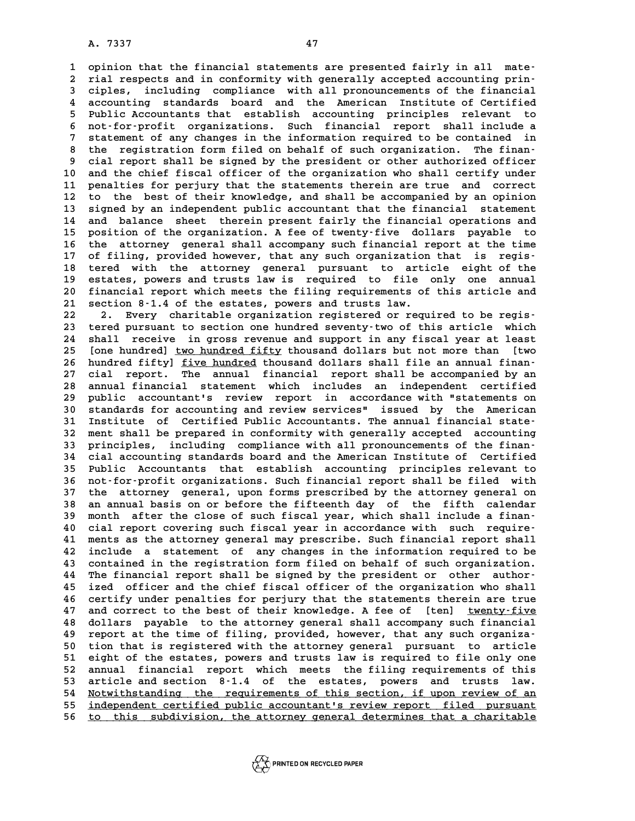A. 7337<br>1 opinion that the financial statements are presented fairly in all mate-<br>2 rial regnects and in conformity with conorally accounted accounting prin-1 opinion that the financial statements are presented fairly in all mate-<br>2 rial respects and in conformity with generally accepted accounting prin-<br>3 ciples singluding compliance with all propouncements of the financial 1 opinion that the financial statements are presented fairly in all mate-<br>2 rial respects and in conformity with generally accepted accounting prin-<br>3 ciples, including compliance with all pronouncements of the financial<br>2 2 rial respects and in conformity with generally accepted accounting prin-<br>3 ciples, including compliance with all pronouncements of the financial<br>4 accounting standards board and the American Institute of Certified<br>5 Publ 3 ciples, including compliance with all pronouncements of the financial<br>4 accounting standards board and the American Institute of Certified<br>5 Public Accountants that establish accounting principles relevant to<br>5 Public Ac 4 accounting standards board and the American Institute of Certified<br>5 Public Accountants that establish accounting principles relevant to<br>6 not-for-profit organizations. Such financial report shall include a<br>5 statement o Fublic Accountants that establish accounting principles relevant to<br>6 not-for-profit organizations. Such financial report shall include a<br>7 statement of any changes in the information required to be contained in<br>the regist 8 not-for-profit organizations. Such financial report shall include a<br> **8 statement of any changes in the information required to be contained in**<br> **8 the registration form filed on behalf of such organization. The finan-**9 statement of any changes in the information required to be contained in<br>8 the registration form filed on behalf of such organization. The finan-<br>9 cial report shall be signed by the president or other authorized officer<br> 10 8 and the registration form filed on behalf of such organization. The finan-<br>10 cial report shall be signed by the president or other authorized officer<br>10 and the chief fiscal officer of the organization who shall cert 9 cial report shall be signed by the president or other authorized officer<br>10 and the chief fiscal officer of the organization who shall certify under<br>11 penalties for perjury that the statements therein are true and corre 10 and the chief fiscal officer of the organization who shall certify under<br>11 penalties for perjury that the statements therein are true and correct<br>12 to the best of their knowledge, and shall be accompanied by an opinio 11 penalties for perjury that the statements therein are true and correct<br>12 to the best of their knowledge, and shall be accompanied by an opinion<br>13 signed by an independent public accountant that the financial statement 12 to the best of their knowledge, and shall be accompanied by an opinion<br>13 signed by an independent public accountant that the financial statement<br>14 and balance sheet therein present fairly the financial operations and<br> 13 signed by an independent public accountant that the financial statement<br>14 and balance sheet therein present fairly the financial operations and<br>15 position of the organization. A fee of twenty-five dollars payable to<br>1 14 and balance sheet therein present fairly the financial operations and<br>15 position of the organization. A fee of twenty-five dollars payable to<br>16 the attorney general shall accompany such financial report at the time<br>17 15 position of the organization. A fee of twenty-five dollars payable to<br>16 the attorney general shall accompany such financial report at the time<br>17 of filing, provided however, that any such organization that is regis-<br>1 16 the attorney general shall accompany such financial report at the time<br>17 of filing, provided however, that any such organization that is regis-<br>18 tered with the attorney general pursuant to article eight of the<br>21 cet 17 of filing, provided however, that any such organization that is regis-<br>18 tered with the attorney general pursuant to article eight of the<br>19 estates, powers and trusts law is required to file only one annual<br>20 financi 18 tered with the attorney general pursuant to article eight of the estates, powers and trusts law is required to file only one annual 20 financial report which meets the filing requirements of this article and section 8-1 19 estates, powers and trusts law is required to file<br>20 financial report which meets the filing requirements of<br>21 section 8-1.4 of the estates, powers and trusts law.<br>22 . Fuery sharitable examination registered or regul 20 financial report which meets the filing requirements of this article and<br>
21 section 8-1.4 of the estates, powers and trusts law.<br>
22 2. Every charitable organization registered or required to be regis-<br>
23 tered pursua

21 section 8-1.4 of the estates, powers and trusts law.<br>22 2. Every charitable organization registered or required to be regis-<br>23 tered pursuant to section one hundred seventy-two of this article which<br>24 shall require in 22 2. Every charitable organization registered or required to be regis-<br>23 tered pursuant to section one hundred seventy-two of this article which<br>24 shall receive in gross revenue and support in any fiscal year at least<br>2 23 tered pursuant to section one hundred seventy two of this article which<br>24 shall receive in gross revenue and support in any fiscal year at least<br>25 [one hundred] <u>two hundred fifty</u> thousand dollars but not more than [ 24 shall receive in gross revenue and support in any fiscal year at least<br>25 [one hundred] <u>two hundred fifty</u> thousand dollars but not more than [two<br>26 hundred fifty] <u>five hundred</u> thousand dollars shall file an annual 25 [one hundred] <u>two hundred fifty</u> thousand dollars but not more than [two<br>26 hundred fifty] <u>five hundred</u> thousand dollars shall file an annual finan-<br>27 cial report. The annual financial report shall be accompanied by 26 hundred fifty] <u>five hundred</u> thousand dollars shall file an annual financial report. The annual financial report shall be accompanied by an annual financial statement which includes an independent certified<br>28 nublie a 27 cial report. The annual financial report shall be accompanied by an<br>28 annual financial statement which includes an independent certified<br>29 public accountant's review report in accordance with "statements on<br>20 standar 28 annual financial statement which includes an independent certified<br>29 public accountant's review report in accordance with "statements on<br>30 standards for accounting and review services" issued by the American<br>31 Instit public accountant's review report in accordance with "statements on<br>30 standards for accounting and review services" issued by the American<br>31 Institute of Certified Public Accountants. The annual financial state-<br><sup>32</sup> mon 30 standards for accounting and review services" issued by the American<br>31 Institute of Certified Public Accountants. The annual financial state-<br>32 ment shall be prepared in conformity with generally accepted accounting<br>3 31 Institute of Certified Public Accountants. The annual financial state-<br>
32 ment shall be prepared in conformity with generally accepted accounting<br>
33 principles, including compliance with all pronouncements of the fina **32 ment shall be prepared in conformity with generally accepted accounting<br>33 principles, including compliance with all pronouncements of the finan-<br>34 cial accounting standards board and the American Institute of Certifi** 33 principles, including compliance with all pronouncements of the finan-<br>34 cial accounting standards board and the American Institute of Certified<br>35 Public Accountants that establish accounting principles relevant to<br>26 **34 cial accounting standards board and the American Institute of Certified**<br>35 Public Accountants that establish accounting principles relevant to<br>36 not-for-profit organizations. Such financial report shall be filed with Public Accountants that establish accounting principles relevant to<br>36 not-for-profit organizations. Such financial report shall be filed with<br>37 the attorney general, upon forms prescribed by the attorney general on<br>28 ap **36 not-for-profit organizations. Such financial report shall be filed with**<br>37 the attorney general, upon forms prescribed by the attorney general on<br>38 an annual basis on or before the fifteenth day of the fifth calendar 37 the attorney general, upon forms prescribed by the attorney general on<br>38 an annual basis on or before the fifteenth day of the fifth calendar<br>39 month after the close of such fiscal year, which shall include a finan-<br><sup></sup> 38 an annual basis on or before the fifteenth day of the fifth calendar<br>
39 month after the close of such fiscal year, which shall include a finan-<br>
40 cial report covering such fiscal year in accordance with such require-39 month after the close of such fiscal year, which shall include a finan-<br>40 cial report covering such fiscal year in accordance with such require-<br>41 ments as the attorney general may prescribe. Such financial report sha **40 cial report covering such fiscal year in accordance with such require-**<br>**41 ments as the attorney general may prescribe. Such financial report shall**<br>**42 include a statement of any changes in the information required t** 41 ments as the attorney general may prescribe. Such financial report shall<br>42 include a statement of any changes in the information required to be<br>43 contained in the registration form filed on behalf of such organization 42 include a statement of any changes in the information required to be<br>43 contained in the registration form filed on behalf of such organization.<br>44 The financial report shall be signed by the president or other author-<br> 43 contained in the registration form filed on behalf of such organization.<br>44 The financial report shall be signed by the president or other author-<br>45 ized officer and the chief fiscal officer of the organization who sha The financial report shall be signed by the president or other author-<br>45 ized officer and the chief fiscal officer of the organization who shall<br>46 certify under penalties for perjury that the statements therein are true<br> 45 ized officer and the chief fiscal officer of the organization who shall<br>46 certify under penalties for perjury that the statements therein are true<br>47 and correct to the best of their knowledge. A fee of [ten] <u>twenty-f</u> **46 certify under penalties for perjury that the statements therein are true**<br>47 and correct to the best of their knowledge. A fee of [ten] <u>twenty-five</u><br>48 dollars payable to the attorney general shall accompany such fina 47 and correct to the best of their knowledge. A fee of [ten] <u>twenty-five</u><br>48 dollars payable to the attorney general shall accompany such financial<br>49 report at the time of filing, provided, however, that any such organi **50 dollars payable to the attorney general shall accompany such financial**<br> **49 report at the time of filing, provided, however, that any such organiza-**<br> **50 tion that is registered with the attorney general pursuant to 49 report at the time of filing, provided, however, that any such organiza-**<br>50 tion that is registered with the attorney general pursuant to article<br>51 eight of the estates, powers and trusts law is required to file only 50 tion that is registered with the attorney general pursuant to article<br>51 eight of the estates, powers and trusts law is required to file only one<br>52 annual financial report which meets the filing requirements of this<br>53 51 eight of the estates, powers and trusts law is required to file only one<br>52 annual financial report which meets the filing requirements of this<br>53 article and section 8-1.4 of the estates, powers and trusts law.<br>54 Notw 52 annual financial report which meets the filing requirements of this<br>53 article and section 8-1.4 of the estates, powers and trusts law.<br><u>Notwithstanding the requirements of this section, if upon review of an</u><br>independen 53 article and section 8-1.4 of the estates, powers and trusts law.<br>54 <u>Notwithstanding the requirements of this section, if upon review of an</u><br>55 <u>independent certified public accountant's review report filed pursuant</u><br>56 55 <u>independent certified public accountant's review report filed pursuant</u><br>56 <u>to this subdivision, the attorney general determines that a charitable</u>

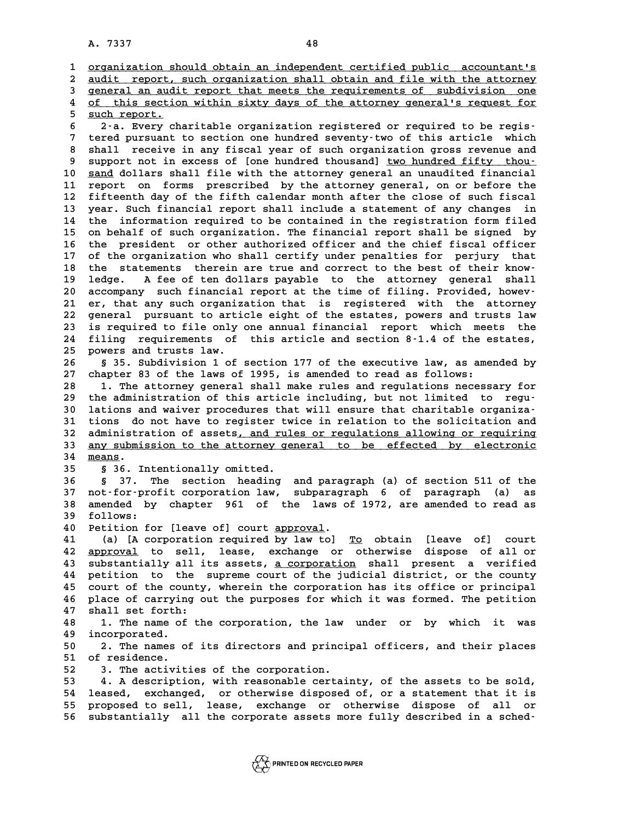A. 7337<br>1 <u>organization should obtain an independent certified public accountant's</u><br>2 audit repert such ersapiration shall obtain and file with the atterney. **2** <u>organization should obtain an independent certified public accountant's audit report, such organization shall obtain and file with the attorney<br>2 quotized an audit report that meets the requirements of subdivision, on</u> **3** <u>general an independent</u> certified public accountant's<br> **3** <u>general an audit report that meets the requirements of subdivision one</u><br> **3 general an audit report that meets the requirements of subdivision one**<br> **1 9** audit report, such organization shall obtain and file with the attorney<br> **4** <u>of this section within sixty</u> days of the attorney general's request for<br>
auch report 3 <u>general an audi</u><br>4 <u>of this section</u><br>5 <u>such report.</u> **6 2-a. Every charitable organization registered or required to be regis-**<sup>5</sup> <u>such report.</u><br>
<sup>6</sup> <sup>2</sup> - a. Every charitable organization registered or required to be registered pursuant to section one hundred seventy-two of this article which<br>
<sup>7</sup> tered pursuant to section one hundred seventy-tw 2 -a. Every charitable organization registered or required to be registered pursuant to section one hundred seventy two of this article which<br>8 shall receive in any fiscal year of such organization gross revenue and<br>8 supp tered pursuant to section one hundred seventy-two of this article which<br>
8 shall receive in any fiscal year of such organization gross revenue and<br>
9 support not in excess of [one hundred thousand] <u>two hundred fifty thou-</u> 8 shall receive in any fiscal year of such organization gross revenue and<br>9 support not in excess of [one hundred thousand] <u>two hundred fifty thou</u>-<br>10 <u>sand</u> dollars shall file with the attorney general an unaudited fina 9 support not in excess of [one hundred thousand] <u>two hundred fifty thou-</u><br>10 <u>sand</u> dollars shall file with the attorney general an unaudited financial<br>11 report on forms prescribed by the attorney general, on or before **10** sand dollars shall file with the attorney general an unaudited financial<br>11 report on forms prescribed by the attorney general, on or before the<br>12 fifteenth day of the fifth calendar month after the close of such fis 11 report on forms prescribed by the attorney general, on or before the<br>12 fifteenth day of the fifth calendar month after the close of such fiscal<br>13 year. Such financial report shall include a statement of any changes in 12 fifteenth day of the fifth calendar month after the close of such fiscal<br>13 year. Such financial report shall include a statement of any changes in<br>14 the information required to be contained in the registration form fi 13 year. Such financial report shall include a statement of any changes in<br>14 the information required to be contained in the registration form filed<br>15 on behalf of such organization. The financial report shall be signed 14 the information required to be contained in the registration form filed<br>15 on behalf of such organization. The financial report shall be signed by<br>16 the president or other authorized officer and the chief fiscal office 15 on behalf of such organization. The financial report shall be signed by<br>16 the president or other authorized officer and the chief fiscal officer<br>17 of the organization who shall certify under penalties for perjury that 16 the president or other authorized officer and the chief fiscal officer<br>17 of the organization who shall certify under penalties for perjury that<br>18 the statements therein are true and correct to the best of their know-<br> 17 of the organization who shall certify under penalties for perjury that<br>18 the statements therein are true and correct to the best of their know-<br>19 ledge. A fee of ten dollars payable to the attorney general shall<br>20 ac 18 the statements therein are true and correct to the best of their know-<br>19 ledge. A fee of ten dollars payable to the attorney general shall<br>20 accompany such financial report at the time of filing. Provided, howev-<br>21 e 19 ledge. A fee of ten dollars payable to the attorney general shall<br>20 accompany such financial report at the time of filing. Provided, howev-<br>21 er, that any such organization that is registered with the attorney<br>22 cono **22 general pursuant to article eight of the estates, powers and trusts law** 21 er, that any such organization that is registered with the attorney<br>22 general pursuant to article eight of the estates, powers and trusts law<br>23 is required to file only one annual financial report which meets the<br>24 f 22 general pursuant to article eight of the estates, powers and trusts law<br>23 is required to file only one annual financial report which meets the<br>24 filing requirements of this article and section 8-1.4 of the estates, 23 is required to file only<br>24 filing requirements of<br>25 powers and trusts law.<br>26 feath Cubdivision 1 of 24 filing requirements of this article and section 8-1.4 of the estates,<br>25 powers and trusts law.<br>26 § 35. Subdivision 1 of section 177 of the executive law, as amended by<br>27 sharts 83 of the laws of 1995, is amended to r 25 powers and trusts law.<br>26 § 35. Subdivision 1 of section 177 of the executive law, as amended to read as follows:<br>27 chapter 83 of the laws of 1995, is amended to read as follows: **26** § 35. Subdivision 1 of section 177 of the executive law, as amended by<br>27 chapter 83 of the laws of 1995, is amended to read as follows:<br>1. The attorney general shall make rules and regulations necessary for<br>the admin 27 chapter 83 of the laws of 1995, is amended to read as follows:<br>
28 1. The attorney general shall make rules and regulations necessary for<br>
29 the administration of this article including, but not limited to regu-<br>
20 la 1. The attorney general shall make rules and regulations necessary for<br>
29 the administration of this article including, but not limited to regu-<br>
30 lations and waiver procedures that will ensure that charitable organiza-1. The attorney general shall make rules and regulations necessary for<br>29 the administration of this article including, but not limited to regu-<br>30 lations and waiver procedures that will ensure that charitable organiza-<br>3 30 lations and waiver procedures that will ensure that charitable organiza-<br>31 tions do not have to register twice in relation to the solicitation and<br>32 administration of assets<u>, and rules or regulations allowing or requ</u> 31 tions do not have to register twice in relation to the solicitation and<br>32 administration of assets<u>, and rules or regulations allowing or requiring</u><br>33 <u>any submission to the attorney general to be effected by electron</u> 32 administr<br>33 <u>any submi</u><br>34 <u>means</u>. any submission to the attorney general to be effected by electronic<br>
34 <u>means</u>.<br> **35** § 36. Intentionally omitted.<br> **36** § 37. The section heading and paragraph (a) of section 511 of the **34 means.**<br> **35 § 36. Intentionally omitted.**<br> **36 § 37. The section heading and paragraph (a) of section 511 of the**<br> **37 pot for paragraph (a) as 35 5** 36. Intentionally omitted.<br> **36 5** 37. The section heading and paragraph (a) of section 511 of the<br>
37 not-for-profit corporation law, subparagraph 6 of paragraph (a) as<br>
28 aported by chapter 261 of the laws of **36 § 37. The section heading and paragraph (a) of section 511 of the not-for-profit corporation law, subparagraph 6 of paragraph (a) as amended by chapter 961 of the laws of 1972, are amended to read as**<br>**38 amended by ch** 37 not-for-profit corporation law, subparagraph 6 of paragraph (a) amended by chapter 961 of the laws of 1972, are amended to read<br>39 follows:<br>40 Petition for [leave of] court approval. 38 amended by chapter 961 of the laws o<br>39 follows:<br>40 Petition for [leave of] court <u>approval</u>.<br>41 (a) [A corporation required by law to] **41 (a) [A corporation required by law to] To obtain [leave of] court \_\_ 40 Petition for [leave of] court <u>approval</u>.<br>41 (a) [A corporation required by law to] <u>To</u> obtain [leave of] court<br>42 <u>approval</u> to sell, lease, exchange or otherwise dispose of all or<br>43 substantially all its assets a c 41** (a) [A corporation required by law to] <u>To</u> obtain [leave of] court<br>42 <u>approval</u> to sell, lease, exchange or otherwise dispose of all or<br>43 substantially all its assets, <u>a corporation</u> shall present a verified<br>44 po 42 <u>approval</u> to sell, lease, exchange or otherwise dispose of all or<br>43 substantially all its assets, <u>a corporation</u> shall present a verified<br>44 petition to the supreme court of the judicial district, or the county<br>45 so 43 substantially all its assets, <u>a corporation</u> shall present a verified<br>44 petition to the supreme court of the judicial district, or the county<br>45 court of the county, wherein the corporation has its office or principal 44 petition to the supreme court of the judicial district, or the county<br>45 court of the county, wherein the corporation has its office or principal<br>46 place of carrying out the purposes for which it was formed. The petiti 45 court of the county<br>46 place of carrying of<br>47 shall set forth:<br><sup>49</sup> <sup>1</sup> mbs name of the 46 place of carrying out the purposes for which it was formed. The petition<br>47 shall set forth:<br>48 1. The name of the corporation, the law under or by which it was<br>19 incorporated 47 shall set forth:<br>48 1. The name of<br>49 incorporated. **50 1.** The name of the corporation, the law under or by which it was<br>**50 2. The names of its directors and principal officers, and their places**<br>**51 of residence** 49 incorporated.<br>50 2. The names o<br>51 of residence.<br>52 3 The activit **50** 2. The names of its directors and principal of residence.<br> **52** 3. The activities of the corporation.<br> **53** 4. A description, with reasonable certain 51 of residence.<br>
52 3. The activities of the corporation.<br>
53 4. A description, with reasonable certainty, of the assets to be sold,<br>
54 leased, exchanged, or otherwise disposed of, or a statement that it is **52 3. The activities of the corporation.**<br> **53 4. A description, with reasonable certainty, of the assets to be sold,**<br> **54 leased, exchanged, or otherwise disposed of, or a statement that it is**<br> **55 proposed to solly le 55 proposed to sell, lease, exchange or otherwise dispose of all or** 54 leased, exchanged, or otherwise disposed of, or a statement that it is<br>55 proposed to sell, lease, exchange or otherwise dispose of all or<br>56 substantially all the corporate assets more fully described in a sched-

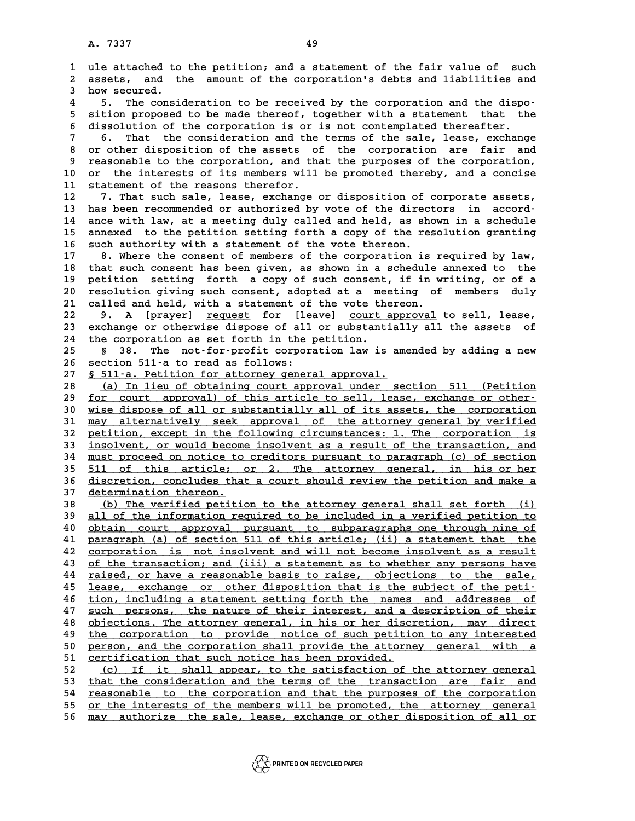A. 7337<br>1 ule attached to the petition; and a statement of the fair value of such<br>2 assets and the amount of the corporationis debts and liabilities and 1 ule attached to the petition; and a statement of the fair value of such<br>2 assets, and the amount of the corporation's debts and liabilities and<br>3 how sequred 1 ule attached to<br>2 assets, and t.<br>3 how secured. 2 assets, and the amount of the corporation's debts and liabilities and<br>
3 how secured.<br>
4 5. The consideration to be received by the corporation and the dispo-<br>
5 sition proposed to be made thereof, together with a statem **5.** The consideration to be received by the corporation and the dispo-<br> **5.** The consideration to be medecived by the corporation and the dispo-<br> **5.** Signalution of the corporation is or is not contemplated thereofter 5. The consideration to be received by the corporation and the dispo<br>5 sition proposed to be made thereof, together with a statement that the<br>6 dissolution of the corporation is or is not contemplated thereafter.<br><sup>7</sup> 6 mba 5 sition proposed to be made thereof, together with a statement that the<br>6 dissolution of the corporation is or is not contemplated thereafter.<br>7 6. That the consideration and the terms of the sale, lease, exchange<br>8 or ot **8** dissolution of the corporation is or is not contemplated thereafter.<br> **8** or other disposition of the assets of the corporation are fair and<br> **8** corporation is a corporation and that the purposes of the corporation **9 8. That the consideration and the terms of the sale, lease, exchange**<br>**9 or other disposition of the assets of the corporation are fair and<br><b>9 reasonable to the corporation, and that the purposes of the corporation,**<br>2. 8 or other disposition of the assets of the corporation are fair and<br>9 reasonable to the corporation, and that the purposes of the corporation,<br>10 or the interests of its members will be promoted thereby, and a concise<br><sup>11</sup> 9 reasonable to the corporation, and th<br>10 or the interests of its members will<br>11 statement of the reasons therefor.<br><sup>12</sup> <sup>7</sup> <sup>mbat</sup> such sale legge exphange. 10 or the interests of its members will be promoted thereby, and a concise<br>11 statement of the reasons therefor.<br>12 7. That such sale, lease, exchange or disposition of corporate assets,<br>13 bas been recommended or authoriz 11 statement of the reasons therefor.<br> **12 7. That such sale, lease, exchange or disposition of corporate assets,**<br> **13 has been recommended or authorized by vote of the directors in accord-**<br> **14 ance with law, at a meeti 14 ance with law, at a meeting duly called and held, as shown in a schedule** 13 has been recommended or authorized by vote of the directors in accord-<br>14 ance with law, at a meeting duly called and held, as shown in a schedule<br>15 annexed to the petition setting forth a copy of the resolution granti 14 ance with law, at a meeting duly called and held, as sh<br>15 annexed to the petition setting forth a copy of the re<br>16 such authority with a statement of the vote thereon.<br><sup>17</sup> <sup>8</sup> Whore the consont of membors of the corp 15 annexed to the petition setting forth a copy of the resolution granting<br>16 such authority with a statement of the vote thereon.<br>17 8. Where the consent of members of the corporation is required by law,<br>that such consent 16 such authority with a statement of the vote thereon.<br>
17 8. Where the consent of members of the corporation is required by law,<br>
18 that such consent has been given, as shown in a schedule annexed to the<br>
19 petition se 17 8. Where the consent of members of the corporation is required by law,<br>18 that such consent has been given, as shown in a schedule annexed to the<br>19 petition setting forth a copy of such consent, if in writing, or of a<br> 18 that such consent has been given, as shown in a schedule annexed to the<br>19 petition setting forth a copy of such consent, if in writing, or of a<br>20 resolution giving such consent, adopted at a meeting of members duly<br>21 **20** petition setting forth a copy of such consent, if in w<br>20 resolution giving such consent, adopted at a meeting of<br>21 called and held, with a statement of the vote thereon. 20 resolution giving such consent, adopted at a meeting of members duly<br>21 called and held, with a statement of the vote thereon.<br>22 9. A [prayer] <u>request</u> for [leave] <u>court approval</u> to sell, lease,<br>23 exchange or other 21 called and held, with a statement of the vote thereon.<br>22 9. A [prayer] <u>request</u> for [leave] <u>court approval</u> to sell, lease,<br>23 exchange or otherwise dispose of all or substantially all the assets of<br>24 the corporatio 22 9. A [prayer] <u>request</u> for [leave] <u>court</u><br>23 exchange or otherwise dispose of all or substant<br>24 the corporation as set forth in the petition. 23 exchange or otherwise dispose of all or substantially all the assets of<br>24 the corporation as set forth in the petition.<br>25 \$ 38. The not-for-profit corporation law is amended by adding a new<br>26 section 511.3 to read as 24 the corporation as set forth in the 1<br>25 § 38. The not-for-profit corpor<br>26 section 511-a to read as follows:<br><sup>27 \$ 511-a Dotition for atterned general</sup> **25** § 38. The not-for-profit corporation law is am<br>26 section 511-a to read as follows:<br>27 § 511-a. Petition for attorney general approval.<br>28 (2) In lieu of obtaining sourt approval under 50 26 section 511 a to read as follows:<br>
27 <u>§ 511 a. Petition for attorney general approval.</u><br>
28 <u>(a) In lieu of obtaining court approval under section 511 (Petition</u><br>
29 for court approval) of this article to sell, lease, 29 <u>for court approval) of this article to sell, lease, exchange or other-</u><br>30 wise dispose of all or substantially all of its assets, the corporation 30 <u>wise dispose of all or substantially all of its assets, the corporation</u><br>31 may alternatively seek approval of the attorney general by verified **39** <u>for court approval</u> of this article to sell, lease, exchange or other-<br>30 wise dispose of all or substantially all of its assets, the corporation<br>31 <u>may alternatively seek approval of the attorney general by verifie</u> 30 wise dispose of all or substantially all of its assets, the corporation<br>31 <u>may alternatively seek approval of the attorney general by verified</u><br>32 petition, except in the following circumstances: 1. The corporation is<br> 31 <u>may alternatively seek approval of the attorney general by verified</u><br>32 <u>petition, except in the following circumstances: 1. The corporation is<br>33 insolvent, or would become insolvent as a result of the transaction, an</u> 32 <u>petition, except in the following circumstances: 1. The corporation is<br>33 <u>insolvent, or would become insolvent as a result of the transaction, and</u><br>34 <u>must proceed on notice to creditors pursuant to paragraph (c) of </u></u> **33** insolvent, or would become insolvent as a result of the transaction, and<br>34 <u>must proceed on notice to creditors pursuant to paragraph (c) of section</u><br>35 <u>511 of this article; or 2. The attorney general, in his or her</u> 34 <u>must proceed on notice to creditors pursuant to paragraph (c) of section</u><br>35 <u>511 of this article; or 2. The attorney general, in his or her<br>36 discretion, concludes that a court should review the petition and make a<br>3</u> 35 511 of this article;<br>36 <u>discretion, concludes tha</u><br>37 <u>determination thereon.</u><br>28 (b) The unrified potition discretion, concludes that a court should review the petition and make a<br>
38 (b) The verified petition to the attorney general shall set forth (i)<br>
39 <u>all of the information required to be included in a verified petition </u> <u>(b) The verified petition to the attorney general shall set forth (i)</u><br>39 <u>all of the information required to be included in a verified petition to</u><br>40 obtain court approval pursuant to subparagraphs one through nine of (b) The verified petition to the attorney general shall set forth (i)<br> **40** <u>obtain court approval pursuant to subparagraphs one through nine of</u><br> **11** paragraph (a) of section 511 of this article, (ii) a statement that th **41** of the information required to be included in a verified petition to obtain court approval pursuant to subparagraphs one through nine of paragraph (a) of section 511 of this article; (ii) a statement that the corporat **40** obtain court approval pursuant to subparagraphs one through nine of paragraph (a) of section 511 of this article; (ii) a statement that the corporation is not insolvent and will not become insolvent as a result of the 41 <u>paragraph (a) of section 511 of this article;</u> (ii) a statement that the<br>42 <u>corporation is not insolvent and will not become insolvent as a result</u><br>43 <u>of the transaction; and (iii) a statement as to whether any perso</u> **42** <u>corporation is not insolvent and will not become insolvent as a result</u><br>43 <u>of the transaction; and (iii) a statement as to whether any persons have<br>raised, or have a reasonable basis to raise, objections to the sale</u> **43** <u>of the transaction; and (iii) a statement as to whether any persons have raised, or have a reasonable basis to raise, objections to the sale, lease, exchange or other disposition that is the subject of the peti-<br> **16</u> 44** <u>raised, or have a reasonable basis to raise, objections to the sale,</u><br>45 <u>lease, exchange or other disposition that is the subject of the peti-</u><br>46 <u>tion, including a statement setting forth the names and addresses o</u> **15** <u>lease, exchange or other disposition that is the subject of the peti-</u><br> **46** <u>such persons, the nature of their interest</u>, and a description of their<br> **47** such persons, the nature of their interest, and a descriptio **46** <u>tion, including a statement setting forth the names and addresses of such persons, the nature of their interest, and a description of their objections. The attorney general, in his or her discretion, may direct the c</u> **47** such persons, the nature of their interest, and a description of their<br>48 objections. The attorney general, in his or her discretion, may direct<br>the corporation to provide notice of such petition to any interested<br>por 60 persons. The attorney general, in his or her discretion, may direct<br>
49 the corporation to provide notice of such petition to any interested<br>
50 person, and the corporation shall provide the attorney general with a<br>
51 49 the corporation to provide notice of such petiti<br>50 person, and the corporation shall provide the attorn<br>51 certification that such notice has been provided.<br>52 (a) If it shall appear to the satisfaction of person, and the corporation shall provide the attorney general with a<br>
51 <u>certification</u> that such notice has been provided.<br>
52 (c) If it shall appear, to the satisfaction of the attorney general<br>
that the consideration 51 certification that such notice has been provided.<br>
52 (c) If it shall appear, to the satisfaction of the attorney general<br>
53 that the consideration and the terms of the transaction are fair and<br>
54 recognable to the co 52 (c) If it shall appear, to the satisfaction of the attorney general<br>53 that the consideration and the terms of the transaction are fair and<br>54 reasonable to the corporation and that the purposes of the corporation<br>55 or that the consideration and the terms of the transaction are fair and<br>
<u>reasonable</u> to the corporation and that the purposes of the corporation<br>
or the interests of the members will be promoted, the attorney general<br>
set mo 54 <u>reasonable to the corporation and that the purposes of the corporation</u><br>55 <u>or the interests of the members will be promoted, the attorney general</u><br>56 <u>may authorize the sale, lease, exchange or other disposition of al</u>

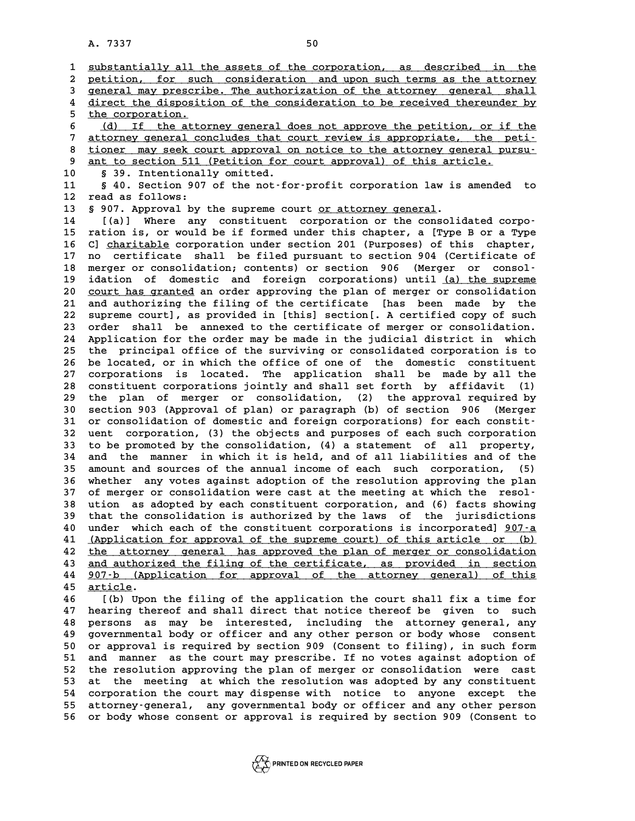A. 7337<br>1 <u>substantially all the assets of the corporation, as described in the</u><br>2 potition for such consideration and upon such terms as the atterney 2 <u>substantially all the assets of the corporation, as described in the petition, for such consideration and upon such terms as the attorney<br>2 general may prescribe. The authorization of the attorney general, shall</u> 3 <u>substantially all the assets of the corporation, as described in the petition, for such consideration and upon such terms as the attorney general may prescribe. The authorization of the attorney general shall<br>
4 direct </u> petition, for such consideration and upon such terms as the attorney<br> **4** direct the disposition of the consideration to be received thereunder by<br>
<sup>4</sup> the corporation 3 <u>general may prescription</u><br>4 <u>direct the disposit</u><br>5 the corporation. 4 <u>direct the disposition of the consideration to be received thereunder by<br>
5 the corporation.<br>
6 (d) If the attorney general does not approve the petition, or if the<br>
7 attorney general concludes that court review is app</u> the corporation.<br>
(d) If the attorney general does not approve the petition, or if the<br>
7 attorney general concludes that court review is appropriate, the peti-<br>
ioner meu sol sourt ennoural or potise to the attorney senso **8 (d) If the attorney general does not approve the petition, or if the<br>
7 attorney general concludes that court review is appropriate, the peti-<br>
<u>tioner may seek court approval on notice to the attorney general pursu-</u><br>** attorney general concludes that court review is appropriate, the p<br> **8** tioner may seek court approval on notice to the attorney general pu<br> **ant to section 511 (Petition for court approval)** of this article. 8 <u>tioner may seek court approval on notice to the attorney general pursu-</u><br>10 **b** 39. Intentionally omitted.<br>10 **8 39. Intentionally omitted.**<br>11 **8 40. Section 907 of the not-for-profit** corporation law is amended to 9 ant to section 511 (Petition for court approval) of this article.<br>
10 § 39. Intentionally omitted.<br>
11 § 40. Section 907 of the not-for-profit corporation law is amended to<br>
12 road as follows. 5 39. Intentionally omitted.<br>11 § 40. Section 907 of the not-for-profit corporation law<br>12 read as follows:<br>13 § 907. Approval by the supreme court <u>or attorney general</u>. **11** § 40. Section 907 of the not-for-profit corporation law is<br> **12** read as follows:<br> **13** § 907. Approval by the supreme court <u>or attorney general</u>.<br> **14** [(a)] Where any constituent corporation or the consoli **14 [(a)] Where any constituent corporation or the consolidated corpo-15 ration is, or would be if formed under this chapter, a [Type B or a Type** 16 C] charitable corporation under section 201 (Purposes) of this chapter,<br>17 no certificate shall be filed pursuant to section 904 (Certificate of **17 no certificate shall be filed pursuant to section 904 (Certificate of** 16 C] <u>charitable</u> corporation under section 201 (Purposes) of this chapter,<br>17 no certificate shall be filed pursuant to section 904 (Certificate of<br>18 merger or consolidation; contents) or section 906 (Merger or consol-<br> 17 no certificate shall be filed pursuant to section 904 (Certificate of<br>18 merger or consolidation; contents) or section 906 (Merger or consol-<br>19 idation of domestic and foreign corporations) until <u>(a) the supreme</u><br>20 g 18 merger or consolidation; contents) or section 906 (Merger or consol-<br>19 idation of domestic and foreign corporations) until <u>(a) the supreme</u><br>20 <u>court has granted</u> an order approving the plan of merger or consolidation 19 idation of domestic and foreign corporations) until <u>(a) the supreme</u><br>20 <u>court has granted</u> an order approving the plan of merger or consolidation<br>21 and authorizing the filing of the certificate [has been made by the 20 <u>court has granted</u> an order approving the plan of merger or consolidation<br>21 and authorizing the filing of the certificate [has been made by the<br>22 supreme court], as provided in [this] section[. A certified copy of su 21 and authorizing the filing of the certificate [has been made by the<br>22 supreme court], as provided in [this] section[. A certified copy of such<br>23 order shall be annexed to the certificate of merger or consolidation.<br>24 22 supreme court], as provided in [this] section[. A certified copy of such<br>23 order shall be annexed to the certificate of merger or consolidation.<br>24 Application for the order may be made in the judicial district in whic 23 order shall be annexed to the certificate of merger or consolidation.<br>24 Application for the order may be made in the judicial district in which<br>25 the principal office of the surviving or consolidated corporation is to Application for the order may be made in the judicial district in which<br>25 the principal office of the surviving or consolidated corporation is to<br>26 be located, or in which the office of one of the domestic constituent<br>27 25 the principal office of the surviving or consolidated corporation is to<br>26 be located, or in which the office of one of the domestic constituent<br>27 corporations is located. The application shall be made by all the<br>28 co 26 be located, or in which the office of one of the domestic constituent<br>27 corporations is located. The application shall be made by all the<br>28 constituent corporations jointly and shall set forth by affidavit (1)<br>the phr 27 corporations is located. The application shall be made by all the 28 constituent corporations jointly and shall set forth by affidavit (1) the plan of merger or consolidation, (2) the approval required by section 903 (A **30 section 30 section 30 section 30 section 130 section 903 (Approval of plan) or paragraph (b) of section 906 (Merger**<br> **30 section 903 (Approval of plan) or paragraph (b) of section 906 (Merger**<br> **31 or consolidation of** 29 the plan of merger or consolidation, (2) the approval required by<br>
30 section 903 (Approval of plan) or paragraph (b) of section 906 (Merger<br>
31 or consolidation of domestic and foreign corporations) for each constit-<br> 30 section 903 (Approval of plan) or paragraph (b) of section 906 (Merger<br>31 or consolidation of domestic and foreign corporations) for each constit-<br>32 uent corporation, (3) the objects and purposes of each such corporati 31 or consolidation of domestic and foreign corporations) for each constit-<br>32 uent corporation, (3) the objects and purposes of each such corporation<br>33 to be promoted by the consolidation, (4) a statement of all property **32 uent corporation, (3) the objects and purposes of each such corporation**<br>**33 to be promoted by the consolidation, (4) a statement of all property,<br><b>34 and the manner in which it is held, and of all liabilities and of t** 33 to be promoted by the consolidation, (4) a statement of all property,<br>34 and the manner in which it is held, and of all liabilities and of the<br>35 amount and sources of the annual income of each such corporation, (5)<br>36 **34 and the manner in which it is held, and of all liabilities and of the amount and sources of the annual income of each such corporation, (5)**<br>36 whether any votes against adoption of the resolution approving the plan<br>27 35 amount and sources of the annual income of each such corporation, (5)<br>36 whether any votes against adoption of the resolution approving the plan<br>37 of merger or consolidation were cast at the meeting at which the resol-**36 whether any votes against adoption of the resolution approving the plan**<br>37 of merger or consolidation were cast at the meeting at which the resol-<br>38 ution as adopted by each constituent corporation, and (6) facts sho 37 of merger or consolidation were cast at the meeting at which the resol-<br>38 ution as adopted by each constituent corporation, and (6) facts showing<br>39 that the consolidation is authorized by the laws of the jurisdictions **40 ution as adopted by each constituent corporation, and (6) facts showing<br>
<b>40** under which each of the constituent corporations is incorporated]  $\frac{907-a}{a}$ <br> **41** (Application for approval of the supreme court) of this that the consolidation is authorized by the laws of the jurisdictions<br>40 under which each of the constituent corporations is incorporated] <u>907-a</u><br>41 <u>(Application for approval of the supreme court) of this article or (b)</u> 40 under which each of the constituent corporations is incorporated] <u>907-a</u><br>41 <u>(Application for approval of the supreme court) of this article or (b)</u><br>42 <u>the attorney general has approved the plan of merger or consolida</u> **41 (Application for approval of the supreme court) of this article or (b)**<br>42 <u>the attorney general has approved the plan of merger or consolidation</u><br>43 <u>and authorized the filing of the certificate, as provided in sectio</u> 42 <u>the attorney general has approved the plan of merger or consolidation</u><br>43 <u>and authorized the filing of the certificate, as provided in section</u><br>907-b (Application for approval of the attorney general) of this<br>15 artic **43** <u>and authori</u><br>**44** <u>907-b (App</u><br>**45** article. **44 <u>907-b (Application for approval of the attorney general) of this**<br>**45 <u>article</u>. [(b) Upon the filing of the application the court shall fix a time for<br><b>47 hearing thereof and shall direct that notice thereof be given**</u> **45 article.**<br> **46** [(b) Upon the filing of the application the court shall fix a time for<br> **47** hearing thereof and shall direct that notice thereof be given to such<br> **48** persons as may be interested including the atte **46 [(b) Upon the filing of the application the court shall fix a time for<br>47 hearing thereof and shall direct that notice thereof be given to such<br>48 persons as may be interested, including the attorney general, any<br>49 ge** 47 hearing thereof and shall direct that notice thereof be given to such<br>48 persons as may be interested, including the attorney general, any<br>49 governmental body or officer and any other person or body whose consent<br>50 or 80 persons as may be interested, including the attorney general, any governmental body or officer and any other person or body whose consent 50 or approval is required by section 909 (Consent to filing), in such form<br>51 an **51** and manner as the court may prescribe. If no votes against adoption of<br>51 and manner as the court may prescribe. If no votes against adoption of<br>52 the resolution approximation of merger or consolidation were gast 50 or approval is required by section 909 (Consent to filing), in such form<br>51 and manner as the court may prescribe. If no votes against adoption of<br>52 the resolution approving the plan of merger or consolidation were cas 51 and manner as the court may prescribe. If no votes against adoption of<br>52 the resolution approving the plan of merger or consolidation were cast<br>53 at the meeting at which the resolution was adopted by any constituent<br>5 52 the resolution approving the plan of merger or consolidation were cast<br>53 at the meeting at which the resolution was adopted by any constituent<br>54 corporation the court may dispense with notice to anyone except the<br>55 a 53 at the meeting at which the resolution was adopted by any constituent<br>54 corporation the court may dispense with notice to anyone except the<br>55 attorney-general, any governmental body or officer and any other person<br>56 **56 or body whose consent or approval is required by section 909 (Consent to**

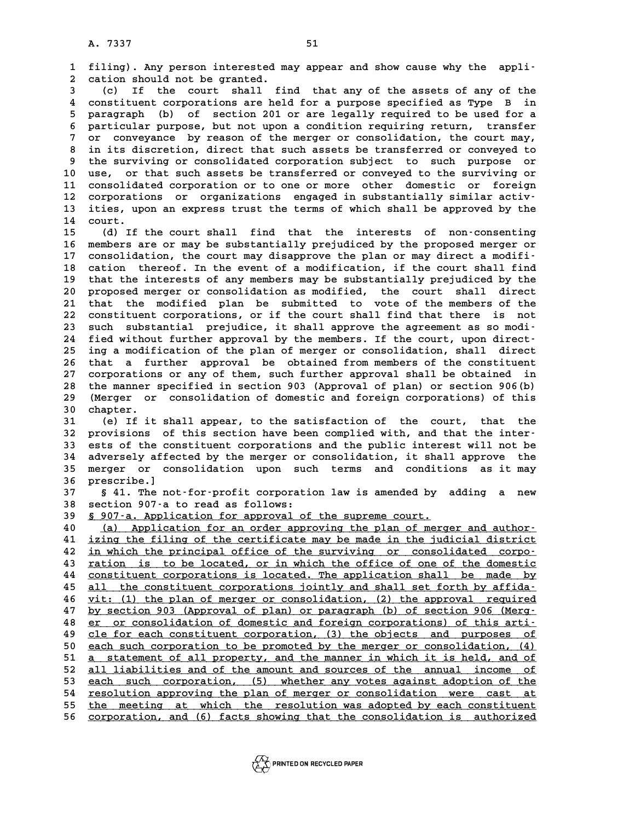A. 7337<br>1 filing). Any person interested may appear and show cause why the appli-<br><sup>2</sup> sation should not be sranted **2** filing). Any person interested m<br>2 cation should not be granted.<br>3 (c) If the court shall fi **3** (c) If the court shall find that any of the application should not be granted.<br> **3** (c) If the court shall find that any of the assets of any of the<br> **3** (c) If the court shall find that any of the assets of any of the

a cation should not be granted.<br>
4 constituent corporations are held for a purpose specified as Type B in<br>
<sup>4</sup> constituent corporations are held for a purpose specified as Type B in<br>
<sup>5</sup> parameter in the section 201 or are **5** (c) If the court shall find that any of the assets of any of the constituent corporations are held for a purpose specified as Type B in paragraph (b) of section 201 or are legally required to be used for a<br>f particular 4 constituent corporations are held for a purpose specified as Type B in<br>5 paragraph (b) of section 201 or are legally required to be used for a<br>6 particular purpose, but not upon a condition requiring return, transfer<br>7 c 5 paragraph (b) of section 201 or are legally required to be used for a<br>6 particular purpose, but not upon a condition requiring return, transfer<br>7 or conveyance by reason of the merger or consolidation, the court may,<br>8 i 8 particular purpose, but not upon a condition requiring return, transfer<br>7 or conveyance by reason of the merger or consolidation, the court may,<br>8 in its discretion, direct that such assets be transferred or conveyed to<br> 9 or conveyance by reason of the merger or consolidation, the court may,<br>8 in its discretion, direct that such assets be transferred or conveyed to<br>9 the surviving or consolidated corporation subject to such purpose or<br>10 **10 use, or that such assets be transferred or conveyed to the surviving or** 9 the surviving or consolidated corporation subject to such purpose or 10 use, or that such assets be transferred or conveyed to the surviving or consolidated corporation or to one or more other domestic or foreign corpora 10 use, or that such assets be transferred or conveyed to the surviving or<br>
11 consolidated corporation or to one or more other domestic or foreign<br>
12 corporations or organizations engaged in substantially similar activ-<br> 11 consolidated corporation or to one or more other domestic or foreign<br>12 corporations or organizations engaged in substantially similar activ-<br>13 ities, upon an express trust the terms of which shall be approved by the<br>1 12 corporations or organizations engaged in substantially similar activ-<br>13 ities, upon an express trust the terms of which shall be approved by the<br>14 court.<br>(d) If the court shall find that the interests of non-consentin 13 ities, upon an express trust the terms of which shall be approved by the<br>14 court.<br>15 (d) If the court shall find that the interests of non-consenting<br>16 members are or may be substantially prejudiced by the proposed me

14 court.<br>
15 (d) If the court shall find that the interests of non-consenting<br>
16 members are or may be substantially prejudiced by the proposed merger or<br>
17 consolidation, the court may disapprove the plan or may direct 15 (d) If the court shall find that the interests of non-consenting<br>16 members are or may be substantially prejudiced by the proposed merger or<br>17 consolidation, the court may disapprove the plan or may direct a modifi-<br>18 16 members are or may be substantially prejudiced by the proposed merger or<br>17 consolidation, the court may disapprove the plan or may direct a modifi-<br>18 cation thereof. In the event of a modification, if the court shall 17 consolidation, the court may disapprove the plan or may direct a modifi-<br>18 cation thereof. In the event of a modification, if the court shall find<br>19 that the interests of any members may be substantially prejudiced by 20 proposed merger or consolidation as modification, if the court shall find<br>20 proposed merger or consolidation as modified, the court shall direct<br>21 that the modified plan be submitted to wote of the members of the 19 that the interests of any members may be substantially prejudiced by the<br>20 proposed merger or consolidation as modified, the court shall direct<br>21 that the modified plan be submitted to vote of the members of the<br>22 co 20 proposed merger or consolidation as modified, the court shall direct<br>21 that the modified plan be submitted to vote of the members of the<br>22 constituent corporations, or if the court shall find that there is not<br>23 such 21 that the modified plan be submitted to vote of the members of the<br>
22 constituent corporations, or if the court shall find that there is not<br>
23 such substantial prejudice, it shall approve the agreement as so modi-<br>
24 22 constituent corporations, or if the court shall find that there is not<br>
23 such substantial prejudice, it shall approve the agreement as so modi-<br>
24 fied without further approval by the members. If the court, upon dire 23 such substantial prejudice, it shall approve the agreement as so modi-<br>24 fied without further approval by the members. If the court, upon direct-<br>25 ing a modification of the plan of merger or consolidation, shall dire 24 fied without further approval by the members. If the court, upon direct-<br>25 ing a modification of the plan of merger or consolidation, shall direct<br>26 that a further approval be obtained from members of the constituent<br> 25 ing a modification of the plan of merger or consolidation, shall direct<br>26 that a further approval be obtained from members of the constituent<br>27 corporations or any of them, such further approval shall be obtained in<br>t 26 that a further approval be obtained from members of the constituent<br>27 corporations or any of them, such further approval shall be obtained in<br>28 the manner specified in section 903 (Approval of plan) or section 906(b)<br> 27 corporations or any of them, such further approval shall be obtained in<br>28 the manner specified in section 903 (Approval of plan) or section 906(b)<br>29 (Merger or consolidation of domestic and foreign corporations) of th 28 the manner<br>29 (Merger or<br>30 chapter.<br><sup>31</sup> (e) If it **39** (Merger or consolidation of domestic and foreign corporations) of this 30 chapter.<br>31 (e) If it shall appear, to the satisfaction of the court, that the provisions of this section have been complied with, and that the

<sup>30</sup> chapter.<br>
31 (e) If it shall appear, to the satisfaction of the court, that the<br>
32 provisions of this section have been complied with, and that the inter-<br>
<sup>33</sup> ests of the constituent corporations and the public int **31** (e) If it shall appear, to the satisfaction of the court, that the provisions of this section have been complied with, and that the inter-<br>33 ests of the constituent corporations and the public interest will not be<br>24 32 provisions of this section have been complied with, and that the inter-<br>33 ests of the constituent corporations and the public interest will not be<br>34 adversely affected by the merger or consolidation, it shall approve 33 ests of the constituent corporations and the public interest will not be adversely affected by the merger or consolidation, it shall approve the merger or consolidation upon such terms and conditions as it may **34** adversely affe<br> **35** merger or com<br> **36** prescribe.] 35 merger or consolidation upon such terms and conditions as it may<br>36 prescribe.]<br>37 § 41. The not-for-profit corporation law is amended by adding a new<br>38 section 907-a to read as follows:

**38 section 907-a to read as follows:**

**39 § 907–a. Application for approval of the supreme court.**<br>40 (a) Application for an order approving the plan of me

**40 (a) Application for an order approving the plan of merger and author- \_\_\_\_\_\_\_\_\_\_\_\_\_\_\_\_\_\_\_\_\_\_\_\_\_\_\_\_\_\_\_\_\_\_\_\_\_\_\_\_\_\_\_\_\_\_\_\_\_\_\_\_\_\_\_\_\_\_\_\_\_\_\_\_\_\_\_\_\_\_ 40** <u>(a)</u> Application for approval of the supreme court.<br> **40** (a) Application for an order approving the plan of merger and author-<br> **41** in which the principal office of the surviving or consolidated sermo. 40 (a) Application for an order approving the plan of merger and author-<br>41 <u>izing the filing of the certificate may be made in the judicial district</u><br>42 <u>in which the principal office of the surviving or consolidated corp</u> **41 <u>izing the filing of the certificate may</u> be made in the judicial district<br>42 <u>in which the principal office of the surviving or consolidated corpo-</u><br><u>ration is to be located, or in which the office of one of the domes**</u> 42 <u>in which the principal office of the surviving or consolidated corpo-</u><br>43 <u>ration is to be located, or in which the office of one of the domestic</u><br>20 <u>constituent corporations is located</u>. The application shall be made **43** <u>ration is to be located, or in which the office of one of the domestic</u><br>44 <u>constituent corporations is located</u>. The application shall be made by<br>45 all the constituent corporations jointly and shall set forth by af constituent corporations is located. The application shall be made by<br>45 <u>all the constituent corporations jointly and shall set forth by affida-</u><br>46 <u>vit: (1) the plan of merger or consolidation, (2) the approval required</u> **45** all the constituent corporations jointly and shall set forth by affida-<br>46 vit: (1) the plan of merger or consolidation, (2) the approval required<br>47 by section 903 (Approval of plan) or paragraph (b) of section 906 ( **47 by section 903 (Approval of plan) or paragraph (b) of section 906 (Merg-**<br>**48 er or consolidation of domestic and foreign corporations) of this arti-**<br>49 cle for each constituent corporation, (3) the objects and purpos **by section 903 (Approval of plan) or paragraph (b) of section 906 (Merg-**<br>**48** er or consolidation of domestic and foreign corporations) of this arti-<br><u>cle for each constituent corporation</u>, (3) the objects and purposes o **50 er or consolidation of domestic and foreign corporations) of this arti-**<br> **49 cle for each constituent corporation, (3) the objects and purposes of<br>
<u>each such corporation to be promoted by the merger or consolidation,**</u> **50** <u>cle for each constituent corporation,</u> (3) the objects and purposes of each such corporation to be promoted by the merger or consolidation, (4) <br>51 <u>a statement of all property, and the manner in which it is held, an</u> **52 all liabilities and of the amount and sources of the annual income of \_\_\_\_\_\_\_\_\_\_\_\_\_\_\_\_\_\_\_\_\_\_\_\_\_\_\_\_\_\_\_\_\_\_\_\_\_\_\_\_\_\_\_\_\_\_\_\_\_\_\_\_\_\_\_\_\_\_\_\_\_\_\_\_\_\_\_\_\_\_\_\_** 51 <u>a statement of all property, and the manner in which it is held, and of all liabilities and of the amount and sources of the annual income of each such corporation, (5) whether any votes against adoption of the recolut</u> 52 <u>all liabilities and of the amount and sources of the annual income of each such corporation, (5) whether any votes against adoption of the resolution approving the plan of merger or consolidation were cast at the mecti</u> **Example 153**<br> **53** each such corporation, (5) whether any votes against adoption of the<br>
<u>resolution approving the plan of merger or consolidation were cast at<br>
the meeting at which the resolution was adopted by each cons</u> 54 <u>resolution approving the plan of merger or consolidation were cast at</u><br>55 <u>the meeting at which the resolution was adopted by each constituent</u><br>56 <u>corporation, and (6) facts showing that the consolidation is authorize</u>

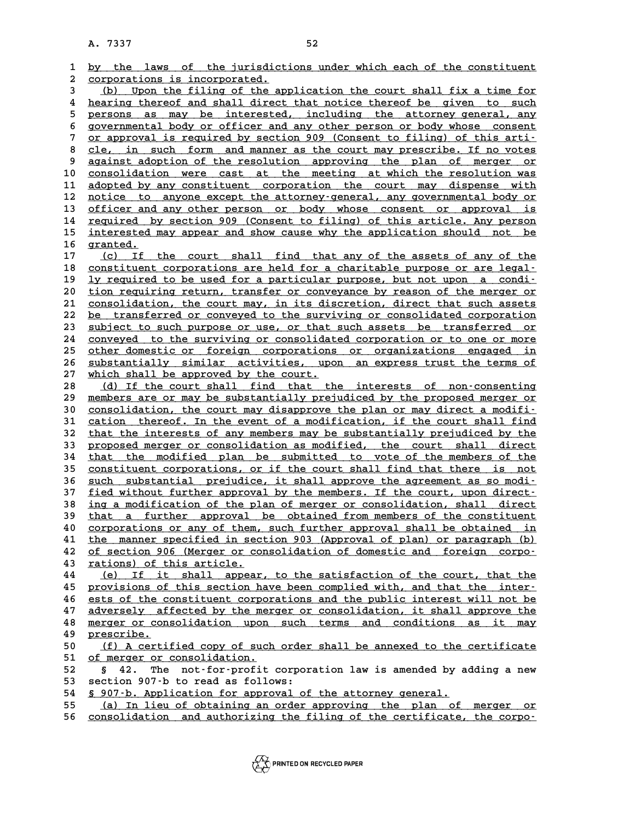A. 7337<br> **1** <u>by the laws of the jurisdictions under which each of the constituent</u><br> **2** corporations is incorporated **2** by the laws of the jurisdict<br>2 <u>corporations is incorporated.</u><br>3 (b) Upon the filing of the appro **3 (b)** the laws of the jurisdictions under which each of the constituent<br> **3** (b) Upon the filing of the application the court shall fix a time for<br> **4** hearing thereof and shall direct that notice thereof be given to suc 4 <u>hearing thereof and shall direct that notice thereof be given to such</u><br>5 persons as may be interested, including the attorney general, any (b) Upon the filing of the application the court shall fix a time for<br>4 hearing thereof and shall direct that notice thereof be given to such<br>5 persons as may be interested, including the attorney general, any<br>5 september 4 hearing thereof and shall direct that notice thereof be given to such<br>5 persons as may be interested, including the attorney general, any<br>6 governmental body or officer and any other person or body whose consent<br>7 crippi **7** persons as may be interested, including the attorney general, any governmental body or officer and any other person or body whose consent or approval is required by section 909 (Consent to filing) of this arti-<br><sup>7</sup> or 8 governmental body or officer and any other person or body whose consent<br>
<sup>7</sup> or approval is required by section 909 (Consent to filing) of this arti-<br>
<u>cle, in such form and manner as the court may prescribe. If no votes</u> or approval is required by section 909 (Consent to filing) of this arti-<br>
<u>ele, in such form and manner as the court may prescribe. If no votes</u><br> **9** against adoption of the resolution approving the plan of merger or<br>
cons 8 cle, in such form and manner as the court may prescribe. If no votes<br>9 against adoption of the resolution approving the plan of merger or<br>10 <u>consolidation were cast at the meeting at which the resolution was</u><br>3dopted by 9 against adoption of the resolution approving the plan of merger or<br>10 <u>consolidation were cast at the meeting at which the resolution was</u><br>11 adopted by any constituent corporation the court may dispense with<br>notice to a consolidation were cast at the meeting at which the resolution was<br>
11 adopted by any constituent corporation the court may dispense with<br>
12 <u>notice to anyone except the attorney-general</u>, any governmental body or<br>
25 off 11 <u>adopted by any constituent corporation the court may dispense with</u><br>12 <u>notice to anyone except the attorney-general</u>, any governmental body or<br>13 <u>officer and any other person or body whose consent or approval is</u><br>14 notice to anyone except the attorney-general, any governmental body or<br>
13 officer and any other person or body whose consent or approval is<br>
14 required by section 909 (Consent to filing) of this article. Any person<br>
inte **13** <u>officer and any other person or body</u> whose consent or approval is<br>14 <u>required by section 909 (Consent to filing) of this article. Any person</u><br>15 interested may appear and show cause why the application should not b 14 <u>required b</u><br>15 <u>interested</u><br>16 granted. interested may appear and show cause why the application should not be<br>16 granted.<br>17 (c) If the court shall find that any of the assets of any of the<br>constituent componentions are held for a sharitable nurrese or are less 16 <u>granted.</u><br>17 (c) If the court shall find that any of the assets of any of the<br>18 constituent corporations are held for a charitable purpose or are legal-<br>19 ly required to be used for a partiqular purpose, but not upon 17 (c) If the court shall find that any of the assets of any of the<br>18 <u>constituent corporations are held for a charitable purpose or are legal-</u><br>19 <u>ly required to be used for a particular purpose, but not upon a condi-</u><br> 20 **20 the metally required to be used for a particular purpose, but not upon a condi-**<br>
20 <u>tion requiring return, transfer or conveyance by reason of the merger or</u><br>
21 **consolidation** the court may in its discretion dir 19 ly required to be used for a particular purpose, but not upon a condi-<br>20 <u>tion requiring return, transfer or conveyance by reason of the merger or</u><br>21 <u>consolidation, the court may, in its discretion, direct that such </u> 20 tion requiring return, transfer or conveyance by reason of the merger or<br>21 <u>consolidation, the court may, in its discretion, direct that such assets</u><br>22 <u>be transferred or conveyed to the surviving or consolidated corp</u> 21 <u>consolidation, the court may, in its discretion, direct that such assets</u><br>22 <u>be transferred or conveyed to the surviving or consolidated corporation</u><br>23 <u>subject to such purpose or use, or that such assets be transfer</u> 22 <u>be transferred or conveyed to the surviving or consolidated corporation</u><br>23 <u>subject to such purpose or use, or that such assets be transferred or<br>24 conveyed to the surviving or consolidated corporation or to one or m</u> <sup>23</sup> subject to such purpose or use, or that such assets be transferred or conveyed to the surviving or consolidated corporation or to one or more other domestic or foreign corporations or organizations engaged in substant 24 <u>conveyed to the surviving or consolidated corporation or to one or more</u><br>25 <u>other domestic or foreign corporations or organizations engaged in</u><br>26 <u>substantially similar activities, upon an express trust the terms of</u> 25 other domestic or foreign corporations<br>
26 <u>substantially similar activities</u>, upor<br>
27 which shall be approved by the court.<br>
28 (d) If the court shall find that the 26 <u>substantially similar activities, upon an express trust the terms of</u><br>27 <u>which shall be approved by the court.</u><br>28 (d) If the court shall find that the interests of non-consenting<br>29 members are or may be substantiall **27** which shall be approved by the court.<br>
28 (d) If the court shall find that the interests of non-consenting<br>
29 members are or may be substantially prejudiced by the proposed merger or<br>
20 consolidation the court may d (d) If the court shall find that the interests of non-consenting<br>29 <u>members are or may be substantially prejudiced by the proposed merger or<br>30 <u>consolidation, the court may disapprove the plan or may direct a modifi-</u><br>31</u> members are or may be substantially prejudiced by the proposed merger or<br>30 <u>consolidation, the court may disapprove the plan or may direct a modifi-</u><br>31 <u>cation thereof. In the event of a modification, if the court shall </u> consolidation, the court may disapprove the plan or may direct a modifi-<br>31 cation thereof. In the event of a modification, if the court shall find<br>32 that the interests of any members may be substantially prejudiced by th 31 <u>cation thereof. In the event of a modification, if the court shall find</u><br>32 <u>that the interests of any members may be substantially prejudiced by the<br>33 proposed merger or consolidation as modified, the court shall dir</u> 32 that the interests of any members may be substantially prejudiced by the<br>33 proposed merger or consolidation as modified, the court shall direct<br>34 that the modified plan be submitted to vote of the members of the<br>35 co 33 proposed merger or consolidation as modified, the court shall direct<br>34 that the modified plan be submitted to vote of the members of the<br>35 constituent corporations, or if the court shall find that there is not<br>36 quab 34 that the modified plan be submitted to vote of the members of the constituent corporations, or if the court shall find that there is not such substantial prejudice, it shall approve the agreement as so modi-<br>37 fied wit 35 constituent corporations, or if the court shall find that there is not<br>36 <u>such substantial prejudice, it shall approve the agreement as so modi-</u><br><u>ited without further approval by the members. If the court, upon direct</u> 36 <u>such substantial prejudice, it shall approve the agreement as so modi-</u><br>37 <u>fied without further approval by the members. If the court, upon direct-</u><br>38 <u>ing a modification of the plan of merger or consolidation, shall</u> **fied without further approval by the members. If the court, upon direct-**<br> **38** <u>that a further approval be obtained from members of the constituent</u><br> **parameters** conservations or any of them, such further approval shall ing a modification of the plan of merger or consolidation, shall direct<br> **40** corporations or any of them, such further approval shall be obtained in<br>
the manner specified in section 903 (Approval of plan) or paragraph (b) that a further approval be obtained from members of the constituent<br>40 <u>corporations or any of them, such further approval shall be obtained in</u><br>41 <u>the manner specified in section 903 (Approval of plan) or paragraph (b)</u><br> corporations or any of them, such further approval shall be obtained in<br>
<sup>41</sup> the manner specified in section 903 (Approval of plan) or paragraph (b)<br>
<u>of section 906 (Merger or consolidation of domestic and foreign corpo-</u> 41 <u>the manner specified in sec</u><br>42 <u>of section 906 (Merger or computed</u><br>43 <u>rations) of this article.</u><br>44 (0) If it shall appear **42** <u>of section 906 (Merger or consolidation of domestic and foreign corpo-</u><br> **43** <u>(e) If it shall appear, to the satisfaction of the court, that the</u><br> **44** (e) If it shall appear, to the satisfaction of the court, that **43** <u>rations) of this article.</u><br> **44** (e) If it shall appear, to the satisfaction of the court, that the<br> **45** provisions of this section have been complied with, and that the inter-<br> **46** other of the constituent corpora **44** (e) If it shall appear, to the satisfaction of the court, that the provisions of this section have been complied with, and that the inter-<br>46 ests of the constituent corporations and the public interest will not be<br>27 provisions of this section have been complied with, and that the inter-<br>46 ests of the constituent corporations and the public interest will not be<br>47 adversely affected by the merger or consolidation, it shall approve the 46 ests of the constituent corporations and the public interest will not be adversely affected by the merger or consolidation, it shall approve the merger or consolidation upon such terms and conditions as it may processib 47 <u>adversely af</u><br>48 <u>merger or con</u><br>49 <u>prescribe.</u><br>50 (f) corti A special merger or consolidation upon such terms and conditions as it may<br> **50** (f) A certified copy of such order shall be annexed to the certificate<br> **51** of merger or consolidation 49 <u>prescribe.</u><br>50 <u>(f) A certified copy of such</u><br>51 <u>of merger or consolidation.</u><br>52 5 42 The pot-for-profit. **50 (f)** A certified copy of such order shall be annexed to the certificate<br>51 of merger or consolidation.<br>52 § 42. The not-for-profit corporation law is amended by adding a new<br>53 section 907-b to read as follows: 51 <u>of merger or consolidation.</u><br>
52 § 42. The not-for-profit corpor<br>
53 section 907-b to read as follows:<br>
54 § 907-b Application for approval of 52 § 42. The not-for-profit corporation law is amended by a<br>53 section 907-b to read as follows:<br>54 <u>§ 907-b. Application for approval of the attorney general.</u><br>55 (2) In lieu of obtaining an order approving the plan of 53 section 907-b to read as follows:<br>54 <u>§ 907-b. Application for approval of the attorney general.</u><br>55 (a) In lieu of obtaining an order approving the plan of merger or<br>56 secondidation and authorizing the filing of the s 54 <u>§ 907–b. Application for approval of the attorney general.</u><br>55 <u>(a) In lieu of obtaining an order approving the plan of merger or</u><br>56 <u>consolidation and authorizing the filing of the certificate, the corpo-</u>

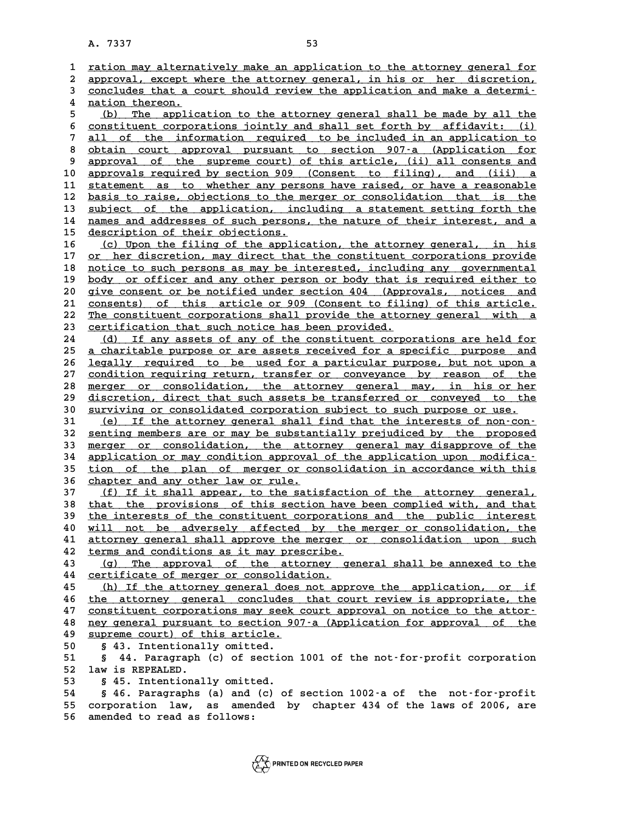A. 7337<br>1 <u>ration may alternatively make an application to the attorney general for</u><br>2 processly exact the strategy conoral in his or hor discretion 2 <u>ration may alternatively make an application to the attorney general for</u><br>2 <u>approval, except where the attorney general, in his or her discretion,</u><br>3 concludes that a court should review the application and make a dete **3** <u>ration may alternatively make an application to the attorney general for approval, except where the attorney general, in his or her discretion, concludes that a court should review the application and make a determi-<br></u> approval, except where the attorney general, in his or her discretion,<br>
<u>concludes</u> that a court should review the application and make a determi-<br>
<u>4 nation thereon.</u><br>
(b) The application to the attorney general shall be 5 <u>concludes that a court should review the application and make a determi-<br>
4 nation thereon.<br>
5 (b) The application to the attorney general shall be made by all the<br>
6 constituent corporations jointly and shall set forth</u> 4 <u>nation thereon.</u><br>
5 (b) The application to the attorney general shall be made by all the<br>
6 constituent corporations jointly and shall set forth by affidavit: (i)<br>
7 all of the information required to be included in an (b) The application to the attorney general shall be made by all the constituent corporations jointly and shall set forth by affidavit: (i) all of the information required to be included in an application to obtain gourt a 8 <u>constituent corporations jointly and shall set forth by affidavit: (i)</u><br>
8 <u>obtain court approval pursuant to section 907-a</u> (Application for<br>
8 approval of the supproval of this article (ii) all consents and 9 all of the information required to be included in an application to<br>8 <u>obtain court approval pursuant to section 907-a</u> (Application for<br>9 approval of the supreme court) of this article, (ii) all consents and<br>10 approval 8 <u>obtain court approval pursuant to section 907-a (Application for</u><br>9 <u>approval of the supreme court) of this article, (ii) all consents and</u><br>10 <u>approvals required by section 909 (Consent to filing), and (iii) a</u><br>11 stat 9 approval of the supreme court) of this article, (ii) all consents and approvals required by section 909 (Consent to filing), and (iii) a statement as to whether any persons have raised, or have a reasonable begins to rai approvals required by section 909 (Consent to filing), and (iii) a<br>
11 <u>statement as to whether any persons have raised, or have a reasonable</u><br>
12 <u>basis to raise, objections to the merger or consolidation that is the</u><br>
13 11 <u>statement as to whether any persons have raised, or have a reasonable<br>
12 basis to raise, objections to the merger or consolidation that is the<br>
13 <u>subject of the application, including a statement setting forth the</u><br></u> 12 <u>basis to raise, objections to the merger or consolidation that is the subject of the application, including a statement setting forth the names and addresses of such persons, the nature of their interest, and a decorri</u> 13 <u>subject of the application, including a statement setting forth the</u><br>14 <u>names and addresses of such persons, the nature of their interest, and a</u><br>15 <u>description of their objections.</u><br>16 (c) Upon the filing of the app 14 names and addresses of such persons, the nature of their interest, and a<br>15 <u>description of their objections.</u><br>16 (c) Upon the filing of the application, the attorney general, in his<br>27 or her discretion may direct that **15 description of their objections.**<br> **16** (c) Upon the filing of the application, the attorney general, in his<br>
<u>17 or her discretion, may direct that the constituent corporations provide</u><br> **provides the such persons as** 16 (c) Upon the filing of the application, the attorney general, in his<br>17 <u>or her discretion, may direct that the constituent corporations provide</u><br>18 notice to such persons as may be interested, including any governmenta or her discretion, may direct that the constituent corporations provide<br>
18 <u>notice to such persons as may be interested, including any governmental</u><br>
19 <u>body or officer and any other person or body that is required eithe</u> notice to such persons as may be interested, including any governmental<br>
20 give consent or be notified under section 404 (Approvals, notices and<br>
21 generats) of this article or 909 (Consent to filing) of this article body or officer and any other person or body that is required either to<br>
20 give consent or be notified under section 404 (Approvals, notices and<br>
21 consents) of this article or 909 (Consent to filing) of this article.<br>
2 20 give consent or be notified under section 404 (Approvals, notices and consents) of this article or 909 (Consent to filing) of this article.<br>22 <u>The constituent corporations shall provide the attorney general with a</u><br>23 21 <u>consents) of this article or 909 (Consent to fili</u><br>
22 <u>The constituent corporations shall provide the attor</u><br>
23 <u>certification that such notice has been provided.</u><br>
24 (d) If any aggots of any of the constituent corp The constituent corporations shall provide the attorney general with a<br>
23 certification that such notice has been provided.<br>
24 (d) If any assets of any of the constituent corporations are held for<br>
25 a sharitable purpos <u>certification that such notice has been provided.</u><br>
24 (d) If any assets of any of the constituent corporations are held for<br>
25 <u>a charitable purpose or are assets received for a specific purpose and</u><br>
1073<sup>11</sup> required 24 (d) If any assets of any of the constituent corporations are held for<br>25 <u>a charitable purpose or are assets received for a specific purpose and</u><br>26 <u>legally required to be used for a particular purpose, but not upon a</u> a charitable purpose or are assets received for a specific purpose and<br>26 <u>legally required to be used for a particular purpose, but not upon a</u><br>27 <u>condition requiring return, transfer or conveyance by reason of the</u><br>28 m 16 <u>legally required to be used for a particular purpose, but not upon a</u><br>27 <u>condition requiring return, transfer or conveyance by reason of the</u><br>28 <u>merger or consolidation, the attorney general may, in his or her</u><br>diger 27 condition requiring return, transfer or conveyance by reason of the<br>28 <u>merger or consolidation, the attorney general may, in his or her</u><br>29 discretion, direct that such assets be transferred or conveyed to the<br>20 discr **38 merger or consolidation, the attorney general may, in his or her**<br> **29 discretion, direct that such assets be transferred or conveyed to the**<br> **30 surviving or consolidated corporation subject to such purpose or use.**<br> discretion, direct that such assets be transferred or conveyed to the<br>30 <u>surviving or consolidated corporation subject to such purpose or use.</u><br>31 (e) If the attorney general shall find that the interests of non-con-<br>32 s 30 surviving or consolidated corporation subject to such purpose or use.<br>
31 (e) If the attorney general shall find that the interests of non-con-<br>
<u>senting members are or may be substantially prejudiced by the proposed</u><br> 31 (e) If the attorney general shall find that the interests of non-con-<br>32 <u>senting members are or may be substantially prejudiced by the proposed</u><br>33 <u>merger or consolidation, the attorney general may disapprove of the</u><br> 32 <u>senting members are or may be substantially prejudiced by the proposed</u><br>33 <u>merger or consolidation, the attorney general may disapprove of the<br>34 application or may condition approval of the application upon modifica-</u> 33 merger or consolidation, the attorney general may disapprove of the application or may condition approval of the application upon modifica-<br>35 <u>tion of the plan of merger or consolidation in accordance with this</u><br>26 sha **34** application or may condition approval<br>35 <u>tion of the plan of merger or compose</u><br>36 <u>chapter and any other law or rule.</u><br>27 (f) If it shall appear to the sation 35 tion of the plan of merger or consolidation in accordance with this<br>36 chapter and any other law or rule.<br>37 (f) If it shall appear, to the satisfaction of the attorney general,<br>that the provisions of this section have 36 chapter and any other law or rule.<br>
37 (f) If it shall appear, to the satisfaction of the attorney general,<br>
38 the interests of the constituent corporations and the public interest 37 (f) If it shall appear, to the satisfaction of the attorney general,<br>38 that the provisions of this section have been complied with, and that<br>39 the interests of the constituent corporations and the public interest<br><sup>40</sup> that the provisions of this section have been complied with, and that<br>
40 <u>will not be adversely affected by the merger or consolidation, the</u><br>
41 attorney general shall approve the merger or consolidation upon such the interests of the constituent corporations and the public interest<br>40 <u>will not be adversely affected by the merger or consolidation, the</u><br>41 attorney general shall approve the merger or consolidation upon such<br>42 terms 40 <u>will not be adversely affected by the attorney general shall approve the merger of the strains and conditions as it may prescribe.</u> 41 <u>attorney general shall approve the merger or consolidation upon such</u><br>42 <u>terms and conditions as it may prescribe.</u><br>43 (g) The approval of the attorney general shall be annexed to the<br>44 sortificate of merger or conso 42 <u>terms and conditions as it may prescribe.</u><br>43 (g) The approval of the attorney g<br>44 certificate of merger or consolidation. 43 (g) The approval of the attorney general shall be annexed to the<br>44 certificate of merger or consolidation.<br>45 (h) If the attorney general does not approve the application, or if<br>the attorney general generalides that se detappoint that the attorney general does not approve the application, or if<br>
46 the attorney general concludes that court review is appropriate, the<br>
47 constituent corporations may seek court approval on notice to the at 45 (h) If the attorney general does not approve the application, or if<br>46 the attorney general concludes that court review is appropriate, the<br><u>constituent corporations</u> may seek court approval on notice to the attor-<br>20 n the attorney general concludes that court review is appropriate, the<br>47 <u>constituent corporations may seek court approval on notice to the attor-</u><br><u>ney general pursuant to section 907-a</u> (Application for approval of the<br>di 47 constituent corporations may seek<br>48 <u>ney general pursuant to section 90</u><br>49 <u>supreme court) of this article.</u><br>50 5.43 Intentionally emitted **50 \$10 & 43. Intentionally omitted.**<br> **50 \$43. Intentionally omitted.**<br> **51 \$44. Paragraph** (c) of section **51 \$13. Intentionally omitted.**<br>
51 \$14. Paragraph (c) of section 1001 of the not-for-profit corporation<br>
52 law is PEPEALED 50 **5 43. Intentional**<br>51 **5 44. Paragraph**<br>52 law is REPEALED.<br>53 5 45. Intentional 51 § 44. Paragraph (c) of section<br>52 law is REPEALED.<br>53 § 45. Intentionally omitted.<br>54 § 46. Paragraphs (a) and (a) of 52 law is REPEALED.<br>53 § 45. Intentionally omitted.<br>54 § 46. Paragraphs (a) and (c) of section 1002–a of the not-for-profit<br>55 corporation law, as amended by chapter 434 of the laws of 2006, are 53 § 45. Intentionally omitted.<br>54 § 46. Paragraphs (a) and (c) of section 1002–a of the not-for-profit<br>55 corporation law, as amended by chapter 434 of the laws of 2006, are<br>56 corporated to reader 5ellows: 54 § 46. Paragraphs (a) and<br>55 corporation law, as amen<br>56 amended to read as follows:

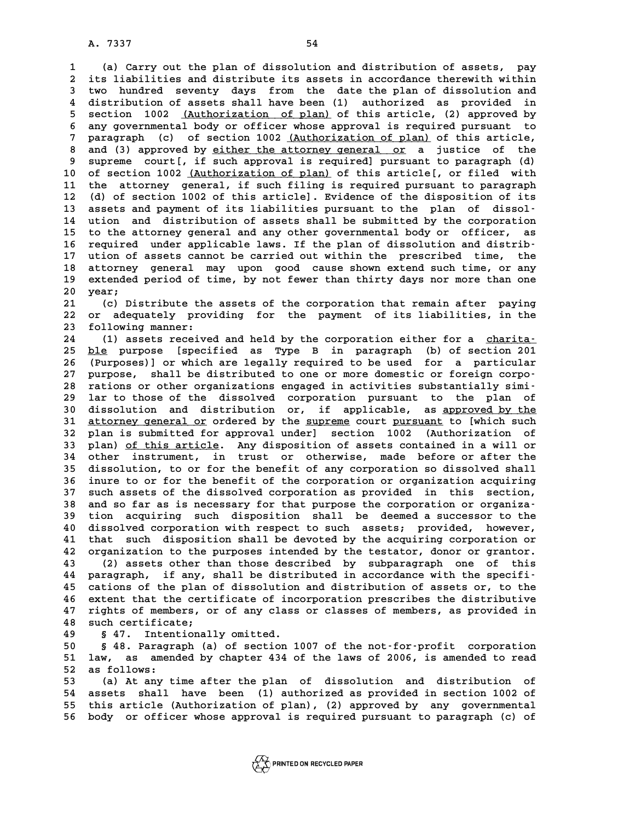A. 7337<br> **1** (a) Carry out the plan of dissolution and distribution of assets, pay<br>
<sup>2</sup> its lightlities and distribute its assets in asserdance therewith within **2** (a) Carry out the plan of dissolution and distribution of assets, pay<br>2 its liabilities and distribute its assets in accordance therewith within<br>3 type bundred, seventy, days, from, the date the plan of dissolution and **3 (a) Carry out the plan of dissolution and distribution of assets, pay**<br>2 its liabilities and distribute its assets in accordance therewith within<br>3 two hundred seventy days from the date the plan of dissolution and<br>4 di 2 its liabilities and distribute its assets in accordance therewith within<br>3 two hundred seventy days from the date the plan of dissolution and<br>4 distribution of assets shall have been (1) authorized as provided in<br>5 secti 5 two hundred seventy days from the date the plan of dissolution and<br>4 distribution of assets shall have been (1) authorized as provided in<br>5 section 1002 <u>(Authorization of plan)</u> of this article, (2) approved by<br>5 any co 4 distribution of assets shall have been (1) authorized as provided in<br>5 section 1002 <u>(Authorization of plan)</u> of this article, (2) approved by<br>6 any governmental body or officer whose approval is required pursuant to<br>7 p 5 section 1002 <u>(Authorization of plan)</u> of this article, (2) approved by<br>6 any governmental body or officer whose approval is required pursuant to<br>7 paragraph (c) of section 1002 <u>(Authorization of plan)</u> of this article, 8 any governmental body or officer whose approval is required pursuant to<br>
8 paragraph (c) of section 1002 <u>(Authorization of plan)</u> of this article,<br>
8 and (3) approved by <u>either the attorney general or</u> a justice of the **9 paragraph** (c) of section 1002 <u>(Authorization of plan)</u> of this article,<br>
8 and (3) approved by <u>either the attorney general or</u> a justice of the<br>
9 supreme court[, if such approval is required] pursuant to paragraph ( 8 and (3) approved by <u>either the attorney general or</u> a justice of the<br>9 supreme court[, if such approval is required] pursuant to paragraph (d)<br>10 of section 1002 <u>(Authorization of plan</u>) of this article[, or filed with 9 supreme court[, if such approval is required] pursuant to paragraph (d)<br>10 of section 1002 <u>(Authorization of plan</u>) of this article[, or filed with<br>11 the attorney general, if such filing is required pursuant to paragra 10 of section 1002 <u>(Authorization of plan)</u> of this article[, or filed with<br>11 the attorney general, if such filing is required pursuant to paragraph<br>12 (d) of section 1002 of this article]. Evidence of the disposition of **13 assets and payment of its liabilities pursuant to the plan of dissol-**12 (d) of section 1002 of this article]. Evidence of the disposition of its<br>13 assets and payment of its liabilities pursuant to the plan of dissol-<br>14 ution and distribution of assets shall be submitted by the corporation 13 assets and payment of its liabilities pursuant to the plan of dissol-<br>14 ution and distribution of assets shall be submitted by the corporation<br>15 to the attorney general and any other governmental body or officer, as<br>1 14 ution and distribution of assets shall be submitted by the corporation<br>
15 to the attorney general and any other governmental body or officer, as<br>
16 required under applicable laws. If the plan of dissolution and distri 15 to the attorney general and any other governmental body or officer, as<br>16 required under applicable laws. If the plan of dissolution and distrib-<br>17 ution of assets cannot be carried out within the prescribed time, the<br> 16 required under applicable laws. If the plan of dissolution and distrib-<br>17 ution of assets cannot be carried out within the prescribed time, the<br>18 attorney general may upon good cause shown extend such time, or any<br>219 17 ution of assets cannot be carried out within the prescribed time, the<br>18 attorney general may upon good cause shown extend such time, or any<br>19 extended period of time, by not fewer than thirty days nor more than one<br>20 18 attorney<br>19 extended<br>20 year;<br><sup>21 (c)</sup> <sup>Di</sup> 21 extended period of time, by not fewer than thirty days nor more than one<br>
20 year;<br>
21 (c) Distribute the assets of the corporation that remain after paying<br>
22 or adequately providing for the payment of its liabilities

**20 year;**<br>21 (c) Distribute the assets of the corporation that remain after paying<br>22 or adequately providing for the payment of its liabilities, in the<br>23 following manner: 21 (c) Distribute the<br>22 or adequately prov<br>23 following manner:<br><sup>24</sup> (1) agasts reseive 22 or adequately providing for the payment of its liabilities, in the<br>23 following manner:<br>24 (1) assets received and held by the corporation either for a <u>charita-</u><br>25 ble nurpose [specified 25 Tupe B in paragraph (b) of

23 following manner:<br>
24 (1) assets received and held by the corporation either for a <u>charita-</u><br>
25 <u>ble</u> purpose [specified as Type B in paragraph (b) of section 201<br>
26 (Purposes)] or which are legally required to be us 24 (1) assets received and held by the corporation either for a <u>charita-</u><br>25 <u>ble</u> purpose [specified as Type B in paragraph (b) of section 201<br>26 (Purposes)] or which are legally required to be used for a particular<br>27 n **25 <u>ble</u> purpose [specified as Type B in paragraph (b) of section 201<br>
26 (Purposes)] or which are legally required to be used for a particular<br>
27 purpose, shall be distributed to one or more domestic or foreign corpo-<br>** 26 (Purposes)] or which are legally required to be used for a particular purpose, shall be distributed to one or more domestic or foreign corporations or other organizations engaged in activities substantially simi-<br><sup>28</sup> l 27 purpose, shall be distributed to one or more domestic or foreign corpo-<br>28 rations or other organizations engaged in activities substantially simi-<br>29 lar to those of the dissolved corporation pursuant to the plan of<br>20 rations or other organizations engaged in activities substantially simi-<br>29 lar to those of the dissolved corporation pursuant to the plan of<br>30 dissolution and distribution or, if applicable, as <u>approved by the</u><br>31 attor 1 ar to those of the dissolved corporation pursuant to the plan of<br>
30 dissolution and distribution or, if applicable, as <u>approved by the</u><br>
31 <u>attorney general or</u> ordered by the <u>supreme</u> court <u>pursuant</u> to [which such **30 dissolution and distribution or, if applicable, as <u>approved by the</u><br>31 <u>attorney general or</u> ordered by the <u>supreme</u> court <u>pursuant</u> to [which such<br>32 plan is submitted for approval under] section 1002 (Authorizatio** 31 <u>attorney general or</u> ordered by the <u>supreme</u> court <u>pursuant</u> to [which such<br>32 plan is submitted for approval under] section 1002 (Authorization of<br>33 plan) <u>of this article</u>. Any disposition of assets contained in a 32 plan is submitted for approval under] section 1002 (Authorization of plan) <u>of this article</u>. Any disposition of assets contained in a will or 34 other instrument, in trust or otherwise, made before or after the dissolu 33 plan) of this article. Any disposition of assets contained in a will or 34 other instrument, in trust or otherwise, made before or after the<br>35 dissolution, to or for the benefit of any corporation so dissolved shall<br>36 inure to or for the benefit of the corporation or organization acquiring<br>3 **35 dissolution, to or for the benefit of any corporation so dissolved shall**<br>36 inure to or for the benefit of the corporation or organization acquiring<br>37 such assets of the dissolved corporation as provided in this sect 36 inure to or for the benefit of the corporation or organization acquiring<br>37 such assets of the dissolved corporation as provided in this section,<br>38 and so far as is necessary for that purpose the corporation or organiz 37 such assets of the dissolved corporation as provided in this section,<br>38 and so far as is necessary for that purpose the corporation or organiza-<br>39 tion acquiring such disposition shall be deemed a successor to the<br>dis and so far as is necessary for that purpose the corporation or organiza-<br>
40 dissolved corporation with respect to such assets; provided, however,<br>
41 that such disposition shall be devoted by the acquiring corporation or 39 tion acquiring such disposition shall be deemed a successor to the<br>40 dissolved corporation with respect to such assets; provided, however,<br>41 that such disposition shall be devoted by the acquiring corporation or<br>42 or **42 organization to the purposes intended by the testator, donor or grantor.** 41 that such disposition shall be devoted by the acquiring corporation or<br>42 organization to the purposes intended by the testator, donor or grantor.<br>43 (2) assets other than those described by subparagraph one of this<br>44 42 organization to the purposes intended by the testator, donor or grantor.<br>43 (2) assets other than those described by subparagraph one of this<br>44 paragraph, if any, shall be distributed in accordance with the specifi-<br>45 43 (2) assets other than those described by subparagraph one of this<br>44 paragraph, if any, shall be distributed in accordance with the specifi-<br>45 cations of the plan of dissolution and distribution of assets or, to the<br>46 44 paragraph, if any, shall be distributed in accordance with the specifi-<br>45 cations of the plan of dissolution and distribution of assets or, to the<br>46 extent that the certificate of incorporation prescribes the distribu 45 cations of the plan of dissolution and distribution of assets or, to the extent that the certificate of incorporation prescribes the distributive rights of members, or of any class or classes of members, as provided in 46 extent that the cert<br>47 rights of members, o<br>48 such certificate;<br><sup>49</sup> 5.47 Intontional 47 rights of members, or of any class<br>48 such certificate;<br>49 § 47. Intentionally omitted.<br>50 § 48 Baragraph (a) of sostion 1

**50 § 48. Paragraph (a) of section 1007 of the not-for-profit corporation 51 11. Superiorally of Sammand Ally 2018**<br>**50 5 48. Paragraph (a) of section 1007 of the not-for-profit corporation<br>51 law, as amended by chapter 434 of the laws of 2006, is amended to read<br>52. 35 follows:** 50 **§ 48. Paragr**<br>51 law, as amen<br>52 as follows:<br>53 (a) 1t any t 51 law, as amended by chapter 434 of the laws of 2006, is amended to read<br>52 as follows:<br>(a) At any time after the plan of dissolution and distribution of<br>54 aggests shall have been (1) authorized as provided in section 10

52 as follows:<br>
53 (a) At any time after the plan of dissolution and distribution of<br>
54 assets shall have been (1) authorized as provided in section 1002 of<br>
55 this article (Authorization of plan), (2) approved by any go **55 this article (Authorization of plan), (2) approved by any governmental 56 body or officer whose approval is required pursuant to paragraph (c) of**

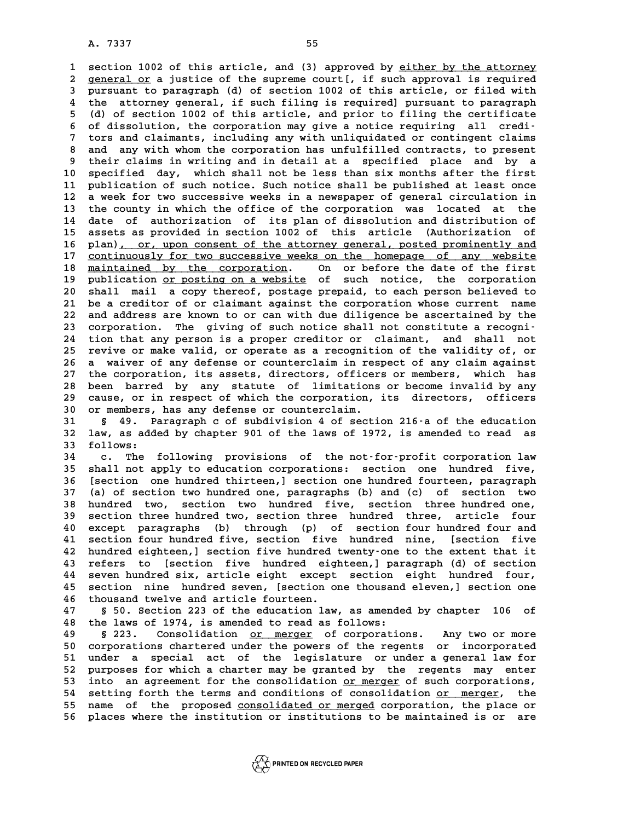**1** section 1002 of this article, and (3) approved by <u>either by the attorney</u><br>1 section 1002 of this article, and (3) approved by <u>either by the attorney</u><br>2 separal or a justice of the supreme sourt! if such approval is r **2** section 1002 of this article, and (3) approved by <u>either by the attorney</u><br>2 <u>general or</u> a justice of the supreme court[, if such approval is required<br>3 pursuant to paragraph (d) of section 1002 of this article or fil **3 section 1002 of this article, and (3) approved by <u>either by the attorney</u><br><b>2 <u>general or</u>** a justice of the supreme court[, if such approval is required<br>**3 pursuant to paragraph (d)** of section 1002 of this article, or **4 degeral or a justice of the supreme court [, if such approval is required**<br>**4 the attorney general, if such filing is required] pursuant to paragraph**<br>**4** the attorney general, if such filing is required] pursuant to pa **5** pursuant to paragraph (d) of section 1002 of this article, or filed with<br>
4 the attorney general, if such filing is required] pursuant to paragraph<br>
5 (d) of section 1002 of this article, and prior to filing the certif 4 the attorney general, if such filing is required] pursuant to paragraph<br>
5 (d) of section 1002 of this article, and prior to filing the certificate<br>
6 of dissolution, the corporation may give a notice requiring all credi 7 (d) of section 1002 of this article, and prior to filing the certificate<br>6 of dissolution, the corporation may give a notice requiring all credi-<br>7 tors and claimants, including any with unliquidated or contingent claims 6 of dissolution, the corporation may give a notice requiring all credi-<br>7 tors and claimants, including any with unliquidated or contingent claims<br>8 and any with whom the corporation has unfulfilled contracts, to present<br> **1** tors and claimants, including any with unliquidated or contingent claims<br> **8** and any with whom the corporation has unfulfilled contracts, to present<br> **9** their claims in writing and in detail at a specified place and 8 and any with whom the corporation has unfulfilled contracts, to present<br>
9 their claims in writing and in detail at a specified place and by a<br>
10 specified day, which shall not be less than six months after the first<br>
1 9 their claims in writing and in detail at a specified place and by a<br>10 specified day, which shall not be less than six months after the first<br>11 publication of such notice. Such notice shall be published at least once<br>12 10 specified day, which shall not be less than six months after the first<br>11 publication of such notice. Such notice shall be published at least once<br>12 a week for two successive weeks in a newspaper of general circulation 11 publication of such notice. Such notice shall be published at least once<br>12 a week for two successive weeks in a newspaper of general circulation in<br>13 the county in which the office of the corporation was located at th 12 a week for two successive weeks in a newspaper of general circulation in<br>13 the county in which the office of the corporation was located at the<br>14 date of authorization of its plan of dissolution and distribution of 13 the county in which the office of the corporation was located at the<br>14 date of authorization of its plan of dissolution and distribution of<br>15 assets as provided in section 1002 of this article (Authorization of<br>16 pla 14 date of authorization of its plan of dissolution and distribution of<br>15 assets as provided in section 1002 of this article (Authorization of<br>16 plan), <u>or, upon consent of the attorney general, posted prominently and</u><br>2 **15** assets as provided in section 1002 of this article (Authorization of plan), or, upon consent of the attorney general, posted prominently and continuously for two successive weeks on the homepage of any website maintai **16 plan), or, upon consent of the attorney general, posted prominently and<br>17 continuously for two successive weeks on the homepage of any website<br>18 maintained by the corporation. On or before the date of the first<br>nubli** 17 continuously for two successive weeks on the homepage of any website<br>18 <u>maintained by the corporation</u>. On or before the date of the first<br>19 publication <u>or posting on a website</u> of such notice, the corporation<br>20 sha 18 <u>maintained by the corporation</u>. On or before the date of the first<br>19 publication <u>or posting on a website</u> of such notice, the corporation<br>20 shall mail a copy thereof, postage prepaid, to each person believed to<br>21 b publication <u>or posting on a website</u> of such notice, the corporation<br>20 shall mail a copy thereof, postage prepaid, to each person believed to<br>21 be a creditor of or claimant against the corporation whose current name **20** shall mail a copy thereof, postage prepaid, to each person believed to be a creditor of or claimant against the corporation whose current name and address are known to or can with due diligence be ascertained by the c 21 be a creditor of or claimant against the corporation whose current name<br>
22 and address are known to or can with due diligence be ascertained by the<br>
23 corporation. The giving of such notice shall not constitute a reco 22 and address are known to or can with due diligence be ascertained by the<br>23 corporation. The giving of such notice shall not constitute a recogni-<br>24 tion that any person is a proper creditor or claimant, and shall not<br> 23 corporation. The giving of such notice shall not constitute a recogni-<br>24 tion that any person is a proper creditor or claimant, and shall not<br>25 revive or make valid, or operate as a recognition of the validity of, or<br> 24 tion that any person is a proper creditor or claimant, and shall not<br>25 revive or make valid, or operate as a recognition of the validity of, or<br>26 a waiver of any defense or counterclaim in respect of any claim against 25 revive or make valid, or operate as a recognition of the validity of, or<br>26 a waiver of any defense or counterclaim in respect of any claim against<br>27 the corporation, its assets, directors, officers or members, which h 26 a waiver of any defense or counterclaim in respect of any claim against<br>27 the corporation, its assets, directors, officers or members, which has<br>28 been barred by any statute of limitations or become invalid by any<br>29 27 the corporation, its assets, directors, officers or members, which has<br>28 been barred by any statute of limitations or become invalid by any<br>29 cause, or in respect of which the corporation, its directors, officers<br>20 c 28 been barred by any statute of limitations<br>29 cause, or in respect of which the corporation,<br>30 or members, has any defense or counterclaim. cause, or in respect of which the corporation, its directors, officers<br>30 or members, has any defense or counterclaim.<br>31 § 49. Paragraph c of subdivision 4 of section 216-a of the education<br>32 law, as added by chapter 901

**30 or members, has any defense or counterclaim.**<br>**31 § 49. Paragraph c of subdivision 4 of section 216–a of the education<br>32 law, as added by chapter 901 of the laws of 1972, is amended to read as<br>33 follows: 31 s** 49. **P**<br>**32 law, as add**<br>**33 follows: 32 law, as added by chapter 901 of the laws of 1972, is amended to read as<br>
<b>33 follows:**<br> **34 c. The following provisions of the not-for-profit corporation law**<br> **35 shall not analy to education corporations, section one** 

**53 follows:**<br> **34 c. The following provisions of the not-for-profit corporation law**<br> **35 shall not apply to education corporations: section one hundred five,<br>
is interesting one hundred thirteen location one hundred four 34 c. The following provisions of the not-for-profit corporation law**<br>**35 shall not apply to education corporations: section one hundred five,**<br>**36 [section one hundred thirteen,] section one hundred fourteen, paragraph**<br> **35 shall not apply to education corporations: section one hundred five,<br>36 [section one hundred thirteen, ] section one hundred fourteen, paragraph**<br>37 (a) of section two hundred one, paragraphs (b) and (c) of section two **36 [section one hundred thirteen, ] section one hundred fourteen, paragraph**<br>**37 (a) of section two hundred one, paragraphs (b) and (c) of section two**<br>**38 hundred two, section two hundred five, section three hundred one, 37** (a) of section two hundred one, paragraphs (b) and (c) of section two<br>38 hundred two, section two hundred five, section three hundred one,<br>39 section three hundred two, section three hundred three, article four<br>20 exa **40 and 10 except paragraphs (b)** through three indeed three hundred one,<br> **40** except paragraphs (b) through (p) of section four hundred four and<br> **40** except paragraphs (b) through (p) of section four hundred four and<br> **40** section three hundred two, section three hundred three, article four<br> **40** except paragraphs (b) through (p) of section four hundred four and<br> **41** section four hundred five, section five hundred nine, [section five<br> **40 except paragraphs (b) through (p) of section four hundred four and section four hundred five, section five hundred nine, [section five hundred eighteen,] section five hundred twenty-one to the extent that it<br>
<b>42 hundr** 41 section four hundred five, section five hundred nine, [section five<br>42 hundred eighteen,] section five hundred twenty-one to the extent that it<br>43 refers to [section five hundred eighteen,] paragraph (d) of section<br>44 s A sumdred eighteen, cation five hundred twenty-one to the extent that it<br>
43 refers to [section five hundred eighteen, paragraph (d) of section<br>
44 seven hundred six, article eight except section eight hundred four,<br>
15 se 43 refers to [section five hundred eighteen,] paragraph (d) of section<br>44 seven hundred six, article eight except section eight hundred four,<br>45 section nine hundred seven, [section one thousand eleven,] section one<br>46 tho 44 seven hundred six, article eight except<br>45 section nine hundred seven, [section on<br>46 thousand twelve and article fourteen. **45 section nine hundred seven, [section one thousand eleven,] section one**<br>**46 thousand twelve and article fourteen.**<br>**47** § 50. Section 223 of the education law, as amended by chapter 106 of<br>**48** the laws of 1974 is amen

46 thousand twelve and article fourteen.<br>47 § 50. Section 223 of the education law, as amende<br>48 the laws of 1974, is amended to read as follows:<br><sup>49</sup> § 223 Consolidation or morger of corporation **47** § 50. Section 223 of the education law, as amended by chapter 106 of<br>48 the laws of 1974, is amended to read as follows:<br>5 § 223. Consolidation <u>or merger</u> of corporations. Any two or more

**50 corporations chartered in the laws of 1974, is amended to read as follows:**<br> **50 corporations chartered under the powers of the regents or incorporated**<br> **51 under a special act of the legislature or under a general la 5223.** Consolidation <u>or merger</u> of corporations. Any two or more<br>
50 corporations chartered under the powers of the regents or incorporated<br>
51 under a special act of the legislature or under a general law for<br>
52 nurros 50 corporations chartered under the powers of the regents or incorporated<br>51 under a special act of the legislature or under a general law for<br>52 purposes for which a charter may be granted by the regents may enter<br>into an 51 under a special act of the legislature or under a general law for<br>52 purposes for which a charter may be granted by the regents may enter<br>53 into an agreement for the consolidation <u>or merger</u> of such corporations,<br>54 s 54 setting forth the terms and conditions of consolidation <u>or merger</u>, the<br>55 name of the proposed c<u>onsolidated or merged</u> corporation, the place or 53 into an agreement for the consolidation <u>or merger</u> of such corporations,<br>54 setting forth the terms and conditions of consolidation <u>or merger</u>, the<br>55 name of the proposed <u>consolidated or merged</u> corporation, the pla 54 setting forth the terms and conditions of consolidation <u>or merger</u>, the<br>55 name of the proposed <u>consolidated or merged</u> corporation, the place or<br>56 places where the institution or institutions to be maintained is or

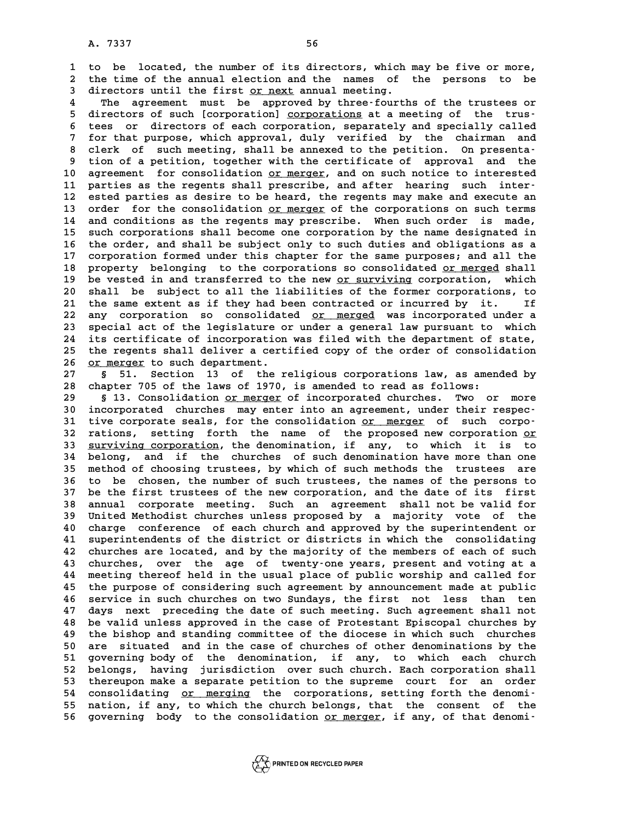A. 7337<br>1 to be located, the number of its directors, which may be five or more,<br>2 the time of the annual election and the names of the persons to be 1 to be located, the number of its directors, which may be five or more,<br>2 the time of the annual election and the names of the persons to be<br>3 directors until the first or next annual meeting 1 to be located, the number of its directors, which 1<br>2 the time of the annual election and the names of<br>3 directors until the first <u>or next</u> annual meeting.<br><sup>4</sup> mbo agreement must be approved by three-fourth 2 the time of the annual election and the names of the persons to be<br>3 directors until the first <u>or next</u> annual meeting.<br>4 The agreement must be approved by three-fourths of the trustees or<br>5 directors of such [corporati

3 directors until the first <u>or next</u> annual meeting.<br>4 The agreement must be approved by three-fourths of the trustees or<br>5 directors of such [corporation] <u>corporations</u> at a meeting of the trus-<br>5 tees or directors of e The agreement must be approved by three-fourths of the trustees or<br>5 directors of such [corporation] <u>corporations</u> at a meeting of the trus-<br>6 tees or directors of each corporation, separately and specially called<br>7 for t 5 directors of such [corporation] <u>corporations</u> at a meeting of the trus-<br>6 tees or directors of each corporation, separately and specially called<br>7 for that purpose, which approval, duly verified by the chairman and<br>3 sl **8 tees or directors of each corporation, separately and specially called<br>
7 for that purpose, which approval, duly verified by the chairman and<br>
8 clerk of such meeting, shall be annexed to the petition. On presenta-<br>
<sup>8</sup>** 9 for that purpose, which approval, duly verified by the chairman and<br>8 clerk of such meeting, shall be annexed to the petition. On presenta-<br>9 tion of a petition, together with the certificate of approval and the<br>10 agree 8 clerk of such meeting, shall be annexed to the petition. On presenta-<br>9 tion of a petition, together with the certificate of approval and the<br>10 agreement for consolidation <u>or merger</u>, and on such notice to interested<br>1 9 tion of a petition, together with the certificate of approval and the<br>
10 agreement for consolidation <u>or merger</u>, and on such notice to interested<br>
11 parties as the regents shall prescribe, and after hearing such inter 10 agreement for consolidation <u>or merger</u>, and on such notice to interested<br>11 parties as the regents shall prescribe, and after hearing such inter-<br>12 ested parties as desire to be heard, the regents may make and execute 11 parties as the regents shall prescribe, and after hearing such inter-<br>12 ested parties as desire to be heard, the regents may make and execute an<br>13 order for the consolidation <u>or merger</u> of the corporations on such te 12 ested parties as desire to be heard, the regents may make and execute an<br>13 order for the consolidation <u>or merger</u> of the corporations on such terms<br>14 and conditions as the regents may prescribe. When such order is ma 13 order for the consolidation <u>or merger</u> of the corporations on such terms<br>14 and conditions as the regents may prescribe. When such order is made,<br>15 such corporations shall become one corporation by the name designated 14 and conditions as the regents may prescribe. When such order is made,<br>15 such corporations shall become one corporation by the name designated in<br>16 the order, and shall be subject only to such duties and obligations as **15 such corporations shall become one corporation by the name designated in**<br>16 the order, and shall be subject only to such duties and obligations as a<br>17 corporation formed under this chapter for the same purposes; and 16 the order, and shall be subject only to such duties and obligations as a<br>17 corporation formed under this chapter for the same purposes; and all the<br>18 property belonging to the corporations so consolidated <u>or merged</u> 17 corporation formed under this chapter for the same purposes; and all the<br>18 property belonging to the corporations so consolidated <u>or merged</u> shall<br>19 be vested in and transferred to the new <u>or surviving</u> corporation, 18 property belonging to the corporations so consolidated <u>or merged</u> shall<br>19 be vested in and transferred to the new <u>or surviving</u> corporation, which<br>20 shall be subject to all the liabilities of the former corporations 19 be vested in and transferred to the new <u>or surviving</u> corporation, which<br>20 shall be subject to all the liabilities of the former corporations, to<br>21 the same extent as if they had been contracted or incurred by it. If 20 shall be subject to all the liabilities of the former corporations, to 21 the same extent as if they had been contracted or incurred by it. If any corporation so consolidated <u>or merged</u> was incorporated under a general 21 the same extent as if they had been contracted or incurred by it. If<br>22 any corporation so consolidated <u>or merged</u> was incorporated under a<br>23 special act of the legislature or under a general law pursuant to which<br>24 22 any corporation so consolidated <u>or merged</u> was incorporated under a<br>23 special act of the legislature or under a general law pursuant to which<br>24 its certificate of incorporation was filed with the department of state, 23 special act of the legislature or under a general law pursuant to which<br>24 its certificate of incorporation was filed with the department of state,<br>25 the regents shall deliver a certified copy of the order of consolida 24 its certificate of incorporation<br>25 the regents shall deliver a cert<br>26 <u>or merger</u> to such department.<br>27 5 51 Section 13 of the r 25 the regents shall deliver a certified copy of the order of consolidation<br>26 <u>or merger</u> to such department.<br>27 § 51. Section 13 of the religious corporations law, as amended by<br>28 shapter 705 of the laws of 1970, is are

**28 chapter 705 of the laws of 1970, is amended to read as follows:**

**8 13. Consolidation <u>or merger</u> of incorporated churches. Two or more 30** incorporated churches may enter into an agreement, under their respec-**30 incorporated churches may enter into an agreement, under their respec-31 13.** Consolidation <u>or merger</u> of incorporated churches. Two or more<br>30 incorporated churches may enter into an agreement, under their respec-<br>31 tive corporate seals, for the consolidation <u>or merger</u> of such corpo-<br>2 30 incorporated churches may enter into an agreement, under their respec-<br>31 tive corporate seals, for the consolidation <u>or merger</u> of such corpo-<br>32 rations, setting forth the name of the proposed new corporation <u>or</u><br>33 31 tive corporate seals, for the consolidation <u>or merger</u> of such corpo-<br>32 rations, setting forth the name of the proposed new corporation or<br>33 <u>surviving corporation</u>, the denomination, if any, to which it is to<br>24 bel 32 rations, setting forth the name of the proposed new corporation or<br>33 <u>surviving corporation</u>, the denomination, if any, to which it is to<br>34 belong, and if the churches of such denomination have more than one<br><sup>35</sup> meth 33 surviving corporation, the denomination, if any, to which it is to<br>34 belong, and if the churches of such denomination have more than one<br>35 method of choosing trustees, by which of such methods the trustees are<br><sup>36</sup> to **34 belong, and if the churches of such denomination have more than one**<br>35 method of choosing trustees, by which of such methods the trustees are<br>36 to be chosen, the number of such trustees, the names of the persons to<br>3 35 method of choosing trustees, by which of such methods the trustees are<br>36 to be chosen, the number of such trustees, the names of the persons to<br>37 be the first trustees of the new corporation, and the date of its first **36 to be chosen, the number of such trustees, the names of the persons to**<br>37 be the first trustees of the new corporation, and the date of its first<br>38 annual corporate meeting. Such an agreement shall not be valid for<br>3 37 be the first trustees of the new corporation, and the date of its first<br>38 annual corporate meeting. Such an agreement shall not be valid for<br>39 United Methodist churches unless proposed by a majority vote of the<br>40 sha **40 annual corporate meeting. Such an agreement shall not be valid for**<br>**40 Charge conference of each church and approved by the superintendent or**<br>**41 superintendents of the district or districts in which the consolidatio** 39 United Methodist churches unless proposed by a majority vote of the 40 charge conference of each church and approved by the superintendent or 41 superintendents of the district or districts in which the consolidating ch do charge conference of each church and approved by the superintendent or<br>41 superintendents of the district or districts in which the consolidating<br>42 churches are located, and by the majority of the members of each of su 41 superintendents of the district or districts in which the consolidating<br>42 churches are located, and by the majority of the members of each of such<br>43 churches, over the age of twenty-one years, present and voting at a<br> 42 churches are located, and by the majority of the members of each of such<br>43 churches, over the age of twenty-one years, present and voting at a<br>44 meeting thereof held in the usual place of public worship and called for 43 churches, over the age of twenty-one years, present and voting at a<br>44 meeting thereof held in the usual place of public worship and called for<br>45 the purpose of considering such agreement by announcement made at public A meeting thereof held in the usual place of public worship and called for<br>45 the purpose of considering such agreement by announcement made at public<br>46 service in such churches on two Sundays, the first not less than ten the purpose of considering such agreement by announcement made at public<br>46 service in such churches on two Sundays, the first not less than ten<br>47 days next preceding the date of such meeting. Such agreement shall not<br>48 46 service in such churches on two Sundays, the first not less than ten<br>47 days next preceding the date of such meeting. Such agreement shall not<br>48 be valid unless approved in the case of Protestant Episcopal churches by<br> days next preceding the date of such meeting. Such agreement shall not<br>48 be valid unless approved in the case of Protestant Episcopal churches by<br>49 the bishop and standing committee of the diocese in which such churches<br> **50 are situated and in the case of Protestant Episcopal churches by**<br>**49 the bishop and standing committee of the diocese in which such churches**<br>**50 are situated and in the case of churches of other denominations by the** 49 the bishop and standing committee of the diocese in which such churches<br>50 are situated and in the case of churches of other denominations by the<br>51 governing body of the denomination, if any, to which each church<br>52 be 50 are situated and in the case of churches of other denominations by the<br>51 governing body of the denomination, if any, to which each church<br>52 belongs, having jurisdiction over such church. Each corporation shall<br>53 ther 51 governing body of the denomination, if any, to which each church<br>52 belongs, having jurisdiction over such church. Each corporation shall<br>53 thereupon make a separate petition to the supreme court for an order<br>54 consol 53 thereupon make a separate petition to the supreme court for an order<br>54 consolidating <u>or merging</u> the corporations, setting forth the denomi<br>55 nation, if any, to which the church belongs, that the consent of the **55 nation, if any, to which the church belongs, that the consent of the 56 governing body to the consolidation or merger, if any, of that denomi- \_\_\_\_\_\_\_\_\_**

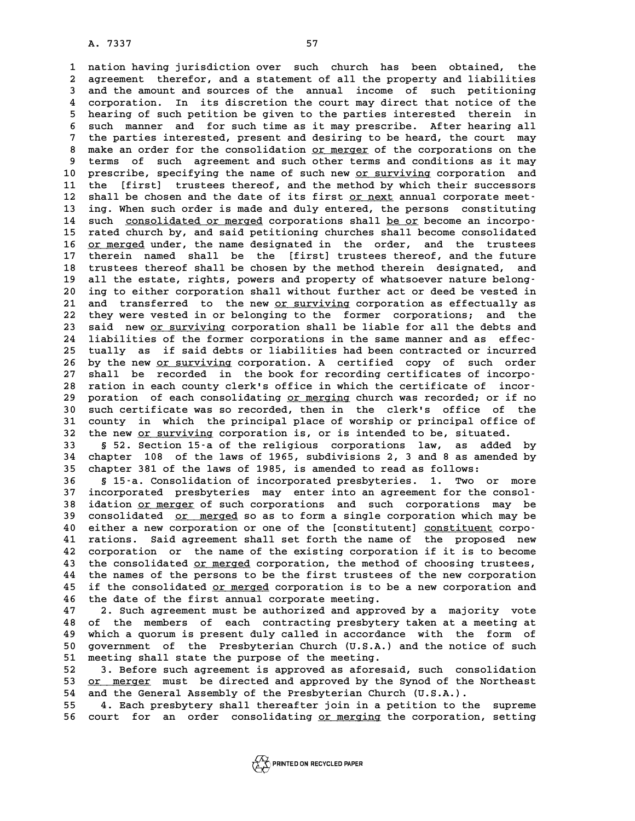**1 nation having jurisdiction over such church has been obtained, the 2** antion having jurisdiction over such church has been obtained, the agreement therefor, and a statement of all the property and liabilities 1 nation having jurisdiction over such church has been obtained, the<br>2 agreement therefor, and a statement of all the property and liabilities<br>3 and the amount and sources of the annual income of such petitioning<br>4 corpora agreement therefor, and a statement of all the property and liabilities<br>3 and the amount and sources of the annual income of such petitioning<br>4 corporation. In its discretion the court may direct that notice of the<br>5 begri 3 and the amount and sources of the annual income of such petitioning<br>4 corporation. In its discretion the court may direct that notice of the<br>5 hearing of such petition be given to the parties interested therein in<br>5 quar **6** for such manner and for such periods of the parties interested therein in<br> **6** such manner and for such time as it may prescribe. After hearing all<br>
<sup>7</sup> the parties interested present and desiring to be beard the court 5 hearing of such petition be given to the parties interested therein in<br>6 such manner and for such time as it may prescribe. After hearing all<br>7 the parties interested, present and desiring to be heard, the court may<br>8 ma 8 such manner and for such time as it may prescribe. After hearing all<br>
<sup>7</sup> the parties interested, present and desiring to be heard, the court may<br>
<sup>8</sup> make an order for the consolidation <u>or merger</u> of the corporations o The parties interested, present and desiring to be heard, the court may<br> **9 make an order for the consolidation** <u>or merger</u> of the corporations on the<br> **9 terms of such agreement and such other terms and conditions as it** 8 make an order for the consolidation <u>or merger</u> of the corporations on the<br>9 terms of such agreement and such other terms and conditions as it may<br>10 prescribe, specifying the name of such new <u>or surviving</u> corporation 9 terms of such agreement and such other terms and conditions as it may<br>10 prescribe, specifying the name of such new <u>or surviving</u> corporation and<br>11 the [first] trustees thereof, and the method by which their successors 10 prescribe, specifying the name of such new <u>or surviving</u> corporation and<br>11 the [first] trustees thereof, and the method by which their successors<br>12 shall be chosen and the date of its first <u>or next</u> annual corporate 11 the [first] trustees thereof, and the method by which their successors<br>12 shall be chosen and the date of its first <u>or next</u> annual corporate meet-<br>13 ing. When such order is made and duly entered, the persons constitu 12 shall be chosen and the date of its first <u>or next</u> annual corporate meet-<br>13 ing. When such order is made and duly entered, the persons constituting<br>14 such <u>consolidated or merged</u> corporations shall <u>be or</u> become an 13 ing. When such order is made and duly entered, the persons constituting<br>14 such <u>consolidated or merged</u> corporations shall <u>be or</u> become an incorpo-<br>15 rated church by, and said petitioning churches shall become conso 14 such <u>consolidated or merged</u> corporations shall <u>be or</u> become an incorpo-<br>15 rated church by, and said petitioning churches shall become consolidated<br>16 <u>or merged</u> under, the name designated in the order, and the tru 15 rated church by, and said petitioning churches shall become consolidated<br>16 <u>or merged</u> under, the name designated in the order, and the trustees<br>17 therein named shall be the [first] trustees thereof, and the future 16 <u>or merged</u> under, the name designated in the order, and the trustees<br>17 therein named shall be the [first] trustees thereof, and the future<br>18 trustees thereof shall be chosen by the method therein designated, and<br>19 a 17 therein named shall be the [first] trustees thereof, and the future 18 trustees thereof shall be chosen by the method therein designated, and all the estate, rights, powers and property of whatsoever nature belong-<br>
20 18 trustees thereof shall be chosen by the method therein designated, and<br>19 all the estate, rights, powers and property of whatsoever nature belong-<br>20 ing to either corporation shall without further act or deed be vested 20 all the estate, rights, powers and property of whatsoever nature belong-<br>20 ing to either corporation shall without further act or deed be vested in<br>21 and transferred to the new <u>or surviving</u> corporation as effectuall 20 ing to either corporation shall without further act or deed be vested in<br>21 and transferred to the new <u>or surviving</u> corporation as effectually as<br>22 they were vested in or belonging to the former corporations; and the 21 and transferred to the new <u>or surviving</u> corporation as effectually as<br>22 they were vested in or belonging to the former corporations; and the<br>23 said new <u>or surviving</u> corporation shall be liable for all the debts an 22 they were vested in or belonging to the former corporations; and the<br>23 said new <u>or surviving</u> corporation shall be liable for all the debts and<br>24 liabilities of the former corporations in the same manner and as effec 23 said new <u>or surviving</u> corporation shall be liable for all the debts and 14 liabilities of the former corporations in the same manner and as effector tually as if said debts or liabilities had been contracted or incurr 24 liabilities of the former corporations in the same manner and as effec-<br>25 tually as if said debts or liabilities had been contracted or incurred<br>26 by the new <u>or surviving</u> corporation. A certified copy of such order<br> 25 tually as if said debts or liabilities had been contracted or incurred<br>
26 by the new <u>or surviving</u> corporation. A certified copy of such order<br>
27 shall be recorded in the book for recording certificates of incorpo-<br> 27 shall be recorded in the book for recording certificates of incorpo-<br>28 ration in each county clerk's office in which the certificate of incor-<br>29 poration of each consolidating or merging church was recorded; or if no 27 shall be recorded in the book for recording certificates of incorpo-<br>28 ration in each county clerk's office in which the certificate of incor-<br>29 poration of each consolidating <u>or merging</u> church was recorded; or if n 28 ration in each county clerk's office in which the certificate of incor-<br>29 poration of each consolidating <u>or merging</u> church was recorded; or if no<br>30 such certificate was so recorded, then in the clerk's office of the **29 poration of each consolidating <u>or merging</u> church was recorded; or if no<br>30 such certificate was so recorded, then in the clerk's office of the<br>31 county in which the principal place of worship or principal office of<br>** 30 such certificate was so recorded, then in the clerk's office of the county in which the principal place of worship or principal office of the new <u>or surviving</u> corporation is, or is intended to be, situated.<br>
<sup>33</sup> 52 S 31 county in which the principal place of worship or principal office of<br>32 the new <u>or surviving</u> corporation is, or is intended to be, situated.<br>33 § 52. Section 15-a of the religious corporations law, as added by<br><sup>34</sup> S

32 the new <u>or surviving</u> corporation is, or is intended to be, situated.<br>33 § 52. Section 15-a of the religious corporations law, as added by<br>34 chapter 108 of the laws of 1965, subdivisions 2, 3 and 8 as amended by **552. Section 15-a of the religious corporations law, as add chapter 108 of the laws of 1965, subdivisions 2, 3 and 8 as amended to read as follows:**<br>35 chapter 381 of the laws of 1985, is amended to read as follows:<br>36 s 34 chapter 108 of the laws of 1965, subdivisions 2, 3 and 8 as amended by<br>35 chapter 381 of the laws of 1985, is amended to read as follows:<br>36 § 15-a. Consolidation of incorporated presbyteries. 1. Two or more<br>37 incorpor

35 chapter 381 of the laws of 1985, is amended to read as follows:<br>
36 § 15-a. Consolidation of incorporated presbyteries. 1. Two or more<br>
37 incorporated presbyteries may enter into an agreement for the consol-<br>
38 idning **36 s** 15-a. Consolidation of incorporated presbyteries. 1. Two or more<br>37 incorporated presbyteries may enter into an agreement for the consol-<br>38 idation <u>or merger</u> of such corporations and such corporations may be<br>co 37 incorporated presbyteries may enter into an agreement for the consol-<br>38 idation <u>or merger</u> of such corporations and such corporations may be<br>39 consolidated <u>or merged</u> so as to form a single corporation which may be<br> dation <u>or merger</u> of such corporations and such corporations may be<br>39 consolidated <u>or merged</u> so as to form a single corporation which may be<br>40 either a new corporation or one of the [constitutent] <u>constituent</u> corpo-39 consolidated <u>or merged</u> so as to form a single corporation which may be<br>40 either a new corporation or one of the [constitutent] <u>constituent</u> corpo-<br>41 rations. Said agreement shall set forth the name of the proposed 40 either a new corporation or one of the [constitutent] <u>constituent</u> corpo-<br>41 rations. Said agreement shall set forth the name of the proposed new<br>42 corporation or the name of the existing corporation if it is to becom 41 rations. Said agreement shall set forth the name of the proposed new<br>42 corporation or the name of the existing corporation if it is to become<br>43 the consolidated <u>or merged</u> corporation, the method of choosing trustees 42 corporation or the name of the existing corporation if it is to become<br>43 the consolidated <u>or merged</u> corporation, the method of choosing trustees,<br>44 the names of the persons to be the first trustees of the new corpor 43 the consolidated <u>or merged</u> corporation, the method of choosing trustees,<br>44 the names of the persons to be the first trustees of the new corporation<br>45 if the consolidated <u>or merged</u> corporation is to be a new corpor 44 the names of the persons to be the first trustees<br>45 if the consolidated <u>or merged</u> corporation is to be<br>46 the date of the first annual corporate meeting.<br>47 2 Such acrogent must be authorized and approve 45 if the consolidated <u>or merged</u> corporation is to be a new corporation and<br>46 the date of the first annual corporate meeting.<br>47 2. Such agreement must be authorized and approved by a majority vote<br>48 of the members of

**46 the date of the first annual corporate meeting.**<br>47 2. Such agreement must be authorized and approved by a majority vote<br>48 of the members of each contracting presbytery taken at a meeting at<br>49 which a guerum is prese **47 2. Such agreement must be authorized and approved by a majority vote**<br>**48 of the members of each contracting presbytery taken at a meeting at**<br>**49 which a quorum is present duly called in accordance with the form of**<br> 48 of the members of each contracting presbytery taken at a meeting at<br>49 which a quorum is present duly called in accordance with the form of<br>50 government of the Presbyterian Church (U.S.A.) and the notice of such<br>51 mee which a quorum is present duly called in accordance<br>50 government of the Presbyterian Church (U.S.A.)<br>51 meeting shall state the purpose of the meeting.<br>52 a Pofore such acrogment is approved as aforesai 50 government of the Presbyterian Church (U.S.A.) and the notice of such<br>51 meeting shall state the purpose of the meeting.<br>52 3. Before such agreement is approved as aforesaid, such consolidation<br>53 or merger must be dire

51 meeting shall state the purpose of the meeting.<br>52 3. Before such agreement is approved as aforesaid, such consolidation<br>53 <u>or merger</u> must be directed and approved by the Synod of the Northeast<br>54 and the Conoral Asse 3. Before such agreement is approved as aforesaid, such conso<br>
53 <u>or merger</u> must be directed and approved by the Synod of the N<br>
54 and the General Assembly of the Presbyterian Church (U.S.A.).<br>
55 and Each presbytery sh 53 <u>or merger</u> must be directed and approved by the Synod of the Northeast<br>54 and the General Assembly of the Presbyterian Church (U.S.A.).<br>55 4. Each presbytery shall thereafter join in a petition to the supreme<br>56 gours

54 and the General Assembly of the Presbyterian Church (U.S.A.).<br>55 4. Each presbytery shall thereafter join in a petition to the supreme<br>56 court for an order consolidating <u>or merging</u> the corporation, setting

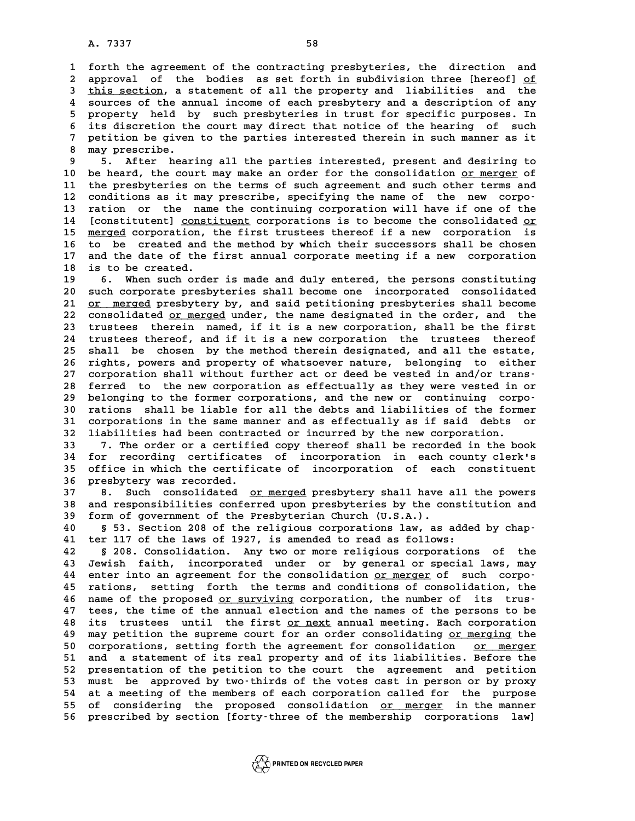A. 7337<br>1 forth the agreement of the contracting presbyteries, the direction and<br>2 approvel of the bodies as set forth in subdivision three [bereaf] of **2** forth the agreement of the contracting presbyteries, the direction and<br>2 approval of the bodies as set forth in subdivision three [hereof] <u>of</u><br>3 this section, a statement of all the property and liabilities, and the 1 forth the agreement of the contracting presbyteries, the direction and<br>2 approval of the bodies as set forth in subdivision three [hereof] <u>of</u><br>3 <u>this section</u>, a statement of all the property and liabilities and the<br>2 2 approval of the bodies as set forth in subdivision three [hereof] <u>of</u><br>3 <u>this section</u>, a statement of all the property and liabilities and the<br>4 sources of the annual income of each presbytery and a description of any<br> **5 finis section, a statement of all the property and liabilities and the sources of the annual income of each presbytery and a description of any property held by such presbyteries in trust for specific purposes. In tru** 4 sources of the annual income of each presbytery and a description of any<br>5 property held by such presbyteries in trust for specific purposes. In<br>6 its discretion the court may direct that notice of the hearing of such<br>7 5 property held by such presbyteries in trust for specific purposes. In<br>6 its discretion the court may direct that notice of the hearing of such<br>7 petition be given to the parties interested therein in such manner as it<br>8 6 its discretion the court may direct that notice of the hearing of such<br>7 petition be given to the parties interested therein in such manner as it<br>8 may prescribe.<br>9 5. After hearing all the parties interested, present an **9 5. After hearing all the parties interested, present and desiring to**

**10 be heart in the following 10** be hearty interested, present and desiring to<br> **10** be heard, the court may make an order for the consolidation <u>or merger</u> of<br> **11** the presbyteries on the terms of such agreement and suc <sup>9</sup> <sup>5</sup>. After hearing all the parties interested, present and desiring to<br>10 be heard, the court may make an order for the consolidation <u>or merger</u> of<br>11 the presbyteries on the terms of such agreement and such other ter 10 be heard, the court may make an order for the consolidation <u>or merger</u> of 11 the presbyteries on the terms of such agreement and such other terms and 12 conditions as it may prescribe, specifying the name of the new co 11 the presbyteries on the terms of such agreement and such other terms and<br>12 conditions as it may prescribe, specifying the name of the new corpo-<br>13 ration or the name the continuing corporation will have if one of the<br> 12 conditions as it may prescribe, specifying the name of the new corpo-<br>13 ration or the name the continuing corporation will have if one of the<br>14 [constitutent] <u>constituent</u> corporations is to become the consolidated o 13 ration or the name the continuing corporation will have if one of the<br>14 [constitutent] <u>constituent</u> corporations is to become the consolidated <u>or</u><br>15 <u>merged</u> corporation, the first trustees thereof if a new corporat 14 [constitutent] <u>constituent</u> corporations is to become the consolidated or<br>15 <u>merged</u> corporation, the first trustees thereof if a new corporation is<br>16 to be created and the method by which their successors shall be c 15 <u>merged</u> corporation, the first trustees thereof if a new corporation is<br>16 to be created and the method by which their successors shall be chosen<br>17 and the date of the first annual corporate meeting if a new corporati 16 to be created and<br>17 and the date of the<br>18 is to be created. 17 and the date of the first annual corporate meeting if a new corporation<br>18 is to be created.<br>19 6. When such order is made and duly entered, the persons constituting<br>20 such corporate presbyteries shall become one incor

<sup>21</sup> is to be created.<br>
20 such corporate presbyteries shall become one incorporated consolidated<br>
21 or merged presbytery by and said petitioning presbyteries shall become **20** 6. When such order is made and duly entered, the persons constituting<br>20 such corporate presbyteries shall become one incorporated consolidated<br>21 <u>or merged</u> presbytery by, and said petitioning presbyteries shall bec 21 <u>or merged</u> presbytery by, and said petitioning presbyteries shall become<br>22 consolidated <u>or merged</u> under, the name designated in the order, and the<br>23 trustees therein named, if it is a new corporation, shall be the 21 <u>or merged</u> presbytery by, and said petitioning presbyteries shall become<br>22 consolidated <u>or merged</u> under, the name designated in the order, and the<br>23 trustees therein named, if it is a new corporation, shall be the 22 consolidated <u>or merged</u> under, the name designated in the order, and the<br>23 trustees therein named, if it is a new corporation, shall be the first<br>24 trustees thereof, and if it is a new corporation the trustees thereo 23 trustees therein named, if it is a new corporation, shall be the first<br>24 trustees thereof, and if it is a new corporation the trustees thereof<br>25 shall be chosen by the method therein designated, and all the estate,<br>26 24 trustees thereof, and if it is a new corporation the trustees thereof<br>25 shall be chosen by the method therein designated, and all the estate,<br>26 rights, powers and property of whatsoever nature, belonging to either<br>27 26 rights, powers and property of whatsoever nature, belonging to either<br>27 corporation shall without further act or deed be vested in and/or trans-<br>28 ferred to the new corporation as effectually as they were vested in or **26 rights, powers and property of whatsoever nature, belonging to either**<br>27 corporation shall without further act or deed be vested in and/or trans-<br>28 ferred to the new corporation as effectually as they were vested in 27 corporation shall without further act or deed be vested in and/or trans-<br>28 ferred to the new corporation as effectually as they were vested in or<br>29 belonging to the former corporations, and the new or continuing corpo **30 ferred to the new corporation as effectually as they were vested in or**<br>**29 belonging to the former corporations, and the new or continuing corporations shall be liable for all the debts and liabilities of the former**<br> **39 belonging to the former corporations, and the new or continuing corpo-**<br>30 rations shall be liable for all the debts and liabilities of the former<br>31 corporations in the same manner and as effectually as if said debts 30 rations shall be liable for all the debts and liabilities of the form<br>31 corporations in the same manner and as effectually as if said debts<br>32 liabilities had been contracted or incurred by the new corporation.<br><sup>33</sup> <sup>7</sup>

31 corporations in the same manner and as effectually as if said debts or<br>32 liabilities had been contracted or incurred by the new corporation.<br>33 7. The order or a certified copy thereof shall be recorded in the book<br>34 **32 liabilities had been contracted or incurred by the new corporation.**<br> **33 7. The order or a certified copy thereof shall be recorded in the book**<br> **34 for recording certificates of incorporation in each county clerk's** 33 3 7. The order or a certified copy thereof shall be recorded in the book<br>34 for recording certificates of incorporation in each county clerk's<br>35 office in which the certificate of incorporation of each constituent<br>26 p 34 for recording certificate<br>35 office in which the certifier<br>36 presbytery was recorded.<br><sup>37</sup> <sup>8</sup> Such consolidated 2 35 office in which the certificate of incorporation of each constituent<br>36 presbytery was recorded.<br>37 8. Such consolidated <u>or merged</u> presbytery shall have all the powers<br>38 and responsibilities conferred upon presbyteri

**36 presbytery was recorded.**<br> **37** 8. Such consolidated <u>or merged</u> presbytery shall have all the powers<br> **38 and responsibilities conferred upon presbyteries by the constitution and**<br> **39 form of concernant of the Presby** 37 8. Such consolidated <u>or merged</u> presbytery shall have<br>38 and responsibilities conferred upon presbyteries by the component of the Presbyterian Church (U.S.A.).<br>40 5 53 Sostion 208 of the religious corporations law and responsibilities conferred upon presbyteries by the constitution and<br> **40** § 53. Section 208 of the religious corporations law, as added by chap-<br>
<sup>41</sup> ter 117 of the laws of 1927 is amended to read as follows.

**40** form of government of the Presbyterian Church (U.S.A.).<br>40 § 53. Section 208 of the religious corporations law, as adde<br>41 ter 117 of the laws of 1927, is amended to read as follows:<br>42 § 208. Consolidation, Aputive o **40** § 53. Section 208 of the religious corporations law, as added by chap-<br>**41** ter 117 of the laws of 1927, is amended to read as follows:<br>**42** § 208. Consolidation. Any two or more religious corporations of the<br>**43** Jew

**43 Jewish faith, incorporated under or by general or special laws, may 42** § 208. Consolidation. Any two or more religious corporations of the<br>43 Jewish faith, incorporated under or by general or special laws, may<br>44 enter into an agreement for the consolidation <u>or merger</u> of such corpo-<br>45 **43 Jewish faith, incorporated under or by general or special laws, may**<br>44 enter into an agreement for the consolidation <u>or merger</u> of such corpo-<br>45 rations, setting forth the terms and conditions of consolidation, the<br> **44 enter into an agreement for the consolidation <u>or merger</u> of such corpo-<br>45 rations, setting forth the terms and conditions of consolidation, the<br>46 name of the proposed <u>or surviving</u> corporation, the number of its tr** 45 rations, setting forth the terms and conditions of consolidation, the<br>46 name of the proposed <u>or surviving</u> corporation, the number of its trus-<br>47 tees, the time of the annual election and the names of the persons to **46** name of the proposed <u>or surviving</u> corporation, the number of its trus-<br>47 tees, the time of the annual election and the names of the persons to be<br>48 its trustees until the first <u>or next</u> annual meeting. Each corpo **47 tees, the time of the annual election and the names of the persons to be**<br>**48 its trustees until the first <u>or next</u> annual meeting. Each corporation<br><b>49 may petition the supreme court for an order consolidation or mer 50 48 its trustees until the first <u>or next</u> annual meeting. Each corporation<br>
<b>50 corporations, setting forth the agreement for consolidation** <u>or merger</u><br> **51 and a statement of its real property and of its liabilities. 50 may petition the supreme court for an order consolidating <u>or merging</u> the corporations, setting forth the agreement for consolidation <u>or merger</u><br>51 and a statement of its real property and of its liabilities. Before** 50 corporations, setting forth the agreement for consolidation <u>or merger</u><br>51 and a statement of its real property and of its liabilities. Before the<br>52 presentation of the petition to the court the agreement and petition<br> 51 and a statement of its real property and of its liabilities. Before the<br>52 presentation of the petition to the court the agreement and petition<br>53 must be approved by two-thirds of the votes cast in person or by proxy<br>5 52 presentation of the petition to the court the agreement and petition<br>53 must be approved by two-thirds of the votes cast in person or by proxy<br>54 at a meeting of the members of each corporation called for the purpose<br>55 53 must be approved by two-thirds of the votes cast in person or by proxy<br>54 at a meeting of the members of each corporation called for the purpose<br>55 of considering the proposed consolidation <u>or merger</u> in the manner<br>56 54 at a meeting of the members of each corporation called for the purpose<br>55 of considering the proposed consolidation <u>or merger</u> in the manner<br>56 prescribed by section [forty-three of the membership corporations law]

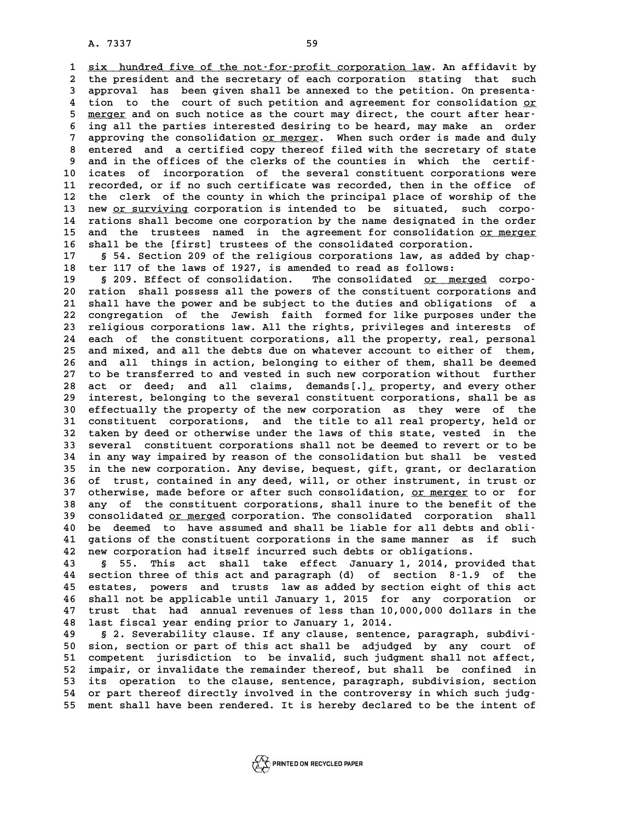A. 7337<br>1 <u>six hundred five of the not-for-profit corporation law</u>. An affidavit by<br>2 the president and the secretary of each corporation, stating that such **2** the president and the secretary of each corporation law. An affidavit by<br>2 the president and the secretary of each corporation stating that such<br>3 approval bas, been given shall be appeyed to the petition. On presenta. 2 the president and the secretary of each corporation stating that such<br>3 approval has been given shall be annexed to the petition. On presenta-<br>4 tion to the court of such petition and agreement for consolidation or the president and the secretary of each corporation stating that such<br>3 approval has been given shall be annexed to the petition. On presenta-<br>4 tion to the court of such petition and agreement for consolidation <u>or</u><br>5 mer 3 approval has been given shall be annexed to the petition. On presenta-<br>4 tion to the court of such petition and agreement for consolidation <u>or</u><br>5 <u>merger</u> and on such notice as the court may direct, the court after hear 4 tion to the court of such petition and agreement for consolidation or<br>
5 <u>merger</u> and on such notice as the court may direct, the court after hear-<br>
6 ing all the parties interested desiring to be heard, may make an orde 5 <u>merger</u> and on such notice as the court may direct, the court after hear-<br>6 ing all the parties interested desiring to be heard, may make an order<br>7 approving the consolidation <u>or merger</u>. When such order is made and d **8 ing all the parties interested desiring to be heard, may make an order approving the consolidation <u>or merger</u>. When such order is made and duly entered and a certified copy thereof filed with the secretary of state**<br>an 9 approving the consolidation <u>or merger</u>. When such order is made and duly<br>
9 entered and a certified copy thereof filed with the secretary of state<br>
9 and in the offices of the clerks of the counties in which the certif-8 entered and a certified copy thereof filed with the secretary of state<br>
9 and in the offices of the clerks of the counties in which the certif-<br>
10 icates of incorporation of the several constituent corporations were<br>
11 9 and in the offices of the clerks of the counties in which the certif-<br>10 icates of incorporation of the several constituent corporations were<br>11 recorded, or if no such certificate was recorded, then in the office of<br><sup>12</sup> 10 icates of incorporation of the several constituent corporations were<br>11 recorded, or if no such certificate was recorded, then in the office of<br>12 the clerk of the county in which the principal place of worship of the<br>1 11 recorded, or if no such certificate was recorded, then in the office of<br>12 the clerk of the county in which the principal place of worship of the<br>13 new <u>or surviving</u> corporation is intended to be situated, such corpo-12 the clerk of the county in which the principal place of worship of the<br>13 new <u>or surviving</u> corporation is intended to be situated, such corpo-<br>14 rations shall become one corporation by the name designated in the orde 13 new <u>or surviving</u> corporation is intended to be situated, such corpo-<br>14 rations shall become one corporation by the name designated in the order<br>15 aboll be the [first] trustees of the consolidated corporation 14 rations shall become one corporation by the name designated in the and the trustees named in the agreement for consolidation <u>or</u> 16 shall be the [first] trustees of the consolidated corporation. 15 and the trustees named in the agreement for consolidation <u>or merger</u><br>16 shall be the [first] trustees of the consolidated corporation.<br>17 § 54. Section 209 of the religious corporations law, as added by chap-<br>18 tor 11

**16** shall be the [first] trustees of the consolidated corporation.<br> **17** § 54. Section 209 of the religious corporations law, as added by chap-<br> **18** ter 117 of the laws of 1927, is amended to read as follows:<br> **19** § 209 § 54. Section 209 of the religious corporations law, as added by chap-<br>18 ter 117 of the laws of 1927, is amended to read as follows:<br>**§** 209. Effect of consolidation. The consolidated <u>or merged</u> corpo-<br>20 ration shall po

18 ter 117 of the laws of 1927, is amended to read as follows:<br>19 § 209. Effect of consolidation. The consolidated <u>or merged</u> corporations and<br>20 ration shall possess all the powers of the constituent corporations and<br>21 **21 s** 209. Effect of consolidation. The consolidated <u>or merged</u> corporation shall possess all the powers of the constituent corporations and shall have the power and be subject to the duties and obligations of a<br>22 separ 20 ration shall possess all the powers of the constituent corporations and<br>21 shall have the power and be subject to the duties and obligations of a<br>22 congregation of the Jewish faith formed for like purposes under the<br>23 21 shall have the power and be subject to the duties and obligations of a<br>22 congregation of the Jewish faith formed for like purposes under the<br>23 religious corporations law. All the rights, privileges and interests of<br>24 22 congregation of the Jewish faith formed for like purposes under the<br>23 religious corporations law. All the rights, privileges and interests of<br>24 each of the constituent corporations, all the property, real, personal<br>25 23 religious corporations law. All the rights, privileges and interests of<br>24 each of the constituent corporations, all the property, real, personal<br>25 and mixed, and all the debts due on whatever account to either of them **26 and all things in action, belonging to either of them, shall be deemed 27 to be transferred to and vested in such new corporation without further** and all things in action, belonging to either of them, shall be deemed<br>27 to be transferred to and vested in such new corporation without further<br>28 act or deed; and all claims, demands[.], property, and every other<br>intere 27 to be transferred to and vested in such new corporation without further<br>28 act or deed; and all claims, demands[.], property, and every other<br>29 interest, belonging to the several constituent corporations, shall be as<br>2 act or deed; and all claims, demands[.], property, and every other<br>29 interest, belonging to the several constituent corporations, shall be as<br>30 effectually the property of the new corporation as they were of the<br>31 const 29 interest, belonging to the several constituent corporations, shall be as<br>30 effectually the property of the new corporation as they were of the<br>31 constituent corporations, and the title to all real property, held or<br>32 30 effectually the property of the new corporation as they were of the<br>31 constituent corporations, and the title to all real property, held or<br>32 taken by deed or otherwise under the laws of this state, vested in the<br>33 s 31 constituent corporations, and the title to all real property, held or<br>32 taken by deed or otherwise under the laws of this state, vested in the<br>33 several constituent corporations shall not be deemed to revert or to be<br> 32 taken by deed or otherwise under the laws of this state, vested in the<br>33 several constituent corporations shall not be deemed to revert or to be<br>34 in any way impaired by reason of the consolidation but shall be vested 33 several constituent corporations shall not be deemed to revert or to be<br>34 in any way impaired by reason of the consolidation but shall be vested<br>35 in the new corporation. Any devise, bequest, gift, grant, or declarati **34 in any way impaired by reason of the consolidation but shall be vested**<br>**35 in the new corporation. Any devise, bequest, gift, grant, or declaration**<br>**36 of trust, contained in any deed, will, or other instrument, in t** 35 in the new corporation. Any devise, bequest, gift, grant, or declaration<br>36 of trust, contained in any deed, will, or other instrument, in trust or<br>37 otherwise, made before or after such consolidation, <u>or merger</u> to o 36 of trust, contained in any deed, will, or other instrument, in trust or<br>37 otherwise, made before or after such consolidation, <u>or merger</u> to or for<br>38 any of the constituent corporations, shall inure to the benefit of 37 otherwise, made before or after such consolidation, <u>or merger</u> to or for<br>38 any of the constituent corporations, shall inure to the benefit of the<br>39 consolidated <u>or merged</u> corporation. The consolidated corporation s any of the constituent corporations, shall inure to the benefit of the<br> **40** be deemed to have assumed and shall be liable for all debts and obli-<br>
<sup>41</sup> cations of the constituent corporations in the same manner as if such 39 consolidated <u>or merged</u> corporation. The consolidated corporation shall<br>40 be deemed to have assumed and shall be liable for all debts and obli-<br>41 gations of the constituent corporations in the same manner as if such<br>

**42 new corporation had itself incurred such debts or obligations. 43 § 55. This act shall take effect January 1, 2014, provided that 42 new corporation had itself incurred such debts or obligations.**<br>**43** § 55. This act shall take effect January 1, 2014, provided that<br>**44 section three of this act and paragraph** (d) of section 8-1.9 of the<br>45 settion p **43** § 55. This act shall take effect January 1, 2014, provided that<br>44 section three of this act and paragraph (d) of section 8-1.9 of the<br>45 estates, powers and trusts law as added by section eight of this act<br>46 shall n **44 section three of this act and paragraph (d) of section 8-1.9 of the estates, powers and trusts law as added by section eight of this act shall not be applicable until January 1, 2015 for any corporation or trust that h** 45 estates, powers and trusts law as added by section eight of this act<br>46 shall not be applicable until January 1, 2015 for any corporation or<br>47 trust that had annual revenues of less than 10,000,000 dollars in the<br>48 la **48 last fiscal year ending prior to January 1, 2014.** 47 trust that had annual revenues of less than 10,000,000 dollars in the<br>
48 last fiscal year ending prior to January 1, 2014.<br>
9 § 2. Severability clause. If any clause, sentence, paragraph, subdivi-<br>
50 sion, section or

**50 follow 1 since 1 since 1 since 1 since 1 since 1 since 1 since 1 since 1 since 1 since 1 since 1 since 1 since 1 since 1 since 1 since 1 since 1 since 1 since 1 since 1 since 1 since 1 since 1 since 1 since 1 since 1 s 52. Severability clause. If any clause, sentence, paragraph, subdivi-**<br>
50 sion, section or part of this act shall be adjudged by any court of<br>
51 competent jurisdiction to be invalid, such judgment shall not affect,<br>
52 50 sion, section or part of this act shall be adjudged by any court of<br>51 competent jurisdiction to be invalid, such judgment shall not affect,<br>52 impair, or invalidate the remainder thereof, but shall be confined in<br>53 it 51 competent jurisdiction to be invalid, such judgment shall not affect,<br>52 impair, or invalidate the remainder thereof, but shall be confined in<br>53 its operation to the clause, sentence, paragraph, subdivision, section<br>54 52 impair, or invalidate the remainder thereof, but shall be confined in<br>53 its operation to the clause, sentence, paragraph, subdivision, section<br>54 or part thereof directly involved in the controversy in which such judg-53 its operation to the clause, sentence, paragraph, subdivision, section<br>54 or part thereof directly involved in the controversy in which such judg<br>55 ment shall have been rendered. It is hereby declared to be the intent